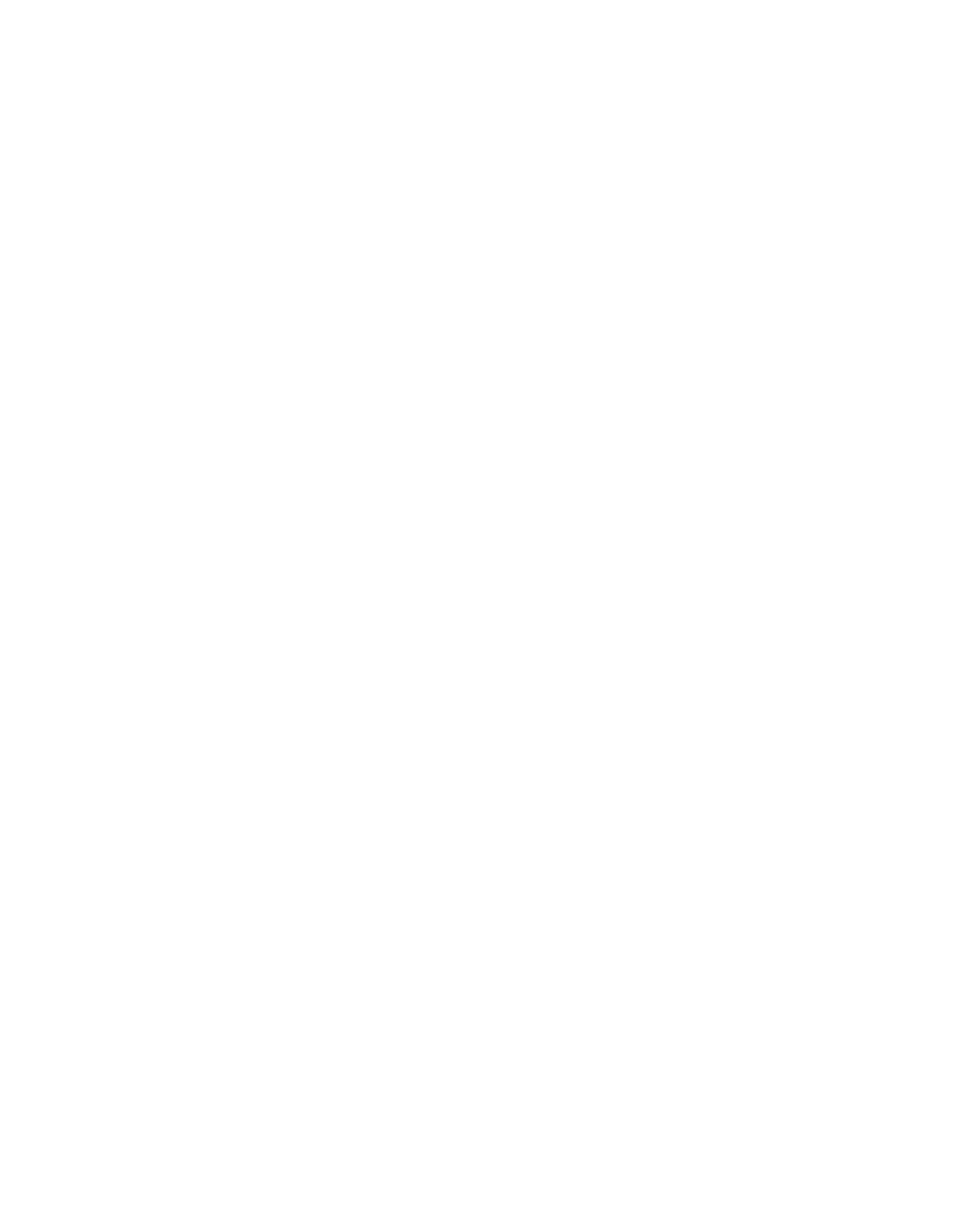# KPXI Compact GPIB Controller

# Reference Manual

KPXI-488-901-01 Rev. A / January 2007

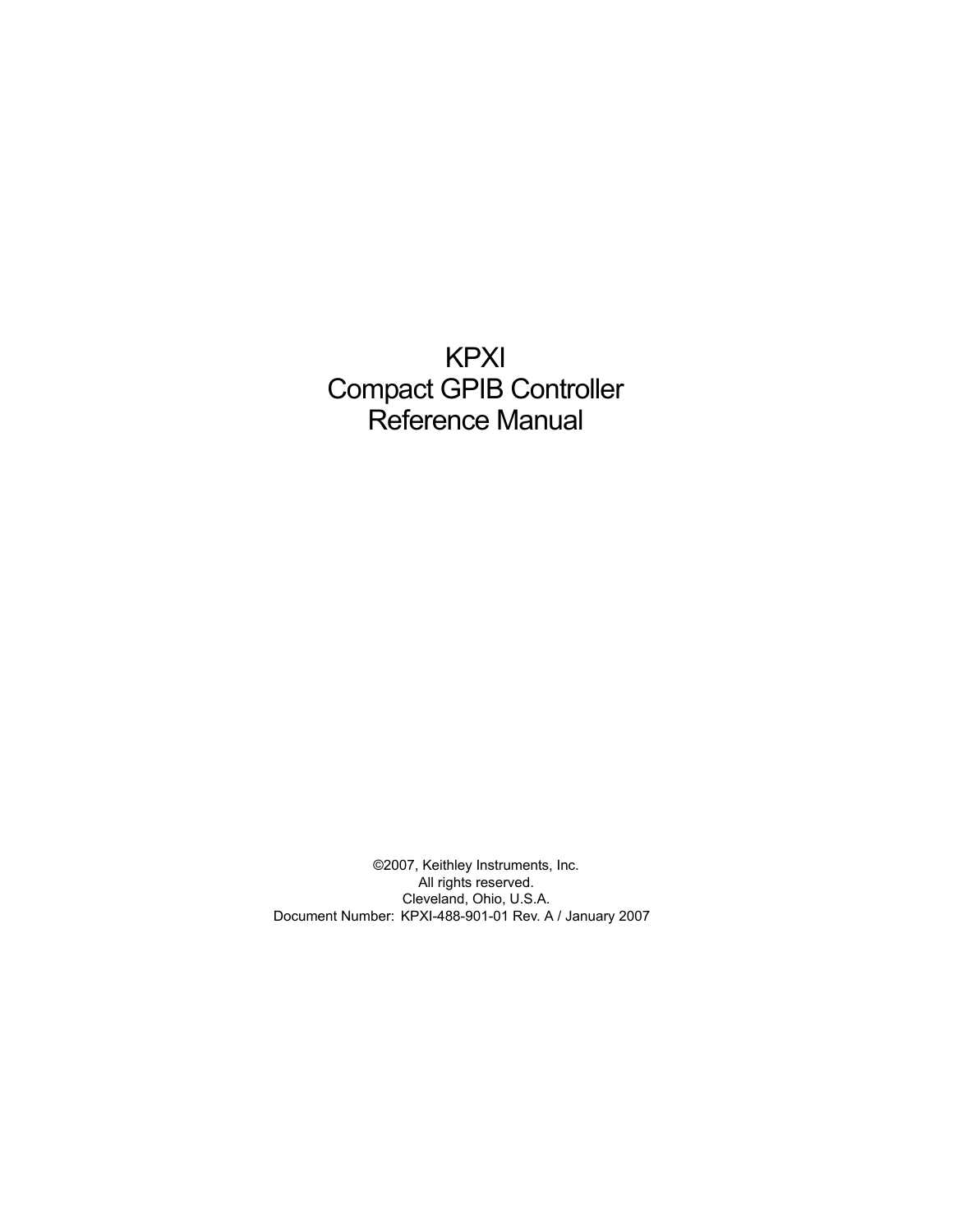# **WARRANTY**

Keithley Instruments, Inc. warrants this product to be free from defects in material and workmanship for a period of 1 year from date of shipment.

Keithley Instruments, Inc. warrants the following items for 90 days from the date of shipment: probes, cables, rechargeable batteries, diskettes, and documentation.

During the warranty period, we will, at our option, either repair or replace any product that proves to be defective.

To exercise this warranty, write or call your local Keithley Instruments representative, or contact Keithley Instruments headquarters in Cleveland, Ohio. You will be given prompt assistance and return instructions. Send the product, transportation prepaid, to the indicated service facility. Repairs will be made and the product returned, transportation prepaid. Repaired or replaced products are warranted for the balance of the original warranty period, or at least 90 days.

## **LIMITATION OF WARRANTY**

This warranty does not apply to defects resulting from product modification without Keithley Instruments' express written consent, or misuse of any product or part. This warranty also does not apply to fuses, software, non-rechargeable batteries, damage from battery leakage, or problems arising from normal wear or failure to follow instructions.

THIS WARRANTY IS IN LIEU OF ALL OTHER WARRANTIES, EXPRESSED OR IMPLIED, INCLUDING ANY IMPLIED WARRANTY OF MERCHANTABILITY OR FITNESS FOR A PARTICULAR USE. THE REMEDIES PROVIDED HEREIN ARE BUYER'S SOLE AND EXCLUSIVE REMEDIES.

NEITHER KEITHLEY INSTRUMENTS, INC. NOR ANY OF ITS EMPLOYEES SHALL BE LIABLE FOR ANY DIRECT, INDIRECT, SPECIAL, INCIDENTAL OR CONSEQUENTIAL DAMAGES ARISING OUT OF THE USE OF ITS INSTRUMENTS AND SOFTWARE EVEN IF KEITHLEY INSTRUMENTS, INC., HAS BEEN ADVISED IN ADVANCE OF THE POSSIBILITY OF SUCH DAMAGES. SUCH EXCLUDED DAMAGES SHALL INCLUDE, BUT ARE NOT LIMITED TO: COSTS OF REMOVAL AND INSTALLATION, LOSSES SUSTAINED AS THE RESULT OF INJURY TO ANY PERSON, OR DAMAGE TO PROPERTY.



A GREATER MEASURE OF CONFIDENCE

#### **Keithley Instruments, Inc.**

**Corporate Headquarters** [• 28775 Aurora Road • Cleveland, Ohio 44139](http://www.keithley.com) [440-248-0400 • Fax: 440-248-6168 • 1-888-KEITHLEY \(534-8453\) • www.keithley.com](http://www.keithley.com)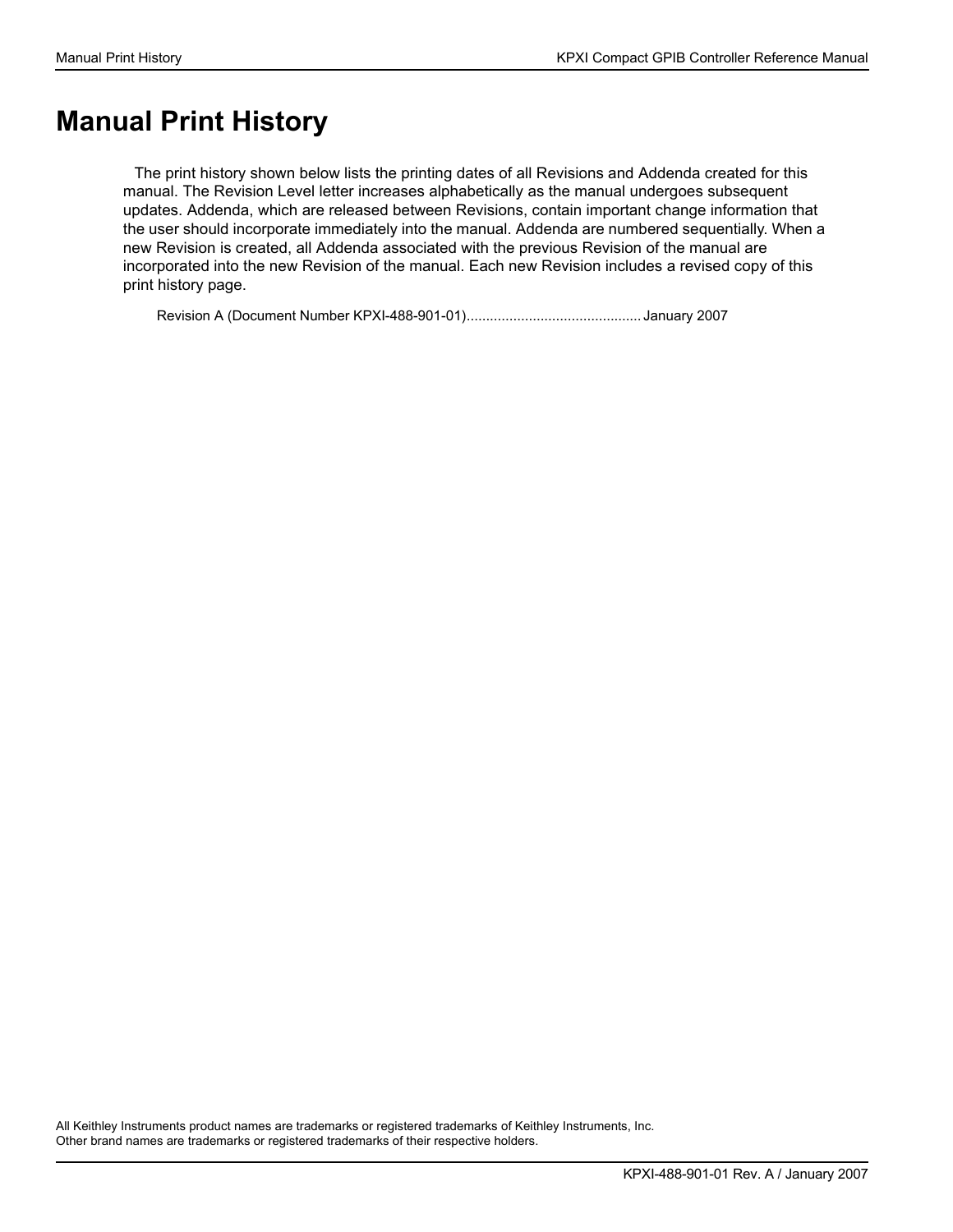<span id="page-3-2"></span><span id="page-3-1"></span><span id="page-3-0"></span>KPXI Compact GPIB Controller Reference Manual

<span id="page-3-3"></span>©2007, Keithley Instruments, Inc. All rights reserved. Cleveland, Ohio, U.S.A. Document Number: KPXI-488-901-01 Rev. A / January 2007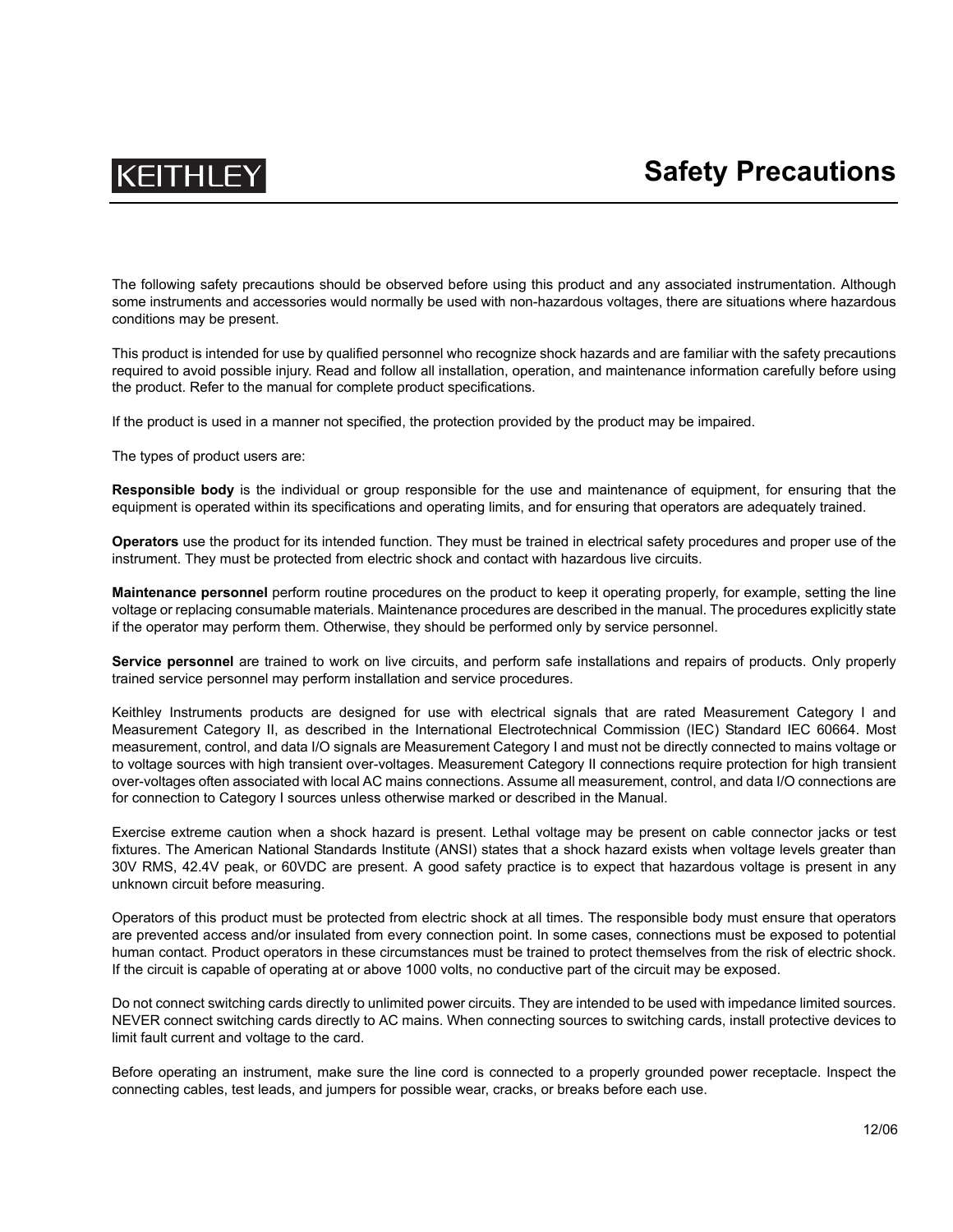## **Manual Print History**

The print history shown below lists the printing dates of all Revisions and Addenda created for this manual. The Revision Level letter increases alphabetically as the manual undergoes subsequent updates. Addenda, which are released between Revisions, contain important change information that the user should incorporate immediately into the manual. Addenda are numbered sequentially. When a new Revision is created, all Addenda associated with the previous Revision of the manual are incorporated into the new Revision of the manual. Each new Revision includes a revised copy of this print history page.

Revision A (Document Number KPXI-488-901-01)............................................. January 2007

All Keithley Instruments product names are trademarks or registered trademarks of Keithley Instruments, Inc. Other brand names are trademarks or registered trademarks of their respective holders.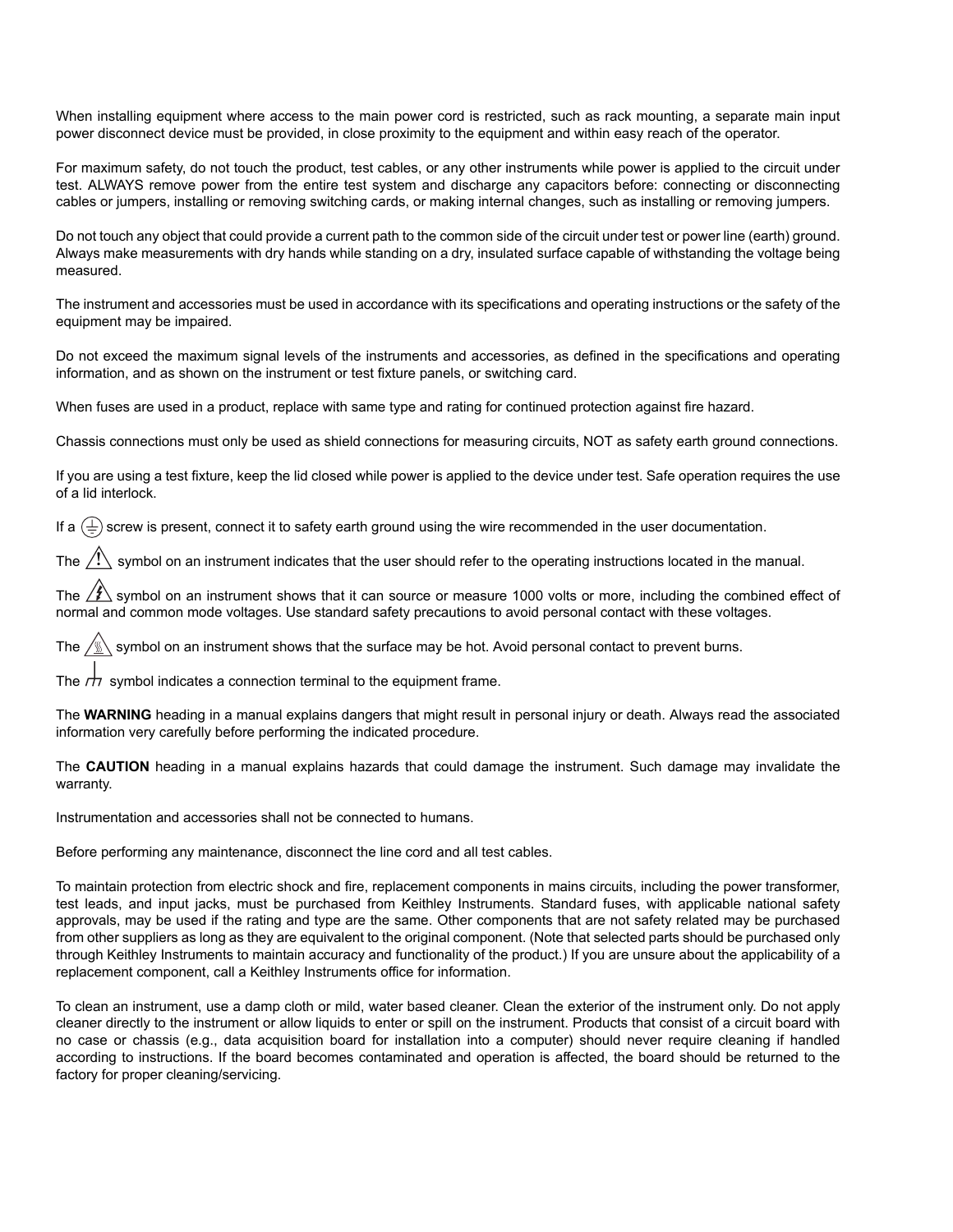

The following safety precautions should be observed before using this product and any associated instrumentation. Although some instruments and accessories would normally be used with non-hazardous voltages, there are situations where hazardous conditions may be present.

This product is intended for use by qualified personnel who recognize shock hazards and are familiar with the safety precautions required to avoid possible injury. Read and follow all installation, operation, and maintenance information carefully before using the product. Refer to the manual for complete product specifications.

If the product is used in a manner not specified, the protection provided by the product may be impaired.

The types of product users are:

**Responsible body** is the individual or group responsible for the use and maintenance of equipment, for ensuring that the equipment is operated within its specifications and operating limits, and for ensuring that operators are adequately trained.

**Operators** use the product for its intended function. They must be trained in electrical safety procedures and proper use of the instrument. They must be protected from electric shock and contact with hazardous live circuits.

**Maintenance personnel** perform routine procedures on the product to keep it operating properly, for example, setting the line voltage or replacing consumable materials. Maintenance procedures are described in the manual. The procedures explicitly state if the operator may perform them. Otherwise, they should be performed only by service personnel.

Service personnel are trained to work on live circuits, and perform safe installations and repairs of products. Only properly trained service personnel may perform installation and service procedures.

Keithley Instruments products are designed for use with electrical signals that are rated Measurement Category I and Measurement Category II, as described in the International Electrotechnical Commission (IEC) Standard IEC 60664. Most measurement, control, and data I/O signals are Measurement Category I and must not be directly connected to mains voltage or to voltage sources with high transient over-voltages. Measurement Category II connections require protection for high transient over-voltages often associated with local AC mains connections. Assume all measurement, control, and data I/O connections are for connection to Category I sources unless otherwise marked or described in the Manual.

Exercise extreme caution when a shock hazard is present. Lethal voltage may be present on cable connector jacks or test fixtures. The American National Standards Institute (ANSI) states that a shock hazard exists when voltage levels greater than 30V RMS, 42.4V peak, or 60VDC are present. A good safety practice is to expect that hazardous voltage is present in any unknown circuit before measuring.

Operators of this product must be protected from electric shock at all times. The responsible body must ensure that operators are prevented access and/or insulated from every connection point. In some cases, connections must be exposed to potential human contact. Product operators in these circumstances must be trained to protect themselves from the risk of electric shock. If the circuit is capable of operating at or above 1000 volts, no conductive part of the circuit may be exposed.

Do not connect switching cards directly to unlimited power circuits. They are intended to be used with impedance limited sources. NEVER connect switching cards directly to AC mains. When connecting sources to switching cards, install protective devices to limit fault current and voltage to the card.

Before operating an instrument, make sure the line cord is connected to a properly grounded power receptacle. Inspect the connecting cables, test leads, and jumpers for possible wear, cracks, or breaks before each use.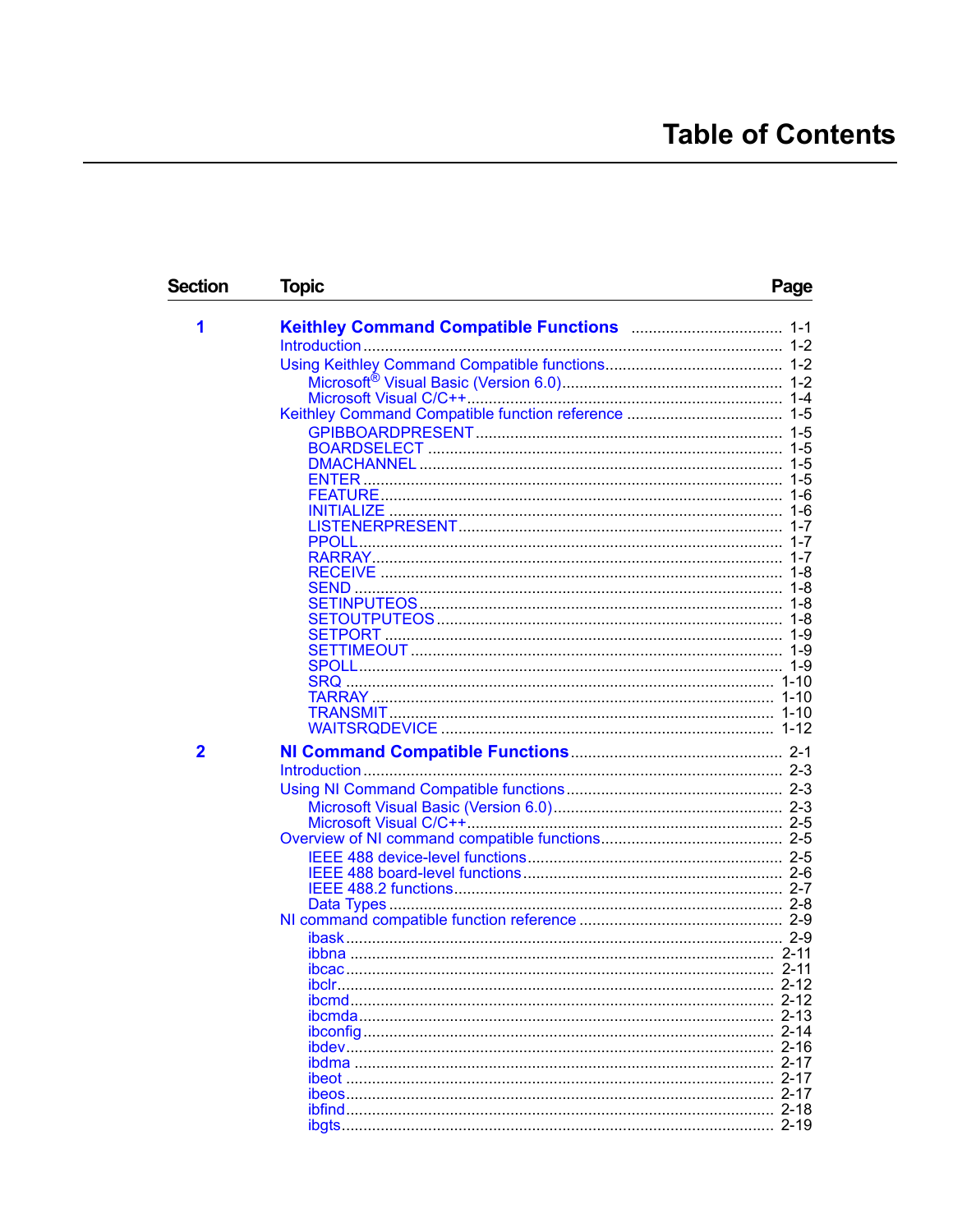When installing equipment where access to the main power cord is restricted, such as rack mounting, a separate main input power disconnect device must be provided, in close proximity to the equipment and within easy reach of the operator.

For maximum safety, do not touch the product, test cables, or any other instruments while power is applied to the circuit under test. ALWAYS remove power from the entire test system and discharge any capacitors before: connecting or disconnecting cables or jumpers, installing or removing switching cards, or making internal changes, such as installing or removing jumpers.

Do not touch any object that could provide a current path to the common side of the circuit under test or power line (earth) ground. Always make measurements with dry hands while standing on a dry, insulated surface capable of withstanding the voltage being measured.

The instrument and accessories must be used in accordance with its specifications and operating instructions or the safety of the equipment may be impaired.

Do not exceed the maximum signal levels of the instruments and accessories, as defined in the specifications and operating information, and as shown on the instrument or test fixture panels, or switching card.

When fuses are used in a product, replace with same type and rating for continued protection against fire hazard.

Chassis connections must only be used as shield connections for measuring circuits, NOT as safety earth ground connections.

If you are using a test fixture, keep the lid closed while power is applied to the device under test. Safe operation requires the use of a lid interlock.

If a  $(\pm)$  screw is present, connect it to safety earth ground using the wire recommended in the user documentation.

 $\setminus$  symbol on an instrument indicates that the user should refer to the operating instructions located in the manual. The  $\sqrt{!}$ 

The  $\sqrt{f}$  symbol on an instrument shows that it can source or measure 1000 volts or more, including the combined effect of normal and common mode voltages. Use standard safety precautions to avoid personal contact with these voltages.

The  $\sqrt{\mathbb{S}}$  symbol on an instrument shows that the surface may be hot. Avoid personal contact to prevent burns.

The  $\overline{D}$  symbol indicates a connection terminal to the equipment frame.

The **WARNING** heading in a manual explains dangers that might result in personal injury or death. Always read the associated information very carefully before performing the indicated procedure.

The **CAUTION** heading in a manual explains hazards that could damage the instrument. Such damage may invalidate the warranty.

Instrumentation and accessories shall not be connected to humans.

Before performing any maintenance, disconnect the line cord and all test cables.

To maintain protection from electric shock and fire, replacement components in mains circuits, including the power transformer, test leads, and input jacks, must be purchased from Keithley Instruments. Standard fuses, with applicable national safety approvals, may be used if the rating and type are the same. Other components that are not safety related may be purchased from other suppliers as long as they are equivalent to the original component. (Note that selected parts should be purchased only through Keithley Instruments to maintain accuracy and functionality of the product.) If you are unsure about the applicability of a replacement component, call a Keithley Instruments office for information.

To clean an instrument, use a damp cloth or mild, water based cleaner. Clean the exterior of the instrument only. Do not apply cleaner directly to the instrument or allow liquids to enter or spill on the instrument. Products that consist of a circuit board with no case or chassis (e.g., data acquisition board for installation into a computer) should never require cleaning if handled according to instructions. If the board becomes contaminated and operation is affected, the board should be returned to the factory for proper cleaning/servicing.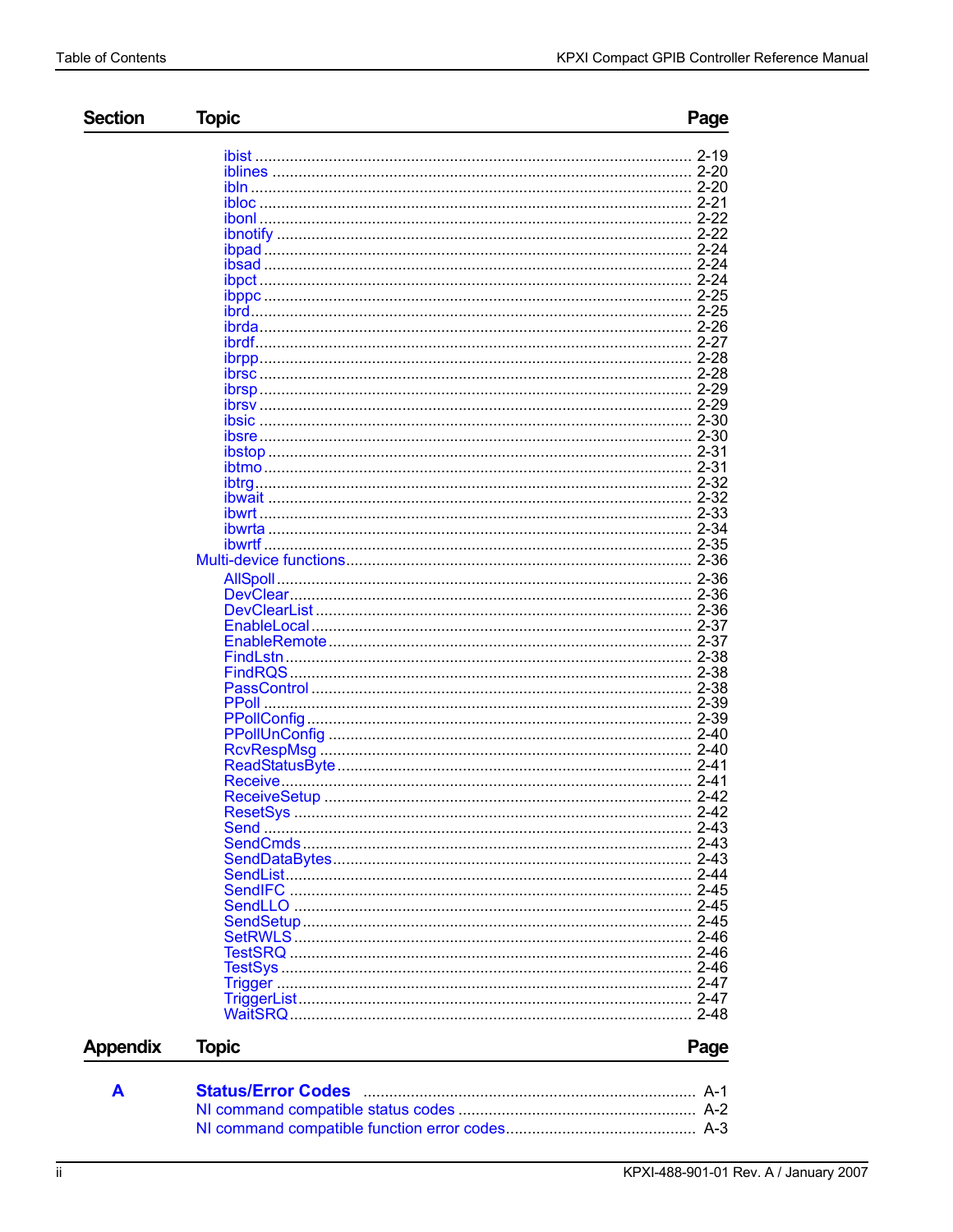| 1              |                                             |     |
|----------------|---------------------------------------------|-----|
|                |                                             |     |
|                |                                             |     |
|                |                                             |     |
|                |                                             |     |
|                |                                             |     |
|                |                                             |     |
|                |                                             |     |
|                |                                             |     |
|                | <b>ENTER</b>                                |     |
|                | FEATURE……………………………………………………………………………… 1-6   |     |
|                | INITIALIZE                                  |     |
|                |                                             | 1-7 |
|                | <b>PPOL</b>                                 |     |
|                | RARRAY.                                     |     |
|                | RECEIVE ………………………………………………………………………………… 1-8 |     |
|                |                                             | 1-8 |
|                |                                             |     |
|                |                                             |     |
|                |                                             |     |
|                |                                             |     |
|                | <b>SRO</b>                                  |     |
|                | TARRAY                                      |     |
|                |                                             |     |
|                |                                             |     |
| $\overline{2}$ |                                             |     |
|                |                                             |     |
|                |                                             |     |
|                |                                             |     |
|                |                                             |     |
|                |                                             |     |
|                |                                             |     |
|                |                                             |     |
|                |                                             |     |
|                |                                             |     |
|                |                                             |     |
|                |                                             |     |
|                |                                             |     |
|                |                                             |     |
|                |                                             |     |
|                |                                             |     |
|                |                                             |     |
|                |                                             |     |
|                |                                             |     |
|                |                                             |     |
|                |                                             |     |
|                |                                             |     |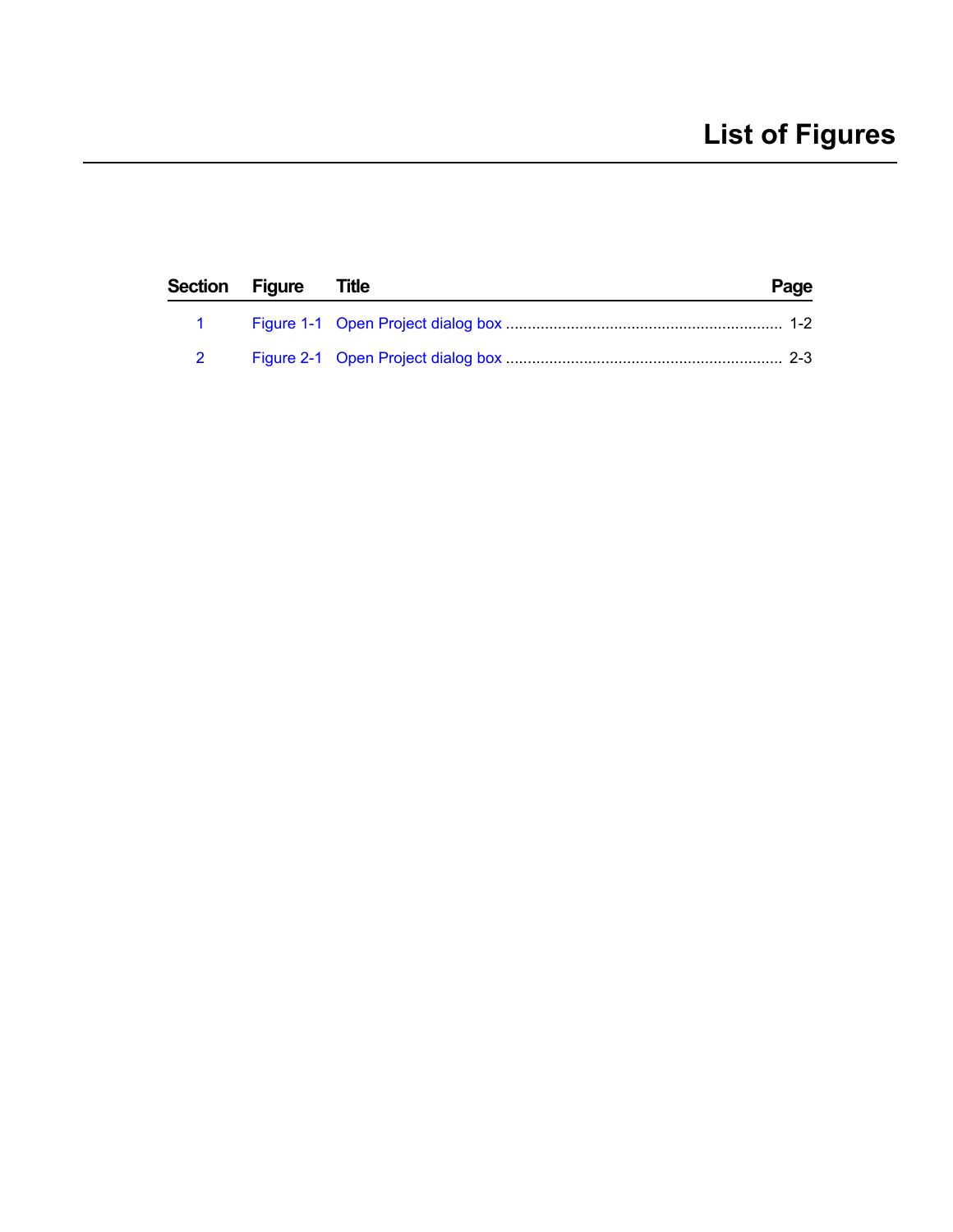| <b>Section</b>  | <b>Topic</b>                                   | Page              |
|-----------------|------------------------------------------------|-------------------|
|                 |                                                |                   |
|                 | <u>iblines …………………………………………………………………………………</u> | ………… 2-20         |
|                 |                                                | 2-20              |
|                 | <u>ibloc</u>                                   | …. 2-21<br>. 2-22 |
|                 |                                                | … 2-22            |
|                 |                                                | . 2-24            |
|                 |                                                | . 2-24            |
|                 |                                                | 2-24              |
|                 |                                                | …… 2-25           |
|                 |                                                | . 2-25            |
|                 |                                                | …. 2-26<br>. 2-27 |
|                 |                                                | . 2-28            |
|                 |                                                | … 2-28            |
|                 |                                                | ……… 2-29          |
|                 | <u> IDISV ……………………………………………………………………………………</u> | . 2-29            |
|                 | <u> ibsic ……………………………………………………………………………………</u> | …. 2-30           |
|                 |                                                | 2-30              |
|                 |                                                | 2-31              |
|                 |                                                | . 2-32            |
|                 |                                                | ………. 2-32         |
|                 |                                                | 2-33              |
|                 |                                                |                   |
|                 |                                                |                   |
|                 |                                                |                   |
|                 |                                                | 2-36              |
|                 |                                                |                   |
|                 |                                                | … 2-37            |
|                 |                                                |                   |
|                 |                                                | 2-38              |
|                 |                                                | 2-38              |
|                 |                                                |                   |
|                 |                                                | …. 2-39           |
|                 |                                                |                   |
|                 |                                                |                   |
|                 |                                                |                   |
|                 |                                                | $2 - 42$          |
|                 |                                                |                   |
|                 |                                                |                   |
|                 |                                                |                   |
|                 |                                                |                   |
|                 |                                                |                   |
|                 |                                                |                   |
|                 |                                                |                   |
|                 |                                                |                   |
|                 |                                                |                   |
|                 |                                                |                   |
|                 |                                                |                   |
|                 |                                                |                   |
| <b>Appendix</b> | <b>Topic</b>                                   | Page              |
|                 |                                                |                   |
| A               | <b>Status/Error Codes</b>                      |                   |
|                 |                                                |                   |
|                 |                                                |                   |
|                 |                                                |                   |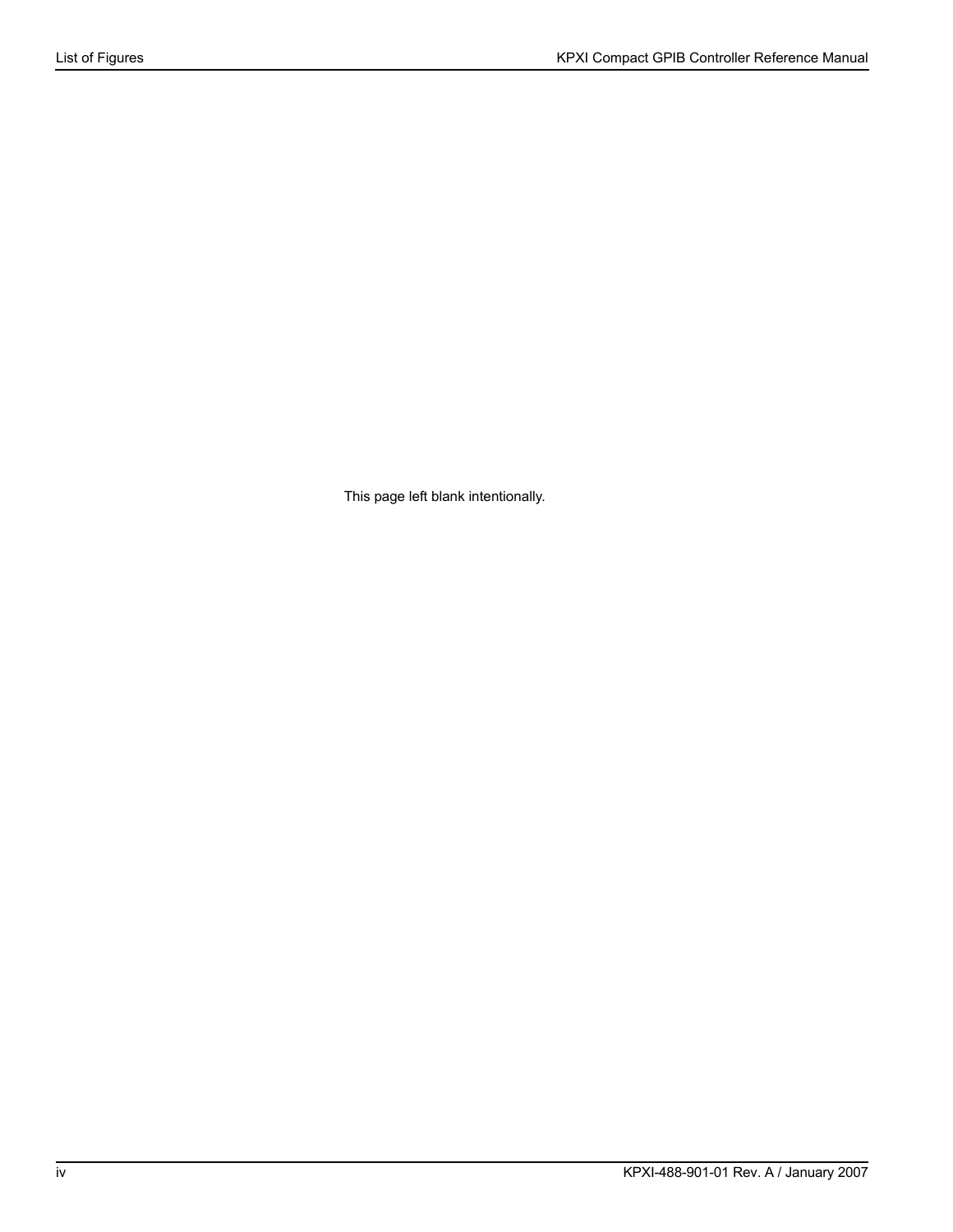|   | Section Figure Title | Page |
|---|----------------------|------|
|   |                      |      |
| 2 |                      |      |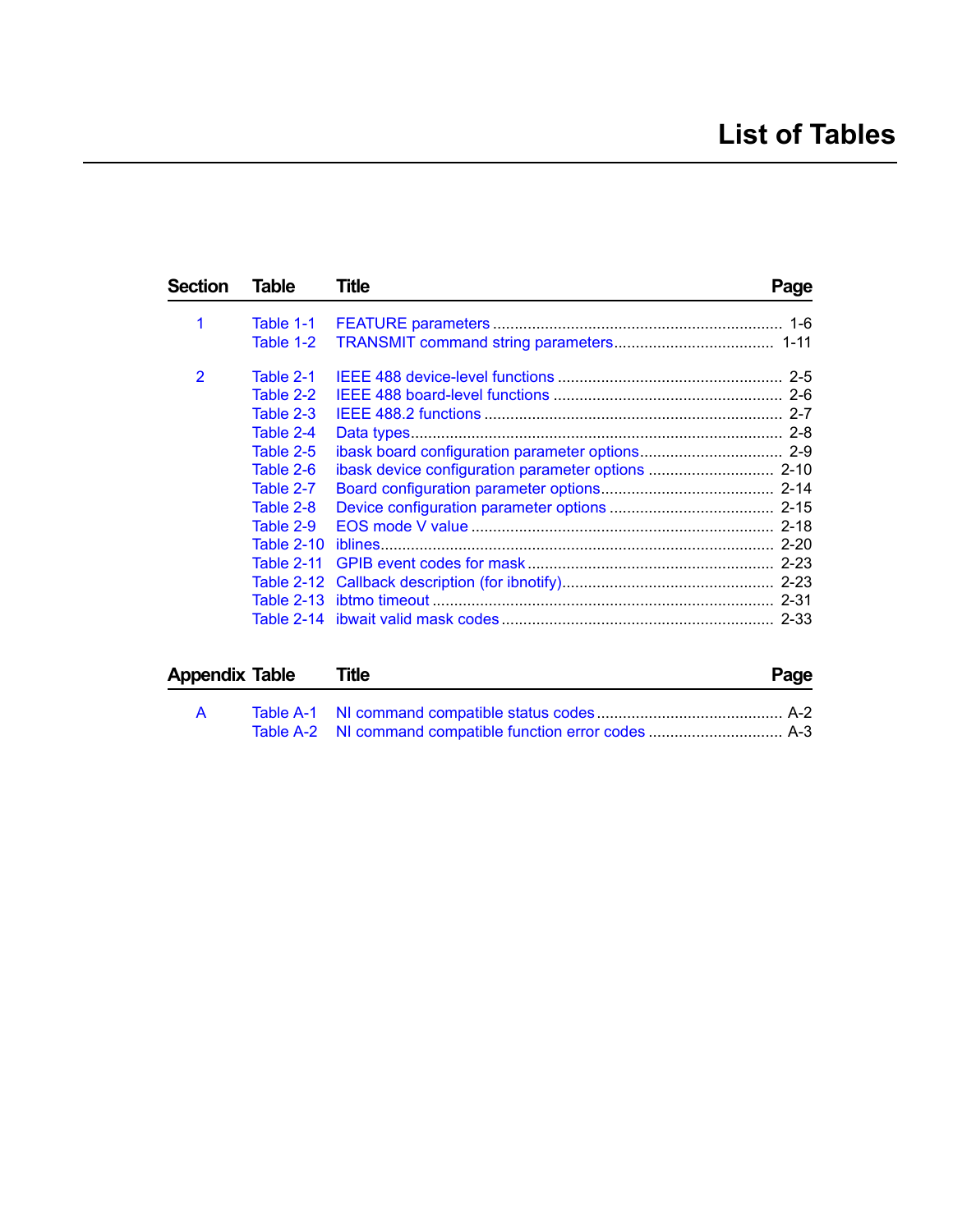This page left blank intentionally.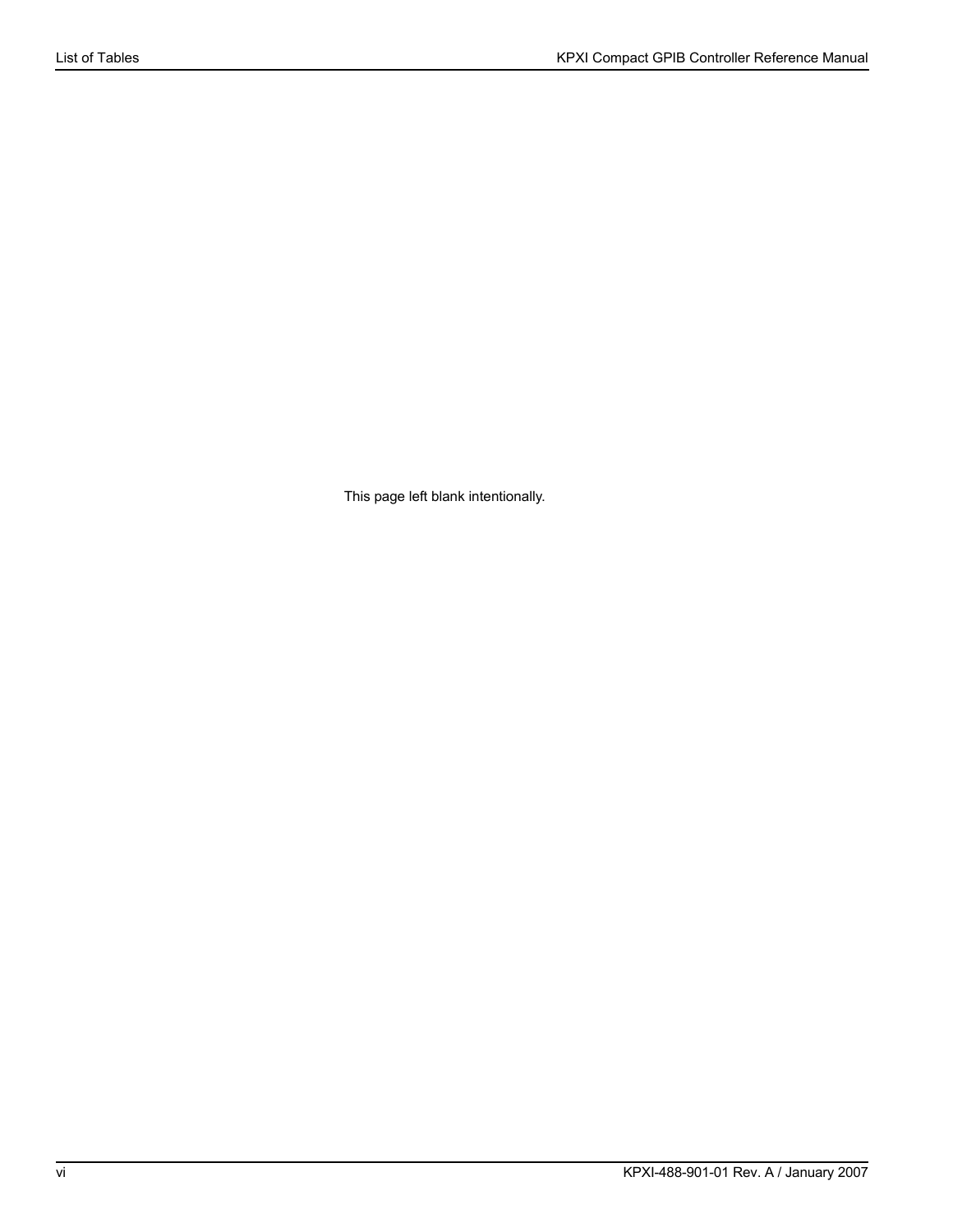| Page     | <b>Title</b> | Table             | Section        |
|----------|--------------|-------------------|----------------|
|          |              | Table 1-1         | 1              |
|          |              | Table 1-2         |                |
| $2 - 5$  |              | Table 2-1         | $\overline{2}$ |
|          |              | Table 2-2         |                |
|          |              | Table 2-3         |                |
| $2 - 8$  |              | Table 2-4         |                |
|          |              | Table 2-5         |                |
|          |              | Table 2-6         |                |
|          |              | Table 2-7         |                |
|          |              | Table 2-8         |                |
|          |              | Table 2-9         |                |
| $2 - 20$ |              | <b>Table 2-10</b> |                |
|          |              | <b>Table 2-11</b> |                |
|          |              |                   |                |
|          |              |                   |                |
|          |              |                   |                |
|          |              |                   |                |

## Appendix Table Title **The Contract Contract Contract Contract Contract Contract Contract Contract Contract Contract Contract Contract Contract Contract Contract Contract Contract Contract Contract Contract Contract Contrac**

| A |  |  |
|---|--|--|
|   |  |  |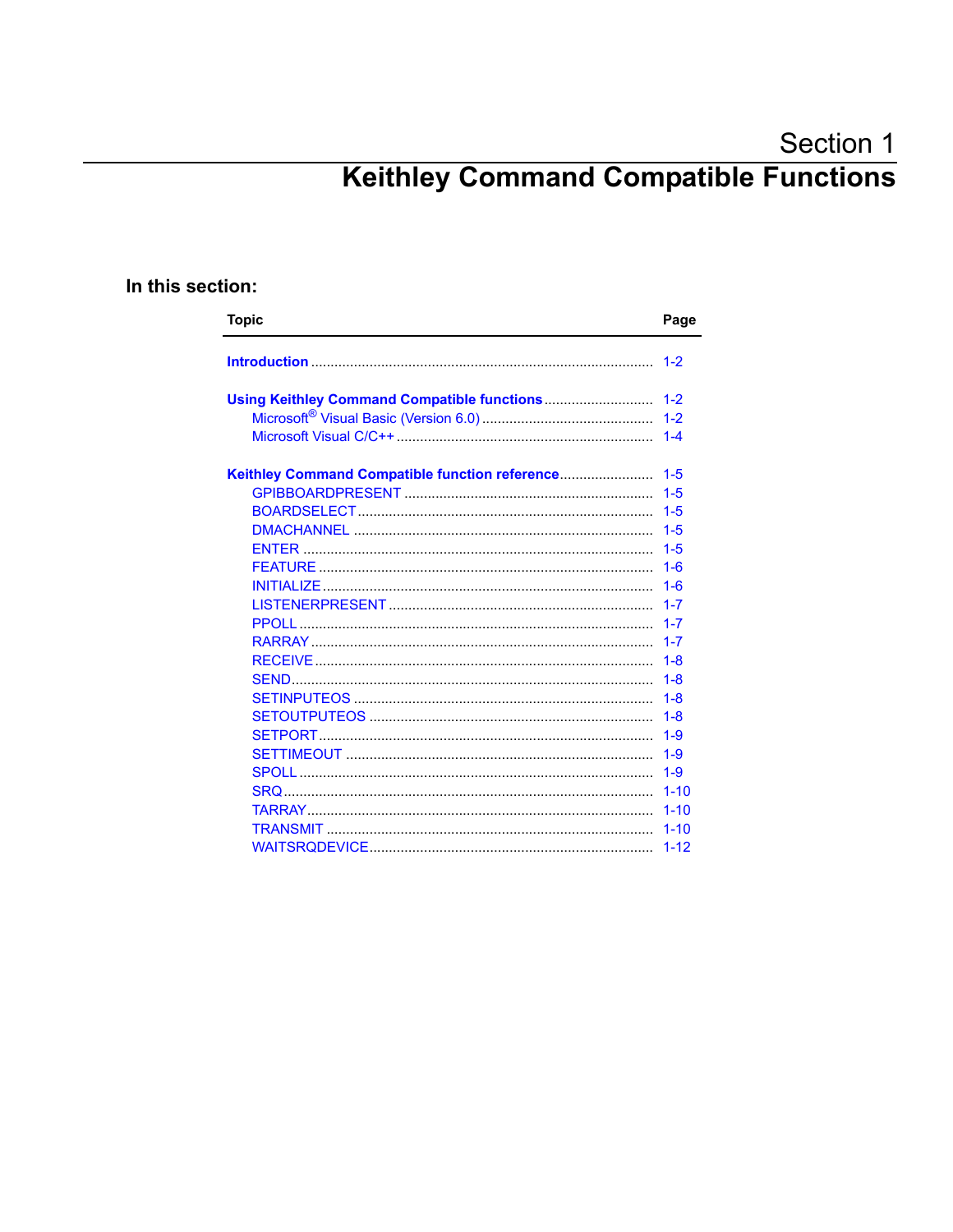This page left blank intentionally.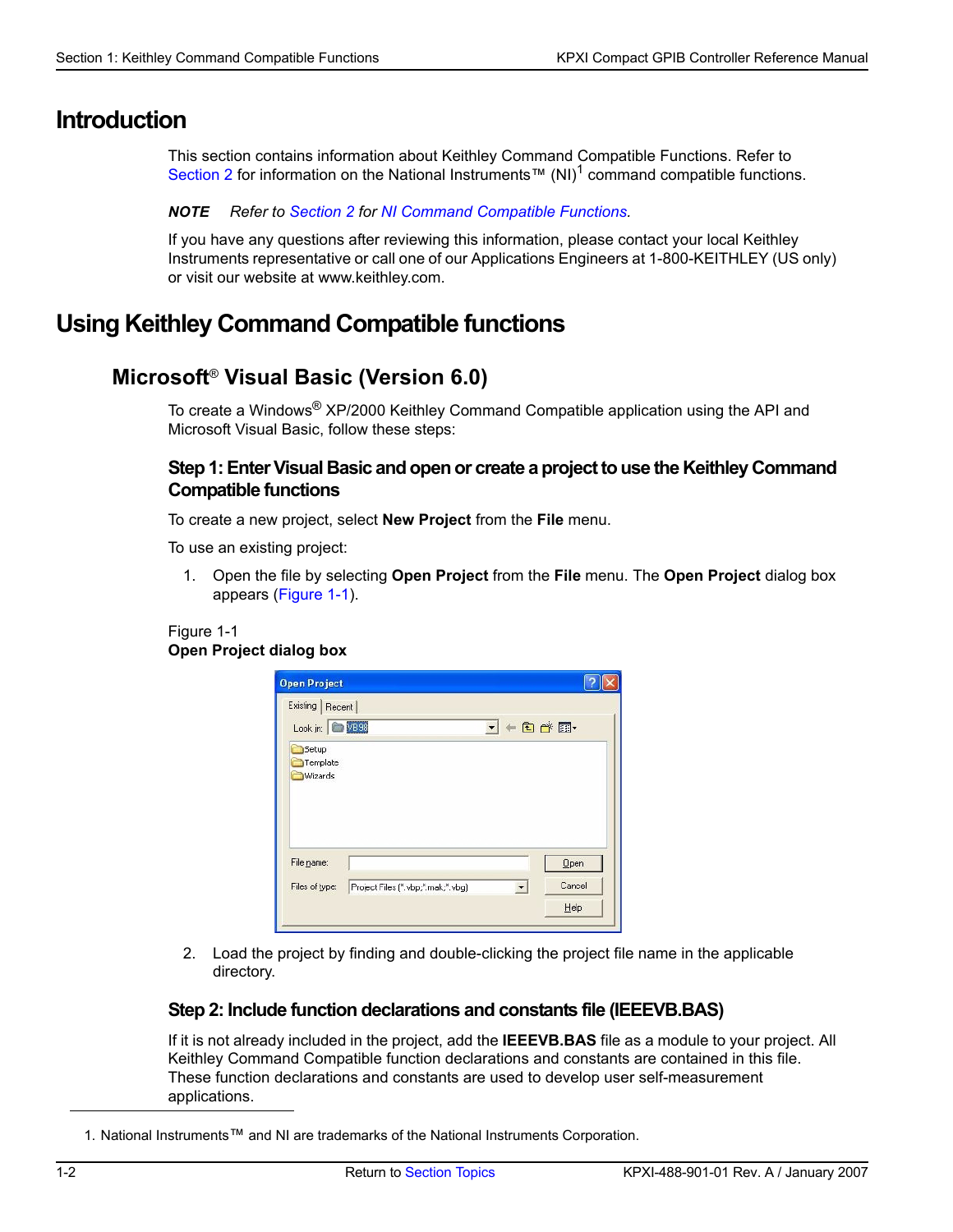# <span id="page-13-3"></span><span id="page-13-2"></span>Section 1<br>Keithley Command Compatible Functions

## <span id="page-13-1"></span><span id="page-13-0"></span>In this section:

| <b>Topic</b>                                   | Page     |
|------------------------------------------------|----------|
|                                                |          |
|                                                |          |
|                                                |          |
|                                                |          |
| Keithley Command Compatible function reference | $1 - 5$  |
|                                                |          |
|                                                |          |
|                                                |          |
|                                                |          |
|                                                |          |
|                                                |          |
|                                                |          |
|                                                | $1 - 7$  |
|                                                |          |
|                                                |          |
|                                                |          |
|                                                | $1 - 8$  |
|                                                |          |
|                                                | $1 - 9$  |
|                                                |          |
|                                                |          |
|                                                |          |
|                                                | $1 - 10$ |
|                                                | $1 - 10$ |
|                                                | $1 - 12$ |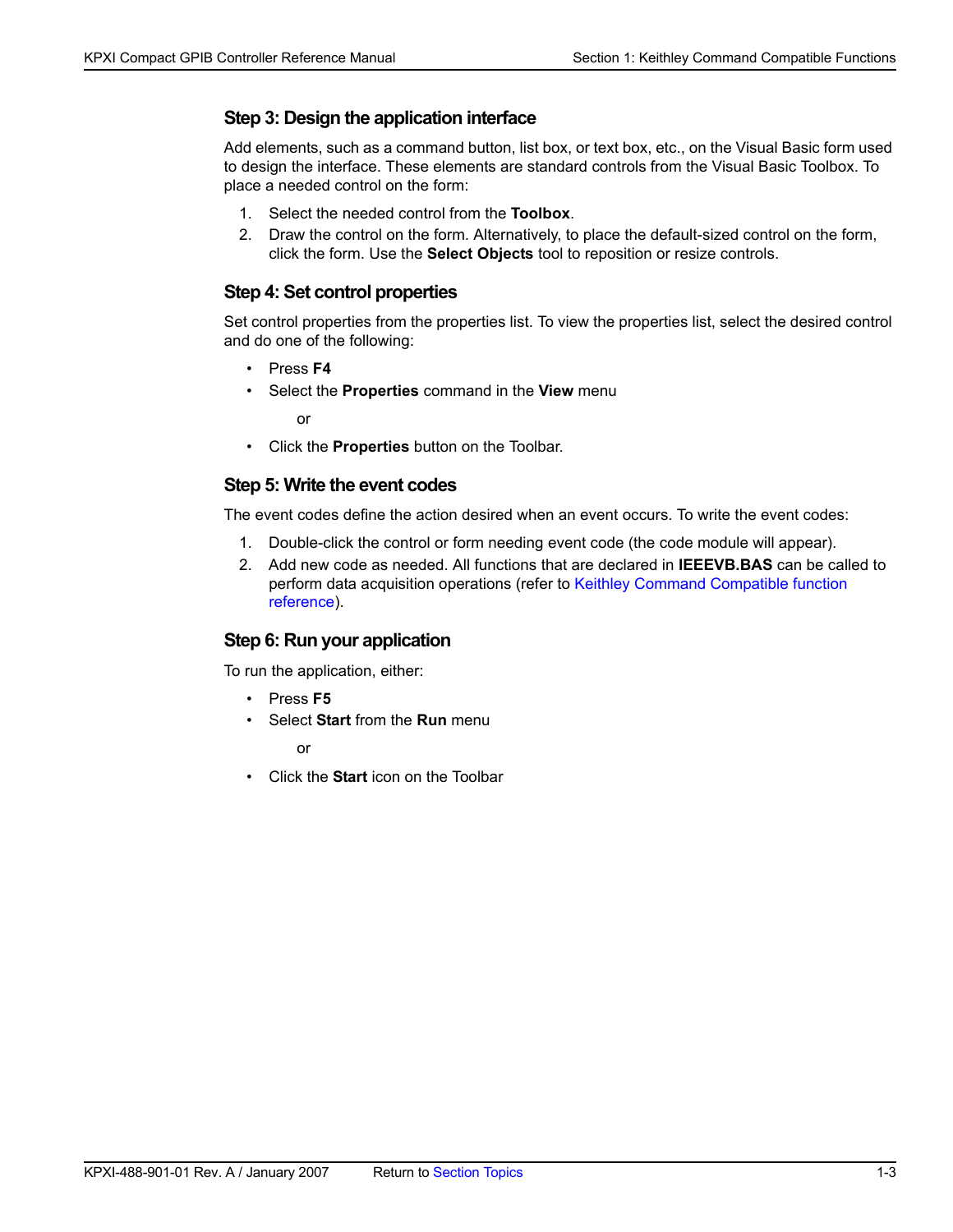## <span id="page-14-0"></span>**Introduction**

This section contains information about Keithley Command Compatible Functions. Refer to [Section](#page-25-1) 2 for information on the National Instruments™ (NI)<sup>1</sup> command compatible functions.

#### *NOTE Refer to [Section](#page-25-1) 2 for [NI Command Compatible Functions.](#page-25-2)*

If you have any questions after reviewing this information, please contact your local Keithley Instruments representative or call one of our Applications Engineers at 1-800-KEITHLEY (US only) or visit our website at www.keithley.com.

## <span id="page-14-2"></span><span id="page-14-1"></span>**Using Keithley Command Compatible functions**

## **Microsoft**® **Visual Basic (Version 6.0)**

To create a Windows<sup>®</sup> XP/2000 Keithley Command Compatible application using the API and Microsoft Visual Basic, follow these steps:

#### **Step 1: Enter Visual Basic and open or create a project to use the Keithley Command Compatible functions**

To create a new project, select **New Project** from the **File** menu.

To use an existing project:

 1. Open the file by selecting **Open Project** from the **File** menu. The **Open Project** dialog box appears ([Figure 1-1\)](#page-14-4).

#### <span id="page-14-4"></span><span id="page-14-3"></span>Figure 1-1 **Open Project dialog box**

| <b>Existing</b>              | Recent |        |      |
|------------------------------|--------|--------|------|
| Look in: WHE                 |        | + 国首图- |      |
| Setup<br>Template<br>Wizards |        |        |      |
|                              |        |        |      |
| File name:                   |        |        | Qpen |

 2. Load the project by finding and double-clicking the project file name in the applicable directory.

#### **Step 2: Include function declarations and constants file (IEEEVB.BAS)**

If it is not already included in the project, add the **IEEEVB.BAS** file as a module to your project. All Keithley Command Compatible function declarations and constants are contained in this file. These function declarations and constants are used to develop user self-measurement applications.

<sup>1.</sup> National Instruments™ and NI are trademarks of the National Instruments Corporation.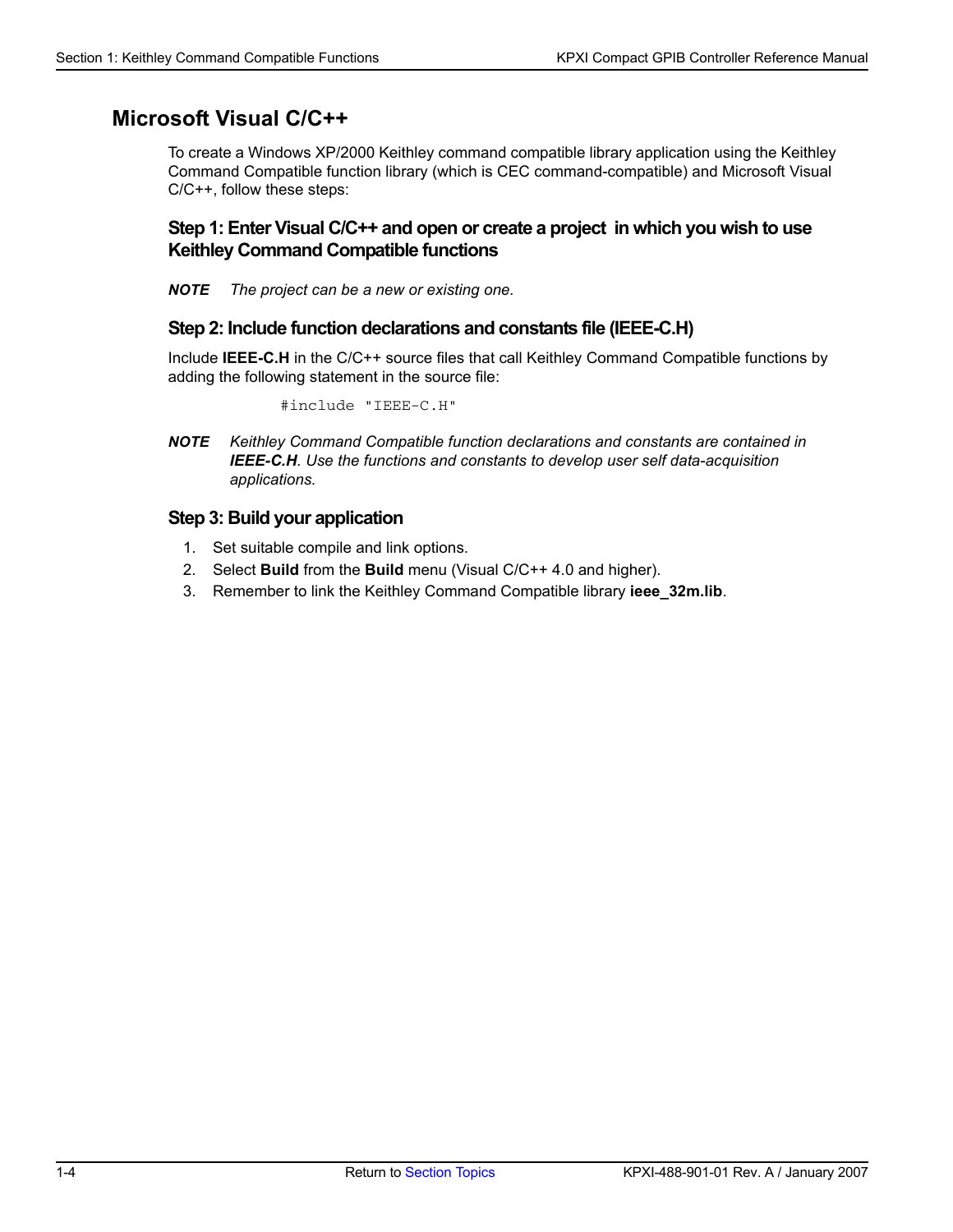#### **Step 3: Design the application interface**

Add elements, such as a command button, list box, or text box, etc., on the Visual Basic form used to design the interface. These elements are standard controls from the Visual Basic Toolbox. To place a needed control on the form:

- 1. Select the needed control from the **Toolbox**.
- 2. Draw the control on the form. Alternatively, to place the default-sized control on the form, click the form. Use the **Select Objects** tool to reposition or resize controls.

#### **Step 4: Set control properties**

Set control properties from the properties list. To view the properties list, select the desired control and do one of the following:

- Press **F4**
- Select the **Properties** command in the **View** menu

or

• Click the **Properties** button on the Toolbar.

#### **Step 5: Write the event codes**

The event codes define the action desired when an event occurs. To write the event codes:

- 1. Double-click the control or form needing event code (the code module will appear).
- 2. Add new code as needed. All functions that are declared in **IEEEVB.BAS** can be called to perform data acquisition operations (refer to [Keithley Command Compatible function](#page-17-0)  [reference](#page-17-0)).

#### **Step 6: Run your application**

To run the application, either:

- Press **F5**
- Select **Start** from the **Run** menu

or

• Click the **Start** icon on the Toolbar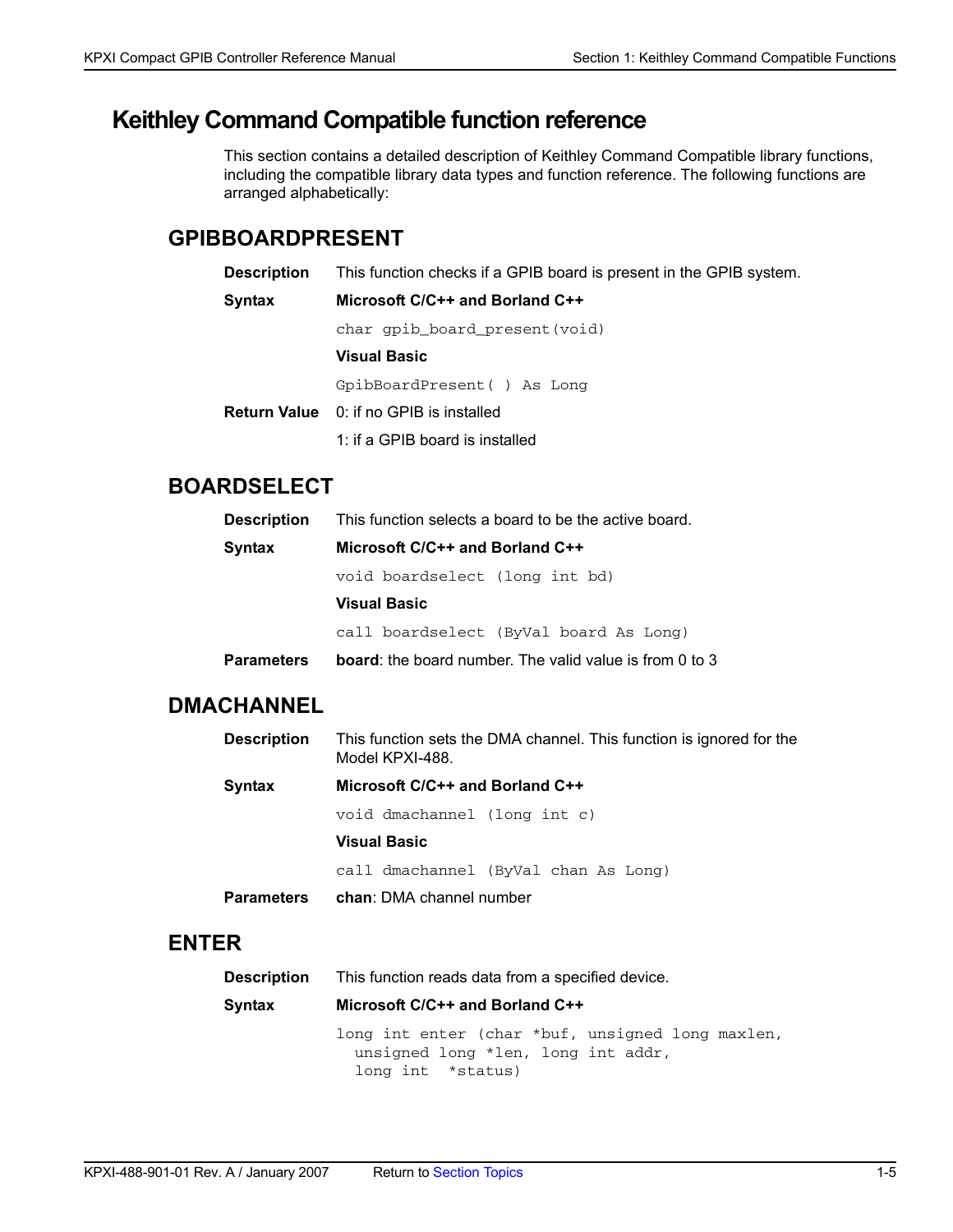## <span id="page-16-0"></span>**Microsoft Visual C/C++**

To create a Windows XP/2000 Keithley command compatible library application using the Keithley Command Compatible function library (which is CEC command-compatible) and Microsoft Visual C/C++, follow these steps:

#### **Step 1: Enter Visual C/C++ and open or create a project in which you wish to use Keithley Command Compatible functions**

*NOTE The project can be a new or existing one.*

#### **Step 2: Include function declarations and constants file (IEEE-C.H)**

Include **IEEE-C.H** in the C/C++ source files that call Keithley Command Compatible functions by adding the following statement in the source file:

#include "IEEE-C.H"

*NOTE Keithley Command Compatible function declarations and constants are contained in IEEE-C.H. Use the functions and constants to develop user self data-acquisition applications.*

#### **Step 3: Build your application**

- 1. Set suitable compile and link options.
- 2. Select **Build** from the **Build** menu (Visual C/C++ 4.0 and higher).
- 3. Remember to link the Keithley Command Compatible library **ieee\_32m.lib**.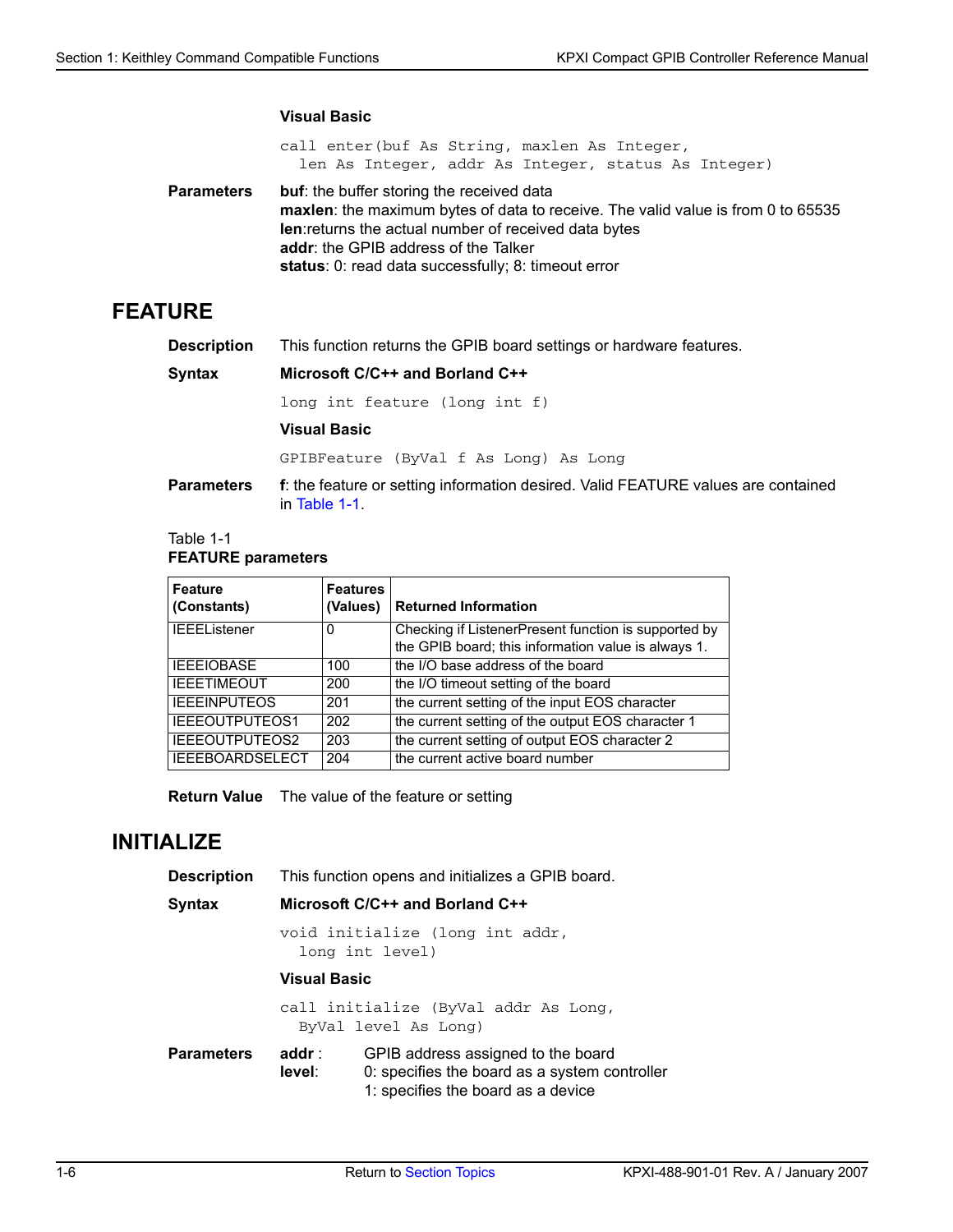## <span id="page-17-0"></span>**Keithley Command Compatible function reference**

This section contains a detailed description of Keithley Command Compatible library functions, including the compatible library data types and function reference. The following functions are arranged alphabetically:

## <span id="page-17-1"></span>**GPIBBOARDPRESENT**

| <b>Description</b> | This function checks if a GPIB board is present in the GPIB system. |
|--------------------|---------------------------------------------------------------------|
| Syntax             | Microsoft C/C++ and Borland C++                                     |
|                    | char qpib board present (void)                                      |
|                    | <b>Visual Basic</b>                                                 |
|                    | GpibBoardPresent() As Long                                          |
|                    | <b>Return Value</b> 0: if no GPIB is installed                      |
|                    | 1: if a GPIB board is installed                                     |
|                    |                                                                     |

## <span id="page-17-2"></span>**BOARDSELECT**

| <b>Description</b> | This function selects a board to be the active board.          |
|--------------------|----------------------------------------------------------------|
| <b>Syntax</b>      | Microsoft C/C++ and Borland C++                                |
|                    | void boardselect (long int bd)                                 |
|                    | <b>Visual Basic</b>                                            |
|                    | call boardselect (ByVal board As Long)                         |
| <b>Parameters</b>  | <b>board:</b> the board number. The valid value is from 0 to 3 |

## <span id="page-17-3"></span>**DMACHANNEL**

| <b>Description</b> | This function sets the DMA channel. This function is ignored for the<br>Model KPXI-488. |
|--------------------|-----------------------------------------------------------------------------------------|
| <b>Syntax</b>      | Microsoft C/C++ and Borland C++                                                         |
|                    | void dmachannel (long int c)                                                            |
|                    | <b>Visual Basic</b>                                                                     |
|                    | call dmachannel (ByVal chan As Long)                                                    |
| <b>Parameters</b>  | chan: DMA channel number                                                                |

## <span id="page-17-4"></span>**ENTER**

|        | <b>Description</b> This function reads data from a specified device.                                        |  |  |
|--------|-------------------------------------------------------------------------------------------------------------|--|--|
| Syntax | Microsoft C/C++ and Borland C++                                                                             |  |  |
|        | long int enter (char *buf, unsigned long maxlen,<br>unsigned long *len, long int addr,<br>long int *status) |  |  |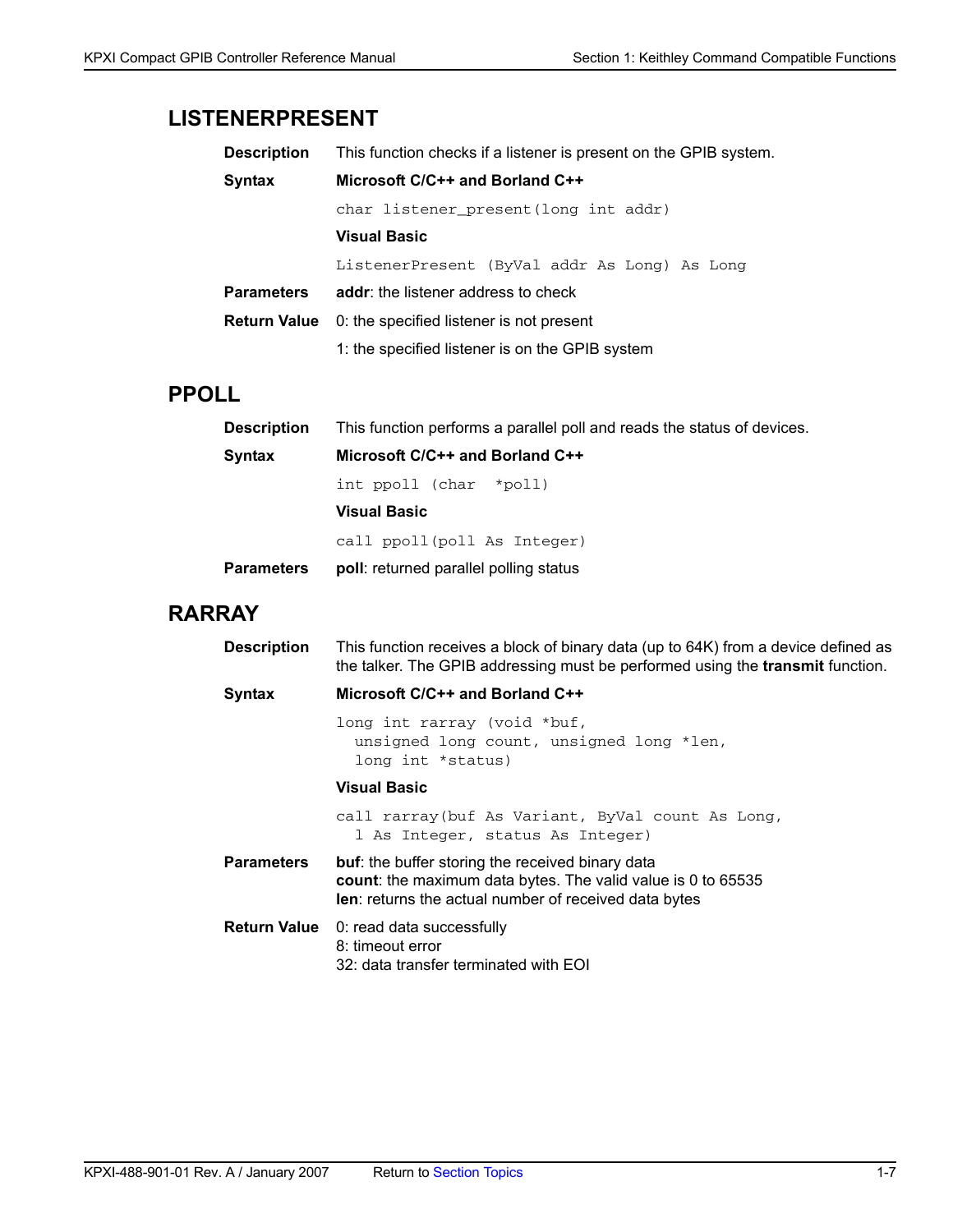#### **Visual Basic**

call enter(buf As String, maxlen As Integer, len As Integer, addr As Integer, status As Integer)

**Parameters** buf: the buffer storing the received data **maxlen**: the maximum bytes of data to receive. The valid value is from 0 to 65535 **len**:returns the actual number of received data bytes **addr**: the GPIB address of the Talker **status**: 0: read data successfully; 8: timeout error

## <span id="page-18-0"></span>**FEATURE**

| <b>Description</b> | This function returns the GPIB board settings or hardware features.                                   |
|--------------------|-------------------------------------------------------------------------------------------------------|
| Syntax             | Microsoft C/C++ and Borland C++                                                                       |
|                    | long int feature (long int f)                                                                         |
|                    | <b>Visual Basic</b>                                                                                   |
|                    | GPIBFeature (ByVal f As Long) As Long                                                                 |
| <b>Parameters</b>  | f: the feature or setting information desired. Valid FEATURE values are contained<br>in Table $1-1$ . |

#### <span id="page-18-3"></span><span id="page-18-2"></span>Table 1-1 **FEATURE parameters**

| <b>Feature</b><br>(Constants) | <b>Features</b><br>(Values) | <b>Returned Information</b>                                                                                 |
|-------------------------------|-----------------------------|-------------------------------------------------------------------------------------------------------------|
| <b>IEEEListener</b>           | 0                           | Checking if ListenerPresent function is supported by<br>the GPIB board; this information value is always 1. |
| <b>IEEEIOBASE</b>             | 100                         | the I/O base address of the board                                                                           |
| <b>IEEETIMEOUT</b>            | 200                         | the I/O timeout setting of the board                                                                        |
| <b>IEEEINPUTEOS</b>           | 201                         | the current setting of the input EOS character                                                              |
| <b>IEEEOUTPUTEOS1</b>         | 202                         | the current setting of the output EOS character 1                                                           |
| <b>IEEEOUTPUTEOS2</b>         | 203                         | the current setting of output EOS character 2                                                               |
| <b>IEEEBOARDSELECT</b>        | 204                         | the current active board number                                                                             |

**Return Value** The value of the feature or setting

## <span id="page-18-1"></span>**INITIALIZE**

| <b>Description</b> | This function opens and initializes a GPIB board.                                                                                             |  |  |  |
|--------------------|-----------------------------------------------------------------------------------------------------------------------------------------------|--|--|--|
| Syntax             | Microsoft C/C++ and Borland C++                                                                                                               |  |  |  |
|                    | void initialize (long int addr,<br>long int level)                                                                                            |  |  |  |
|                    | Visual Basic                                                                                                                                  |  |  |  |
|                    | call initialize (ByVal addr As Long,<br>ByVal level As Long)                                                                                  |  |  |  |
| <b>Parameters</b>  | addr :<br>GPIB address assigned to the board<br>0: specifies the board as a system controller<br>level∶<br>1: specifies the board as a device |  |  |  |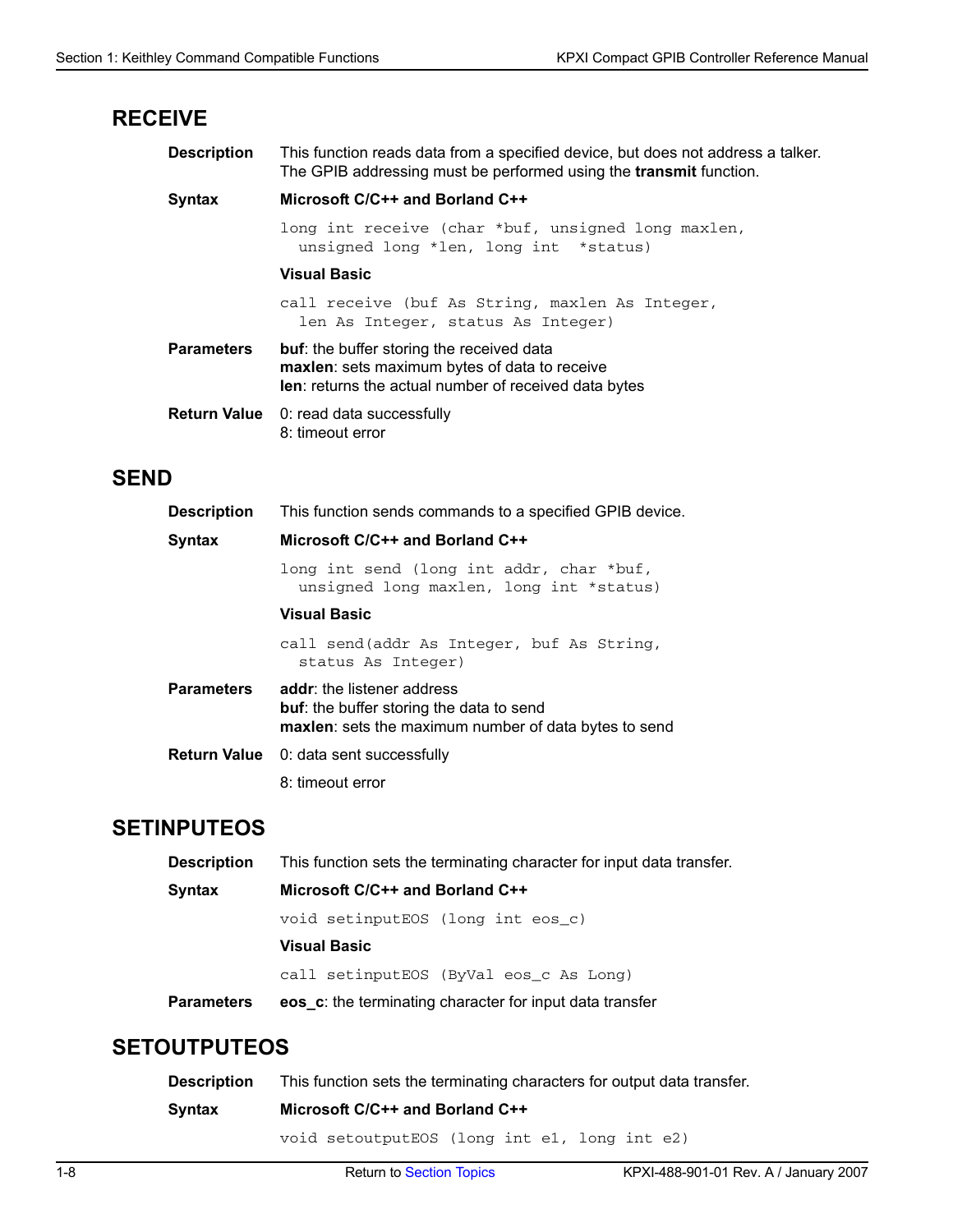## <span id="page-19-0"></span>**LISTENERPRESENT**

| <b>Description</b>  | This function checks if a listener is present on the GPIB system. |  |  |  |
|---------------------|-------------------------------------------------------------------|--|--|--|
| Syntax              | Microsoft C/C++ and Borland C++                                   |  |  |  |
|                     | char listener present (long int addr)                             |  |  |  |
|                     | <b>Visual Basic</b>                                               |  |  |  |
|                     | ListenerPresent (ByVal addr As Long) As Long                      |  |  |  |
| <b>Parameters</b>   | <b>addr</b> : the listener address to check                       |  |  |  |
| <b>Return Value</b> | 0: the specified listener is not present                          |  |  |  |
|                     | 1: the specified listener is on the GPIB system                   |  |  |  |

### <span id="page-19-1"></span>**PPOLL**

| <b>Description</b> | This function performs a parallel poll and reads the status of devices. |
|--------------------|-------------------------------------------------------------------------|
| Syntax             | Microsoft C/C++ and Borland C++                                         |
|                    | int $ppoll$ (char $*pol1$ )                                             |
|                    | <b>Visual Basic</b>                                                     |
|                    | call ppoll(poll As Integer)                                             |
| <b>Parameters</b>  | <b>poll:</b> returned parallel polling status                           |
|                    |                                                                         |

## <span id="page-19-2"></span>**RARRAY**

| <b>Description</b> | This function receives a block of binary data (up to 64K) from a device defined as<br>the talker. The GPIB addressing must be performed using the <b>transmit</b> function.             |
|--------------------|-----------------------------------------------------------------------------------------------------------------------------------------------------------------------------------------|
| Syntax             | Microsoft C/C++ and Borland C++                                                                                                                                                         |
|                    | long int rarray (void *buf,<br>unsigned long count, unsigned long *len,<br>long int *status)                                                                                            |
|                    | <b>Visual Basic</b>                                                                                                                                                                     |
|                    | call rarray (buf As Variant, ByVal count As Long,<br>1 As Integer, status As Integer)                                                                                                   |
| Parameters         | <b>buf:</b> the buffer storing the received binary data<br>count: the maximum data bytes. The valid value is 0 to 65535<br><b>len:</b> returns the actual number of received data bytes |
|                    | <b>Return Value</b> 0: read data successfully<br>8: timeout error<br>32: data transfer terminated with EOI                                                                              |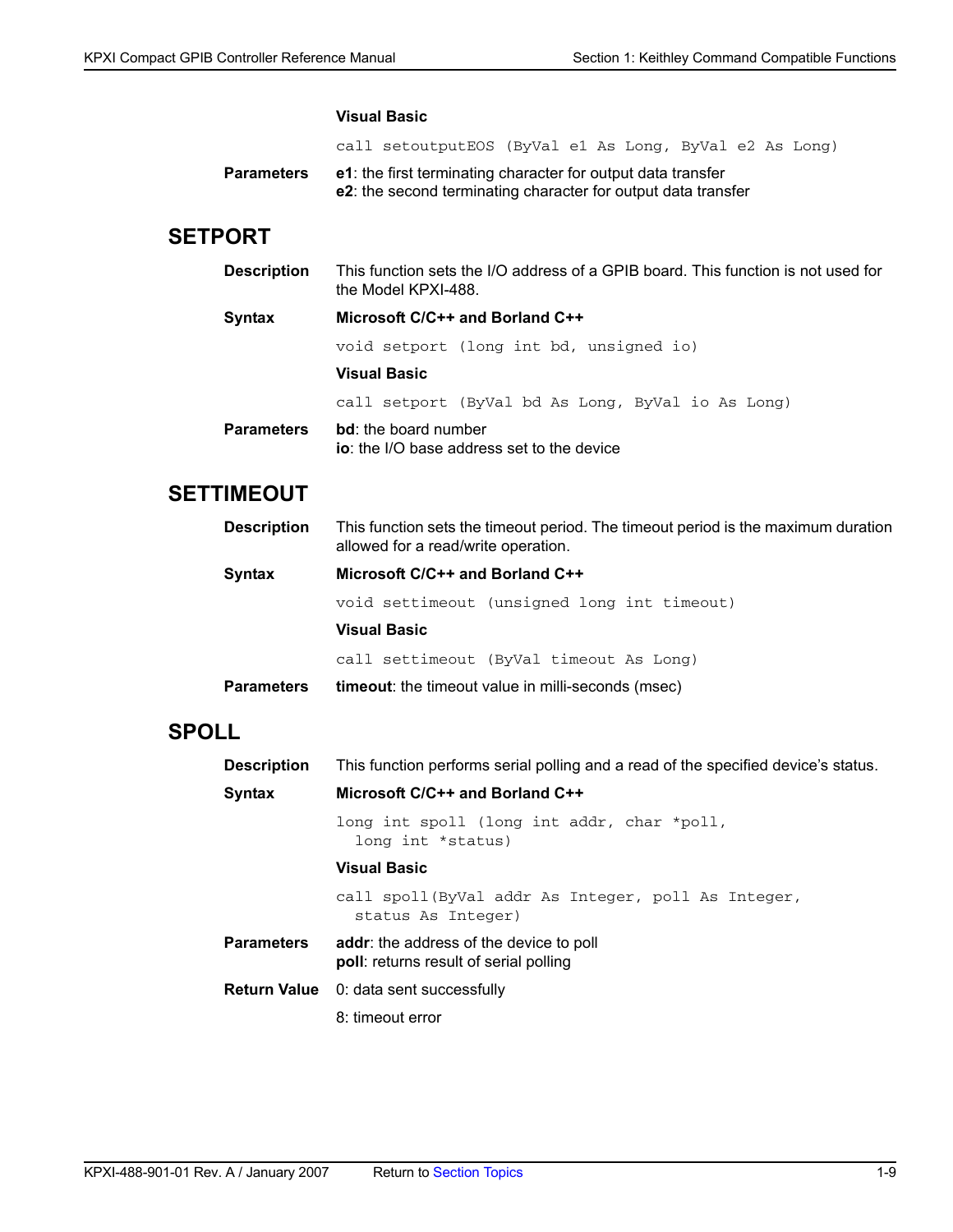<span id="page-20-0"></span>

| <b>RECEIVE</b>     |                                                                                                                                                               |
|--------------------|---------------------------------------------------------------------------------------------------------------------------------------------------------------|
| <b>Description</b> | This function reads data from a specified device, but does not address a talker.<br>The GPIB addressing must be performed using the <b>transmit</b> function. |
| <b>Syntax</b>      | Microsoft C/C++ and Borland C++                                                                                                                               |
|                    | long int receive (char *buf, unsigned long maxlen,<br>unsigned long *len, long int *status)                                                                   |
|                    | <b>Visual Basic</b>                                                                                                                                           |
|                    | call receive (buf As String, maxlen As Integer,<br>len As Integer, status As Integer)                                                                         |
| <b>Parameters</b>  | <b>buf:</b> the buffer storing the received data<br>maxlen: sets maximum bytes of data to receive<br>len: returns the actual number of received data bytes    |
|                    | <b>Return Value</b> 0: read data successfully<br>8: timeout error                                                                                             |

## <span id="page-20-1"></span>**SEND**

| <b>Description</b> | This function sends commands to a specified GPIB device.                                                                                      |  |  |  |
|--------------------|-----------------------------------------------------------------------------------------------------------------------------------------------|--|--|--|
| Syntax             | Microsoft C/C++ and Borland C++                                                                                                               |  |  |  |
|                    | long int send (long int addr, char *buf,<br>unsigned long maxlen, long int *status)                                                           |  |  |  |
|                    | <b>Visual Basic</b>                                                                                                                           |  |  |  |
|                    | call send(addr As Integer, buf As String,<br>status As Integer)                                                                               |  |  |  |
| <b>Parameters</b>  | addr: the listener address<br><b>buf:</b> the buffer storing the data to send<br><b>maxlen:</b> sets the maximum number of data bytes to send |  |  |  |
|                    | <b>Return Value</b> 0: data sent successfully                                                                                                 |  |  |  |
|                    | 8: timeout error                                                                                                                              |  |  |  |

## <span id="page-20-2"></span>**SETINPUTEOS**

| <b>Description</b> | This function sets the terminating character for input data transfer. |  |  |
|--------------------|-----------------------------------------------------------------------|--|--|
| <b>Syntax</b>      | Microsoft C/C++ and Borland C++                                       |  |  |
|                    | void setinputEOS (long int eos c)                                     |  |  |
|                    | <b>Visual Basic</b>                                                   |  |  |
|                    | call setinputEOS (ByVal eos c As Long)                                |  |  |
| <b>Parameters</b>  | <b>eos</b> c: the terminating character for input data transfer       |  |  |

## <span id="page-20-3"></span>**SETOUTPUTEOS**

**Syntax Microsoft C/C++ and Borland C++** 

void setoutputEOS (long int e1, long int e2)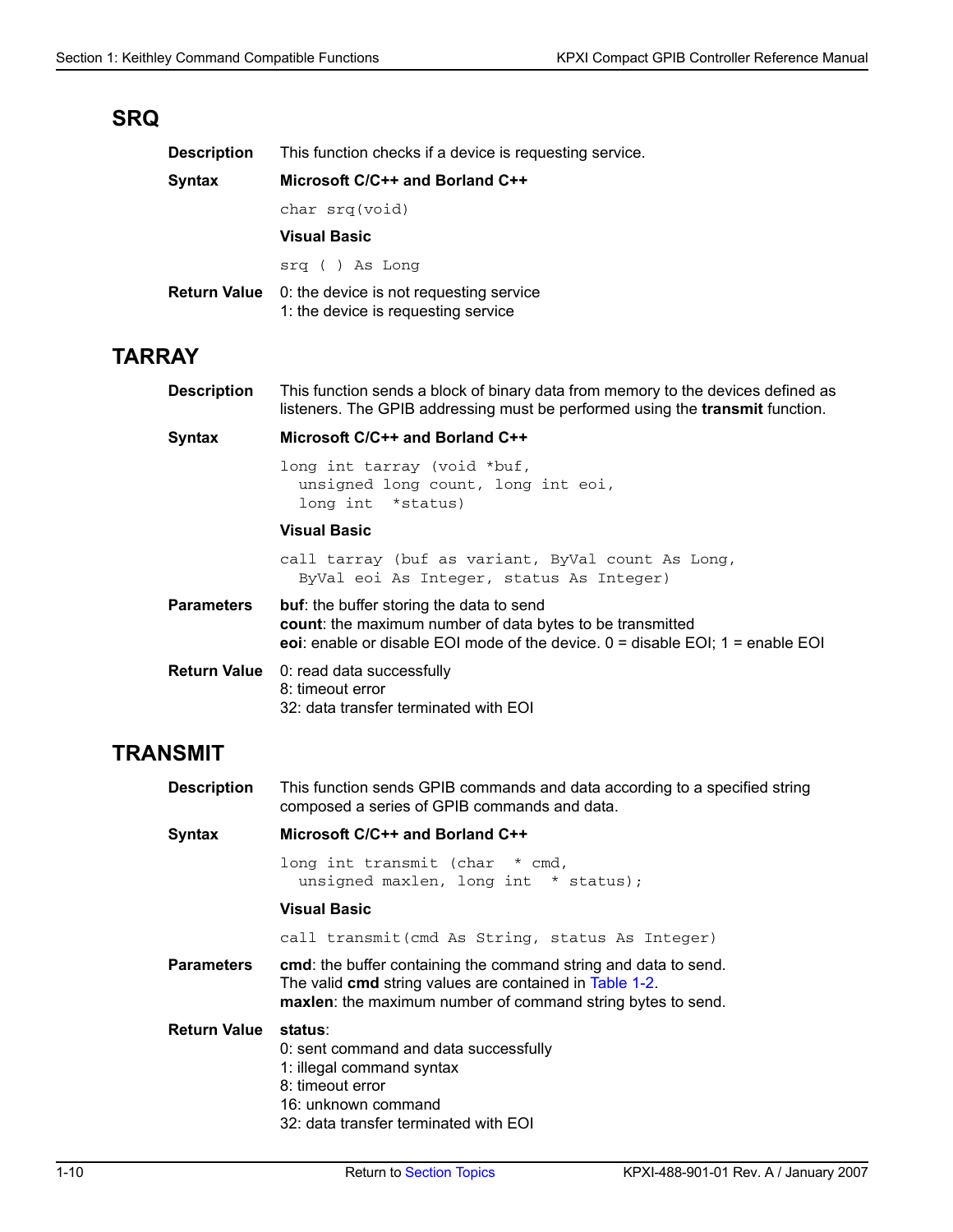#### **Visual Basic**

|            | call setoutputEOS (ByVal e1 As Long, ByVal e2 As Long)       |  |  |  |  |
|------------|--------------------------------------------------------------|--|--|--|--|
| Parameters | e1: the first terminating character for output data transfer |  |  |  |  |

**e2**: the second terminating character for output data transfer

## <span id="page-21-0"></span>**SETPORT**

| <b>Description</b> | This function sets the I/O address of a GPIB board. This function is not used for<br>the Model KPXI-488. |
|--------------------|----------------------------------------------------------------------------------------------------------|
| Syntax             | Microsoft C/C++ and Borland C++                                                                          |
|                    | void setport (long int bd, unsigned io)                                                                  |

#### **Visual Basic**

call setport (ByVal bd As Long, ByVal io As Long)

| Parameters | <b>bd</b> : the board number                       |
|------------|----------------------------------------------------|
|            | <b>io</b> : the I/O base address set to the device |

## <span id="page-21-1"></span>**SETTIMEOUT**

| <b>Description</b> | This function sets the timeout period. The timeout period is the maximum duration<br>allowed for a read/write operation. |  |
|--------------------|--------------------------------------------------------------------------------------------------------------------------|--|
| <b>Syntax</b>      | Microsoft C/C++ and Borland C++                                                                                          |  |
|                    | void settimeout (unsigned long int timeout)                                                                              |  |
|                    | <b>Visual Basic</b>                                                                                                      |  |
|                    | call settimeout (ByVal timeout As Long)                                                                                  |  |
| <b>Parameters</b>  | <b>timeout:</b> the timeout value in milli-seconds (msec)                                                                |  |

## <span id="page-21-2"></span>**SPOLL**

| <b>Description</b> | This function performs serial polling and a read of the specified device's status. |
|--------------------|------------------------------------------------------------------------------------|
| Syntax             | Microsoft C/C++ and Borland C++                                                    |
|                    | long int spoll (long int addr, char *poll,<br>long int *status)                    |
|                    | <b>Visual Basic</b>                                                                |
|                    | call spoll(ByVal addr As Integer, poll As Integer,<br>status As Integer)           |
| <b>Parameters</b>  | addr: the address of the device to poll<br>poll: returns result of serial polling  |
|                    | <b>Return Value</b> 0: data sent successfully                                      |
|                    | 8: timeout error                                                                   |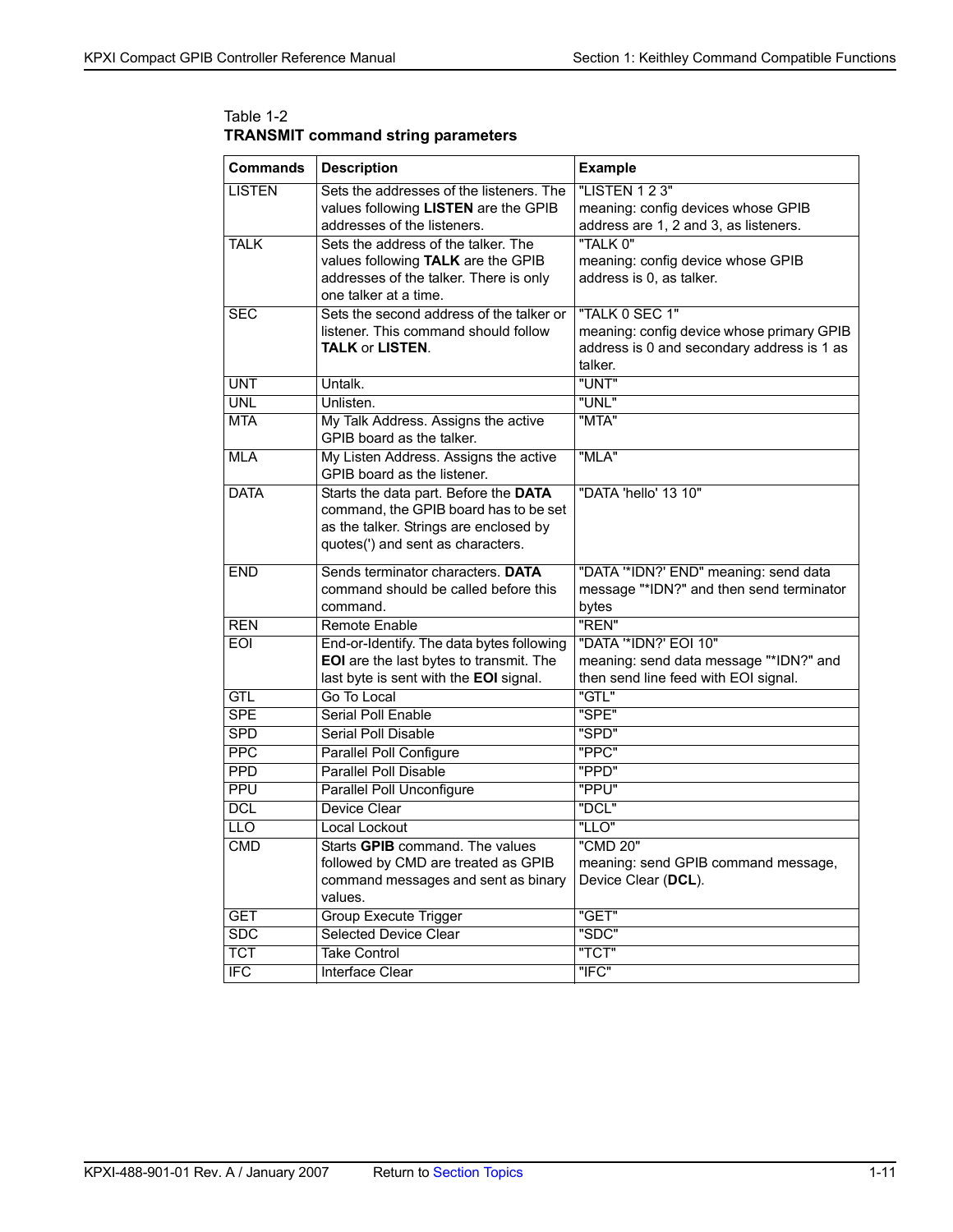## <span id="page-22-0"></span>**SRQ**

| <b>Description</b>  | This function checks if a device is requesting service.                        |
|---------------------|--------------------------------------------------------------------------------|
| <b>Syntax</b>       | Microsoft C/C++ and Borland C++                                                |
|                     | char srq(void)                                                                 |
|                     | <b>Visual Basic</b>                                                            |
|                     | sra ( ) As Long                                                                |
| <b>Return Value</b> | 0: the device is not requesting service<br>1: the device is requesting service |

# <span id="page-22-1"></span>**TARRAY**

| <b>Description</b> | This function sends a block of binary data from memory to the devices defined as<br>listeners. The GPIB addressing must be performed using the transmit function.                                         |  |
|--------------------|-----------------------------------------------------------------------------------------------------------------------------------------------------------------------------------------------------------|--|
| <b>Syntax</b>      | Microsoft C/C++ and Borland C++                                                                                                                                                                           |  |
|                    | long int tarray (void *buf,<br>unsigned long count, long int eoi,<br>long int *status)                                                                                                                    |  |
|                    | <b>Visual Basic</b>                                                                                                                                                                                       |  |
|                    | call tarray (buf as variant, ByVal count As Long,<br>ByVal eoi As Integer, status As Integer)                                                                                                             |  |
| <b>Parameters</b>  | <b>buf:</b> the buffer storing the data to send<br><b>count:</b> the maximum number of data bytes to be transmitted<br>eoi: enable or disable EOI mode of the device. $0 =$ disable EOI; $1 =$ enable EOI |  |
|                    | <b>Return Value</b> 0: read data successfully<br>8: timeout error<br>32: data transfer terminated with EOI                                                                                                |  |

## <span id="page-22-2"></span>**TRANSMIT**

| <b>Description</b>   | This function sends GPIB commands and data according to a specified string<br>composed a series of GPIB commands and data.                                                                        |
|----------------------|---------------------------------------------------------------------------------------------------------------------------------------------------------------------------------------------------|
| Syntax               | Microsoft C/C++ and Borland C++                                                                                                                                                                   |
|                      | long int transmit (char * cmd,<br>unsigned maxlen, long int $*$ status);                                                                                                                          |
|                      | <b>Visual Basic</b>                                                                                                                                                                               |
|                      | call transmit (cmd As String, status As Integer)                                                                                                                                                  |
| <b>Parameters</b>    | <b>cmd</b> : the buffer containing the command string and data to send.<br>The valid cmd string values are contained in Table 1-2.<br>maxlen: the maximum number of command string bytes to send. |
| Return Value status: | 0: sent command and data successfully<br>1: illegal command syntax<br>8: timeout error<br>16: unknown command<br>32: data transfer terminated with EOI                                            |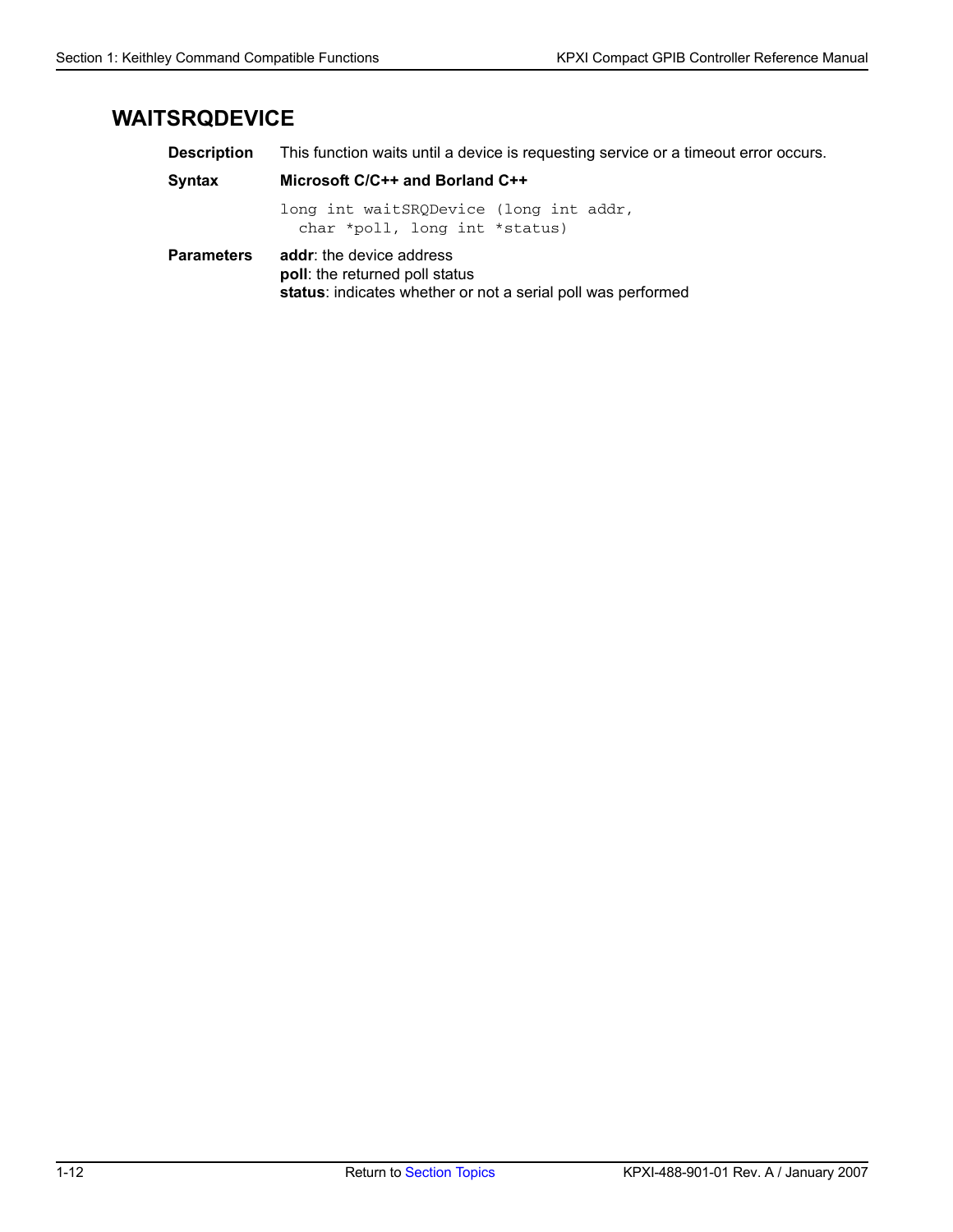| <b>Commands</b> | <b>Description</b>                                                               | <b>Example</b>                                       |
|-----------------|----------------------------------------------------------------------------------|------------------------------------------------------|
|                 |                                                                                  |                                                      |
| <b>LISTEN</b>   | Sets the addresses of the listeners. The<br>values following LISTEN are the GPIB | "LISTEN 1 2 3"<br>meaning: config devices whose GPIB |
|                 | addresses of the listeners.                                                      | address are 1, 2 and 3, as listeners.                |
| <b>TALK</b>     | Sets the address of the talker. The                                              | "TALK 0"                                             |
|                 | values following TALK are the GPIB                                               | meaning: config device whose GPIB                    |
|                 | addresses of the talker. There is only                                           | address is 0, as talker.                             |
|                 | one talker at a time.                                                            |                                                      |
| <b>SEC</b>      | Sets the second address of the talker or                                         | "TALK 0 SEC 1"                                       |
|                 | listener. This command should follow                                             | meaning: config device whose primary GPIB            |
|                 | <b>TALK or LISTEN.</b>                                                           | address is 0 and secondary address is 1 as           |
|                 |                                                                                  | talker.                                              |
| <b>UNT</b>      | Untalk.                                                                          | "UNT"                                                |
| <b>UNL</b>      | Unlisten.                                                                        | "UNL"                                                |
| <b>MTA</b>      | My Talk Address. Assigns the active                                              | "MTA"                                                |
|                 | GPIB board as the talker.                                                        |                                                      |
| <b>MLA</b>      | My Listen Address. Assigns the active                                            | "MLA"                                                |
| <b>DATA</b>     | GPIB board as the listener.                                                      | "DATA 'hello' 13 10"                                 |
|                 | Starts the data part. Before the DATA<br>command, the GPIB board has to be set   |                                                      |
|                 | as the talker. Strings are enclosed by                                           |                                                      |
|                 | quotes(') and sent as characters.                                                |                                                      |
|                 |                                                                                  |                                                      |
| <b>END</b>      | Sends terminator characters. DATA                                                | "DATA "IDN?' END" meaning: send data                 |
|                 | command should be called before this                                             | message "*IDN?" and then send terminator             |
| <b>REN</b>      | command.<br><b>Remote Enable</b>                                                 | bytes<br>"REN"                                       |
| <b>EOI</b>      | End-or-Identify. The data bytes following                                        | "DATA "*IDN?' EOI 10"                                |
|                 | EOI are the last bytes to transmit. The                                          | meaning: send data message "*IDN?" and               |
|                 | last byte is sent with the EOI signal.                                           | then send line feed with EOI signal.                 |
| <b>GTL</b>      | Go To Local                                                                      | "GTL"                                                |
| <b>SPE</b>      | <b>Serial Poll Enable</b>                                                        | "SPE"                                                |
| <b>SPD</b>      | Serial Poll Disable                                                              | "SPD"                                                |
| <b>PPC</b>      | Parallel Poll Configure                                                          | "PPC"                                                |
| <b>PPD</b>      | Parallel Poll Disable                                                            | "PPD"                                                |
| <b>PPU</b>      | Parallel Poll Unconfigure                                                        | "PPU"                                                |
| <b>DCL</b>      | Device Clear                                                                     | "DCL"                                                |
| LIO             | Local Lockout                                                                    | "LLO"                                                |
| <b>CMD</b>      | Starts GPIB command. The values                                                  | "CMD 20"                                             |
|                 | followed by CMD are treated as GPIB                                              | meaning: send GPIB command message,                  |
|                 | command messages and sent as binary                                              | Device Clear (DCL).                                  |
|                 | values.                                                                          |                                                      |
| <b>GET</b>      | Group Execute Trigger                                                            | "GET"                                                |
| <b>SDC</b>      | <b>Selected Device Clear</b>                                                     | "SDC"                                                |
| <b>TCT</b>      | <b>Take Control</b>                                                              | "TCT"                                                |
| IFC             | <b>Interface Clear</b>                                                           | "IFC"                                                |

<span id="page-23-1"></span><span id="page-23-0"></span>

| Table 1-2                                 |  |
|-------------------------------------------|--|
| <b>TRANSMIT command string parameters</b> |  |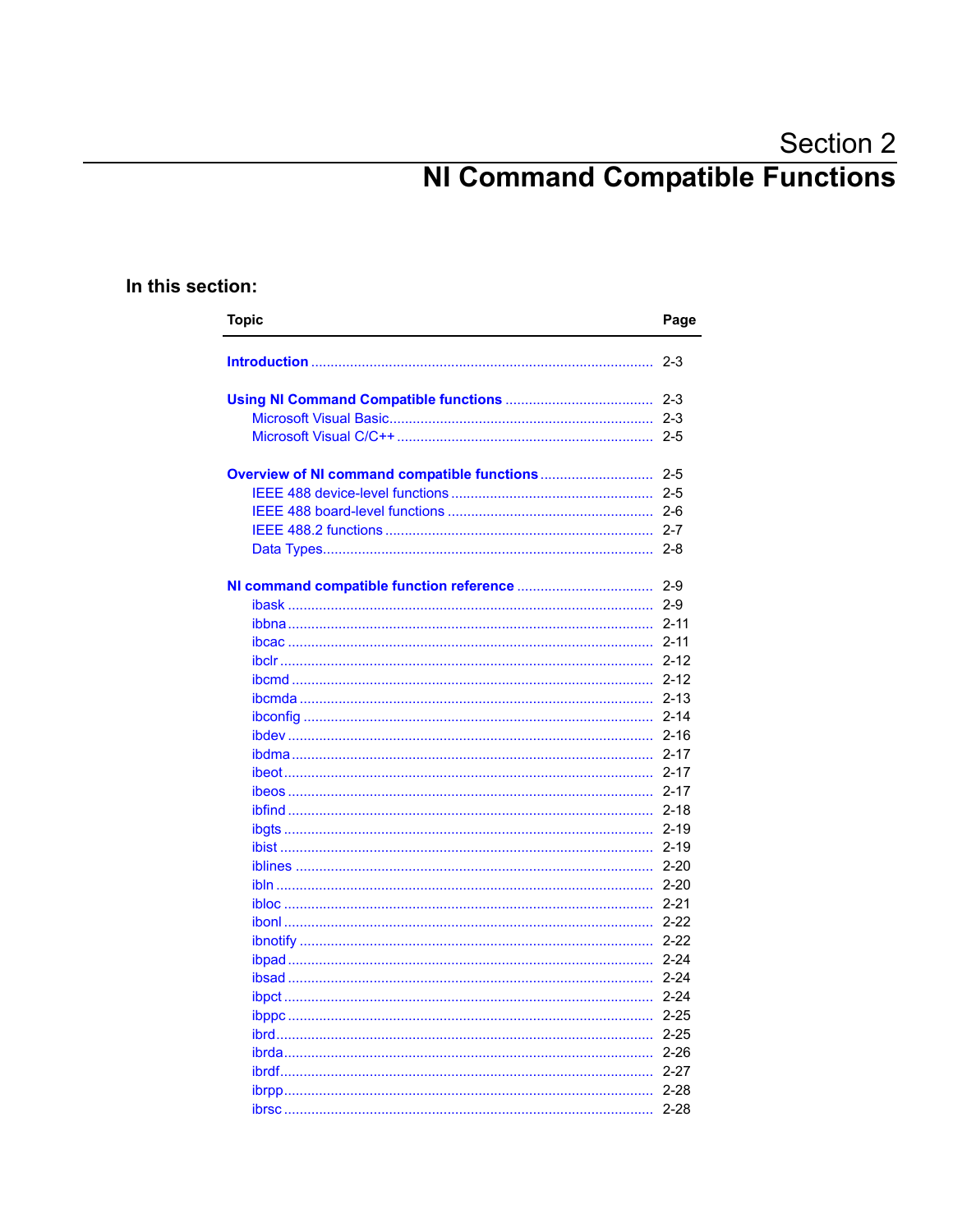## <span id="page-24-0"></span>**WAITSRQDEVICE**

| <b>Description</b> | This function waits until a device is requesting service or a timeout error occurs.                                               |
|--------------------|-----------------------------------------------------------------------------------------------------------------------------------|
| Syntax             | Microsoft C/C++ and Borland C++                                                                                                   |
|                    | long int waitSRODevice (long int addr,<br>char *poll, long int *status)                                                           |
| <b>Parameters</b>  | addr: the device address<br><b>poll:</b> the returned poll status<br>status: indicates whether or not a serial poll was performed |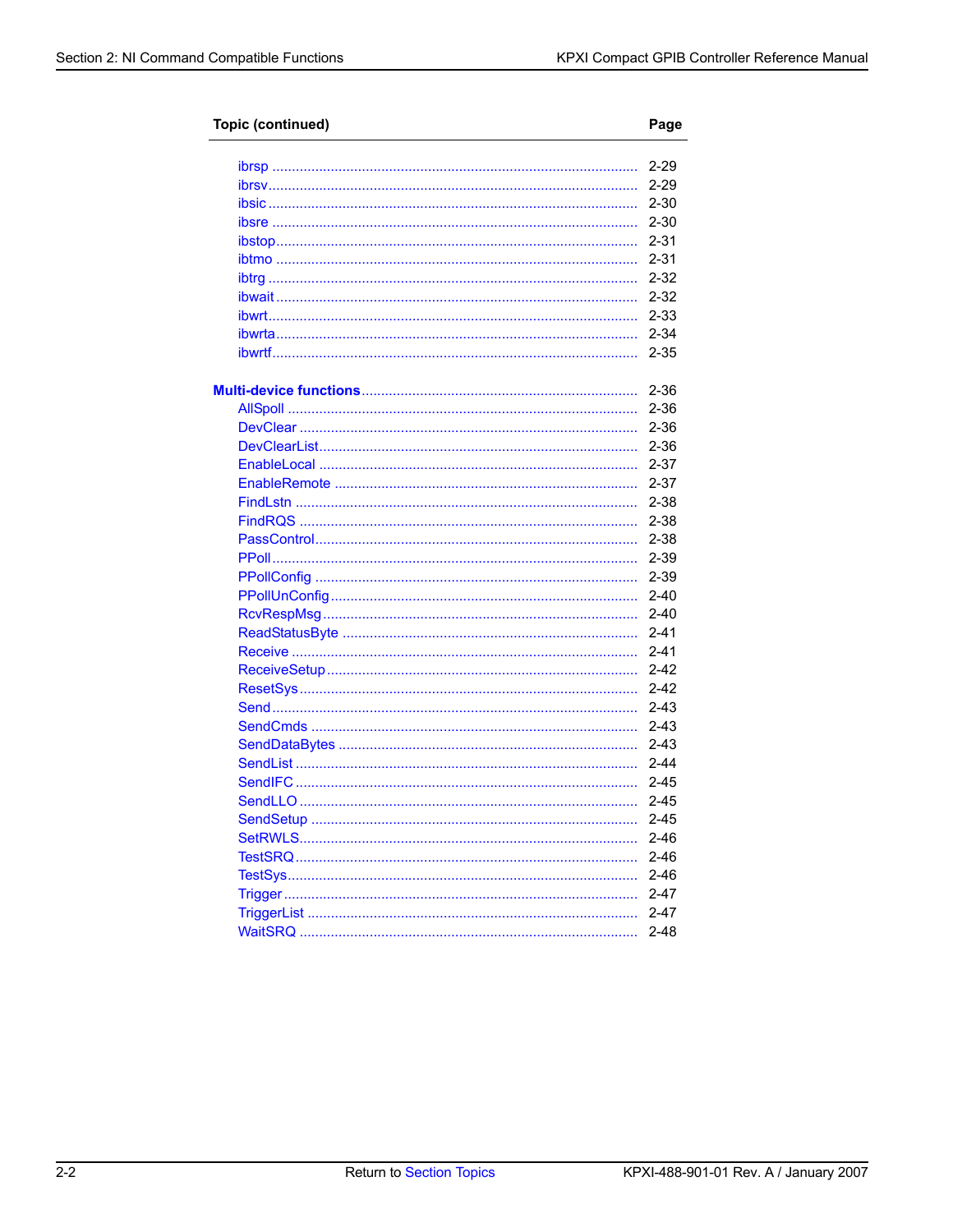# <span id="page-25-2"></span><span id="page-25-1"></span>Section 2 NI Command Compatible Functions

## <span id="page-25-3"></span><span id="page-25-0"></span>In this section:

| Topic                                         | Page     |
|-----------------------------------------------|----------|
|                                               | $2 - 3$  |
|                                               |          |
|                                               |          |
|                                               |          |
|                                               | $2 - 5$  |
|                                               |          |
|                                               |          |
|                                               |          |
|                                               |          |
|                                               |          |
|                                               | $2 - 9$  |
| <u>ibask ……………………………………………………………………………………</u> | $2 - 9$  |
|                                               | $2 - 11$ |
|                                               | $2 - 11$ |
|                                               |          |
|                                               | $2 - 12$ |
|                                               |          |
|                                               | $2 - 14$ |
|                                               |          |
|                                               | $2 - 17$ |
|                                               |          |
|                                               | $2 - 17$ |
|                                               |          |
|                                               | $2 - 19$ |
|                                               |          |
|                                               | $2 - 20$ |
|                                               |          |
|                                               | $2 - 21$ |
|                                               | $2 - 22$ |
|                                               | $2 - 22$ |
|                                               |          |
|                                               | $2 - 24$ |
|                                               |          |
|                                               |          |
|                                               |          |
|                                               | $2 - 26$ |
|                                               |          |
|                                               |          |
|                                               | $2 - 28$ |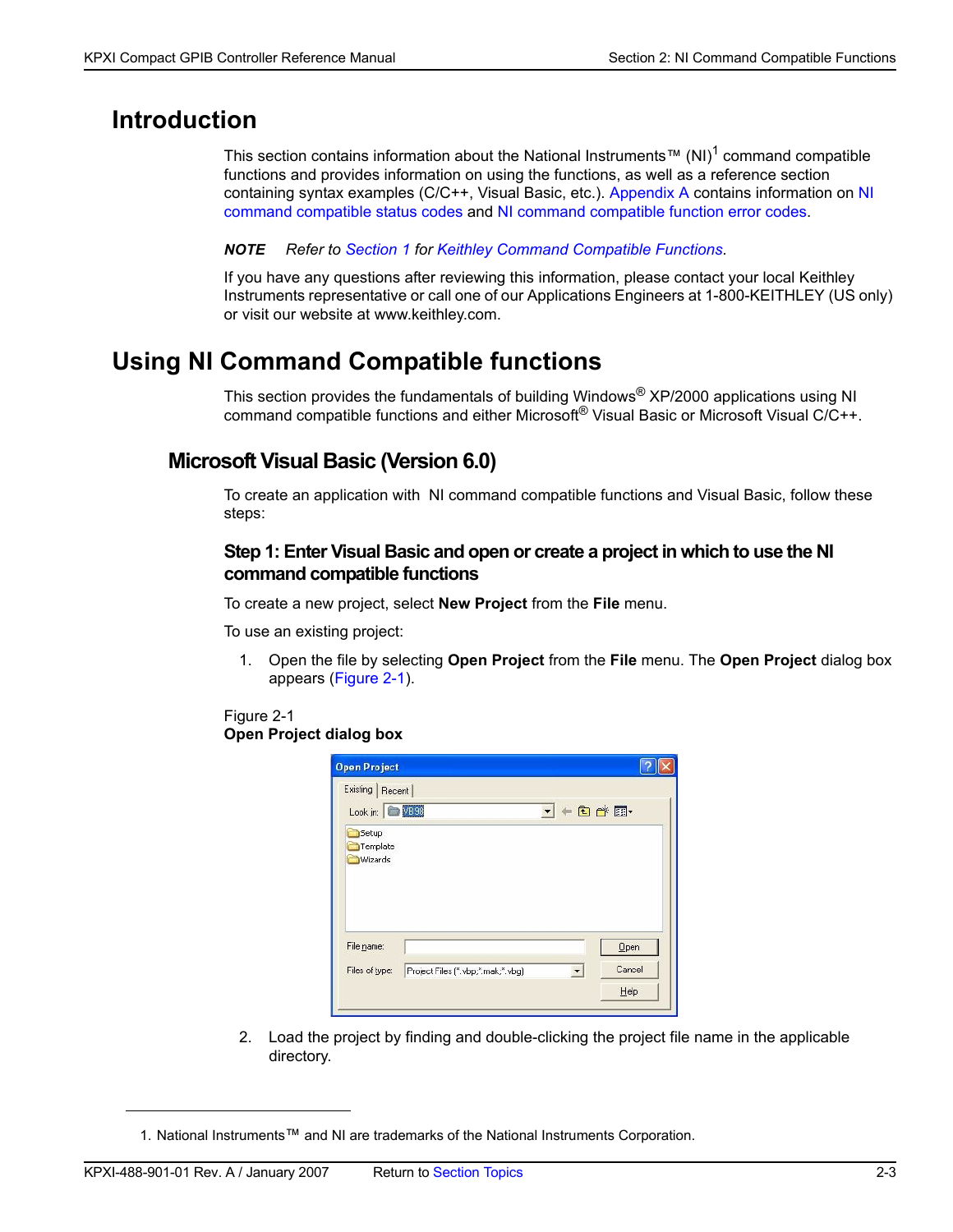| Topic (continued) | Page     |
|-------------------|----------|
|                   | $2 - 29$ |
|                   | $2 - 29$ |
|                   | $2 - 30$ |
|                   | $2 - 30$ |
|                   | $2 - 31$ |
|                   | $2 - 31$ |
|                   | $2 - 32$ |
|                   | $2 - 32$ |
|                   |          |
|                   |          |
|                   | $2 - 35$ |
|                   |          |
|                   | $2 - 36$ |
|                   | $2 - 36$ |
|                   | $2 - 36$ |
|                   | $2 - 36$ |
|                   | $2 - 37$ |
|                   | $2 - 37$ |
|                   | $2 - 38$ |
|                   | $2 - 38$ |
|                   | $2 - 38$ |
|                   | $2 - 39$ |
|                   | $2 - 39$ |
|                   | $2 - 40$ |
|                   | $2 - 40$ |
|                   | $2 - 41$ |
|                   | $2 - 41$ |
|                   | $2 - 42$ |
|                   | $2 - 42$ |
|                   | $2 - 43$ |
|                   | $2 - 43$ |
|                   | $2 - 43$ |
|                   | $2 - 44$ |
|                   | $2 - 45$ |
|                   | $2 - 45$ |
|                   | $2 - 45$ |
|                   | $2 - 46$ |
|                   | $2 - 46$ |
|                   | $2 - 46$ |
|                   | $2 - 47$ |
|                   | $2 - 47$ |
|                   | $2 - 48$ |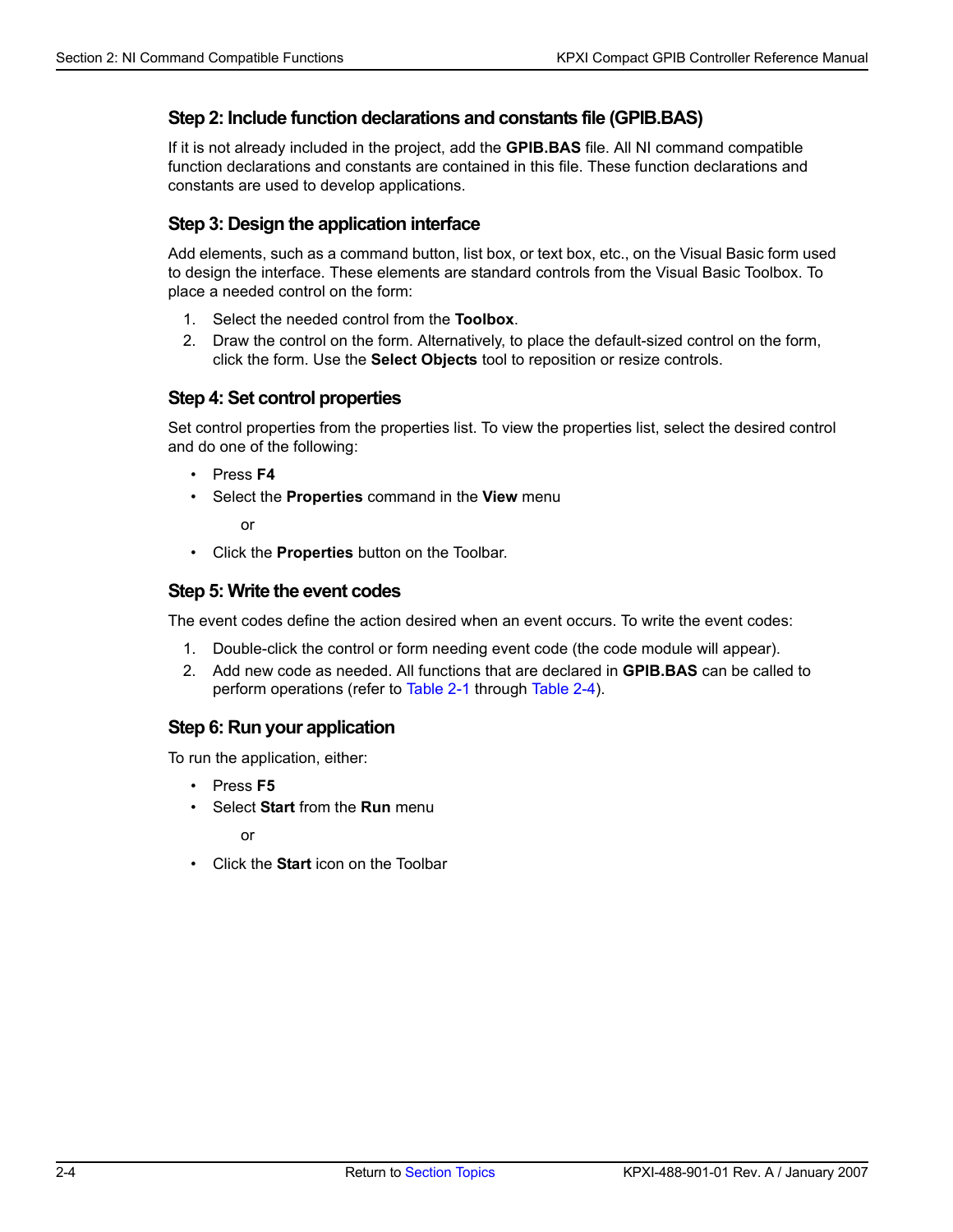## <span id="page-27-0"></span>**Introduction**

This section contains information about the National Instruments™ (NI)<sup>1</sup> command compatible functions and provides information on using the functions, as well as a reference section containing syntax examples (C/C++, Visual Basic, etc.). [Appendix](#page-73-1) A contains information on [NI](#page-74-2)  [command compatible status codes](#page-74-2) and [NI command compatible function error codes.](#page-75-2)

#### *NOTE Refer to [Section](#page-13-2) 1 for [Keithley Command Compatible Functions.](#page-13-3)*

If you have any questions after reviewing this information, please contact your local Keithley Instruments representative or call one of our Applications Engineers at 1-800-KEITHLEY (US only) or visit our website at www.keithley.com.

## <span id="page-27-1"></span>**Using NI Command Compatible functions**

This section provides the fundamentals of building Windows<sup>®</sup> XP/2000 applications using NI command compatible functions and either Microsoft® Visual Basic or Microsoft Visual C/C++.

## <span id="page-27-2"></span>**Microsoft Visual Basic (Version 6.0)**

To create an application with NI command compatible functions and Visual Basic, follow these steps:

#### **Step 1: Enter Visual Basic and open or create a project in which to use the NI command compatible functions**

To create a new project, select **New Project** from the **File** menu.

To use an existing project:

 1. Open the file by selecting **Open Project** from the **File** menu. The **Open Project** dialog box appears ([Figure 2-1\)](#page-27-4).

#### <span id="page-27-4"></span><span id="page-27-3"></span>Figure 2-1 **Open Project dialog box**

| Look in: <b>DIESE</b>        | $\cdot$ + Erë |      |
|------------------------------|---------------|------|
| Setup<br>Template<br>Wizards |               |      |
|                              |               |      |
| File name:                   |               | Qpen |

 2. Load the project by finding and double-clicking the project file name in the applicable directory.

<sup>1.</sup> National Instruments™ and NI are trademarks of the National Instruments Corporation.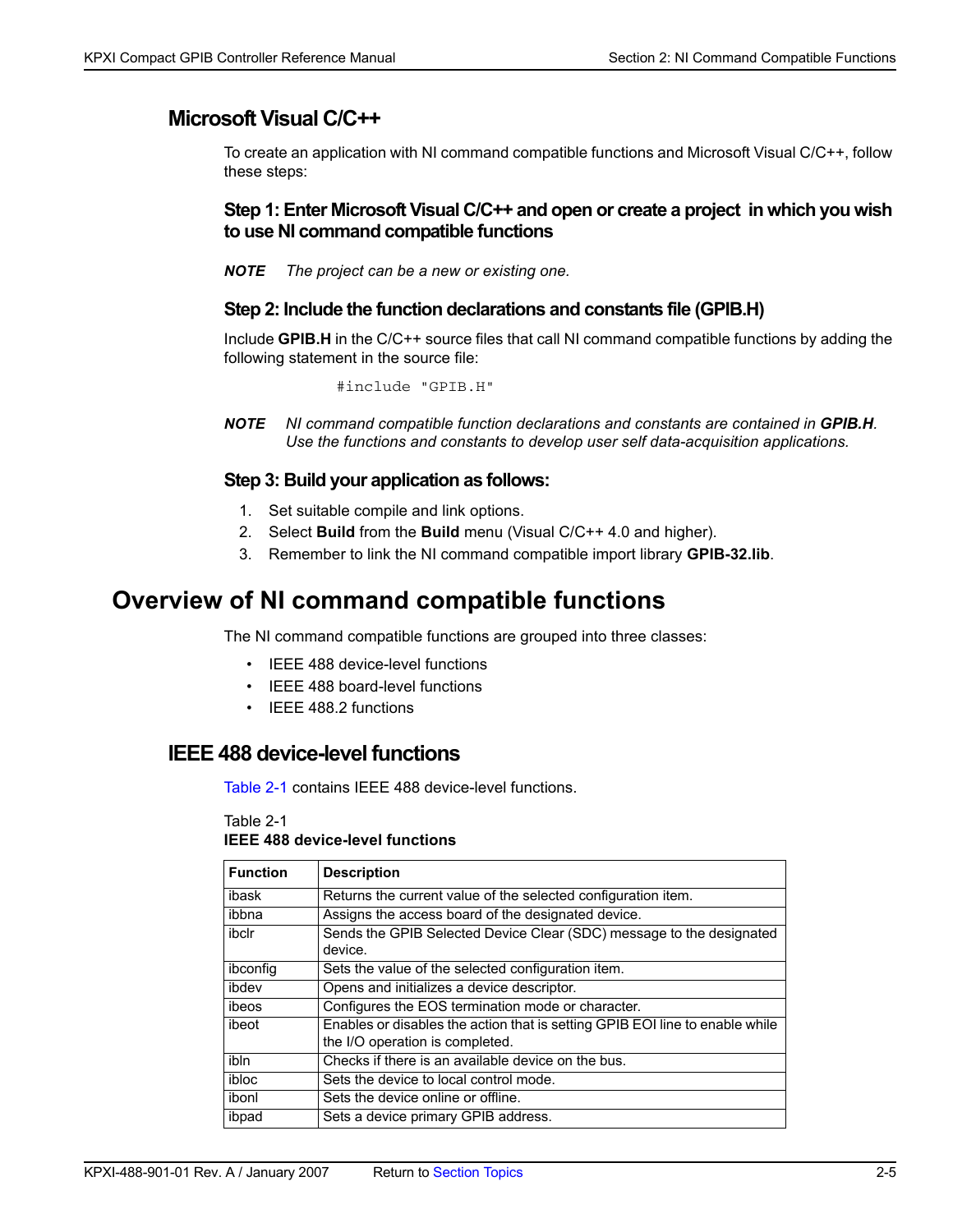#### **Step 2: Include function declarations and constants file (GPIB.BAS)**

If it is not already included in the project, add the **GPIB.BAS** file. All NI command compatible function declarations and constants are contained in this file. These function declarations and constants are used to develop applications.

#### **Step 3: Design the application interface**

Add elements, such as a command button, list box, or text box, etc., on the Visual Basic form used to design the interface. These elements are standard controls from the Visual Basic Toolbox. To place a needed control on the form:

- 1. Select the needed control from the **Toolbox**.
- 2. Draw the control on the form. Alternatively, to place the default-sized control on the form, click the form. Use the **Select Objects** tool to reposition or resize controls.

#### **Step 4: Set control properties**

Set control properties from the properties list. To view the properties list, select the desired control and do one of the following:

- Press **F4**
- Select the **Properties** command in the **View** menu

or

• Click the **Properties** button on the Toolbar.

#### **Step 5: Write the event codes**

The event codes define the action desired when an event occurs. To write the event codes:

- 1. Double-click the control or form needing event code (the code module will appear).
- 2. Add new code as needed. All functions that are declared in **GPIB.BAS** can be called to perform operations (refer to [Table 2-1](#page-29-4) through [Table 2-4\)](#page-32-2).

#### **Step 6: Run your application**

To run the application, either:

- Press **F5**
- Select **Start** from the **Run** menu

 $\alpha$ r

• Click the **Start** icon on the Toolbar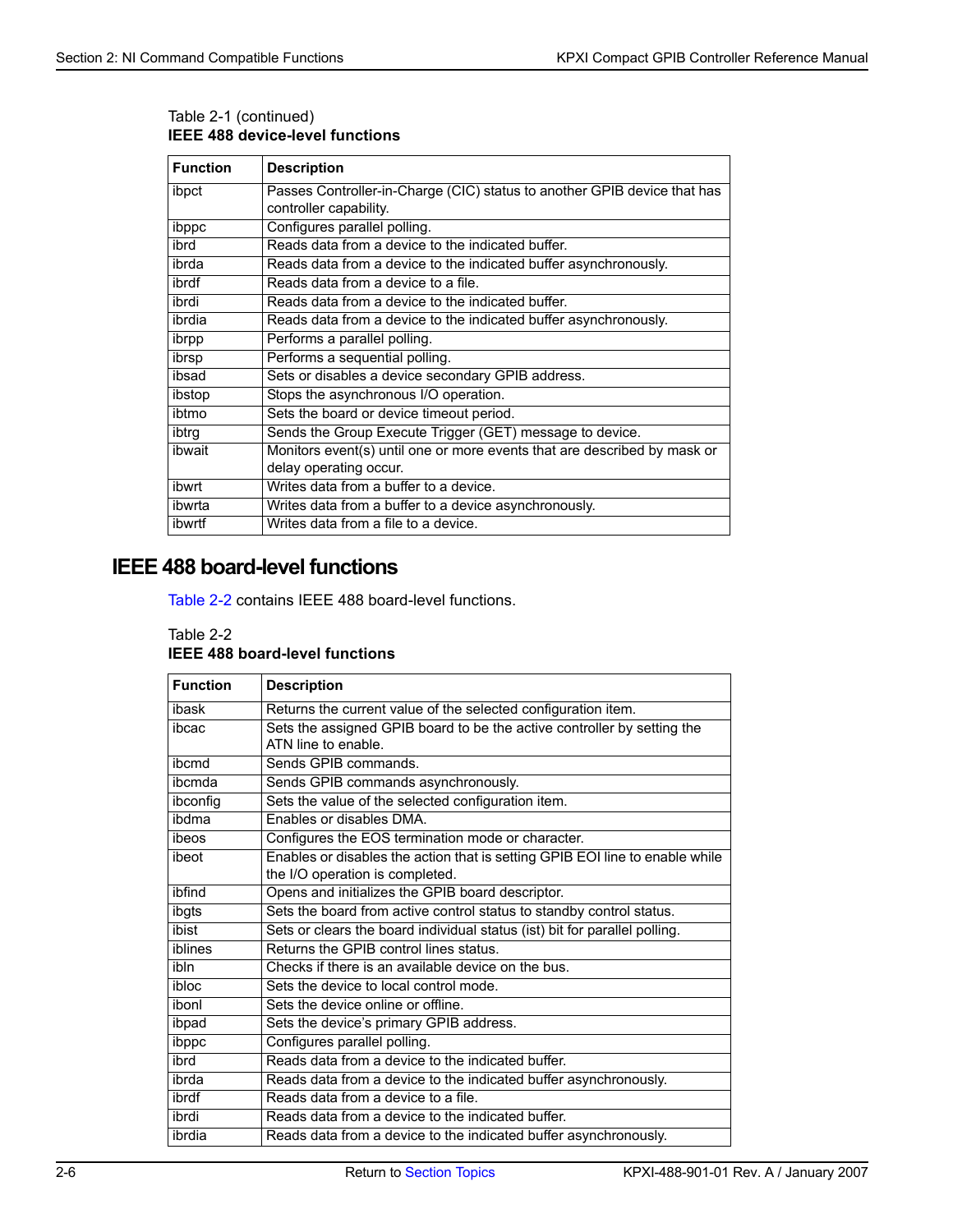## <span id="page-29-0"></span>**Microsoft Visual C/C++**

To create an application with NI command compatible functions and Microsoft Visual C/C++, follow these steps:

#### **Step 1: Enter Microsoft Visual C/C++ and open or create a project in which you wish to use NI command compatible functions**

*NOTE The project can be a new or existing one.*

#### **Step 2: Include the function declarations and constants file (GPIB.H)**

Include **GPIB.H** in the C/C++ source files that call NI command compatible functions by adding the following statement in the source file:

```
#include "GPIB.H"
```
**NOTE** *NI* command compatible function declarations and constants are contained in GPIB.H. *Use the functions and constants to develop user self data-acquisition applications.* 

## **Step 3: Build your application as follows:**

- 1. Set suitable compile and link options.
- 2. Select **Build** from the **Build** menu (Visual C/C++ 4.0 and higher).
- 3. Remember to link the NI command compatible import library **GPIB-32.lib**.

## <span id="page-29-1"></span>**Overview of NI command compatible functions**

The NI command compatible functions are grouped into three classes:

- IEEE 488 device-level functions
- IEEE 488 board-level functions
- IEEE 488.2 functions

## <span id="page-29-4"></span><span id="page-29-3"></span><span id="page-29-2"></span>**IEEE 488 device-level functions**

[Table 2-1](#page-29-4) contains IEEE 488 device-level functions.

#### Table 2-1 **IEEE 488 device-level functions**

| <b>Function</b> | <b>Description</b>                                                                                              |
|-----------------|-----------------------------------------------------------------------------------------------------------------|
| ibask           | Returns the current value of the selected configuration item.                                                   |
| ibbna           | Assigns the access board of the designated device.                                                              |
| ibclr           | Sends the GPIB Selected Device Clear (SDC) message to the designated<br>device.                                 |
| ibconfig        | Sets the value of the selected configuration item.                                                              |
| ibdev           | Opens and initializes a device descriptor.                                                                      |
| ibeos           | Configures the EOS termination mode or character.                                                               |
| ibeot           | Enables or disables the action that is setting GPIB EOI line to enable while<br>the I/O operation is completed. |
| ibln            | Checks if there is an available device on the bus.                                                              |
| ibloc           | Sets the device to local control mode.                                                                          |
| ibonl           | Sets the device online or offline.                                                                              |
| ibpad           | Sets a device primary GPIB address.                                                                             |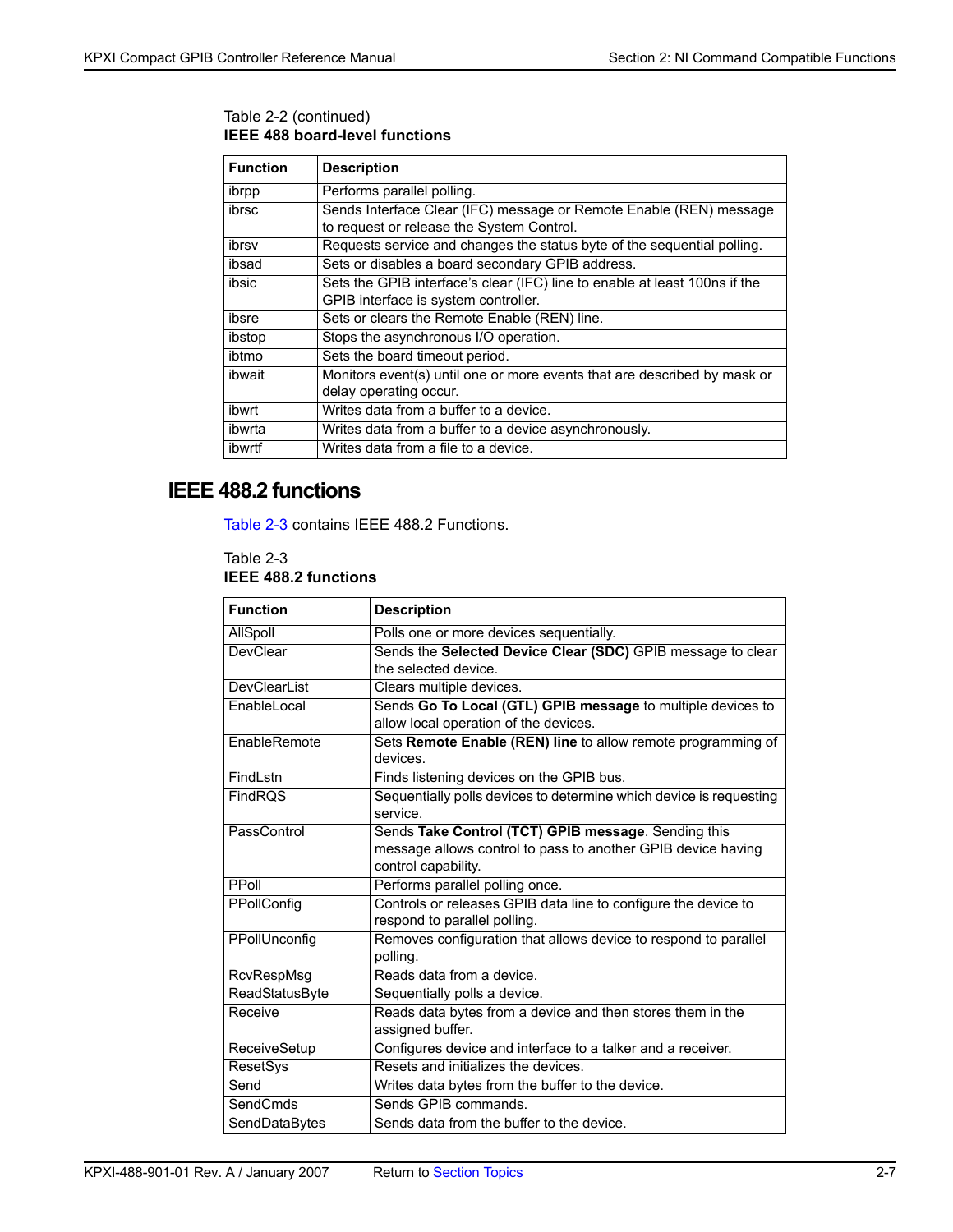| <b>Function</b> | <b>Description</b>                                                       |
|-----------------|--------------------------------------------------------------------------|
| ibpct           | Passes Controller-in-Charge (CIC) status to another GPIB device that has |
|                 | controller capability.                                                   |
| ibppc           | Configures parallel polling.                                             |
| ibrd            | Reads data from a device to the indicated buffer.                        |
| ibrda           | Reads data from a device to the indicated buffer asynchronously.         |
| ibrdf           | Reads data from a device to a file.                                      |
| ibrdi           | Reads data from a device to the indicated buffer.                        |
| ibrdia          | Reads data from a device to the indicated buffer asynchronously.         |
| ibrpp           | Performs a parallel polling.                                             |
| ibrsp           | Performs a sequential polling.                                           |
| ibsad           | Sets or disables a device secondary GPIB address.                        |
| ibstop          | Stops the asynchronous I/O operation.                                    |
| ibtmo           | Sets the board or device timeout period.                                 |
| ibtrg           | Sends the Group Execute Trigger (GET) message to device.                 |
| ibwait          | Monitors event(s) until one or more events that are described by mask or |
|                 | delay operating occur.                                                   |
| ibwrt           | Writes data from a buffer to a device.                                   |
| ibwrta          | Writes data from a buffer to a device asynchronously.                    |
| ibwrtf          | Writes data from a file to a device.                                     |

#### Table 2-1 (continued) **IEEE 488 device-level functions**

## <span id="page-30-2"></span><span id="page-30-1"></span><span id="page-30-0"></span>**IEEE 488 board-level functions**

[Table 2-2](#page-30-2) contains IEEE 488 board-level functions.

#### Table 2-2

#### **IEEE 488 board-level functions**

| <b>Function</b> | <b>Description</b>                                                           |
|-----------------|------------------------------------------------------------------------------|
| ibask           | Returns the current value of the selected configuration item.                |
| ibcac           | Sets the assigned GPIB board to be the active controller by setting the      |
|                 | ATN line to enable.                                                          |
| ibcmd           | Sends GPIB commands.                                                         |
| ibcmda          | Sends GPIB commands asynchronously.                                          |
| ibconfig        | Sets the value of the selected configuration item.                           |
| ibdma           | Enables or disables DMA.                                                     |
| ibeos           | Configures the EOS termination mode or character.                            |
| ibeot           | Enables or disables the action that is setting GPIB EOI line to enable while |
|                 | the I/O operation is completed.                                              |
| ibfind          | Opens and initializes the GPIB board descriptor.                             |
| ibgts           | Sets the board from active control status to standby control status.         |
| ibist           | Sets or clears the board individual status (ist) bit for parallel polling.   |
| iblines         | Returns the GPIB control lines status.                                       |
| ibln            | Checks if there is an available device on the bus.                           |
| ibloc           | Sets the device to local control mode.                                       |
| ibonl           | Sets the device online or offline.                                           |
| ibpad           | Sets the device's primary GPIB address.                                      |
| ibppc           | Configures parallel polling.                                                 |
| ibrd            | Reads data from a device to the indicated buffer.                            |
| ibrda           | Reads data from a device to the indicated buffer asynchronously.             |
| ibrdf           | Reads data from a device to a file.                                          |
| ibrdi           | Reads data from a device to the indicated buffer.                            |
| ibrdia          | Reads data from a device to the indicated buffer asynchronously.             |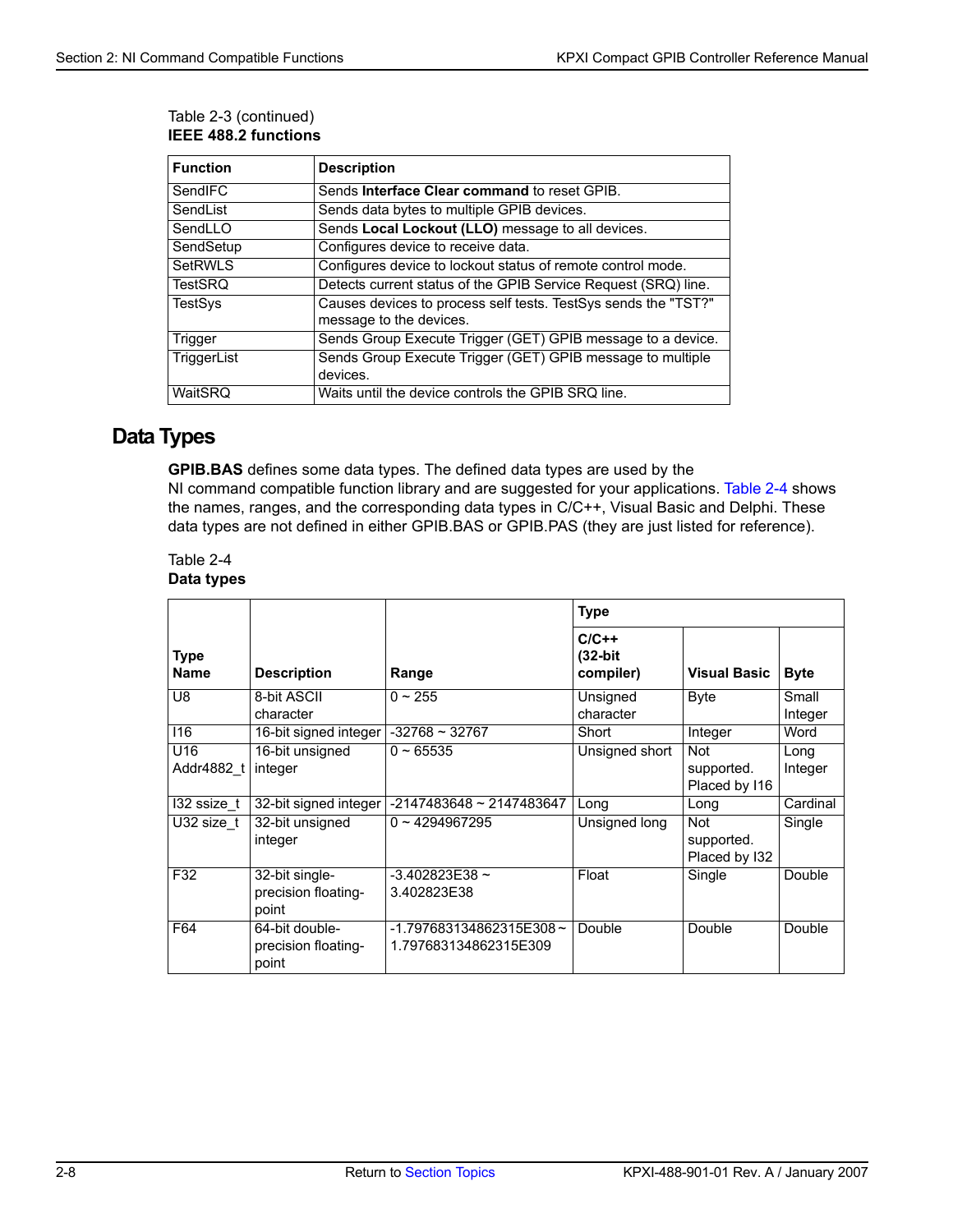#### Table 2-2 (continued) **IEEE 488 board-level functions**

| <b>Function</b> | <b>Description</b>                                                         |
|-----------------|----------------------------------------------------------------------------|
| ibrpp           | Performs parallel polling.                                                 |
| ibrsc           | Sends Interface Clear (IFC) message or Remote Enable (REN) message         |
|                 | to request or release the System Control.                                  |
| ibrsv           | Requests service and changes the status byte of the sequential polling.    |
| ibsad           | Sets or disables a board secondary GPIB address.                           |
| ibsic           | Sets the GPIB interface's clear (IFC) line to enable at least 100ns if the |
|                 | GPIB interface is system controller.                                       |
| ibsre           | Sets or clears the Remote Enable (REN) line.                               |
| ibstop          | Stops the asynchronous I/O operation.                                      |
| ibtmo           | Sets the board timeout period.                                             |
| ibwait          | Monitors event(s) until one or more events that are described by mask or   |
|                 | delay operating occur.                                                     |
| ibwrt           | Writes data from a buffer to a device.                                     |
| ibwrta          | Writes data from a buffer to a device asynchronously.                      |
| ibwrtf          | Writes data from a file to a device.                                       |

## <span id="page-31-2"></span><span id="page-31-1"></span><span id="page-31-0"></span>**IEEE 488.2 functions**

[Table 2-3](#page-31-2) contains IEEE 488.2 Functions.

#### Table 2-3 **IEEE 488.2 functions**

| <b>Function</b> | <b>Description</b>                                                                                                                         |
|-----------------|--------------------------------------------------------------------------------------------------------------------------------------------|
| AllSpoll        | Polls one or more devices sequentially.                                                                                                    |
| DevClear        | Sends the Selected Device Clear (SDC) GPIB message to clear<br>the selected device.                                                        |
| DevClearList    | Clears multiple devices.                                                                                                                   |
| EnableLocal     | Sends Go To Local (GTL) GPIB message to multiple devices to<br>allow local operation of the devices.                                       |
| EnableRemote    | Sets Remote Enable (REN) line to allow remote programming of<br>devices.                                                                   |
| FindLstn        | Finds listening devices on the GPIB bus.                                                                                                   |
| <b>FindRQS</b>  | Sequentially polls devices to determine which device is requesting<br>service.                                                             |
| PassControl     | Sends Take Control (TCT) GPIB message. Sending this<br>message allows control to pass to another GPIB device having<br>control capability. |
| PPoll           | Performs parallel polling once.                                                                                                            |
| PPollConfig     | Controls or releases GPIB data line to configure the device to<br>respond to parallel polling.                                             |
| PPollUnconfig   | Removes configuration that allows device to respond to parallel<br>polling.                                                                |
| RcvRespMsg      | Reads data from a device.                                                                                                                  |
| ReadStatusByte  | Sequentially polls a device.                                                                                                               |
| Receive         | Reads data bytes from a device and then stores them in the<br>assigned buffer.                                                             |
| ReceiveSetup    | Configures device and interface to a talker and a receiver.                                                                                |
| ResetSys        | Resets and initializes the devices.                                                                                                        |
| Send            | Writes data bytes from the buffer to the device.                                                                                           |
| SendCmds        | Sends GPIB commands.                                                                                                                       |
| SendDataBytes   | Sends data from the buffer to the device.                                                                                                  |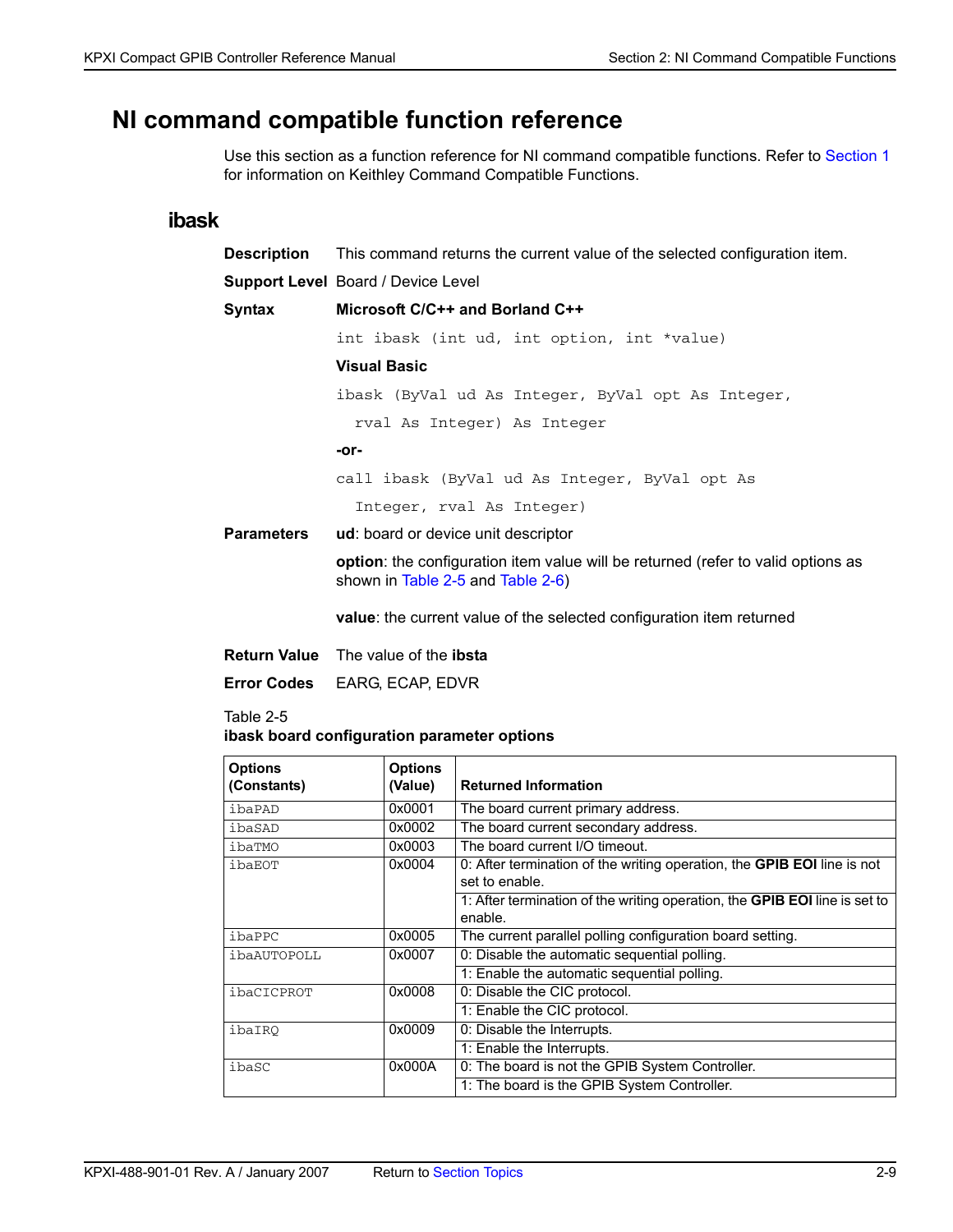| <b>Function</b> | <b>Description</b>                                             |
|-----------------|----------------------------------------------------------------|
| SendIFC         | Sends Interface Clear command to reset GPIB.                   |
| SendList        | Sends data bytes to multiple GPIB devices.                     |
| SendLLO         | Sends Local Lockout (LLO) message to all devices.              |
| SendSetup       | Configures device to receive data.                             |
| <b>SetRWLS</b>  | Configures device to lockout status of remote control mode.    |
| <b>TestSRQ</b>  | Detects current status of the GPIB Service Request (SRQ) line. |
| TestSys         | Causes devices to process self tests. TestSys sends the "TST?" |
|                 | message to the devices.                                        |
| Trigger         | Sends Group Execute Trigger (GET) GPIB message to a device.    |
| TriggerList     | Sends Group Execute Trigger (GET) GPIB message to multiple     |
|                 | devices.                                                       |
| WaitSRQ         | Waits until the device controls the GPIB SRQ line.             |

#### Table 2-3 (continued) **IEEE 488.2 functions**

## <span id="page-32-0"></span>**Data Types**

**GPIB.BAS** defines some data types. The defined data types are used by the NI command compatible function library and are suggested for your applications. [Table 2-4](#page-32-2) shows the names, ranges, and the corresponding data types in C/C++, Visual Basic and Delphi. These data types are not defined in either GPIB.BAS or GPIB.PAS (they are just listed for reference).

#### <span id="page-32-2"></span><span id="page-32-1"></span>Table 2-4 **Data types**

|                                         |                                                |                                                     | <b>Type</b>                        |                                    |                  |
|-----------------------------------------|------------------------------------------------|-----------------------------------------------------|------------------------------------|------------------------------------|------------------|
| Type<br><b>Name</b>                     | <b>Description</b>                             | Range                                               | $C/C++$<br>$(32-bit)$<br>compiler) | <b>Visual Basic</b>                | <b>Byte</b>      |
| U8                                      | 8-bit ASCII<br>character                       | $0 \sim 255$                                        | Unsigned<br>character              | <b>Byte</b>                        | Small<br>Integer |
| 116                                     | 16-bit signed integer                          | $-32768 \sim 32767$                                 | Short                              | Integer                            | Word             |
| U <sub>16</sub><br>Addr4882_t   integer | 16-bit unsigned                                | $0 - 65535$                                         | Unsigned short                     | Not<br>supported.<br>Placed by I16 | Long<br>Integer  |
| 132 ssize t                             | 32-bit signed integer                          | $-2147483648 \approx 2147483647$                    | Long                               | Long                               | Cardinal         |
| U32 size t                              | 32-bit unsigned<br>integer                     | $0 \sim 4294967295$                                 | Unsigned long                      | Not<br>supported.<br>Placed by I32 | Single           |
| F32                                     | 32-bit single-<br>precision floating-<br>point | $-3.402823E38$ ~<br>3.402823E38                     | Float                              | Single                             | Double           |
| F64                                     | 64-bit double-<br>precision floating-<br>point | $-1.797683134862315E308$ ~<br>1.797683134862315E309 | Double                             | Double                             | Double           |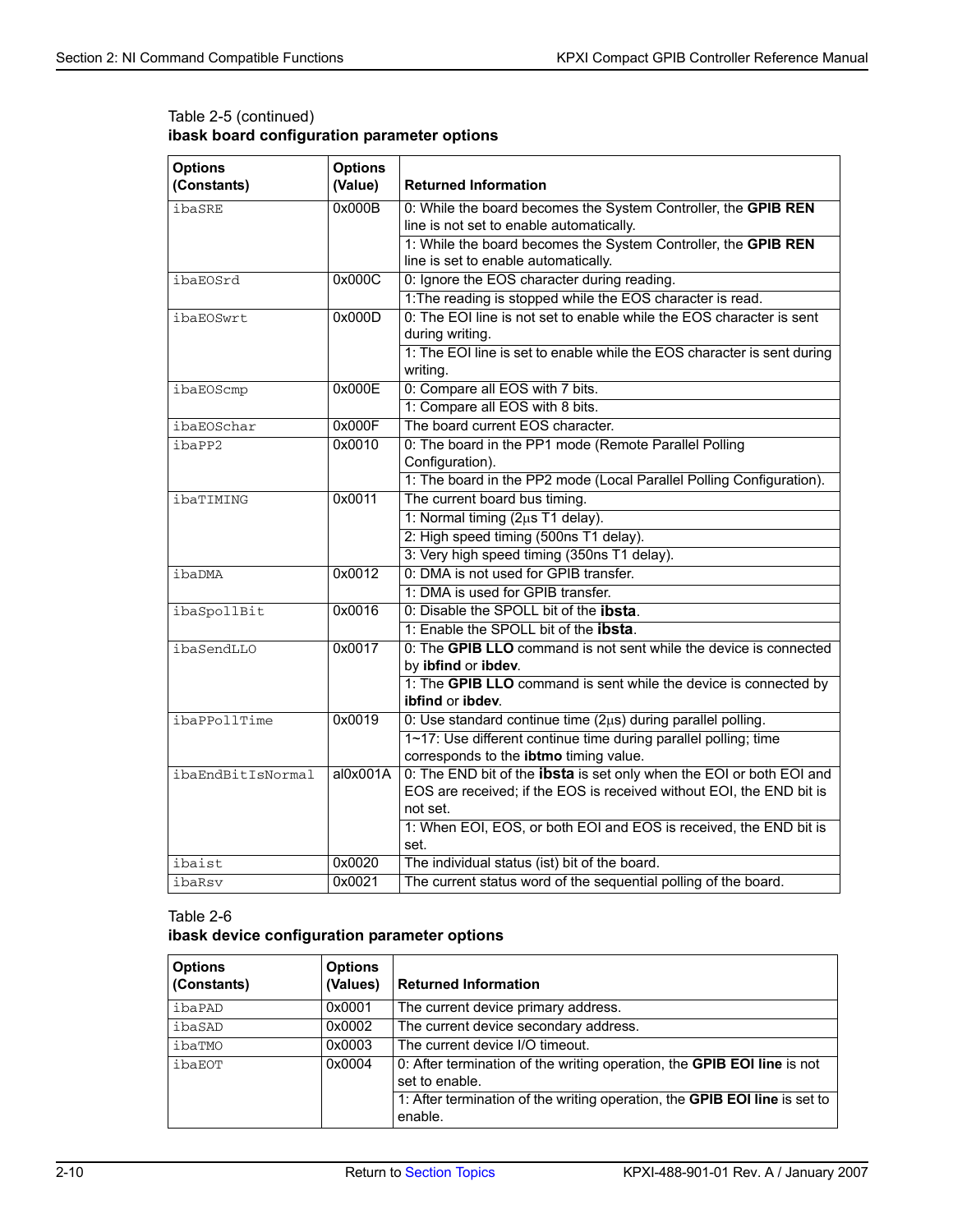## <span id="page-33-0"></span>**NI command compatible function reference**

Use this section as a function reference for NI command compatible functions. Refer to [Section](#page-13-3) 1 for information on [Keithley Command Compatible Functions](#page-13-3).

#### <span id="page-33-1"></span>**ibask**

| <b>Description</b> | This command returns the current value of the selected configuration item.                                            |  |  |  |  |  |
|--------------------|-----------------------------------------------------------------------------------------------------------------------|--|--|--|--|--|
|                    | <b>Support Level Board / Device Level</b>                                                                             |  |  |  |  |  |
| <b>Syntax</b>      | Microsoft C/C++ and Borland C++                                                                                       |  |  |  |  |  |
|                    | int ibask (int ud, int option, int *value)                                                                            |  |  |  |  |  |
|                    | <b>Visual Basic</b>                                                                                                   |  |  |  |  |  |
|                    | ibask (ByVal ud As Integer, ByVal opt As Integer,                                                                     |  |  |  |  |  |
|                    | rval As Integer) As Integer                                                                                           |  |  |  |  |  |
|                    | -or-                                                                                                                  |  |  |  |  |  |
|                    | call ibask (ByVal ud As Integer, ByVal opt As                                                                         |  |  |  |  |  |
|                    | Integer, rval As Integer)                                                                                             |  |  |  |  |  |
| <b>Parameters</b>  | ud: board or device unit descriptor                                                                                   |  |  |  |  |  |
|                    | option: the configuration item value will be returned (refer to valid options as<br>shown in Table 2-5 and Table 2-6) |  |  |  |  |  |
|                    | value: the current value of the selected configuration item returned                                                  |  |  |  |  |  |
|                    | <b>Return Value</b> The value of the <b>ibsta</b>                                                                     |  |  |  |  |  |
|                    | <b>Error Codes</b> EARG, ECAP, EDVR                                                                                   |  |  |  |  |  |

#### <span id="page-33-3"></span>Table 2-5

#### <span id="page-33-2"></span>**ibask board configuration parameter options**

| <b>Options</b><br>(Constants) | <b>Options</b><br>(Value) | <b>Returned Information</b>                                                                  |
|-------------------------------|---------------------------|----------------------------------------------------------------------------------------------|
| ibaPAD                        | 0x0001                    | The board current primary address.                                                           |
| ibaSAD                        | 0x0002                    | The board current secondary address.                                                         |
| ibaTMO                        | 0x0003                    | The board current I/O timeout.                                                               |
| ibaEOT                        | 0x0004                    | 0: After termination of the writing operation, the GPIB EOI line is not<br>set to enable.    |
|                               |                           | 1: After termination of the writing operation, the <b>GPIB EOI</b> line is set to<br>enable. |
| ibaPPC                        | 0x0005                    | The current parallel polling configuration board setting.                                    |
| ibaAUTOPOLL                   | 0x0007                    | 0: Disable the automatic sequential polling.                                                 |
|                               |                           | 1: Enable the automatic sequential polling.                                                  |
| ibaCICPROT                    | 0x0008                    | 0: Disable the CIC protocol.                                                                 |
|                               |                           | 1: Enable the CIC protocol.                                                                  |
| ibaIRO                        | 0x0009                    | 0: Disable the Interrupts.                                                                   |
|                               |                           | 1: Enable the Interrupts.                                                                    |
| ibaSC                         | 0x000A                    | 0: The board is not the GPIB System Controller.                                              |
|                               |                           | 1: The board is the GPIB System Controller.                                                  |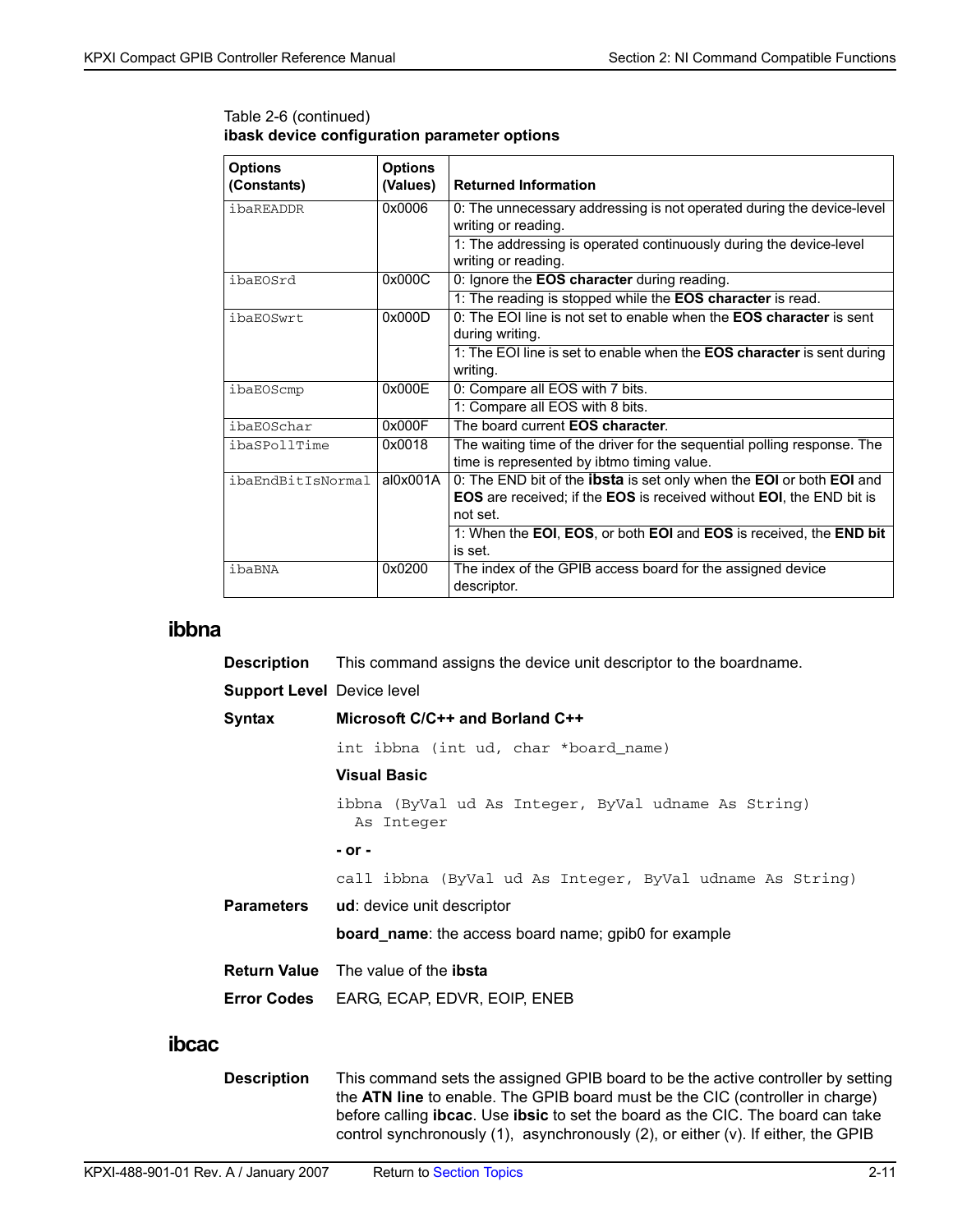#### Table 2-5 (continued) **ibask board configuration parameter options**

| <b>Options</b><br>(Constants) | <b>Options</b><br>(Value) | <b>Returned Information</b>                                                 |
|-------------------------------|---------------------------|-----------------------------------------------------------------------------|
| ibaSRE                        | 0x000B                    | 0: While the board becomes the System Controller, the GPIB REN              |
|                               |                           | line is not set to enable automatically.                                    |
|                               |                           | 1: While the board becomes the System Controller, the GPIB REN              |
|                               |                           | line is set to enable automatically.                                        |
| ibaEOSrd                      | 0x000C                    | 0: Ignore the EOS character during reading.                                 |
|                               |                           | 1: The reading is stopped while the EOS character is read.                  |
| ibaEOSwrt                     | 0x000D                    | 0: The EOI line is not set to enable while the EOS character is sent        |
|                               |                           | during writing.                                                             |
|                               |                           | 1: The EOI line is set to enable while the EOS character is sent during     |
|                               |                           | writing.                                                                    |
| ibaEOScmp                     | 0x000E                    | 0: Compare all EOS with 7 bits.                                             |
|                               |                           | 1: Compare all EOS with 8 bits.                                             |
| ibaEOSchar                    | 0x000F                    | The board current EOS character.                                            |
| ibaPP2                        | 0x0010                    | 0: The board in the PP1 mode (Remote Parallel Polling                       |
|                               |                           | Configuration).                                                             |
|                               |                           | 1: The board in the PP2 mode (Local Parallel Polling Configuration).        |
| ibaTIMING                     | 0x0011                    | The current board bus timing.                                               |
|                               |                           | 1: Normal timing (2µs T1 delay).                                            |
|                               |                           | 2: High speed timing (500ns T1 delay).                                      |
|                               |                           | 3: Very high speed timing (350ns T1 delay).                                 |
| ibaDMA                        | 0x0012                    | 0: DMA is not used for GPIB transfer.                                       |
|                               |                           | 1: DMA is used for GPIB transfer.                                           |
| ibaSpollBit                   | 0x0016                    | 0: Disable the SPOLL bit of the ibsta.                                      |
|                               |                           | 1: Enable the SPOLL bit of the ibsta.                                       |
| ibaSendLLO                    | 0x0017                    | 0: The GPIB LLO command is not sent while the device is connected           |
|                               |                           | by ibfind or ibdev.                                                         |
|                               |                           | 1: The GPIB LLO command is sent while the device is connected by            |
|                               |                           | ibfind or ibdev.                                                            |
| ibaPPollTime                  | 0x0019                    | 0: Use standard continue time $(2\mu s)$ during parallel polling.           |
|                               |                           | 1~17: Use different continue time during parallel polling; time             |
|                               |                           | corresponds to the ibtmo timing value.                                      |
| ibaEndBitIsNormal             | al0x001A                  | 0: The END bit of the <b>ibsta</b> is set only when the EOI or both EOI and |
|                               |                           | EOS are received; if the EOS is received without EOI, the END bit is        |
|                               |                           | not set.                                                                    |
|                               |                           | 1: When EOI, EOS, or both EOI and EOS is received, the END bit is           |
|                               |                           | set.                                                                        |
| ibaist                        | 0x0020                    | The individual status (ist) bit of the board.                               |
| ibaRsv                        | 0x0021                    | The current status word of the sequential polling of the board.             |

#### <span id="page-34-1"></span>Table 2-6

#### <span id="page-34-0"></span>**ibask device configuration parameter options**

| <b>Options</b><br>(Constants) | <b>Options</b><br>(Values) | <b>Returned Information</b>                                                               |
|-------------------------------|----------------------------|-------------------------------------------------------------------------------------------|
| ibaPAD                        | 0x0001                     | The current device primary address.                                                       |
| ibaSAD                        | 0x0002                     | The current device secondary address.                                                     |
| ibaTMO                        | 0x0003                     | The current device I/O timeout.                                                           |
| ibaEOT                        | 0x0004                     | 0: After termination of the writing operation, the GPIB EOI line is not<br>set to enable. |
|                               |                            | 1: After termination of the writing operation, the GPIB EOI line is set to<br>enable.     |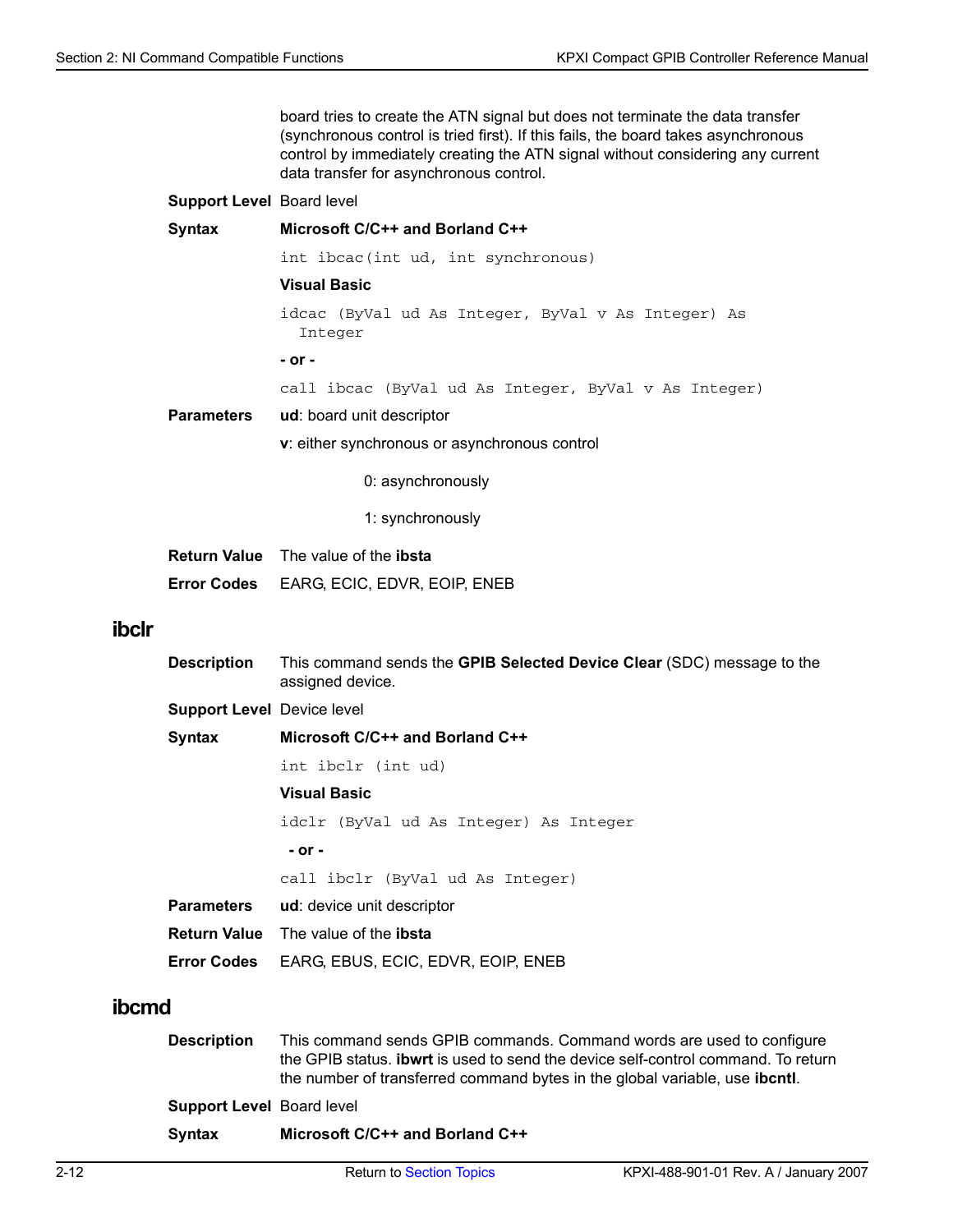| Table 2-6 (continued)                        |  |
|----------------------------------------------|--|
| ibask device configuration parameter options |  |

| <b>Options</b><br>(Constants) | <b>Options</b><br>(Values) | <b>Returned Information</b>                                                                                           |
|-------------------------------|----------------------------|-----------------------------------------------------------------------------------------------------------------------|
| ibaREADDR                     | 0x0006                     | 0: The unnecessary addressing is not operated during the device-level<br>writing or reading.                          |
|                               |                            | 1: The addressing is operated continuously during the device-level<br>writing or reading.                             |
| ibaEOSrd                      | 0x000C                     | 0: Ignore the EOS character during reading.                                                                           |
|                               |                            | 1: The reading is stopped while the <b>EOS character</b> is read.                                                     |
| ibaEOSwrt                     | 0x000D                     | 0: The EOI line is not set to enable when the <b>EOS character</b> is sent<br>during writing.                         |
|                               |                            | 1: The EOI line is set to enable when the EOS character is sent during                                                |
|                               |                            | writing.                                                                                                              |
| ibaEOScmp                     | 0x000E                     | 0: Compare all EOS with 7 bits.                                                                                       |
|                               |                            | 1: Compare all EOS with 8 bits.                                                                                       |
| ibaEOSchar                    | 0x000F                     | The board current <b>EOS character</b> .                                                                              |
| ibaSPollTime                  | 0x0018                     | The waiting time of the driver for the sequential polling response. The<br>time is represented by ibtmo timing value. |
| ibaEndBitIsNormal             | $a$ l $0x001A$             | 0: The END bit of the <b>ibsta</b> is set only when the <b>EOI</b> or both <b>EOI</b> and                             |
|                               |                            | <b>EOS</b> are received; if the <b>EOS</b> is received without <b>EOI</b> , the END bit is                            |
|                               |                            | not set.                                                                                                              |
|                               |                            | 1: When the EOI, EOS, or both EOI and EOS is received, the END bit                                                    |
|                               |                            | is set.                                                                                                               |
| ibaBNA                        | 0x0200                     | The index of the GPIB access board for the assigned device                                                            |
|                               |                            | descriptor.                                                                                                           |

#### <span id="page-35-0"></span>**ibbna**

<span id="page-35-1"></span>**ibcac**

| Description                       | This command assigns the device unit descriptor to the boardname. |
|-----------------------------------|-------------------------------------------------------------------|
| <b>Support Level</b> Device level |                                                                   |
| Syntax                            | Microsoft C/C++ and Borland C++                                   |
|                                   | int ibbna (int ud, char *board_name)                              |
|                                   | <b>Visual Basic</b>                                               |
|                                   | ibbna (ByVal ud As Integer, ByVal udname As String)<br>As Integer |
|                                   | - or -                                                            |
|                                   | call ibbna (ByVal ud As Integer, ByVal udname As String)          |
| Parameters                        | ud: device unit descriptor                                        |
|                                   | <b>board_name:</b> the access board name; gpib0 for example       |
|                                   | <b>Return Value</b> The value of the ibsta                        |
|                                   | Error Codes EARG, ECAP, EDVR, EOIP, ENEB                          |
|                                   |                                                                   |
|                                   |                                                                   |

**Description** This command sets the assigned GPIB board to be the active controller by setting the **ATN line** to enable. The GPIB board must be the CIC (controller in charge) before calling **ibcac**. Use **ibsic** to set the board as the CIC. The board can take control synchronously (1), asynchronously (2), or either (v). If either, the GPIB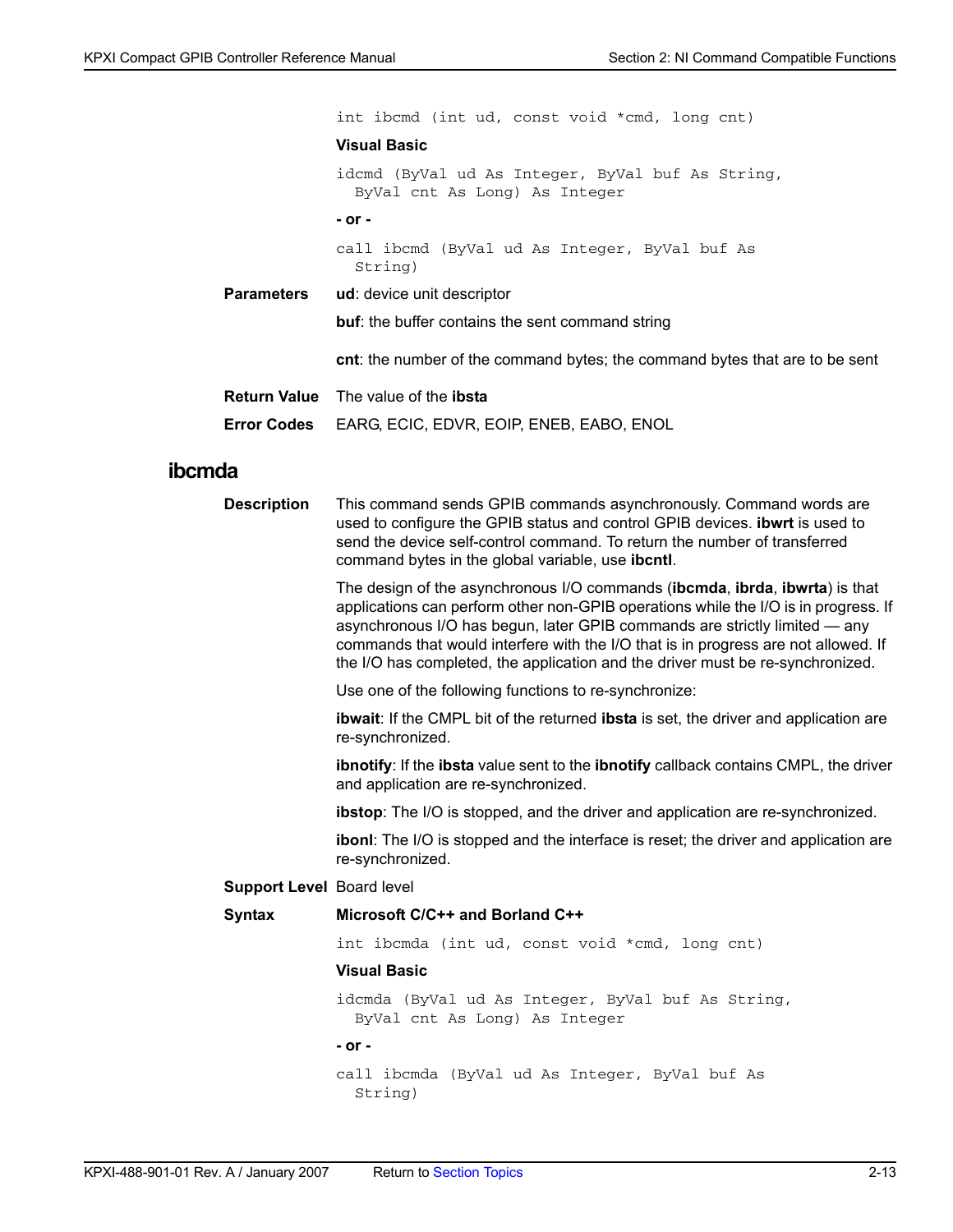board tries to create the ATN signal but does not terminate the data transfer (synchronous control is tried first). If this fails, the board takes asynchronous control by immediately creating the ATN signal without considering any current data transfer for asynchronous control.

|       | <b>Support Level Board level</b>                 |                                                                                            |  |  |
|-------|--------------------------------------------------|--------------------------------------------------------------------------------------------|--|--|
|       | <b>Syntax</b>                                    | Microsoft C/C++ and Borland C++                                                            |  |  |
|       |                                                  | int ibcac(int ud, int synchronous)                                                         |  |  |
|       |                                                  | <b>Visual Basic</b>                                                                        |  |  |
|       |                                                  | idcac (ByVal ud As Integer, ByVal v As Integer) As<br>Integer                              |  |  |
|       |                                                  | - or -                                                                                     |  |  |
|       |                                                  | call ibcac (ByVal ud As Integer, ByVal v As Integer)                                       |  |  |
|       | <b>Parameters</b>                                | ud: board unit descriptor                                                                  |  |  |
|       |                                                  | v: either synchronous or asynchronous control                                              |  |  |
|       |                                                  | 0: asynchronously                                                                          |  |  |
|       |                                                  | 1: synchronously                                                                           |  |  |
|       |                                                  | <b>Return Value</b> The value of the <b>ibsta</b>                                          |  |  |
|       |                                                  | Error Codes EARG, ECIC, EDVR, EOIP, ENEB                                                   |  |  |
| ibclr |                                                  |                                                                                            |  |  |
|       | <b>Description</b>                               | This command sends the GPIB Selected Device Clear (SDC) message to the<br>assigned device. |  |  |
|       | <b>Support Level Device level</b>                |                                                                                            |  |  |
|       | Microsoft C/C++ and Borland C++<br><b>Syntax</b> |                                                                                            |  |  |
|       |                                                  | int ibclr (int ud)                                                                         |  |  |
|       |                                                  | <b>Visual Basic</b>                                                                        |  |  |
|       |                                                  | idclr (ByVal ud As Integer) As Integer                                                     |  |  |

 **- or -**

call ibclr (ByVal ud As Integer)

**Parameters ud**: device unit descriptor

**Return Value** The value of the **ibsta**

**Error Codes** EARG, EBUS, ECIC, EDVR, EOIP, ENEB

## **ibcmd**

| <b>Syntax</b>                    | Microsoft C/C++ and Borland C++                                                                                                                                                                                                                          |
|----------------------------------|----------------------------------------------------------------------------------------------------------------------------------------------------------------------------------------------------------------------------------------------------------|
| <b>Support Level Board level</b> |                                                                                                                                                                                                                                                          |
| <b>Description</b>               | This command sends GPIB commands. Command words are used to configure<br>the GPIB status. <b>ibwrt</b> is used to send the device self-control command. To return<br>the number of transferred command bytes in the global variable, use <b>ibcntl</b> . |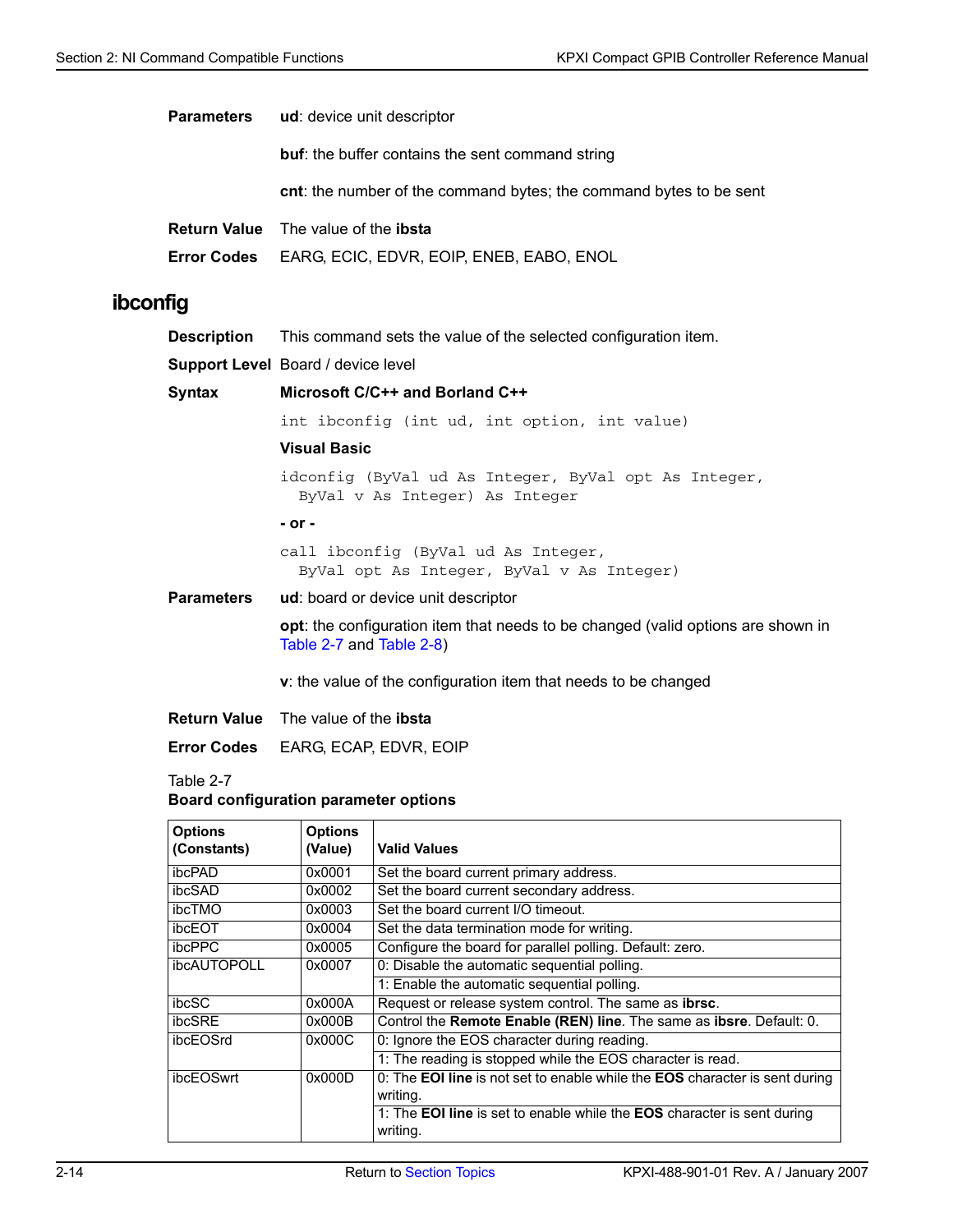|                    | int ibcmd (int ud, const void *cmd, long cnt)                                     |  |
|--------------------|-----------------------------------------------------------------------------------|--|
|                    | <b>Visual Basic</b>                                                               |  |
|                    | idcmd (ByVal ud As Integer, ByVal buf As String,<br>ByVal cnt As Long) As Integer |  |
|                    | - or -                                                                            |  |
|                    | call ibcmd (ByVal ud As Integer, ByVal buf As<br>String)                          |  |
| Parameters         | ud: device unit descriptor                                                        |  |
|                    | <b>buf</b> : the buffer contains the sent command string                          |  |
|                    | cnt: the number of the command bytes; the command bytes that are to be sent       |  |
|                    | <b>Return Value</b> The value of the <b>ibsta</b>                                 |  |
| <b>Error Codes</b> | EARG, ECIC, EDVR, EOIP, ENEB, EABO, ENOL                                          |  |

### **ibcmda**

| <b>Description</b> | This command sends GPIB commands asynchronously. Command words are                  |
|--------------------|-------------------------------------------------------------------------------------|
|                    | used to configure the GPIB status and control GPIB devices. <b>ibwrt</b> is used to |
|                    | send the device self-control command. To return the number of transferred           |
|                    | command bytes in the global variable, use <b>ibcntl</b> .                           |
|                    |                                                                                     |

The design of the asynchronous I/O commands (**ibcmda**, **ibrda**, **ibwrta**) is that applications can perform other non-GPIB operations while the I/O is in progress. If asynchronous I/O has begun, later GPIB commands are strictly limited — any commands that would interfere with the I/O that is in progress are not allowed. If the I/O has completed, the application and the driver must be re-synchronized.

Use one of the following functions to re-synchronize:

**ibwait**: If the CMPL bit of the returned **ibsta** is set, the driver and application are re-synchronized.

**ibnotify**: If the **ibsta** value sent to the **ibnotify** callback contains CMPL, the driver and application are re-synchronized.

**ibstop**: The I/O is stopped, and the driver and application are re-synchronized.

**ibonl**: The I/O is stopped and the interface is reset; the driver and application are re-synchronized.

#### **Support Level** Board level

**Syntax Microsoft C/C++ and Borland C++**

int ibcmda (int ud, const void \*cmd, long cnt)

#### **Visual Basic**

idcmda (ByVal ud As Integer, ByVal buf As String, ByVal cnt As Long) As Integer

#### **- or -**

```
call ibcmda (ByVal ud As Integer, ByVal buf As 
String)
```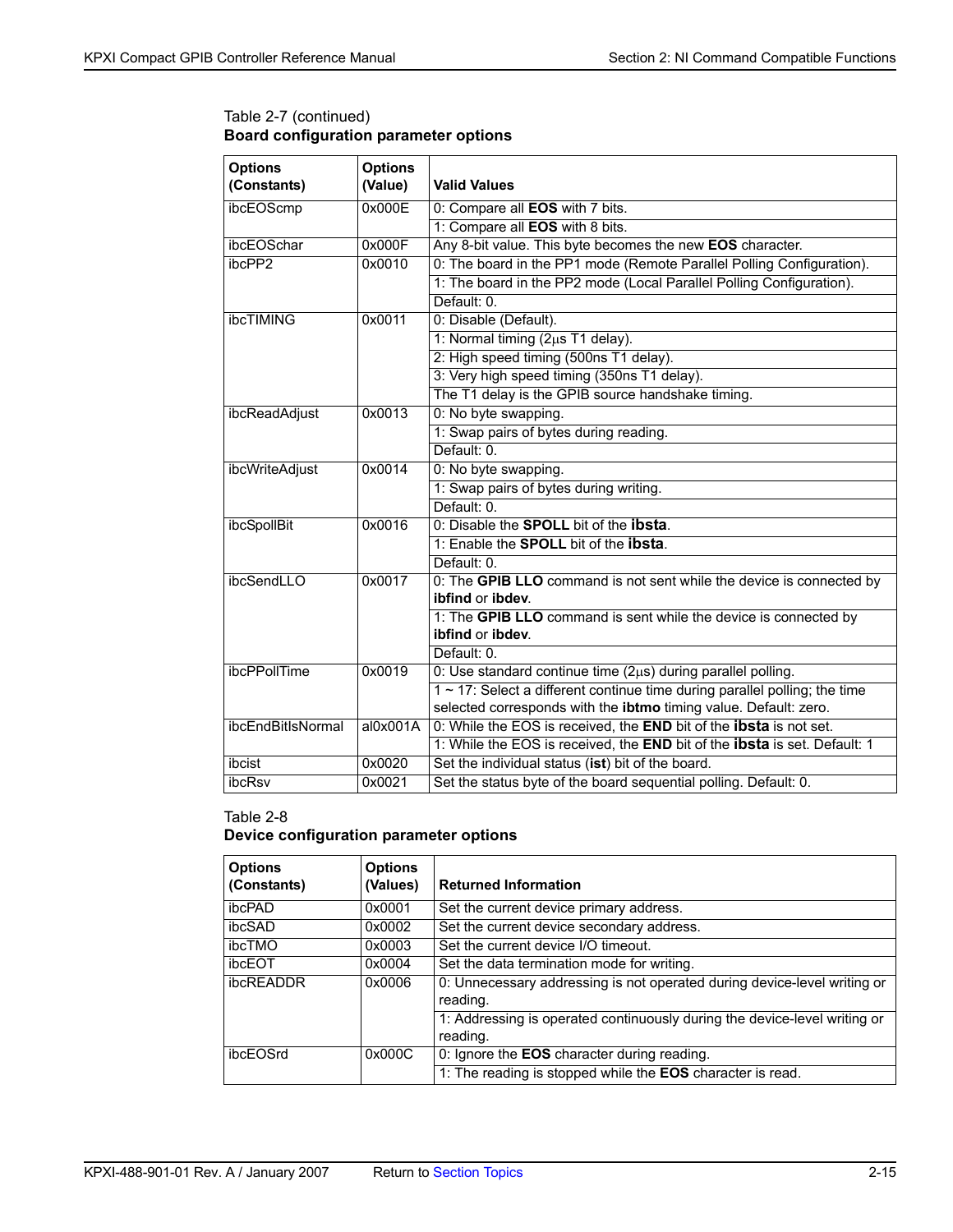| Parameters | <b>ud</b> : device unit descriptor                                        |
|------------|---------------------------------------------------------------------------|
|            | <b>buf:</b> the buffer contains the sent command string                   |
|            | <b>cnt:</b> the number of the command bytes; the command bytes to be sent |
|            | <b>Return Value</b> The value of the <b>ibsta</b>                         |
|            | Error Codes EARG, ECIC, EDVR, EOIP, ENEB, EABO, ENOL                      |

## **ibconfig**

| Description | This command sets the value of the selected configuration item. |
|-------------|-----------------------------------------------------------------|
|             |                                                                 |

**Support Level** Board / device level

#### **Syntax Microsoft C/C++ and Borland C++**

int ibconfig (int ud, int option, int value)

#### **Visual Basic**

idconfig (ByVal ud As Integer, ByVal opt As Integer, ByVal v As Integer) As Integer

**- or -**

call ibconfig (ByVal ud As Integer, ByVal opt As Integer, ByVal v As Integer)

**Parameters ud**: board or device unit descriptor

**opt**: the configuration item that needs to be changed (valid options are shown in [Table 2-7](#page-38-0) and [Table 2-8](#page-39-0))

**v**: the value of the configuration item that needs to be changed

| The value of the <b>ibsta</b><br>Return Value |  |
|-----------------------------------------------|--|
|-----------------------------------------------|--|

**Error Codes** EARG, ECAP, EDVR, EOIP

#### <span id="page-38-0"></span>Table 2-7

#### **Board configuration parameter options**

| <b>Options</b><br>(Constants) | <b>Options</b><br>(Value) | <b>Valid Values</b>                                                         |
|-------------------------------|---------------------------|-----------------------------------------------------------------------------|
| ibcPAD                        | 0x0001                    | Set the board current primary address.                                      |
| ibcSAD                        | 0x0002                    | Set the board current secondary address.                                    |
| ibcTMO                        | 0x0003                    | Set the board current I/O timeout.                                          |
| ibcEOT                        | 0x0004                    | Set the data termination mode for writing.                                  |
| ibcPPC                        | 0x0005                    | Configure the board for parallel polling. Default: zero.                    |
| <b>ibcAUTOPOLL</b>            | 0x0007                    | 0: Disable the automatic sequential polling.                                |
|                               |                           | 1: Enable the automatic sequential polling.                                 |
| ibcSC                         | 0x000A                    | Request or release system control. The same as ibrsc.                       |
| ibcSRE                        | 0x000B                    | Control the Remote Enable (REN) line. The same as ibsre. Default: 0.        |
| ibcEOSrd                      | 0x000C                    | 0: Ignore the EOS character during reading.                                 |
|                               |                           | 1: The reading is stopped while the EOS character is read.                  |
| ibcEOSwrt                     | 0x000D                    | 0: The EOI line is not set to enable while the EOS character is sent during |
|                               |                           | writing.                                                                    |
|                               |                           | 1: The EOI line is set to enable while the EOS character is sent during     |
|                               |                           | writing.                                                                    |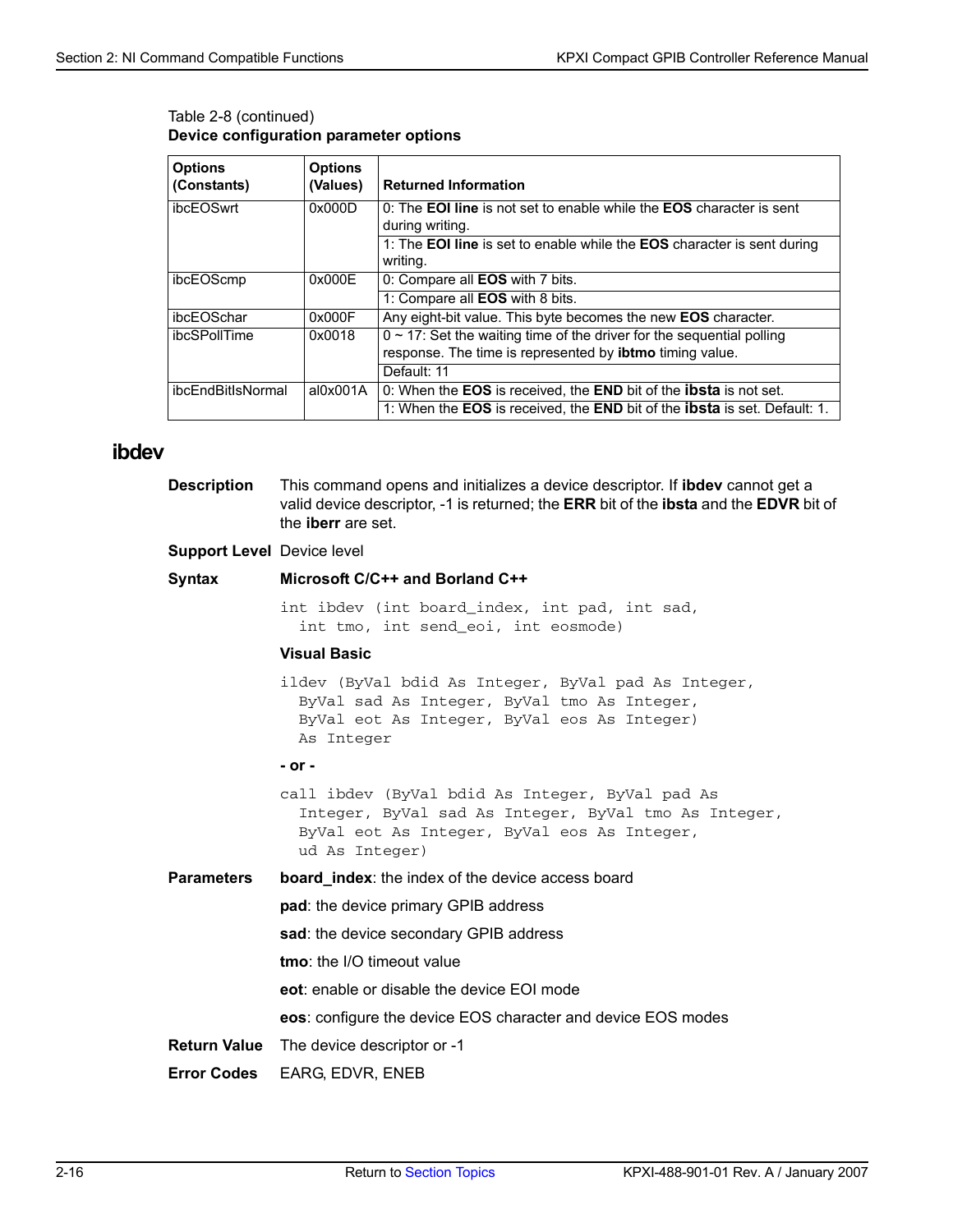| Table 2-7 (continued)                        |
|----------------------------------------------|
| <b>Board configuration parameter options</b> |

| <b>Options</b><br>(Constants) | <b>Options</b><br>(Value) | <b>Valid Values</b>                                                              |
|-------------------------------|---------------------------|----------------------------------------------------------------------------------|
| ibcEOScmp                     | 0x000E                    | 0: Compare all EOS with 7 bits.                                                  |
|                               |                           | 1: Compare all EOS with 8 bits.                                                  |
| ibcEOSchar                    | 0x000F                    | Any 8-bit value. This byte becomes the new EOS character.                        |
| ibcPP2                        | 0x0010                    | 0: The board in the PP1 mode (Remote Parallel Polling Configuration).            |
|                               |                           | 1: The board in the PP2 mode (Local Parallel Polling Configuration).             |
|                               |                           | Default: 0.                                                                      |
| <b>ibcTIMING</b>              | 0x0011                    | 0: Disable (Default).                                                            |
|                               |                           | 1: Normal timing (2µs T1 delay).                                                 |
|                               |                           | 2: High speed timing (500ns T1 delay).                                           |
|                               |                           | 3: Very high speed timing (350ns T1 delay).                                      |
|                               |                           | The T1 delay is the GPIB source handshake timing.                                |
| ibcReadAdjust                 | 0x0013                    | 0: No byte swapping.                                                             |
|                               |                           | 1: Swap pairs of bytes during reading.                                           |
|                               |                           | Default: 0.                                                                      |
| ibcWriteAdjust                | 0x0014                    | 0: No byte swapping.                                                             |
|                               |                           | 1: Swap pairs of bytes during writing.                                           |
|                               |                           | Default: 0.                                                                      |
| <i>ibcSpollBit</i>            | 0x0016                    | 0: Disable the <b>SPOLL</b> bit of the <b>ibsta</b> .                            |
|                               |                           | 1: Enable the SPOLL bit of the ibsta.                                            |
|                               |                           | Default: 0.                                                                      |
| ibcSendLLO                    | 0x0017                    | 0: The GPIB LLO command is not sent while the device is connected by             |
|                               |                           | ibfind or ibdev.                                                                 |
|                               |                           | 1: The GPIB LLO command is sent while the device is connected by                 |
|                               |                           | ibfind or ibdev.                                                                 |
|                               |                           | Default: 0.                                                                      |
| <i>ibcPPollTime</i>           | 0x0019                    | 0: Use standard continue time $(2\mu s)$ during parallel polling.                |
|                               |                           | $1 \sim 17$ : Select a different continue time during parallel polling; the time |
|                               |                           | selected corresponds with the ibtmo timing value. Default: zero.                 |
| <i>ibcEndBitIsNormal</i>      | al0x001A                  | 0: While the EOS is received, the END bit of the ibsta is not set.               |
|                               |                           | 1: While the EOS is received, the END bit of the ibsta is set. Default: 1        |
| ibcist                        | 0x0020                    | Set the individual status (ist) bit of the board.                                |
| ibcRsv                        | 0x0021                    | Set the status byte of the board sequential polling. Default: 0.                 |

### <span id="page-39-0"></span>Table 2-8 **Device configuration parameter options**

| <b>Options</b><br>(Constants) | <b>Options</b><br>(Values) | <b>Returned Information</b>                                                           |
|-------------------------------|----------------------------|---------------------------------------------------------------------------------------|
| ibcPAD                        | 0x0001                     | Set the current device primary address.                                               |
| ibcSAD                        | 0x0002                     | Set the current device secondary address.                                             |
| ibcTMO                        | 0x0003                     | Set the current device I/O timeout.                                                   |
| ibcEOT                        | 0x0004                     | Set the data termination mode for writing.                                            |
| ibcREADDR                     | 0x0006                     | 0: Unnecessary addressing is not operated during device-level writing or<br>reading.  |
|                               |                            | 1: Addressing is operated continuously during the device-level writing or<br>reading. |
| ibcEOSrd                      | 0x000C                     | 0: Ignore the EOS character during reading.                                           |
|                               |                            | 1: The reading is stopped while the EOS character is read.                            |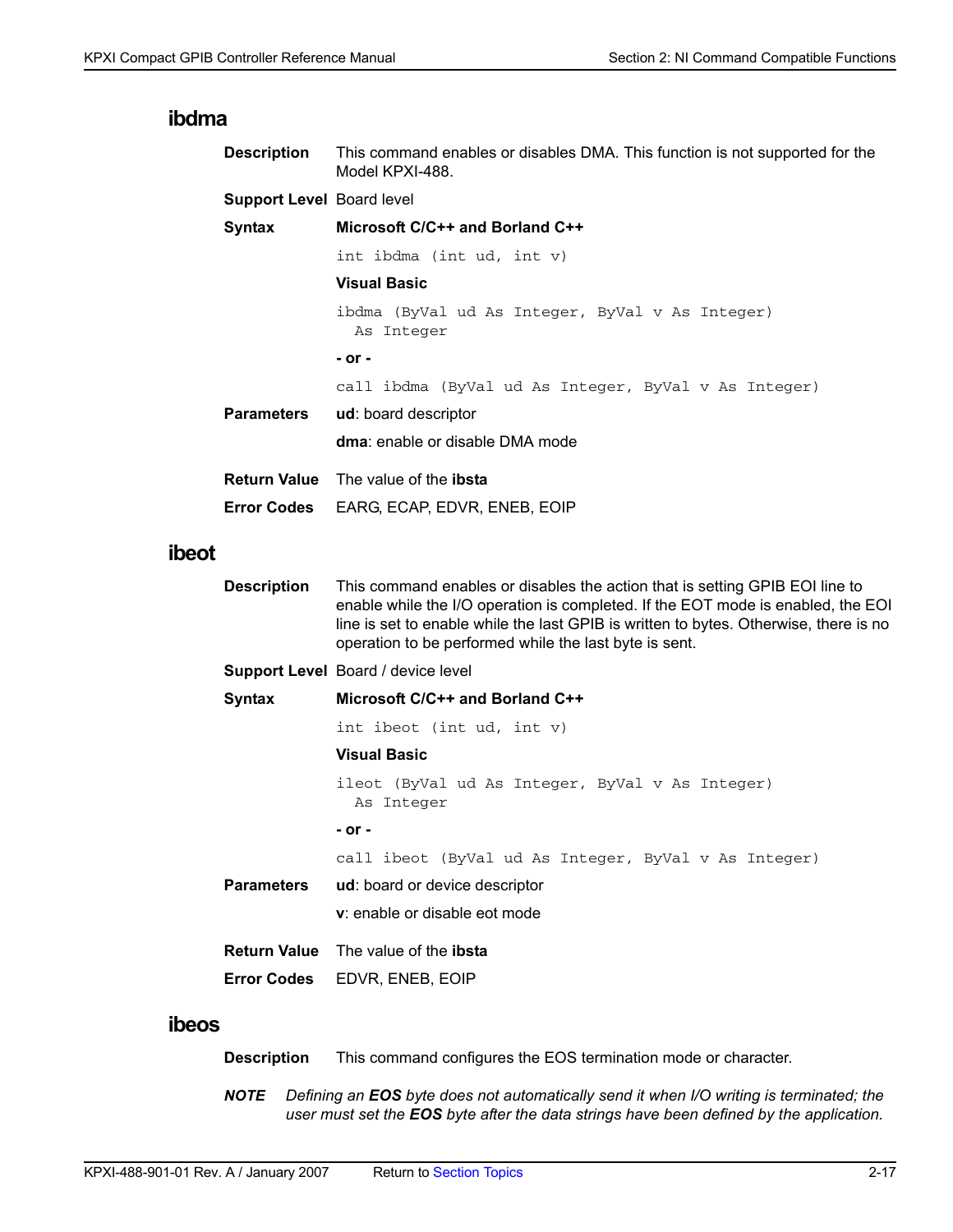| <b>Options</b><br>(Constants) | <b>Options</b><br>(Values) | <b>Returned Information</b>                                                                                                             |
|-------------------------------|----------------------------|-----------------------------------------------------------------------------------------------------------------------------------------|
| ibcEOSwrt                     | 0x000D                     | 0: The <b>EOI line</b> is not set to enable while the <b>EOS</b> character is sent<br>during writing.                                   |
|                               |                            | 1: The <b>EOI line</b> is set to enable while the <b>EOS</b> character is sent during<br>writing.                                       |
| ibcEOScmp                     | 0x000E                     | 0: Compare all <b>EOS</b> with 7 bits.                                                                                                  |
|                               |                            | 1: Compare all EOS with 8 bits.                                                                                                         |
| ibcEOSchar                    | 0x000F                     | Any eight-bit value. This byte becomes the new <b>EOS</b> character.                                                                    |
| ibcSPollTime                  | 0x0018                     | $0 \sim 17$ : Set the waiting time of the driver for the sequential polling<br>response. The time is represented by ibtmo timing value. |
|                               |                            | Default: 11                                                                                                                             |
| ibcEndBitIsNormal             | al0x001A                   | 0: When the <b>EOS</b> is received, the <b>END</b> bit of the <b>ibsta</b> is not set.                                                  |
|                               |                            | 1: When the <b>EOS</b> is received, the <b>END</b> bit of the <b>ibsta</b> is set. Default: 1.                                          |

### Table 2-8 (continued) **Device configuration parameter options**

## **ibdev**

| <b>Description</b>                | This command opens and initializes a device descriptor. If <b>ibdev</b> cannot get a<br>valid device descriptor, -1 is returned; the ERR bit of the ibsta and the EDVR bit of<br>the <b>iberr</b> are set. |  |  |  |
|-----------------------------------|------------------------------------------------------------------------------------------------------------------------------------------------------------------------------------------------------------|--|--|--|
| <b>Support Level Device level</b> |                                                                                                                                                                                                            |  |  |  |
| <b>Syntax</b>                     | Microsoft C/C++ and Borland C++                                                                                                                                                                            |  |  |  |
|                                   | int ibdev (int board_index, int pad, int sad,<br>int tmo, int send eoi, int eosmode)                                                                                                                       |  |  |  |
|                                   | <b>Visual Basic</b>                                                                                                                                                                                        |  |  |  |
|                                   | ildev (ByVal bdid As Integer, ByVal pad As Integer,<br>ByVal sad As Integer, ByVal tmo As Integer,<br>ByVal eot As Integer, ByVal eos As Integer)<br>As Integer                                            |  |  |  |
|                                   | - or -                                                                                                                                                                                                     |  |  |  |
|                                   | call ibdev (ByVal bdid As Integer, ByVal pad As<br>Integer, ByVal sad As Integer, ByVal tmo As Integer,<br>ByVal eot As Integer, ByVal eos As Integer,<br>ud As Integer)                                   |  |  |  |
| <b>Parameters</b>                 | board_index: the index of the device access board                                                                                                                                                          |  |  |  |
|                                   | pad: the device primary GPIB address                                                                                                                                                                       |  |  |  |
|                                   | sad: the device secondary GPIB address                                                                                                                                                                     |  |  |  |
|                                   | tmo: the I/O timeout value                                                                                                                                                                                 |  |  |  |
|                                   | eot: enable or disable the device EOI mode                                                                                                                                                                 |  |  |  |
|                                   | eos: configure the device EOS character and device EOS modes                                                                                                                                               |  |  |  |
|                                   | Return Value The device descriptor or -1                                                                                                                                                                   |  |  |  |
| <b>Error Codes</b>                | <b>EARG, EDVR, ENEB</b>                                                                                                                                                                                    |  |  |  |
|                                   |                                                                                                                                                                                                            |  |  |  |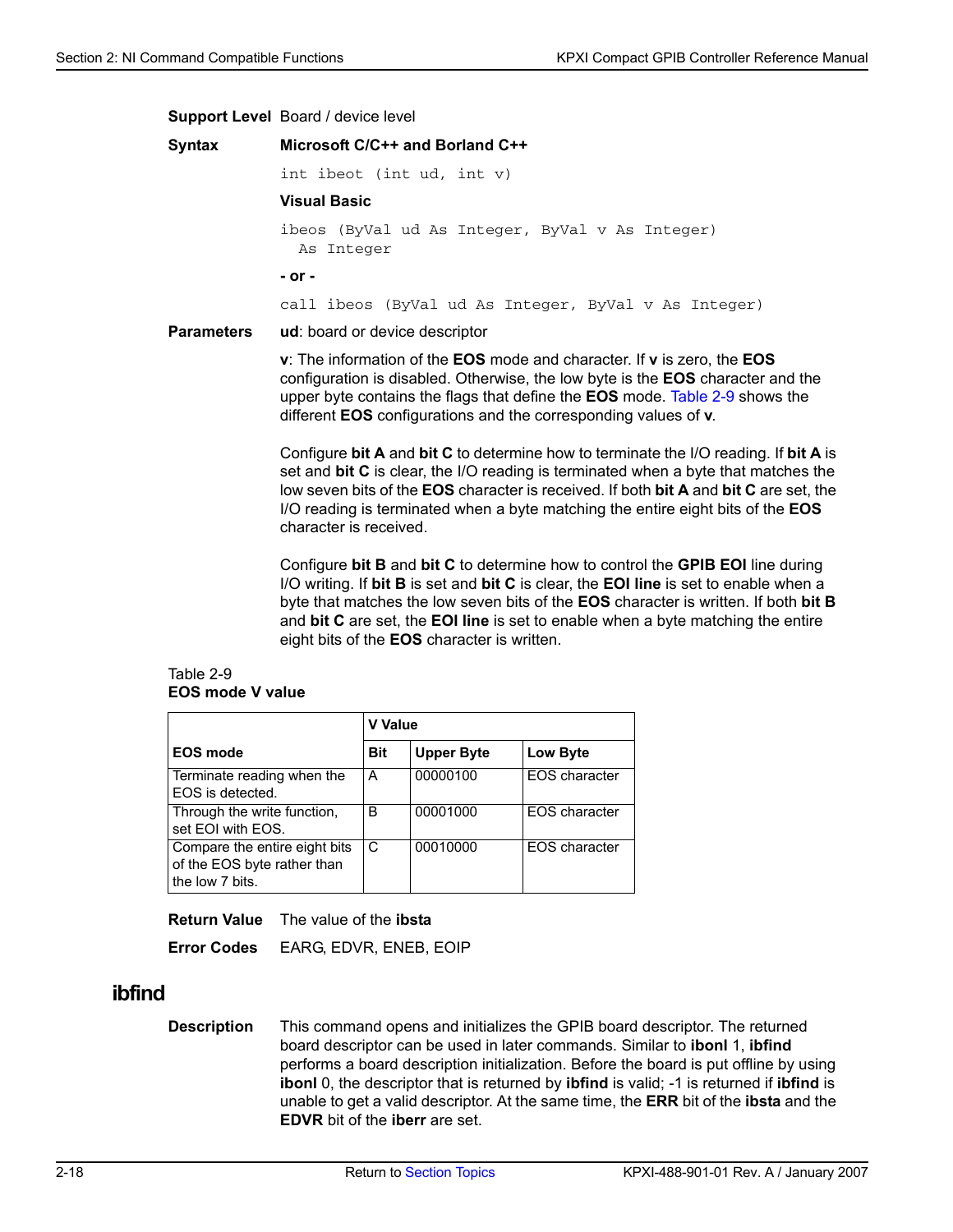### **ibdma**

|       | <b>Description</b>        | This command enables or disables DMA. This function is not supported for the<br>Model KPXI-488.                                                                                                                                                                                                                     |
|-------|---------------------------|---------------------------------------------------------------------------------------------------------------------------------------------------------------------------------------------------------------------------------------------------------------------------------------------------------------------|
|       | Support Level Board level |                                                                                                                                                                                                                                                                                                                     |
|       | <b>Syntax</b>             | Microsoft C/C++ and Borland C++                                                                                                                                                                                                                                                                                     |
|       |                           | int ibdma (int ud, int v)                                                                                                                                                                                                                                                                                           |
|       |                           | <b>Visual Basic</b>                                                                                                                                                                                                                                                                                                 |
|       |                           | ibdma (ByVal ud As Integer, ByVal v As Integer)<br>As Integer                                                                                                                                                                                                                                                       |
|       |                           | - or -                                                                                                                                                                                                                                                                                                              |
|       |                           | call ibdma (ByVal ud As Integer, ByVal v As Integer)                                                                                                                                                                                                                                                                |
|       | <b>Parameters</b>         | ud: board descriptor                                                                                                                                                                                                                                                                                                |
|       |                           | dma: enable or disable DMA mode                                                                                                                                                                                                                                                                                     |
|       |                           | <b>Return Value</b> The value of the <b>ibsta</b>                                                                                                                                                                                                                                                                   |
|       | <b>Error Codes</b>        | EARG, ECAP, EDVR, ENEB, EOIP                                                                                                                                                                                                                                                                                        |
|       |                           |                                                                                                                                                                                                                                                                                                                     |
| ibeot |                           |                                                                                                                                                                                                                                                                                                                     |
|       | <b>Description</b>        | This command enables or disables the action that is setting GPIB EOI line to<br>enable while the I/O operation is completed. If the EOT mode is enabled, the EOI<br>line is set to enable while the last GPIB is written to bytes. Otherwise, there is no<br>operation to be performed while the last byte is sent. |
|       |                           | Support Level Board / device level                                                                                                                                                                                                                                                                                  |
|       | <b>Syntax</b>             | Microsoft C/C++ and Borland C++                                                                                                                                                                                                                                                                                     |
|       |                           | int ibeot (int ud, int v)                                                                                                                                                                                                                                                                                           |
|       |                           | <b>Visual Basic</b>                                                                                                                                                                                                                                                                                                 |
|       |                           | ileot (ByVal ud As Integer, ByVal v As Integer)<br>As Integer                                                                                                                                                                                                                                                       |
|       |                           | - or -                                                                                                                                                                                                                                                                                                              |
|       |                           | call ibeot (ByVal ud As Integer, ByVal v As Integer)                                                                                                                                                                                                                                                                |
|       | <b>Parameters</b>         | ud: board or device descriptor                                                                                                                                                                                                                                                                                      |
|       |                           | v: enable or disable eot mode                                                                                                                                                                                                                                                                                       |
|       | <b>Return Value</b>       | The value of the <b>ibsta</b>                                                                                                                                                                                                                                                                                       |
|       | <b>Error Codes</b>        | EDVR, ENEB, EOIP                                                                                                                                                                                                                                                                                                    |
|       |                           |                                                                                                                                                                                                                                                                                                                     |

## **ibeos**

**Description** This command configures the EOS termination mode or character.

*NOTE Defining an EOS byte does not automatically send it when I/O writing is terminated; the user must set the EOS byte after the data strings have been defined by the application.*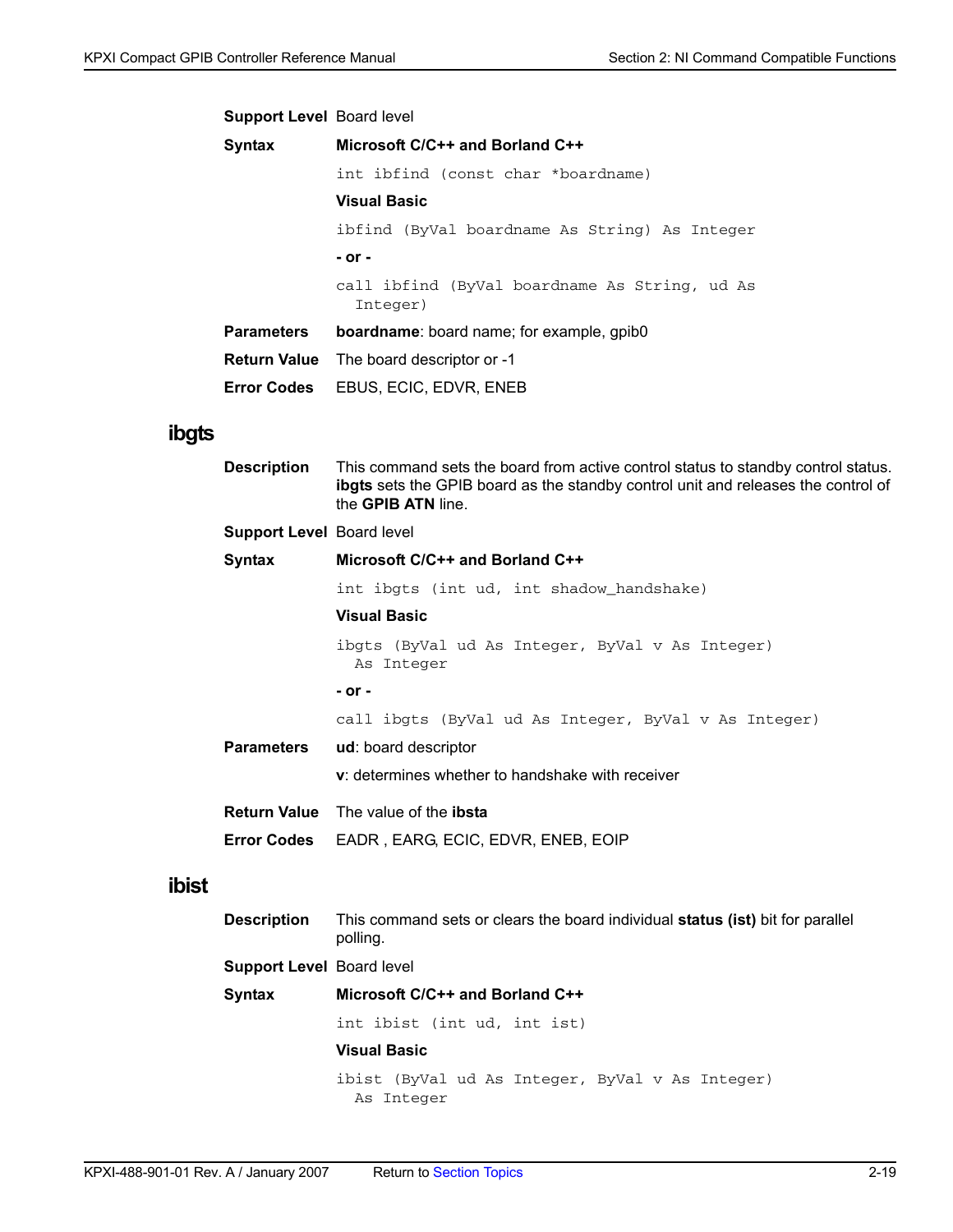#### **Support Level** Board / device level

| Syntax              | Microsoft C/C++ and Borland C++                               |  |  |
|---------------------|---------------------------------------------------------------|--|--|
|                     | int ibeot (int ud, int v)                                     |  |  |
|                     | <b>Visual Basic</b>                                           |  |  |
|                     | ibeos (ByVal ud As Integer, ByVal v As Integer)<br>As Integer |  |  |
|                     | - or -                                                        |  |  |
|                     | call ibeos (ByVal ud As Integer, ByVal v As Integer)          |  |  |
| <b>Densey Atsus</b> | المتحالم فمتحاط والمتحامل والمتارين والمتحارب والمتارين       |  |  |

**Parameters** ud: board or device descriptor

**v**: The information of the **EOS** mode and character. If **v** is zero, the **EOS** configuration is disabled. Otherwise, the low byte is the **EOS** character and the upper byte contains the flags that define the **EOS** mode. [Table 2-9](#page-42-0) shows the different **EOS** configurations and the corresponding values of **v**.

Configure **bit A** and **bit C** to determine how to terminate the I/O reading. If **bit A** is set and **bit C** is clear, the I/O reading is terminated when a byte that matches the low seven bits of the **EOS** character is received. If both **bit A** and **bit C** are set, the I/O reading is terminated when a byte matching the entire eight bits of the **EOS** character is received.

Configure **bit B** and **bit C** to determine how to control the **GPIB EOI** line during I/O writing. If **bit B** is set and **bit C** is clear, the **EOI line** is set to enable when a byte that matches the low seven bits of the **EOS** character is written. If both **bit B** and **bit C** are set, the **EOI line** is set to enable when a byte matching the entire eight bits of the **EOS** character is written.

#### <span id="page-42-0"></span>Table 2-9 **EOS mode V value**

|                                                                                 | V Value    |                   |                      |  |
|---------------------------------------------------------------------------------|------------|-------------------|----------------------|--|
| <b>EOS mode</b>                                                                 | <b>Bit</b> | <b>Upper Byte</b> | Low Byte             |  |
| Terminate reading when the<br>EOS is detected.                                  | A          | 00000100          | <b>EOS</b> character |  |
| Through the write function,<br>set EOI with EOS.                                | в          | 00001000          | <b>EOS</b> character |  |
| Compare the entire eight bits<br>of the EOS byte rather than<br>the low 7 bits. | C          | 00010000          | <b>EOS</b> character |  |

**Return Value** The value of the **ibsta**

**Error Codes** EARG, EDVR, ENEB, EOIP

## **ibfind**

**Description** This command opens and initializes the GPIB board descriptor. The returned board descriptor can be used in later commands. Similar to **ibonl** 1, **ibfind** performs a board description initialization. Before the board is put offline by using **ibonl** 0, the descriptor that is returned by **ibfind** is valid; -1 is returned if **ibfind** is unable to get a valid descriptor. At the same time, the **ERR** bit of the **ibsta** and the **EDVR** bit of the **iberr** are set.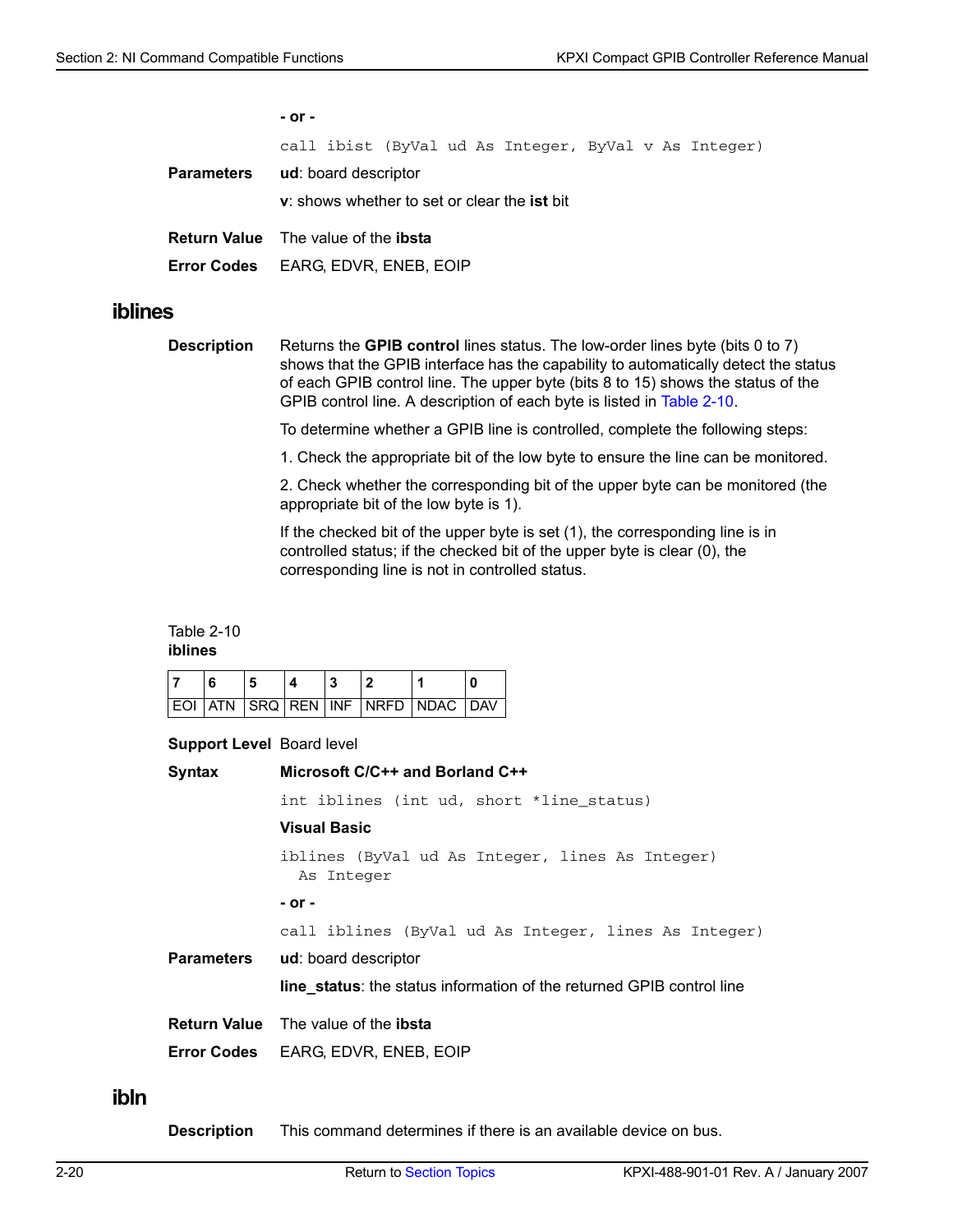| <b>Support Level Board level</b> |                                                           |
|----------------------------------|-----------------------------------------------------------|
| <b>Syntax</b>                    | Microsoft C/C++ and Borland C++                           |
|                                  | int ibfind (const char *boardname)                        |
|                                  | <b>Visual Basic</b>                                       |
|                                  | ibfind (ByVal boardname As String) As Integer             |
|                                  | - or -                                                    |
|                                  | call ibfind (ByVal boardname As String, ud As<br>Integer) |
| <b>Parameters</b>                | <b>boardname:</b> board name; for example, gpib0          |
|                                  | <b>Return Value</b> The board descriptor or -1            |
|                                  | <b>Error Codes</b> EBUS, ECIC, EDVR, ENEB                 |
|                                  |                                                           |

# **ibgts**

| <b>Description</b>               | This command sets the board from active control status to standby control status.<br><b>ibgts</b> sets the GPIB board as the standby control unit and releases the control of<br>the <b>GPIB ATN</b> line. |  |  |
|----------------------------------|------------------------------------------------------------------------------------------------------------------------------------------------------------------------------------------------------------|--|--|
| <b>Support Level Board level</b> |                                                                                                                                                                                                            |  |  |
| Syntax                           | Microsoft C/C++ and Borland C++                                                                                                                                                                            |  |  |
|                                  | int ibgts (int ud, int shadow_handshake)                                                                                                                                                                   |  |  |
|                                  | <b>Visual Basic</b>                                                                                                                                                                                        |  |  |
|                                  | ibgts (ByVal ud As Integer, ByVal v As Integer)<br>As Integer                                                                                                                                              |  |  |
|                                  | - or -                                                                                                                                                                                                     |  |  |
|                                  | call ibgts (ByVal ud As Integer, ByVal v As Integer)                                                                                                                                                       |  |  |
| <b>Parameters</b>                | ud: board descriptor                                                                                                                                                                                       |  |  |
|                                  | <b>v</b> : determines whether to handshake with receiver                                                                                                                                                   |  |  |
|                                  | <b>Return Value</b> The value of the <b>ibsta</b>                                                                                                                                                          |  |  |
| <b>Error Codes</b>               | EADR , EARG, ECIC, EDVR, ENEB, EOIP                                                                                                                                                                        |  |  |
|                                  |                                                                                                                                                                                                            |  |  |

## **ibist**

| <b>Description</b>               | This command sets or clears the board individual status (ist) bit for parallel<br>polling. |  |  |
|----------------------------------|--------------------------------------------------------------------------------------------|--|--|
| <b>Support Level Board level</b> |                                                                                            |  |  |
| Syntax                           | Microsoft C/C++ and Borland C++                                                            |  |  |
|                                  | int ibist (int ud, int ist)                                                                |  |  |
|                                  | <b>Visual Basic</b>                                                                        |  |  |
|                                  | ibist (ByVal ud As Integer, ByVal v As Integer)<br>As Integer                              |  |  |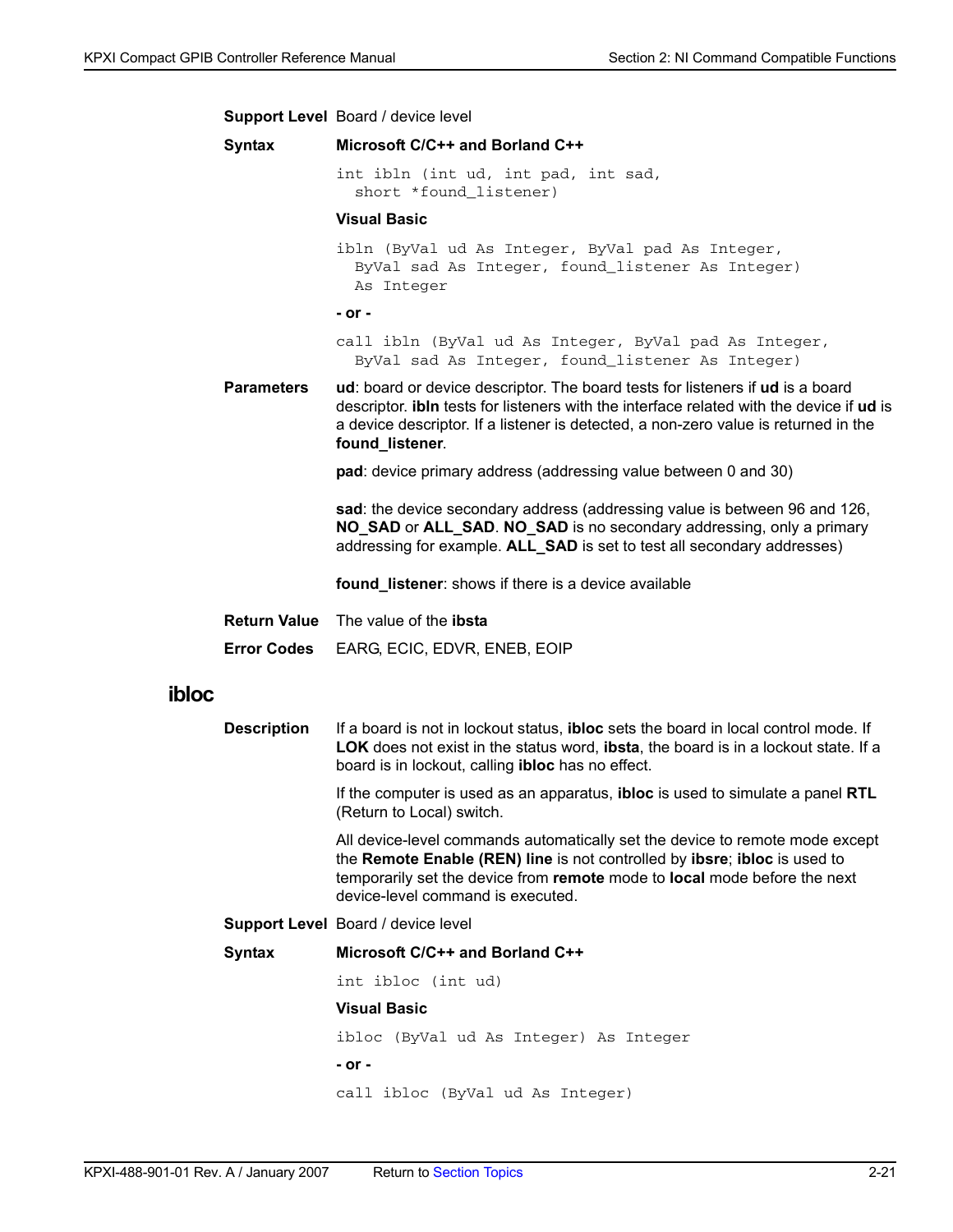|                   | $-$ or $-$                                           |  |
|-------------------|------------------------------------------------------|--|
|                   | call ibist (ByVal ud As Integer, ByVal v As Integer) |  |
| <b>Parameters</b> | ud: board descriptor                                 |  |
|                   | v: shows whether to set or clear the <b>ist</b> bit  |  |
|                   | <b>Return Value</b> The value of the <b>ibsta</b>    |  |
|                   | <b>Error Codes</b> EARG, EDVR, ENEB, EOIP            |  |
|                   |                                                      |  |

## **iblines**

**Description** Returns the **GPIB control** lines status. The low-order lines byte (bits 0 to 7) shows that the GPIB interface has the capability to automatically detect the status of each GPIB control line. The upper byte (bits 8 to 15) shows the status of the GPIB control line. A description of each byte is listed in [Table 2-10.](#page-44-0)

To determine whether a GPIB line is controlled, complete the following steps:

1. Check the appropriate bit of the low byte to ensure the line can be monitored.

2. Check whether the corresponding bit of the upper byte can be monitored (the appropriate bit of the low byte is 1).

If the checked bit of the upper byte is set (1), the corresponding line is in controlled status; if the checked bit of the upper byte is clear (0), the corresponding line is not in controlled status.

#### <span id="page-44-0"></span>Table 2-10 **iblines**

| 17 | <b>16</b> |  |  |                                   |  |
|----|-----------|--|--|-----------------------------------|--|
|    |           |  |  | EOI ATN SRQ REN INF NRFD NDAC DAV |  |

#### **Support Level** Board level

| Syntax | Microsoft C/C++ and Borland C++                                              |  |
|--------|------------------------------------------------------------------------------|--|
|        | int iblines (int ud, short *line status)                                     |  |
|        | <b>Visual Basic</b>                                                          |  |
|        | iblines (ByVal ud As Integer, lines As Integer)<br>As Integer                |  |
|        | - or -                                                                       |  |
|        | call iblines (ByVal ud As Integer, lines As Integer)                         |  |
|        | <b>Parameters</b> ud: board descriptor                                       |  |
|        | <b>line status:</b> the status information of the returned GPIB control line |  |
|        | <b>Return Value</b> The value of the <b>ibsta</b>                            |  |
|        | Error Codes EARG, EDVR, ENEB, EOIP                                           |  |
|        |                                                                              |  |

## **ibln**

**Description** This command determines if there is an available device on bus.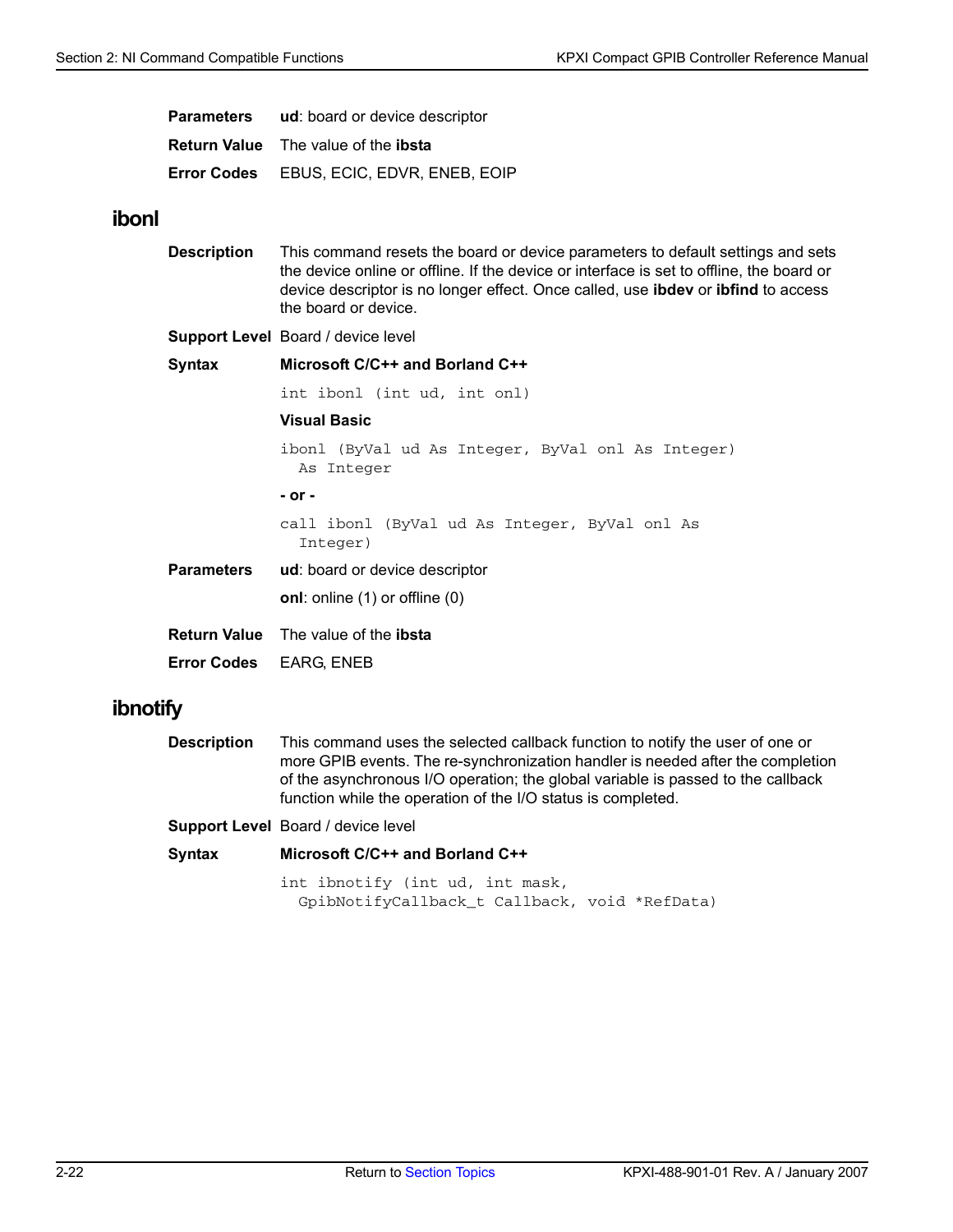**Support Level** Board / device level

|       | <b>Syntax</b>       | Microsoft C/C++ and Borland C++                                                                                                                                                                                                                                                             |
|-------|---------------------|---------------------------------------------------------------------------------------------------------------------------------------------------------------------------------------------------------------------------------------------------------------------------------------------|
|       |                     | int ibln (int ud, int pad, int sad,<br>short *found_listener)                                                                                                                                                                                                                               |
|       |                     | <b>Visual Basic</b>                                                                                                                                                                                                                                                                         |
|       |                     | ibln (ByVal ud As Integer, ByVal pad As Integer,<br>ByVal sad As Integer, found_listener As Integer)<br>As Integer                                                                                                                                                                          |
|       |                     | - or -                                                                                                                                                                                                                                                                                      |
|       |                     | call ibln (ByVal ud As Integer, ByVal pad As Integer,<br>ByVal sad As Integer, found_listener As Integer)                                                                                                                                                                                   |
|       | <b>Parameters</b>   | ud: board or device descriptor. The board tests for listeners if ud is a board<br>descriptor. <b>ibln</b> tests for listeners with the interface related with the device if ud is<br>a device descriptor. If a listener is detected, a non-zero value is returned in the<br>found_listener. |
|       |                     | pad: device primary address (addressing value between 0 and 30)                                                                                                                                                                                                                             |
|       |                     | sad: the device secondary address (addressing value is between 96 and 126,<br>NO_SAD or ALL_SAD. NO_SAD is no secondary addressing, only a primary<br>addressing for example. ALL_SAD is set to test all secondary addresses)                                                               |
|       |                     | found_listener: shows if there is a device available                                                                                                                                                                                                                                        |
|       | <b>Return Value</b> | The value of the <b>ibsta</b>                                                                                                                                                                                                                                                               |
|       | <b>Error Codes</b>  | EARG, ECIC, EDVR, ENEB, EOIP                                                                                                                                                                                                                                                                |
| ibloc |                     |                                                                                                                                                                                                                                                                                             |
|       | <b>Description</b>  | If a board is not in lockout status, ibloc sets the board in local control mode. If<br>LOK does not exist in the status word, ibsta, the board is in a lockout state. If a<br>board is in lockout, calling ibloc has no effect.                                                             |
|       |                     |                                                                                                                                                                                                                                                                                             |

If the computer is used as an apparatus, **ibloc** is used to simulate a panel **RTL** (Return to Local) switch.

All device-level commands automatically set the device to remote mode except the **Remote Enable (REN) line** is not controlled by **ibsre**; **ibloc** is used to temporarily set the device from **remote** mode to **local** mode before the next device-level command is executed.

#### **Support Level** Board / device level

**Syntax Microsoft C/C++ and Borland C++**

int ibloc (int ud)

#### **Visual Basic**

ibloc (ByVal ud As Integer) As Integer **- or**  call ibloc (ByVal ud As Integer)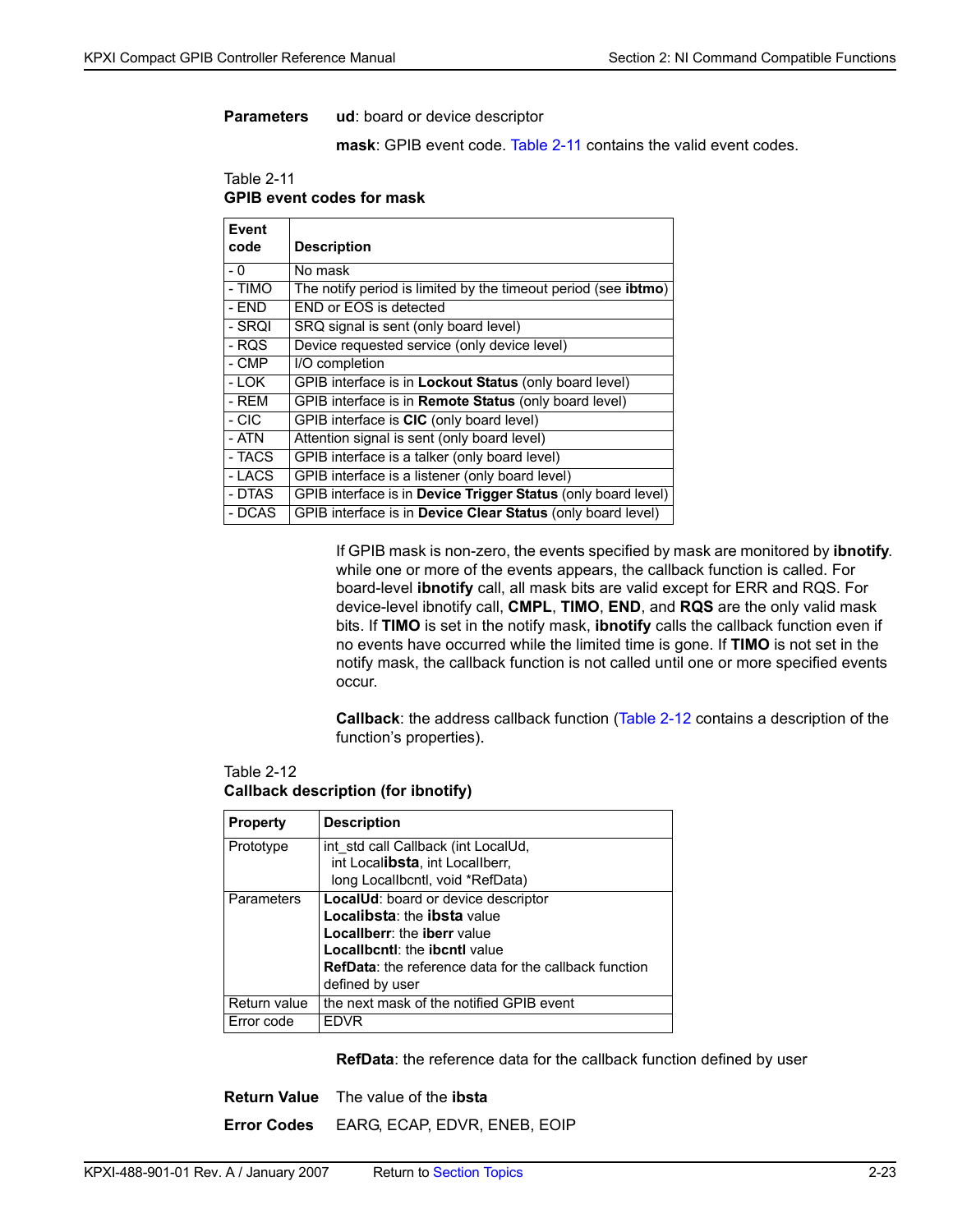| Parameters | ud: board or device descriptor                    |
|------------|---------------------------------------------------|
|            | <b>Return Value</b> The value of the <b>ibsta</b> |
|            | Error Codes EBUS, ECIC, EDVR, ENEB, EOIP          |

## **ibonl**

| <b>Description</b> | This command resets the board or device parameters to default settings and sets<br>the device online or offline. If the device or interface is set to offline, the board or<br>device descriptor is no longer effect. Once called, use <b>ibdev</b> or <b>ibfind</b> to access<br>the board or device. |
|--------------------|--------------------------------------------------------------------------------------------------------------------------------------------------------------------------------------------------------------------------------------------------------------------------------------------------------|
|                    | <b>Support Level</b> Board / device level                                                                                                                                                                                                                                                              |
| <b>Syntax</b>      | Microsoft C/C++ and Borland C++                                                                                                                                                                                                                                                                        |
|                    | int ibonl (int ud, int onl)                                                                                                                                                                                                                                                                            |
|                    | <b>Visual Basic</b>                                                                                                                                                                                                                                                                                    |
|                    | ibonl (ByVal ud As Integer, ByVal onl As Integer)<br>As Integer                                                                                                                                                                                                                                        |
|                    | - or -                                                                                                                                                                                                                                                                                                 |
|                    | call ibonl (ByVal ud As Integer, ByVal onl As<br>Integer)                                                                                                                                                                                                                                              |
| <b>Parameters</b>  | ud: board or device descriptor                                                                                                                                                                                                                                                                         |
|                    | onl: online $(1)$ or offline $(0)$                                                                                                                                                                                                                                                                     |
|                    | <b>Return Value</b> The value of the <b>ibsta</b>                                                                                                                                                                                                                                                      |
| <b>Error Codes</b> | EARG, ENEB                                                                                                                                                                                                                                                                                             |

## **ibnotify**

| <b>Description</b> | This command uses the selected callback function to notify the user of one or    |
|--------------------|----------------------------------------------------------------------------------|
|                    | more GPIB events. The re-synchronization handler is needed after the completion  |
|                    | of the asynchronous I/O operation; the global variable is passed to the callback |
|                    | function while the operation of the I/O status is completed.                     |

### **Support Level** Board / device level

### **Syntax Microsoft C/C++ and Borland C++**

int ibnotify (int ud, int mask, GpibNotifyCallback\_t Callback, void \*RefData)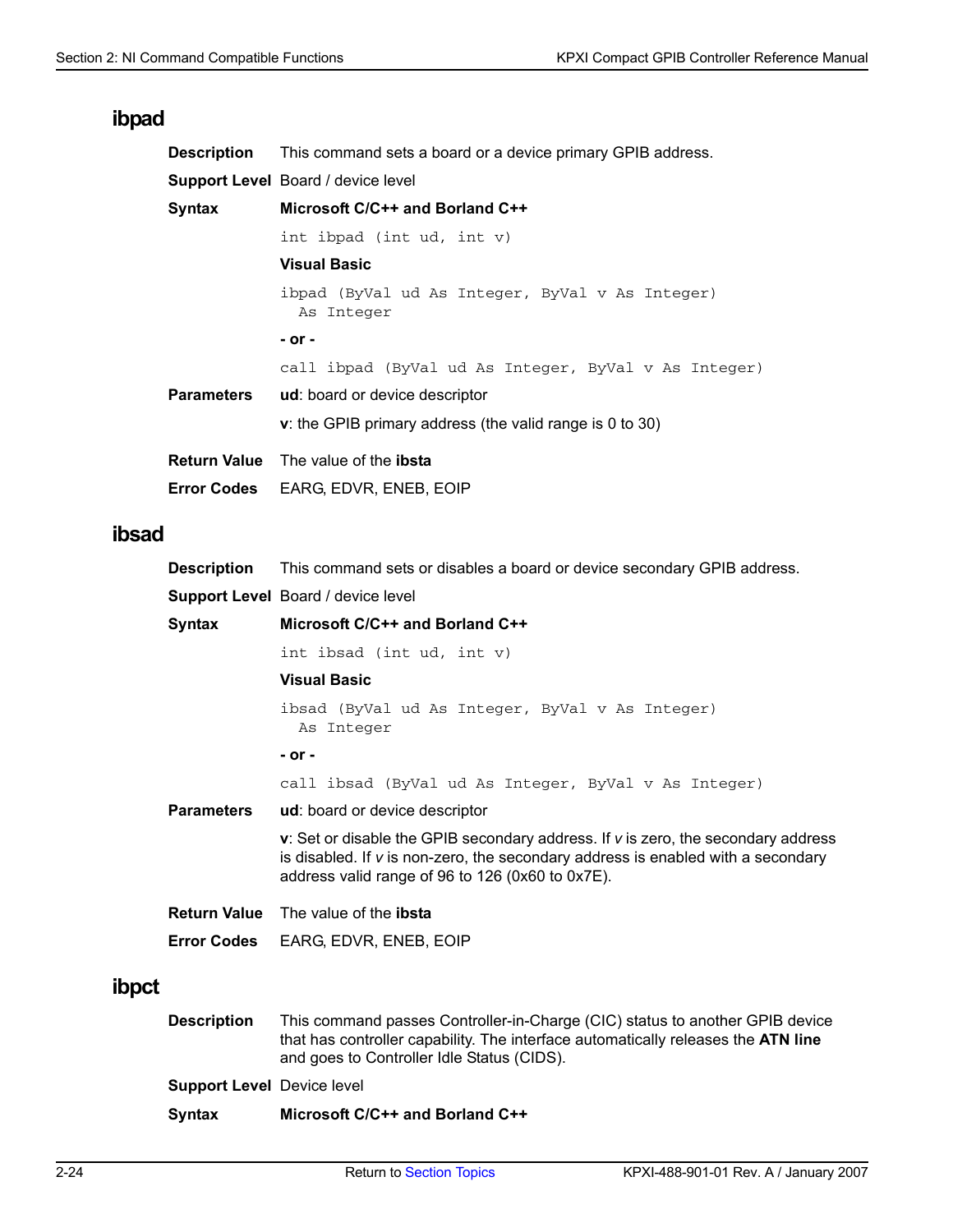**Parameters ud**: board or device descriptor

**mask**: GPIB event code. [Table 2-11](#page-47-0) contains the valid event codes.

<span id="page-47-0"></span>Table 2-11 **GPIB event codes for mask** 

| Event<br>code | <b>Description</b>                                             |
|---------------|----------------------------------------------------------------|
| - 0           | No mask                                                        |
| - TIMO        | The notify period is limited by the timeout period (see ibtmo) |
| - END         | END or EOS is detected                                         |
| - SRQI        | SRQ signal is sent (only board level)                          |
| - ROS         | Device requested service (only device level)                   |
| - CMP         | I/O completion                                                 |
| $-LOK$        | GPIB interface is in Lockout Status (only board level)         |
| - REM         | GPIB interface is in Remote Status (only board level)          |
| $-$ CIC       | GPIB interface is CIC (only board level)                       |
| - ATN         | Attention signal is sent (only board level)                    |
| - TACS        | GPIB interface is a talker (only board level)                  |
| - LACS        | GPIB interface is a listener (only board level)                |
| - DTAS        | GPIB interface is in Device Trigger Status (only board level)  |
| - DCAS        | GPIB interface is in Device Clear Status (only board level)    |

If GPIB mask is non-zero, the events specified by mask are monitored by **ibnotify**. while one or more of the events appears, the callback function is called. For board-level **ibnotify** call, all mask bits are valid except for ERR and RQS. For device-level ibnotify call, **CMPL**, **TIMO**, **END**, and **RQS** are the only valid mask bits. If **TIMO** is set in the notify mask, **ibnotify** calls the callback function even if no events have occurred while the limited time is gone. If **TIMO** is not set in the notify mask, the callback function is not called until one or more specified events occur.

**Callback**: the address callback function ([Table 2-12](#page-47-1) contains a description of the function's properties).

<span id="page-47-1"></span>Table 2-12 **Callback description (for ibnotify)**

| <b>Property</b> | <b>Description</b>                                                                                                                                                                                                                  |
|-----------------|-------------------------------------------------------------------------------------------------------------------------------------------------------------------------------------------------------------------------------------|
| Prototype       | int std call Callback (int LocalUd,<br>int Localibsta, int Localiberr,<br>long LocalIbcntl, void *RefData)                                                                                                                          |
| Parameters      | LocalUd: board or device descriptor<br>Localibsta: the ibsta value<br>Localiberr: the iberr value<br><b>Localibcntl:</b> the <b>ibcntl</b> value<br><b>RefData:</b> the reference data for the callback function<br>defined by user |
| Return value    | the next mask of the notified GPIB event                                                                                                                                                                                            |
| Error code      | FDVR                                                                                                                                                                                                                                |

#### **RefData**: the reference data for the callback function defined by user

**Return Value** The value of the **ibsta Error Codes** EARG, ECAP, EDVR, ENEB, EOIP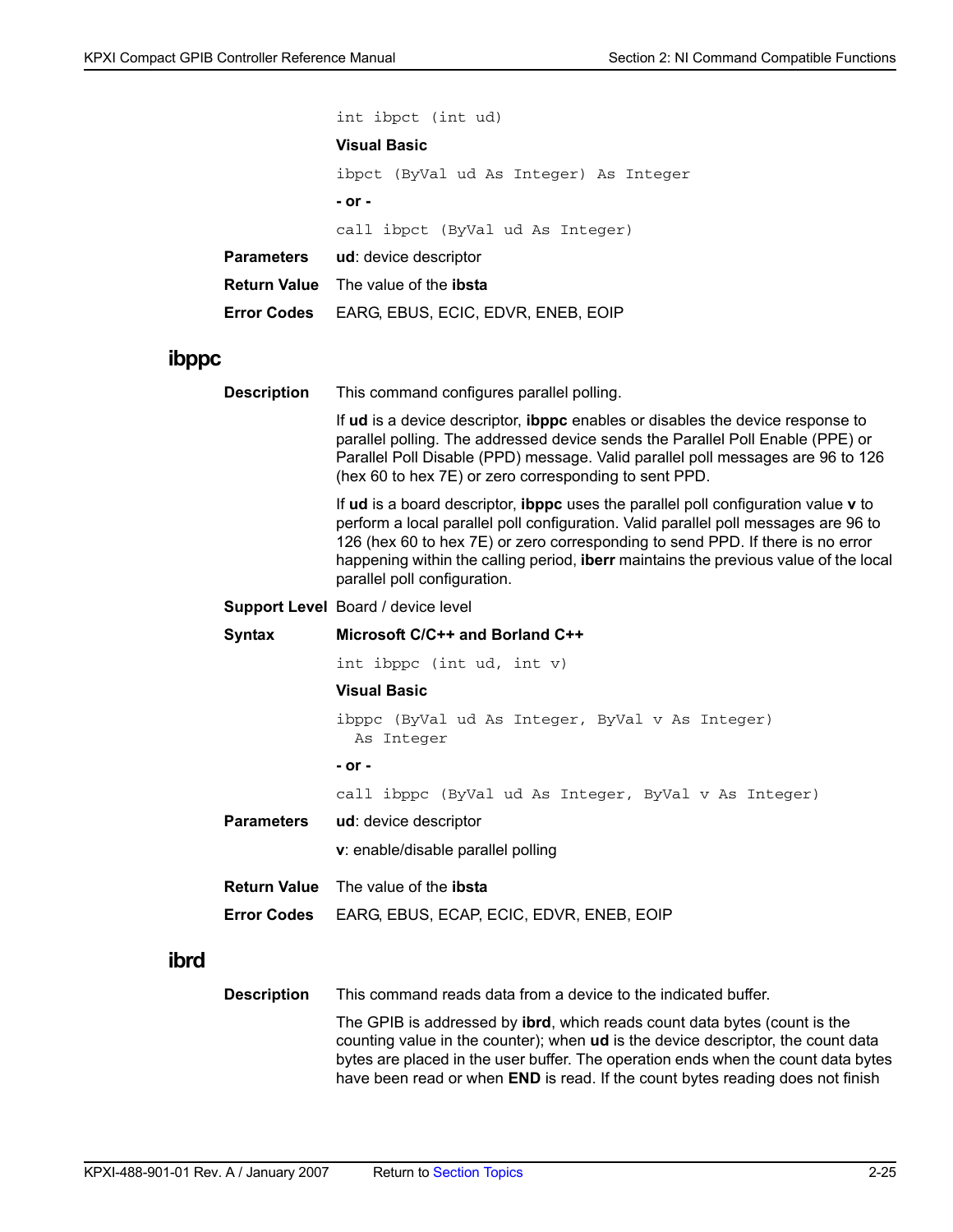## **ibpad**

|        | <b>Description</b> This command sets a board or a device primary GPIB address. |
|--------|--------------------------------------------------------------------------------|
|        | Support Level Board / device level                                             |
| Syntax | Microsoft C/C++ and Borland C++                                                |
|        | int ibpad (int ud, int v)                                                      |
|        | <b>Visual Basic</b>                                                            |
|        | ibpad (ByVal ud As Integer, ByVal v As Integer)<br>As Integer                  |
|        | - or -                                                                         |
|        | call ibpad (ByVal ud As Integer, ByVal v As Integer)                           |
|        | <b>Parameters</b> ud: board or device descriptor                               |
|        | $\mathbf v$ : the GPIB primary address (the valid range is 0 to 30)            |
|        | <b>Return Value</b> The value of the <b>ibsta</b>                              |
|        | <b>Error Codes</b> EARG, EDVR, ENEB, EOIP                                      |

## **ibsad**

| <b>Description</b> | This command sets or disables a board or device secondary GPIB address.                                                                                                                                                                            |
|--------------------|----------------------------------------------------------------------------------------------------------------------------------------------------------------------------------------------------------------------------------------------------|
|                    | <b>Support Level Board / device level</b>                                                                                                                                                                                                          |
| Syntax             | Microsoft C/C++ and Borland C++                                                                                                                                                                                                                    |
|                    | int ibsad (int ud, int v)                                                                                                                                                                                                                          |
|                    | <b>Visual Basic</b>                                                                                                                                                                                                                                |
|                    | ibsad (ByVal ud As Integer, ByVal v As Integer)<br>As Integer                                                                                                                                                                                      |
|                    | - or -                                                                                                                                                                                                                                             |
|                    | call ibsad (ByVal ud As Integer, ByVal v As Integer)                                                                                                                                                                                               |
| Parameters         | <b>ud</b> : board or device descriptor                                                                                                                                                                                                             |
|                    | $\mathbf{v}$ : Set or disable the GPIB secondary address. If $\mathbf{v}$ is zero, the secondary address<br>is disabled. If $v$ is non-zero, the secondary address is enabled with a secondary<br>address valid range of 96 to 126 (0x60 to 0x7E). |
|                    | <b>Return Value</b> The value of the <b>ibsta</b>                                                                                                                                                                                                  |
|                    | Error Codes EARG, EDVR, ENEB, EOIP                                                                                                                                                                                                                 |
|                    |                                                                                                                                                                                                                                                    |

# **ibpct**

| <b>Description</b>                | This command passes Controller-in-Charge (CIC) status to another GPIB device<br>that has controller capability. The interface automatically releases the ATN line<br>and goes to Controller Idle Status (CIDS). |
|-----------------------------------|-----------------------------------------------------------------------------------------------------------------------------------------------------------------------------------------------------------------|
| <b>Support Level</b> Device level |                                                                                                                                                                                                                 |

**Syntax Microsoft C/C++ and Borland C++**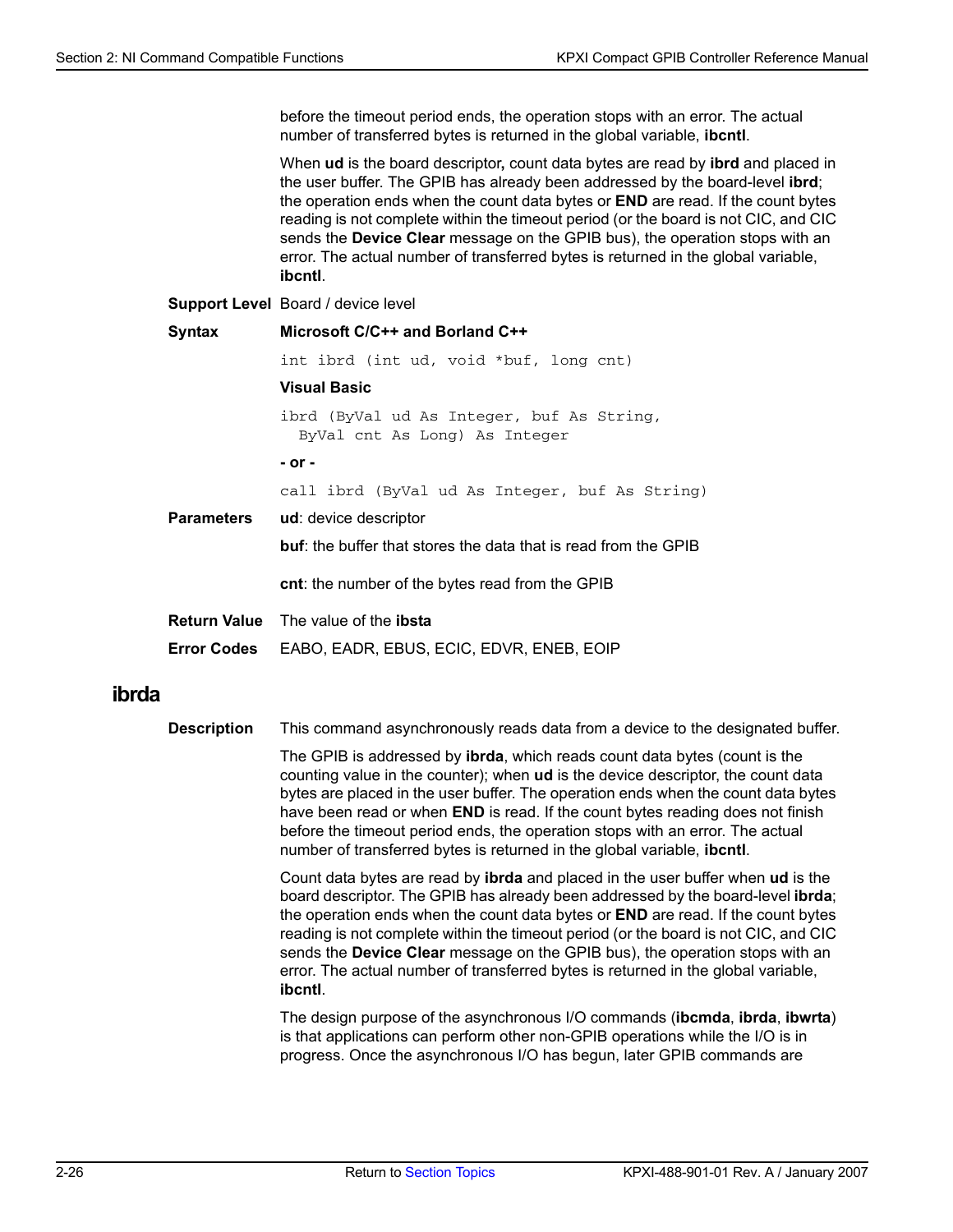|              |                     | int ibpct (int ud)                                                                                                                                                                                                                                                                                                                                                                  |
|--------------|---------------------|-------------------------------------------------------------------------------------------------------------------------------------------------------------------------------------------------------------------------------------------------------------------------------------------------------------------------------------------------------------------------------------|
|              |                     | <b>Visual Basic</b>                                                                                                                                                                                                                                                                                                                                                                 |
|              |                     | ibpct (ByVal ud As Integer) As Integer                                                                                                                                                                                                                                                                                                                                              |
|              |                     | - or -                                                                                                                                                                                                                                                                                                                                                                              |
|              |                     | call ibpct (ByVal ud As Integer)                                                                                                                                                                                                                                                                                                                                                    |
|              | <b>Parameters</b>   | ud: device descriptor                                                                                                                                                                                                                                                                                                                                                               |
|              | <b>Return Value</b> | The value of the <b>ibsta</b>                                                                                                                                                                                                                                                                                                                                                       |
|              | <b>Error Codes</b>  | EARG, EBUS, ECIC, EDVR, ENEB, EOIP                                                                                                                                                                                                                                                                                                                                                  |
| <b>ibppc</b> |                     |                                                                                                                                                                                                                                                                                                                                                                                     |
|              | <b>Description</b>  | This command configures parallel polling.                                                                                                                                                                                                                                                                                                                                           |
|              |                     | If ud is a device descriptor, <b>ibppc</b> enables or disables the device response to<br>parallel polling. The addressed device sends the Parallel Poll Enable (PPE) or<br>Parallel Poll Disable (PPD) message. Valid parallel poll messages are 96 to 126<br>(hex 60 to hex 7E) or zero corresponding to sent PPD.                                                                 |
|              |                     | If ud is a board descriptor, ibppc uses the parallel poll configuration value v to<br>perform a local parallel poll configuration. Valid parallel poll messages are 96 to<br>126 (hex 60 to hex 7E) or zero corresponding to send PPD. If there is no error<br>happening within the calling period, iberr maintains the previous value of the local<br>parallel poll configuration. |
|              |                     | <b>Support Level Board / device level</b>                                                                                                                                                                                                                                                                                                                                           |
|              | <b>Syntax</b>       | Microsoft C/C++ and Borland C++                                                                                                                                                                                                                                                                                                                                                     |
|              |                     | int ibppc (int ud, int v)                                                                                                                                                                                                                                                                                                                                                           |
|              |                     | <b>Visual Basic</b>                                                                                                                                                                                                                                                                                                                                                                 |
|              |                     | ibppc (ByVal ud As Integer, ByVal v As Integer)<br>As Integer                                                                                                                                                                                                                                                                                                                       |
|              |                     | - or -                                                                                                                                                                                                                                                                                                                                                                              |
|              |                     | call ibppc (ByVal ud As Integer, ByVal v As Integer)                                                                                                                                                                                                                                                                                                                                |
|              | <b>Parameters</b>   | ud: device descriptor                                                                                                                                                                                                                                                                                                                                                               |
|              |                     | v: enable/disable parallel polling                                                                                                                                                                                                                                                                                                                                                  |
|              | <b>Return Value</b> | The value of the ibsta                                                                                                                                                                                                                                                                                                                                                              |
|              | <b>Error Codes</b>  | EARG, EBUS, ECAP, ECIC, EDVR, ENEB, EOIP                                                                                                                                                                                                                                                                                                                                            |
| ibrd         |                     |                                                                                                                                                                                                                                                                                                                                                                                     |
|              | <b>Description</b>  | This command reads data from a device to the indicated buffer.                                                                                                                                                                                                                                                                                                                      |

The GPIB is addressed by **ibrd**, which reads count data bytes (count is the counting value in the counter); when **ud** is the device descriptor, the count data bytes are placed in the user buffer. The operation ends when the count data bytes have been read or when **END** is read. If the count bytes reading does not finish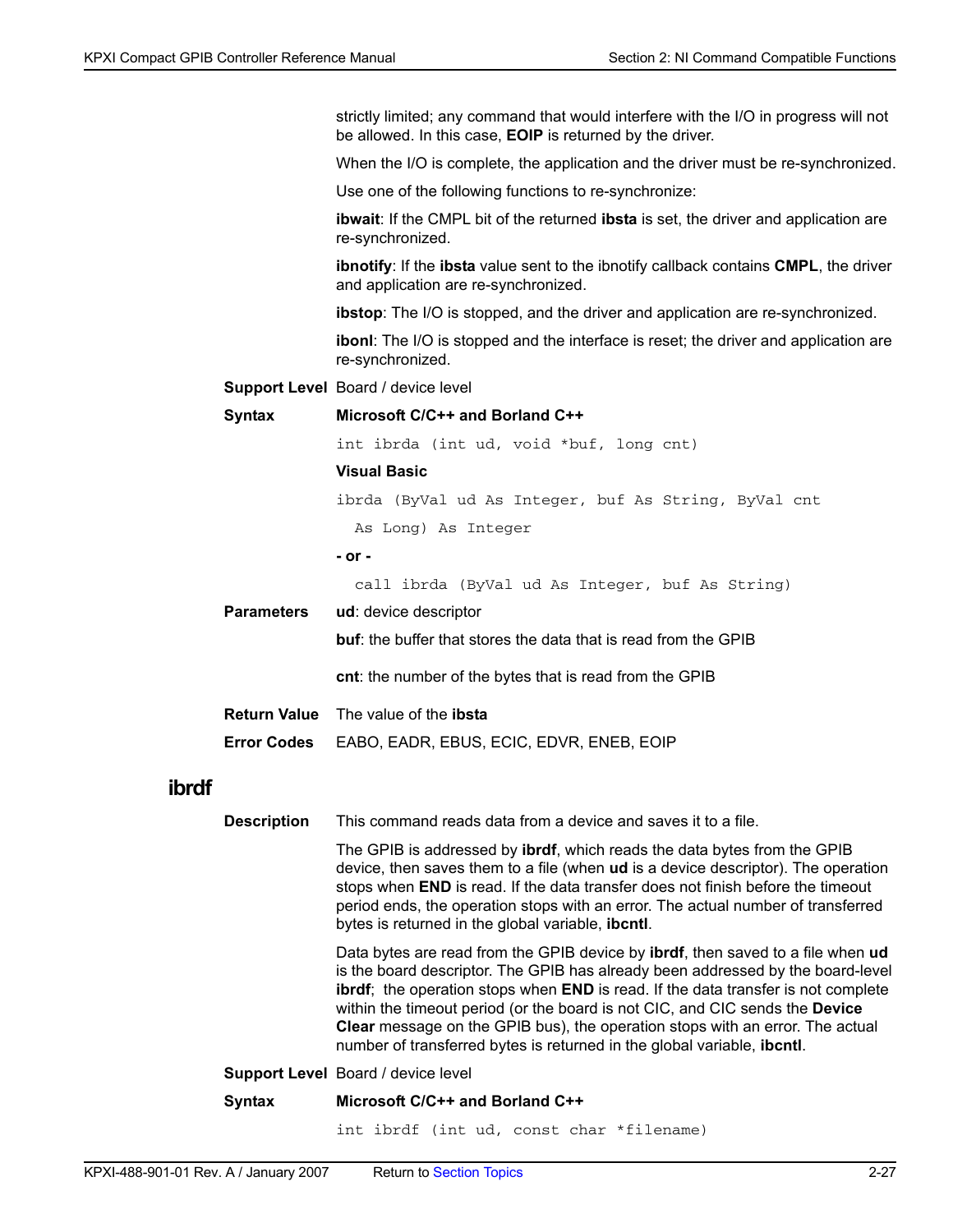before the timeout period ends, the operation stops with an error. The actual number of transferred bytes is returned in the global variable, **ibcntl**.

When **ud** is the board descriptor**,** count data bytes are read by **ibrd** and placed in the user buffer. The GPIB has already been addressed by the board-level **ibrd**; the operation ends when the count data bytes or **END** are read. If the count bytes reading is not complete within the timeout period (or the board is not CIC, and CIC sends the **Device Clear** message on the GPIB bus), the operation stops with an error. The actual number of transferred bytes is returned in the global variable, **ibcntl**.

```
Support Level Board / device level
```

| Syntax      | Microsoft C/C++ and Borland C++                                            |
|-------------|----------------------------------------------------------------------------|
|             | int ibrd (int ud, void *buf, long cnt)                                     |
|             | <b>Visual Basic</b>                                                        |
|             | ibrd (ByVal ud As Integer, buf As String,<br>ByVal cnt As Long) As Integer |
|             | - or -                                                                     |
|             | call ibrd (ByVal ud As Integer, buf As String)                             |
| Parameters  | <b>ud</b> : device descriptor                                              |
|             | <b>buf</b> : the buffer that stores the data that is read from the GPIB    |
|             | cnt: the number of the bytes read from the GPIB                            |
|             | <b>Return Value</b> The value of the <b>ibsta</b>                          |
| Error Codes | EABO, EADR, EBUS, ECIC, EDVR, ENEB, EOIP                                   |

### **ibrda**

**Description** This command asynchronously reads data from a device to the designated buffer.

The GPIB is addressed by **ibrda**, which reads count data bytes (count is the counting value in the counter); when **ud** is the device descriptor, the count data bytes are placed in the user buffer. The operation ends when the count data bytes have been read or when **END** is read. If the count bytes reading does not finish before the timeout period ends, the operation stops with an error. The actual number of transferred bytes is returned in the global variable, **ibcntl**.

Count data bytes are read by **ibrda** and placed in the user buffer when **ud** is the board descriptor. The GPIB has already been addressed by the board-level **ibrda**; the operation ends when the count data bytes or **END** are read. If the count bytes reading is not complete within the timeout period (or the board is not CIC, and CIC sends the **Device Clear** message on the GPIB bus), the operation stops with an error. The actual number of transferred bytes is returned in the global variable, **ibcntl**.

The design purpose of the asynchronous I/O commands (**ibcmda**, **ibrda**, **ibwrta**) is that applications can perform other non-GPIB operations while the I/O is in progress. Once the asynchronous I/O has begun, later GPIB commands are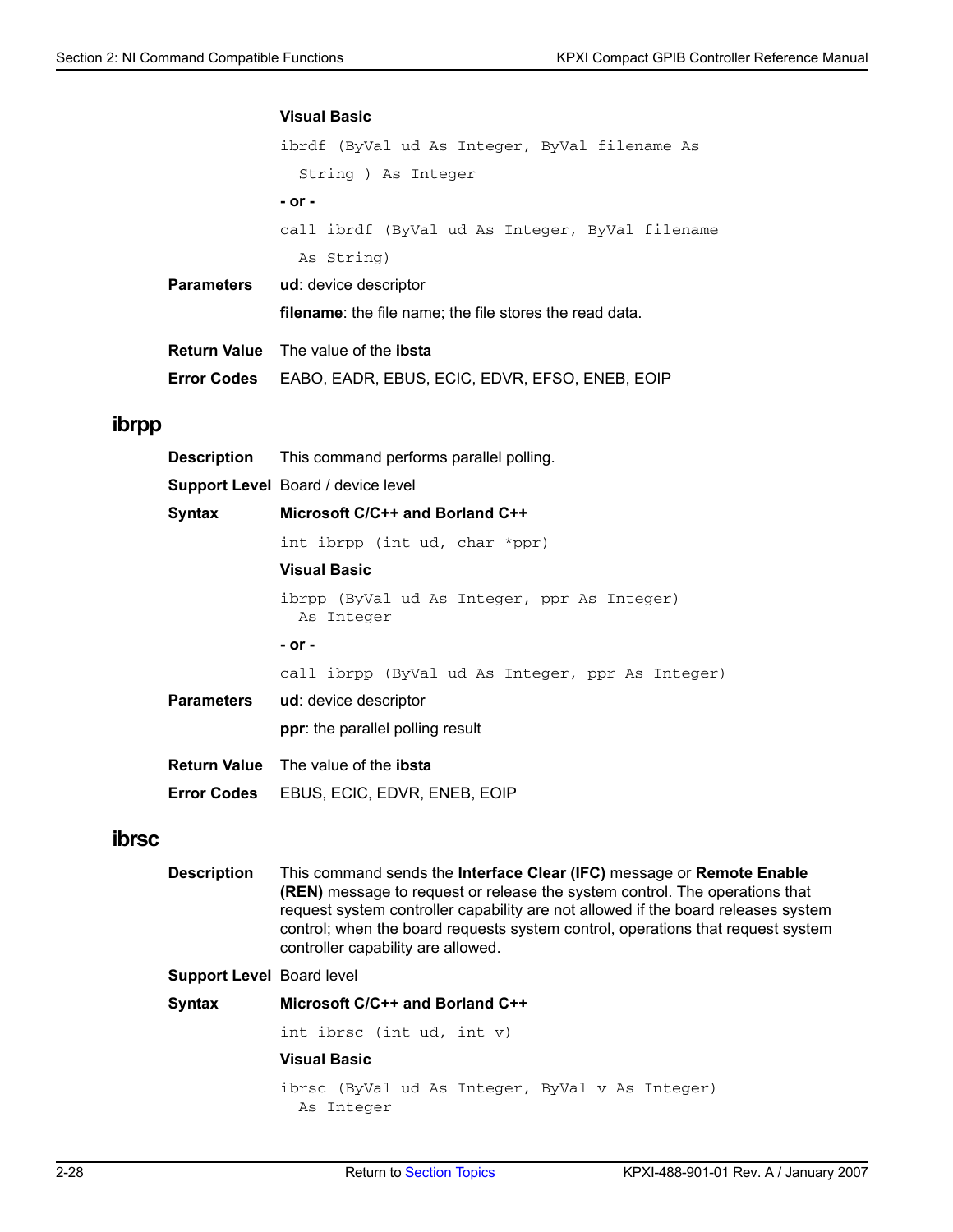strictly limited; any command that would interfere with the I/O in progress will not be allowed. In this case, **EOIP** is returned by the driver.

When the I/O is complete, the application and the driver must be re-synchronized.

Use one of the following functions to re-synchronize:

**ibwait**: If the CMPL bit of the returned **ibsta** is set, the driver and application are re-synchronized.

**ibnotify**: If the **ibsta** value sent to the ibnotify callback contains **CMPL**, the driver and application are re-synchronized.

**ibstop**: The I/O is stopped, and the driver and application are re-synchronized.

**ibonl**: The I/O is stopped and the interface is reset; the driver and application are re-synchronized.

**Support Level** Board / device level

#### **Syntax Microsoft C/C++ and Borland C++**

int ibrda (int ud, void \*buf, long cnt)

#### **Visual Basic**

ibrda (ByVal ud As Integer, buf As String, ByVal cnt

As Long) As Integer

**- or -**

call ibrda (ByVal ud As Integer, buf As String)

**Parameters ud**: device descriptor **buf**: the buffer that stores the data that is read from the GPIB **cnt**: the number of the bytes that is read from the GPIB **Return Value** The value of the **ibsta Error Codes** EABO, EADR, EBUS, ECIC, EDVR, ENEB, EOIP

### **ibrdf**

**Description** This command reads data from a device and saves it to a file.

The GPIB is addressed by **ibrdf**, which reads the data bytes from the GPIB device, then saves them to a file (when **ud** is a device descriptor). The operation stops when **END** is read. If the data transfer does not finish before the timeout period ends, the operation stops with an error. The actual number of transferred bytes is returned in the global variable, **ibcntl**.

Data bytes are read from the GPIB device by **ibrdf**, then saved to a file when **ud** is the board descriptor. The GPIB has already been addressed by the board-level **ibrdf**; the operation stops when **END** is read. If the data transfer is not complete within the timeout period (or the board is not CIC, and CIC sends the **Device Clear** message on the GPIB bus), the operation stops with an error. The actual number of transferred bytes is returned in the global variable, **ibcntl**.

**Support Level** Board / device level

#### **Syntax Microsoft C/C++ and Borland C++**

int ibrdf (int ud, const char \*filename)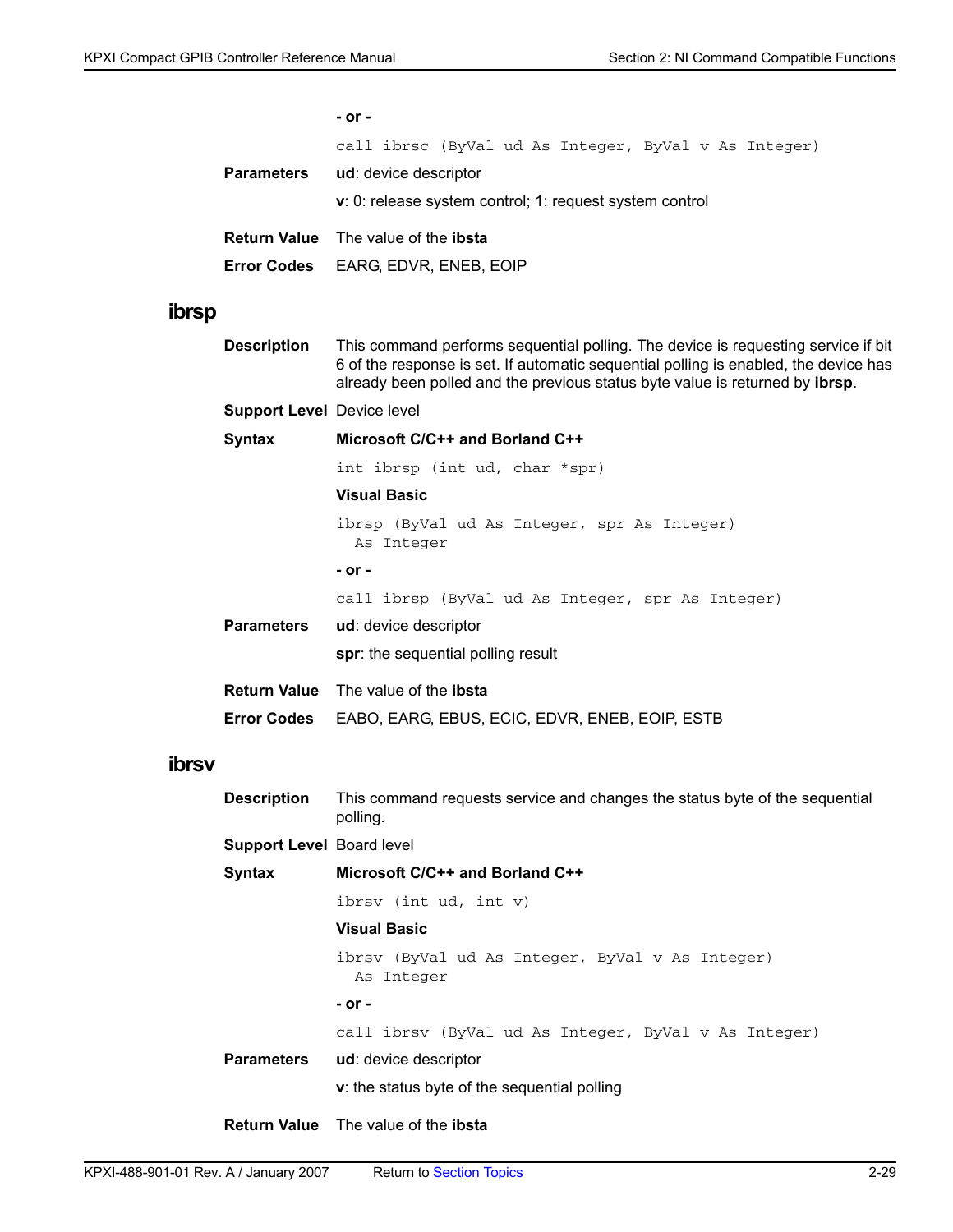| <b>Visual Basic</b>                                            |
|----------------------------------------------------------------|
| ibrdf (ByVal ud As Integer, ByVal filename As                  |
| String ) As Integer                                            |
| - or -                                                         |
| call ibrdf (ByVal ud As Integer, ByVal filename                |
| As String)                                                     |
| <b>Parameters</b> ud: device descriptor                        |
| <b>filename:</b> the file name; the file stores the read data. |
| <b>Return Value</b> The value of the <b>ibsta</b>              |
| Error Codes EABO, EADR, EBUS, ECIC, EDVR, EFSO, ENEB, EOIP     |

## **ibrpp**

| <b>Description</b> This command performs parallel polling. |
|------------------------------------------------------------|
| <b>Support Level Board / device level</b>                  |
| Microsoft C/C++ and Borland C++                            |
| int ibrpp (int ud, char *ppr)                              |
| Visual Basic                                               |
| ibrpp (ByVal ud As Integer, ppr As Integer)<br>As Integer  |
| - or -                                                     |
| call ibrpp (ByVal ud As Integer, ppr As Integer)           |
| <b>Parameters</b> ud: device descriptor                    |
| <b>ppr</b> : the parallel polling result                   |
| <b>Return Value</b> The value of the <b>ibsta</b>          |
| <b>Error Codes</b> EBUS, ECIC, EDVR, ENEB, EOIP            |
|                                                            |

## **ibrsc**

| <b>Description</b>               | This command sends the Interface Clear (IFC) message or Remote Enable<br><b>(REN)</b> message to request or release the system control. The operations that<br>request system controller capability are not allowed if the board releases system<br>control; when the board requests system control, operations that request system<br>controller capability are allowed. |
|----------------------------------|---------------------------------------------------------------------------------------------------------------------------------------------------------------------------------------------------------------------------------------------------------------------------------------------------------------------------------------------------------------------------|
| <b>Support Level Board level</b> |                                                                                                                                                                                                                                                                                                                                                                           |
| <b>Syntax</b>                    | Microsoft C/C++ and Borland C++                                                                                                                                                                                                                                                                                                                                           |

int ibrsc (int ud, int v)

### **Visual Basic**

ibrsc (ByVal ud As Integer, ByVal v As Integer) As Integer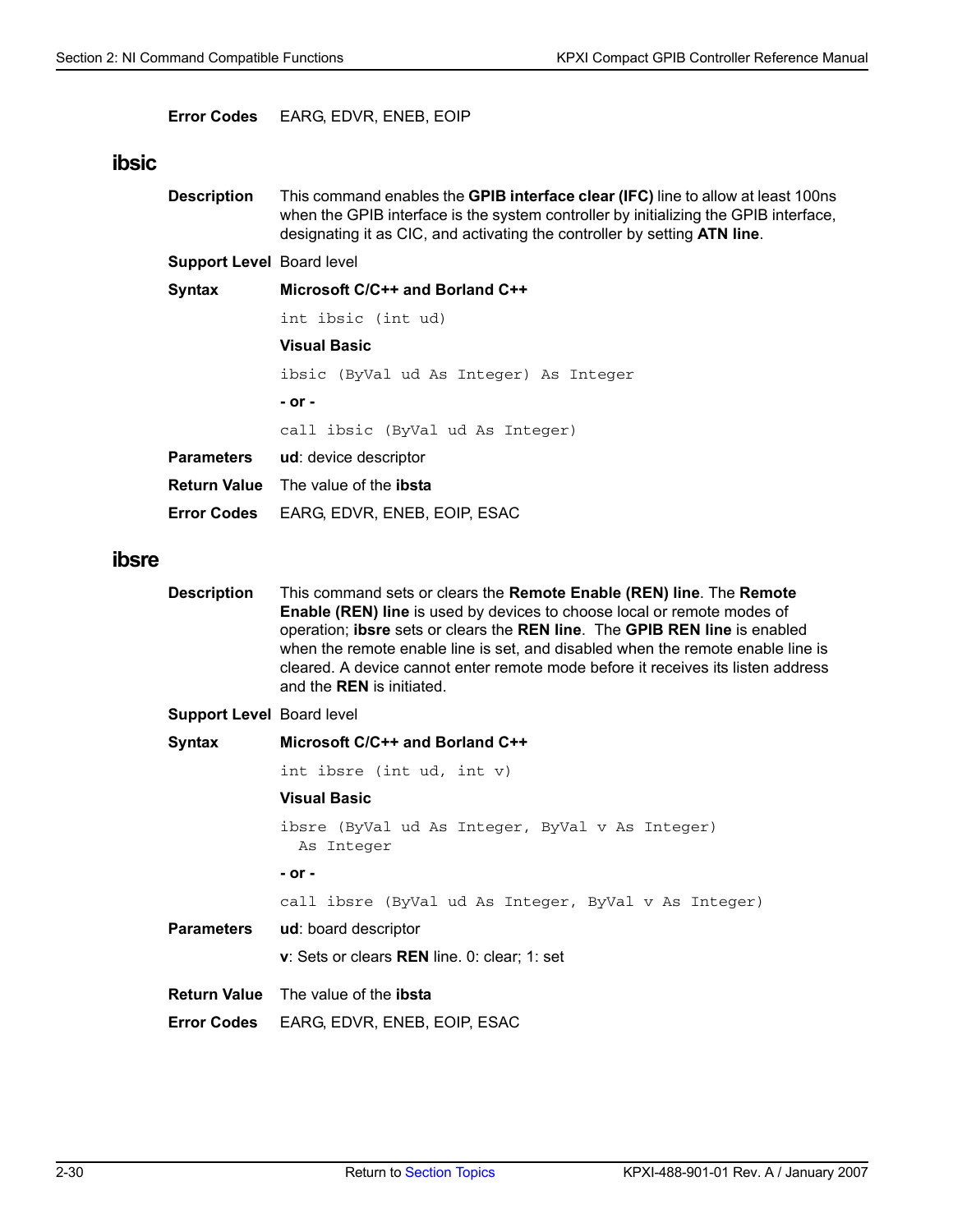|       |                                   | - or -                                                                                                                                                                                                                                                    |  |  |
|-------|-----------------------------------|-----------------------------------------------------------------------------------------------------------------------------------------------------------------------------------------------------------------------------------------------------------|--|--|
|       |                                   | call ibrsc (ByVal ud As Integer, ByVal v As Integer)                                                                                                                                                                                                      |  |  |
|       | <b>Parameters</b>                 | ud: device descriptor                                                                                                                                                                                                                                     |  |  |
|       |                                   | v: 0: release system control; 1: request system control                                                                                                                                                                                                   |  |  |
|       |                                   | <b>Return Value</b> The value of the <b>ibsta</b>                                                                                                                                                                                                         |  |  |
|       | <b>Error Codes</b>                | EARG, EDVR, ENEB, EOIP                                                                                                                                                                                                                                    |  |  |
| ibrsp |                                   |                                                                                                                                                                                                                                                           |  |  |
|       |                                   |                                                                                                                                                                                                                                                           |  |  |
|       | <b>Description</b>                | This command performs sequential polling. The device is requesting service if bit<br>6 of the response is set. If automatic sequential polling is enabled, the device has<br>already been polled and the previous status byte value is returned by ibrsp. |  |  |
|       | <b>Support Level Device level</b> |                                                                                                                                                                                                                                                           |  |  |
|       | <b>Syntax</b>                     | Microsoft C/C++ and Borland C++                                                                                                                                                                                                                           |  |  |
|       |                                   | int ibrsp (int ud, char *spr)                                                                                                                                                                                                                             |  |  |
|       |                                   | <b>Visual Basic</b>                                                                                                                                                                                                                                       |  |  |
|       |                                   | ibrsp (ByVal ud As Integer, spr As Integer)<br>As Integer                                                                                                                                                                                                 |  |  |
|       |                                   | - or -                                                                                                                                                                                                                                                    |  |  |
|       |                                   | call ibrsp (ByVal ud As Integer, spr As Integer)                                                                                                                                                                                                          |  |  |
|       | <b>Parameters</b>                 | ud: device descriptor                                                                                                                                                                                                                                     |  |  |
|       |                                   | spr: the sequential polling result                                                                                                                                                                                                                        |  |  |
|       |                                   | <b>Return Value</b> The value of the <b>ibsta</b>                                                                                                                                                                                                         |  |  |
|       | <b>Error Codes</b>                | EABO, EARG, EBUS, ECIC, EDVR, ENEB, EOIP, ESTB                                                                                                                                                                                                            |  |  |
|       |                                   |                                                                                                                                                                                                                                                           |  |  |
| ibrsv |                                   |                                                                                                                                                                                                                                                           |  |  |
|       | <b>Description</b>                | This command requests service and changes the status byte of the sequential<br>polling.                                                                                                                                                                   |  |  |
|       | <b>Support Level Board level</b>  |                                                                                                                                                                                                                                                           |  |  |
|       | <b>Syntax</b>                     | Microsoft C/C++ and Borland C++                                                                                                                                                                                                                           |  |  |
|       |                                   | ibrsv (int ud, int v)                                                                                                                                                                                                                                     |  |  |
|       |                                   | <b>Visual Basic</b>                                                                                                                                                                                                                                       |  |  |
|       |                                   | ibrsv (ByVal ud As Integer, ByVal v As Integer)<br>As Integer                                                                                                                                                                                             |  |  |
|       |                                   | - or -                                                                                                                                                                                                                                                    |  |  |
|       |                                   | call ibrsv (ByVal ud As Integer, ByVal v As Integer)                                                                                                                                                                                                      |  |  |
|       | <b>Parameters</b>                 | ud: device descriptor                                                                                                                                                                                                                                     |  |  |
|       |                                   | v: the status byte of the sequential polling                                                                                                                                                                                                              |  |  |
|       |                                   | Return Value The value of the ibsta                                                                                                                                                                                                                       |  |  |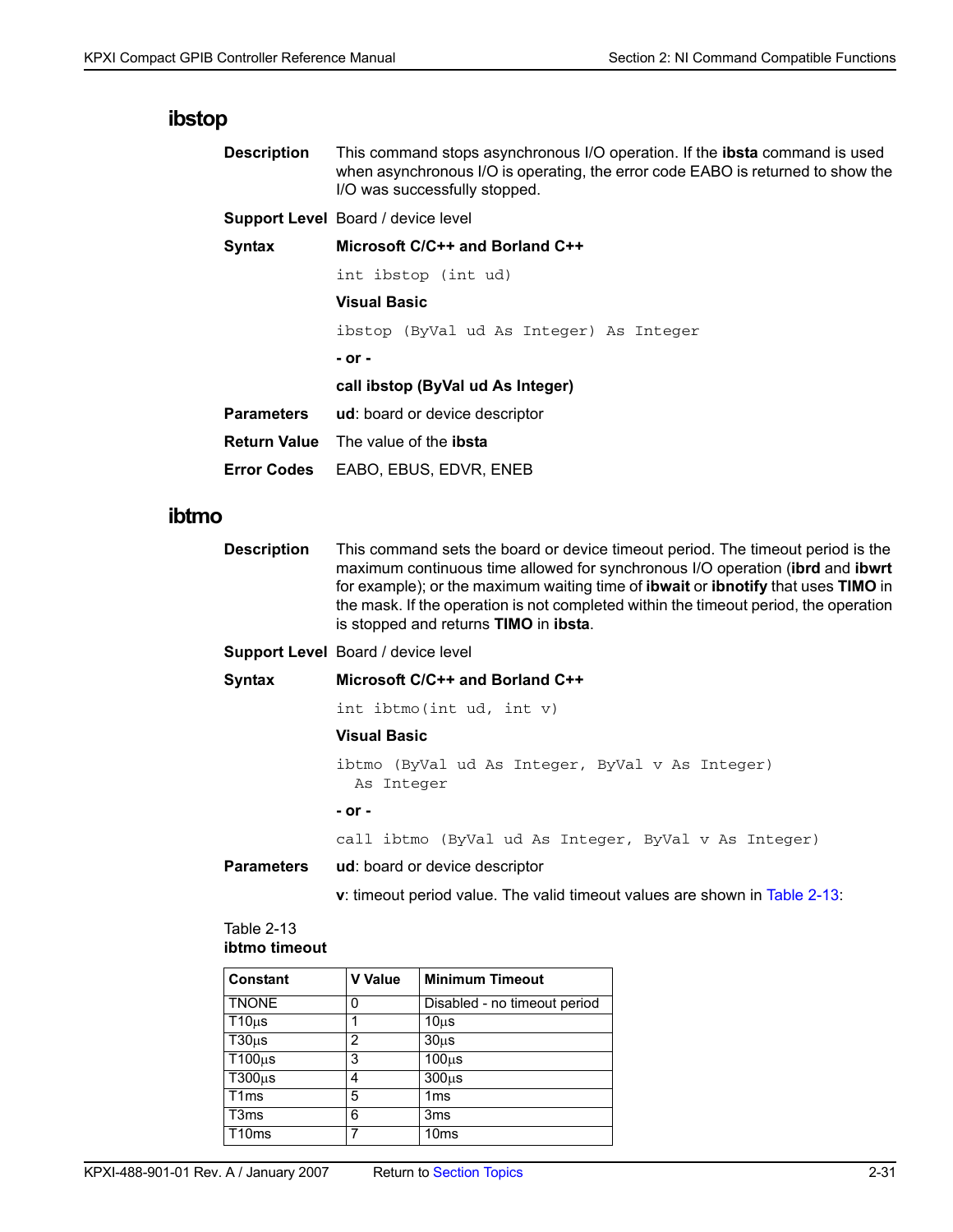**Error Codes** EARG, EDVR, ENEB, EOIP

### **ibsic**

**Description** This command enables the **GPIB interface clear (IFC)** line to allow at least 100ns when the GPIB interface is the system controller by initializing the GPIB interface, designating it as CIC, and activating the controller by setting **ATN line**.

#### **Support Level** Board level

| <b>Syntax</b> | Microsoft C/C++ and Borland C++                   |  |  |
|---------------|---------------------------------------------------|--|--|
|               | int ibsic (int ud)                                |  |  |
|               | <b>Visual Basic</b>                               |  |  |
|               | ibsic (ByVal ud As Integer) As Integer            |  |  |
|               | - or -                                            |  |  |
|               | call ibsic (ByVal ud As Integer)                  |  |  |
|               | <b>Parameters</b> ud: device descriptor           |  |  |
|               | <b>Return Value</b> The value of the <b>ibsta</b> |  |  |
|               | Error Codes EARG, EDVR, ENEB, EOIP, ESAC          |  |  |

### **ibsre**

**Description** This command sets or clears the **Remote Enable (REN) line**. The **Remote Enable (REN) line** is used by devices to choose local or remote modes of operation; **ibsre** sets or clears the **REN line**. The **GPIB REN line** is enabled when the remote enable line is set, and disabled when the remote enable line is cleared. A device cannot enter remote mode before it receives its listen address and the **REN** is initiated.

#### **Support Level** Board level

**Syntax Microsoft C/C++ and Borland C++**

int ibsre (int ud, int v)

### **Visual Basic**

ibsre (ByVal ud As Integer, ByVal v As Integer) As Integer

**- or -**

call ibsre (ByVal ud As Integer, ByVal v As Integer)

**Parameters ud**: board descriptor

**v**: Sets or clears **REN** line. 0: clear; 1: set

- **Return Value** The value of the **ibsta**
- **Error Codes** EARG, EDVR, ENEB, EOIP, ESAC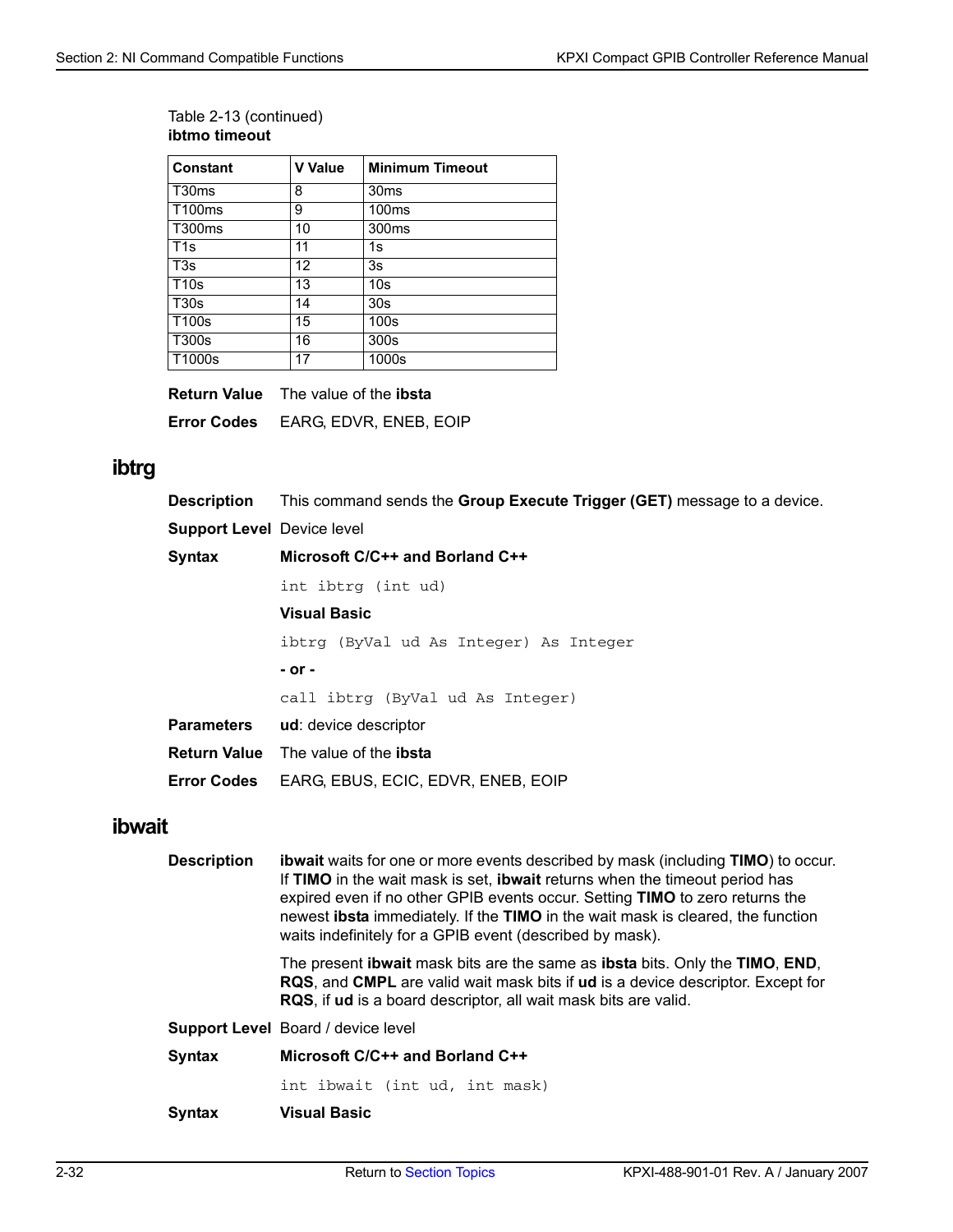| ibstop |                     |                                                                                                                                                                                                        |  |  |
|--------|---------------------|--------------------------------------------------------------------------------------------------------------------------------------------------------------------------------------------------------|--|--|
|        | <b>Description</b>  | This command stops asynchronous I/O operation. If the <b>ibsta</b> command is used<br>when asynchronous I/O is operating, the error code EABO is returned to show the<br>I/O was successfully stopped. |  |  |
|        |                     | <b>Support Level</b> Board / device level                                                                                                                                                              |  |  |
|        | <b>Syntax</b>       | Microsoft C/C++ and Borland C++                                                                                                                                                                        |  |  |
|        |                     | int ibstop (int ud)                                                                                                                                                                                    |  |  |
|        |                     | <b>Visual Basic</b>                                                                                                                                                                                    |  |  |
|        |                     | ibstop (ByVal ud As Integer) As Integer                                                                                                                                                                |  |  |
|        |                     | - or -                                                                                                                                                                                                 |  |  |
|        |                     | call ibstop (ByVal ud As Integer)                                                                                                                                                                      |  |  |
|        | <b>Parameters</b>   | <b>ud</b> : board or device descriptor                                                                                                                                                                 |  |  |
|        | <b>Return Value</b> | The value of the <b>ibsta</b>                                                                                                                                                                          |  |  |
|        | <b>Error Codes</b>  | EABO, EBUS, EDVR, ENEB                                                                                                                                                                                 |  |  |
|        |                     |                                                                                                                                                                                                        |  |  |

### **ibtmo**

| <b>Description</b> | This command sets the board or device timeout period. The timeout period is the                        |
|--------------------|--------------------------------------------------------------------------------------------------------|
|                    | maximum continuous time allowed for synchronous I/O operation (ibrd and ibwrt                          |
|                    | for example); or the maximum waiting time of <b>ibwait</b> or <b>ibnotify</b> that uses <b>TIMO</b> in |
|                    | the mask. If the operation is not completed within the timeout period, the operation                   |
|                    | is stopped and returns <b>TIMO</b> in <b>ibsta</b> .                                                   |

**Support Level** Board / device level

**Syntax Microsoft C/C++ and Borland C++**

int ibtmo(int ud, int v)

### **Visual Basic**

ibtmo (ByVal ud As Integer, ByVal v As Integer) As Integer

**- or -**

call ibtmo (ByVal ud As Integer, ByVal v As Integer)

**Parameters** ud: board or device descriptor

**v**: timeout period value. The valid timeout values are shown in [Table 2-13](#page-55-0):

<span id="page-55-0"></span>Table 2-13 **ibtmo timeout**

| <b>Constant</b>   | <b>V</b> Value | <b>Minimum Timeout</b>       |
|-------------------|----------------|------------------------------|
| <b>TNONE</b>      |                | Disabled - no timeout period |
| $T10\mu s$        |                | $10\mu s$                    |
| $T30\mu s$        | 2              | $30\mu s$                    |
| $T100\mu s$       | 3              | $100\mu$ s                   |
| $T300\mu s$       | 4              | $300\mu$ s                   |
| T1ms              | 5              | 1 <sub>ms</sub>              |
| T <sub>3</sub> ms | 6              | 3 <sub>ms</sub>              |
| T10ms             |                | 10 <sub>ms</sub>             |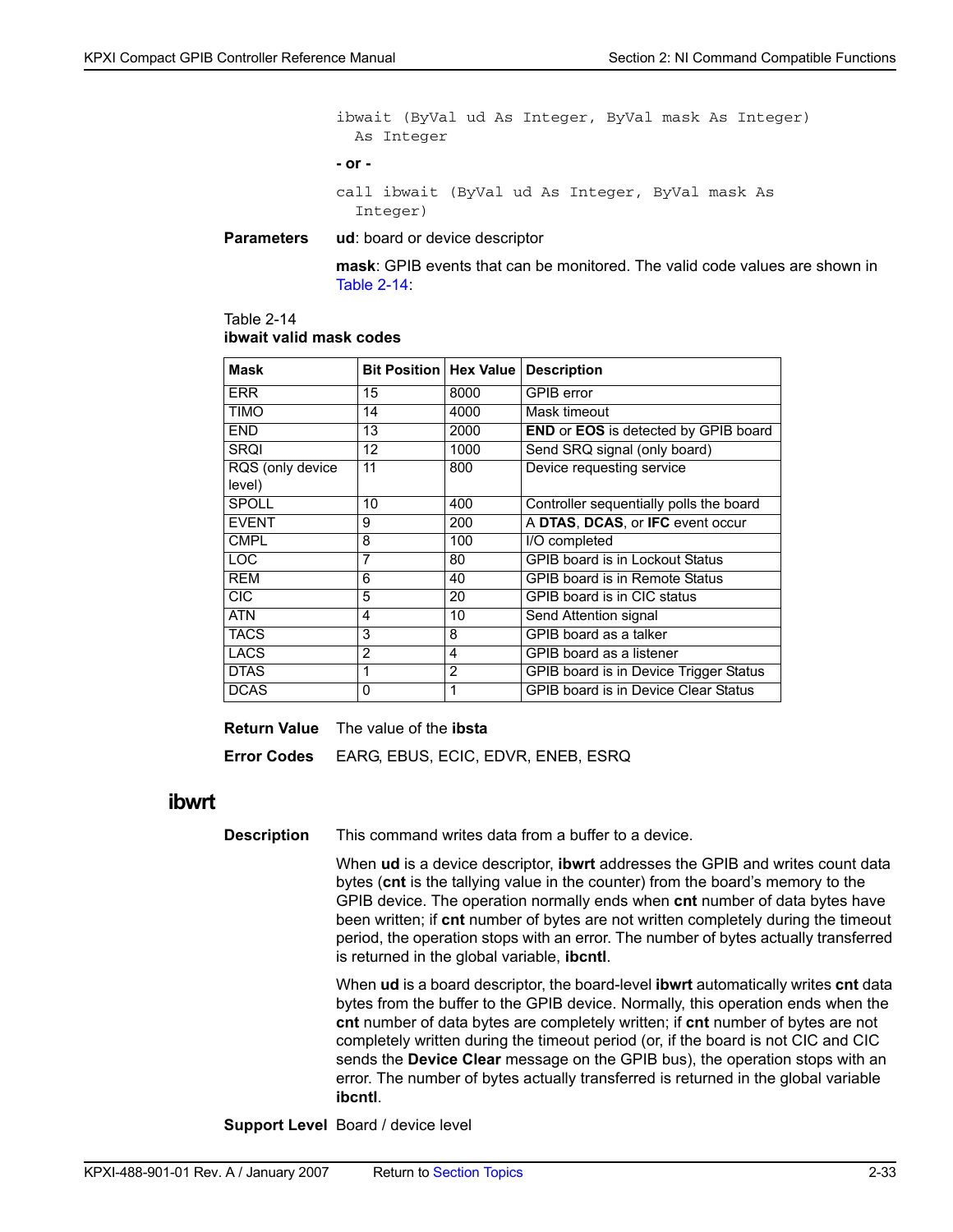### Table 2-13 (continued) **ibtmo timeout**

| <b>Constant</b>    | V Value | <b>Minimum Timeout</b> |
|--------------------|---------|------------------------|
| T <sub>30</sub> ms | 8       | 30 <sub>ms</sub>       |
| <b>T100ms</b>      | 9       | 100 <sub>ms</sub>      |
| <b>T300ms</b>      | 10      | 300ms                  |
| T <sub>1s</sub>    | 11      | 1s                     |
| $\overline{T3s}$   | 12      | 3s                     |
| <b>T10s</b>        | 13      | 10 <sub>s</sub>        |
| <b>T30s</b>        | 14      | 30 <sub>s</sub>        |
| T100s              | 15      | 100 <sub>s</sub>       |
| T300s              | 16      | 300s                   |
| T1000s             | 17      | 1000s                  |

| Return Value | The value of the <b>ibsta</b> |
|--------------|-------------------------------|
|--------------|-------------------------------|

**Error Codes** EARG, EDVR, ENEB, EOIP

## **ibtrg**

|                                   | <b>Description</b> This command sends the <b>Group Execute Trigger (GET)</b> message to a device. |  |  |
|-----------------------------------|---------------------------------------------------------------------------------------------------|--|--|
| <b>Support Level</b> Device level |                                                                                                   |  |  |
| Syntax                            | Microsoft C/C++ and Borland C++                                                                   |  |  |
|                                   | int ibtrg (int ud)                                                                                |  |  |
|                                   | <b>Visual Basic</b>                                                                               |  |  |
|                                   | ibtrg (ByVal ud As Integer) As Integer                                                            |  |  |
|                                   | - or -                                                                                            |  |  |
|                                   | call ibtrg (ByVal ud As Integer)                                                                  |  |  |
| Parameters                        | ud: device descriptor                                                                             |  |  |
|                                   | <b>Return Value</b> The value of the <b>ibsta</b>                                                 |  |  |
| <b>Error Codes</b>                | EARG, EBUS, ECIC, EDVR, ENEB, EOIP                                                                |  |  |
|                                   |                                                                                                   |  |  |

## **ibwait**

| <b>Description</b> | <b>ibwait</b> waits for one or more events described by mask (including <b>TIMO</b> ) to occur.<br>If TIMO in the wait mask is set, ibwait returns when the timeout period has<br>expired even if no other GPIB events occur. Setting TIMO to zero returns the<br>newest ibsta immediately. If the TIMO in the wait mask is cleared, the function<br>waits indefinitely for a GPIB event (described by mask). |  |  |
|--------------------|---------------------------------------------------------------------------------------------------------------------------------------------------------------------------------------------------------------------------------------------------------------------------------------------------------------------------------------------------------------------------------------------------------------|--|--|
|                    | The present <b>ibwait</b> mask bits are the same as <b>ibsta</b> bits. Only the <b>TIMO</b> , <b>END</b> ,<br><b>RQS</b> , and <b>CMPL</b> are valid wait mask bits if ud is a device descriptor. Except for<br>RQS, if ud is a board descriptor, all wait mask bits are valid.                                                                                                                               |  |  |
|                    | <b>Support Level Board / device level</b>                                                                                                                                                                                                                                                                                                                                                                     |  |  |
| <b>Syntax</b>      | Microsoft C/C++ and Borland C++                                                                                                                                                                                                                                                                                                                                                                               |  |  |
|                    | int ibwait (int ud, int mask)                                                                                                                                                                                                                                                                                                                                                                                 |  |  |
| Syntax             | <b>Visual Basic</b>                                                                                                                                                                                                                                                                                                                                                                                           |  |  |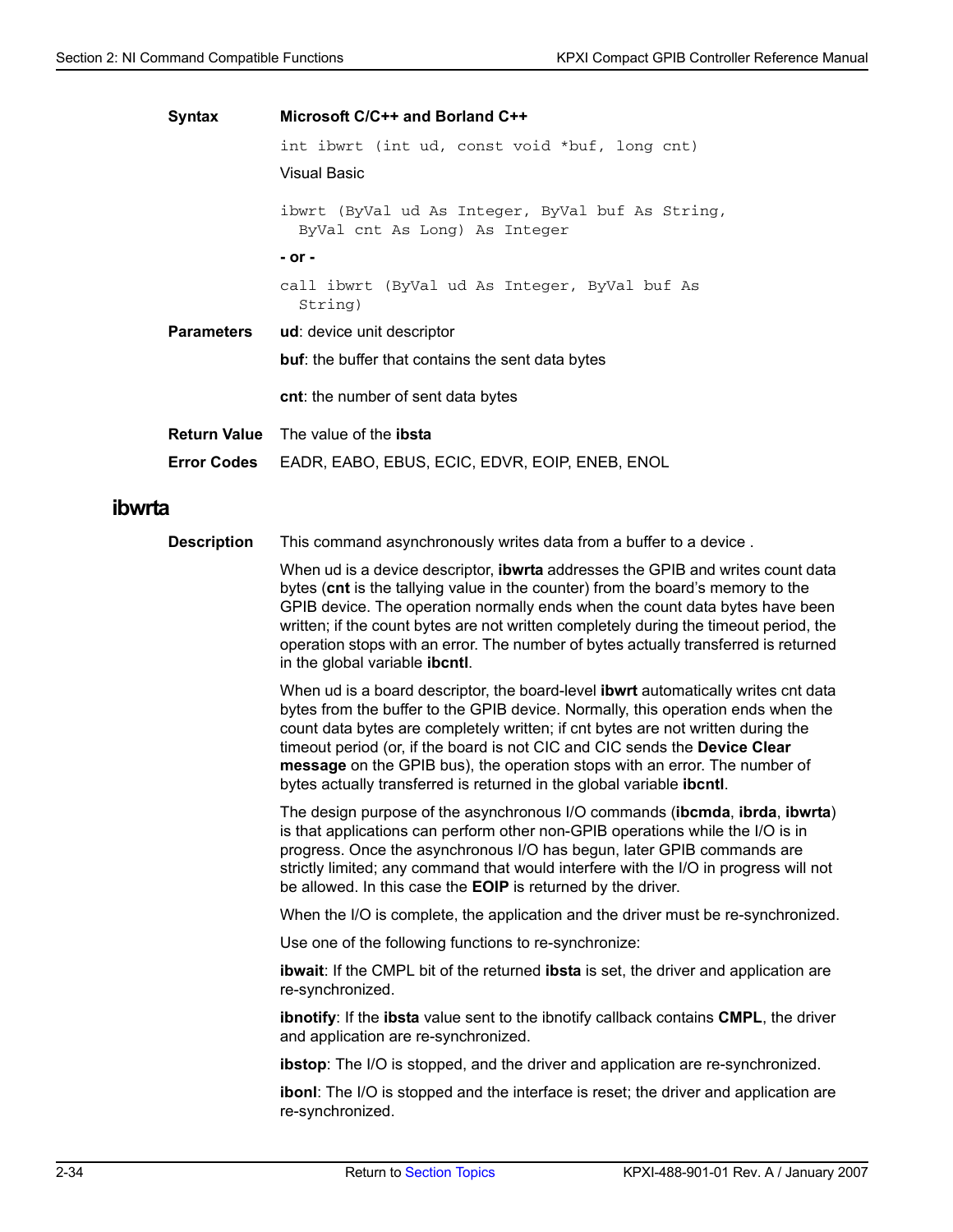ibwait (ByVal ud As Integer, ByVal mask As Integer) As Integer **- or**  call ibwait (ByVal ud As Integer, ByVal mask As Integer) **Parameters** ud: board or device descriptor

**mask**: GPIB events that can be monitored. The valid code values are shown in [Table 2-14:](#page-57-0)

### <span id="page-57-0"></span>Table 2-14 **ibwait valid mask codes**

| <b>Mask</b>       | <b>Bit Position</b> | <b>Hex Value</b> | <b>Description</b>                          |
|-------------------|---------------------|------------------|---------------------------------------------|
| <b>ERR</b>        | 15                  | 8000             | <b>GPIB</b> error                           |
| TIMO              | 14                  | 4000             | Mask timeout                                |
| <b>END</b>        | 13                  | 2000             | <b>END or EOS is detected by GPIB board</b> |
| <b>SRQI</b>       | 12                  | 1000             | Send SRQ signal (only board)                |
| RQS (only device) | 11                  | 800              | Device requesting service                   |
| level)            |                     |                  |                                             |
| <b>SPOLL</b>      | 10                  | 400              | Controller sequentially polls the board     |
| <b>EVENT</b>      | 9                   | 200              | A DTAS, DCAS, or IFC event occur            |
| <b>CMPL</b>       | 8                   | 100              | I/O completed                               |
| <b>LOC</b>        | 7                   | 80               | <b>GPIB board is in Lockout Status</b>      |
| <b>REM</b>        | 6                   | 40               | <b>GPIB</b> board is in Remote Status       |
| <b>CIC</b>        | 5                   | 20               | GPIB board is in CIC status                 |
| <b>ATN</b>        | 4                   | 10               | Send Attention signal                       |
| <b>TACS</b>       | 3                   | 8                | GPIB board as a talker                      |
| LACS              | 2                   | 4                | GPIB board as a listener                    |
| <b>DTAS</b>       | 1                   | 2                | GPIB board is in Device Trigger Status      |
| <b>DCAS</b>       | 0                   | 1                | GPIB board is in Device Clear Status        |

**Return Value** The value of the **ibsta**

**Error Codes** EARG, EBUS, ECIC, EDVR, ENEB, ESRQ

### **ibwrt**

**Description** This command writes data from a buffer to a device.

When **ud** is a device descriptor, **ibwrt** addresses the GPIB and writes count data bytes (**cnt** is the tallying value in the counter) from the board's memory to the GPIB device. The operation normally ends when **cnt** number of data bytes have been written; if **cnt** number of bytes are not written completely during the timeout period, the operation stops with an error. The number of bytes actually transferred is returned in the global variable, **ibcntl**.

When **ud** is a board descriptor, the board-level **ibwrt** automatically writes **cnt** data bytes from the buffer to the GPIB device. Normally, this operation ends when the **cnt** number of data bytes are completely written; if **cnt** number of bytes are not completely written during the timeout period (or, if the board is not CIC and CIC sends the **Device Clear** message on the GPIB bus), the operation stops with an error. The number of bytes actually transferred is returned in the global variable **ibcntl**.

**Support Level** Board / device level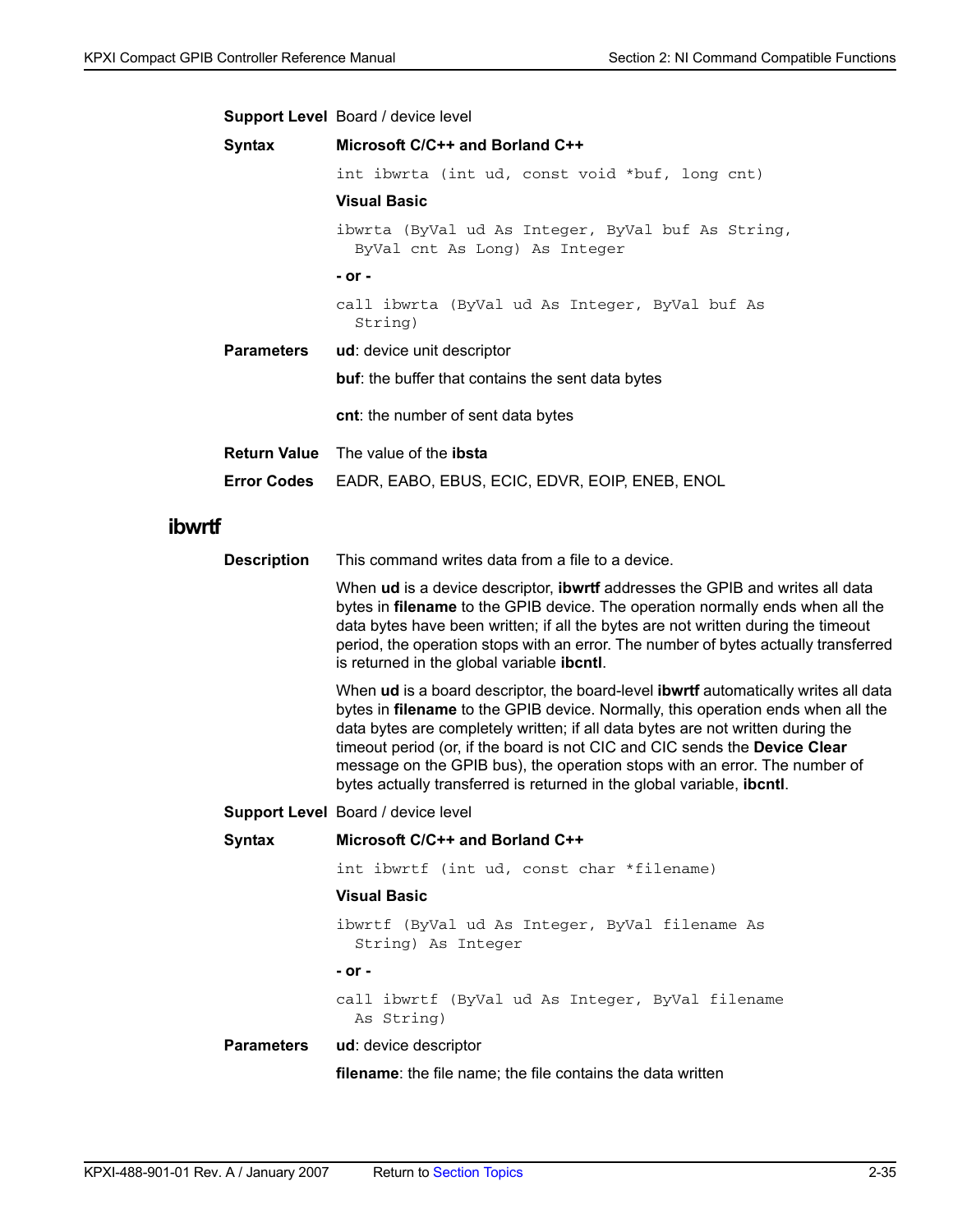| Syntax     | Microsoft C/C++ and Borland C++                                                   |  |
|------------|-----------------------------------------------------------------------------------|--|
|            | int ibwrt (int ud, const void *buf, long cnt)                                     |  |
|            | Visual Basic                                                                      |  |
|            | ibwrt (ByVal ud As Integer, ByVal buf As String,<br>ByVal cnt As Long) As Integer |  |
|            | - or -                                                                            |  |
|            | call ibwrt (ByVal ud As Integer, ByVal buf As<br>String)                          |  |
| Parameters | <b>ud</b> : device unit descriptor                                                |  |
|            | <b>buf:</b> the buffer that contains the sent data bytes                          |  |
|            | cnt: the number of sent data bytes                                                |  |
|            | <b>Return Value</b> The value of the <b>ibsta</b>                                 |  |
|            | <b>Error Codes</b> EADR, EABO, EBUS, ECIC, EDVR, EOIP, ENEB, ENOL                 |  |

### **ibwrta**

**Description** This command asynchronously writes data from a buffer to a device .

When ud is a device descriptor, **ibwrta** addresses the GPIB and writes count data bytes (**cnt** is the tallying value in the counter) from the board's memory to the GPIB device. The operation normally ends when the count data bytes have been written; if the count bytes are not written completely during the timeout period, the operation stops with an error. The number of bytes actually transferred is returned in the global variable **ibcntl**.

When ud is a board descriptor, the board-level **ibwrt** automatically writes cnt data bytes from the buffer to the GPIB device. Normally, this operation ends when the count data bytes are completely written; if cnt bytes are not written during the timeout period (or, if the board is not CIC and CIC sends the **Device Clear message** on the GPIB bus), the operation stops with an error. The number of bytes actually transferred is returned in the global variable **ibcntl**.

The design purpose of the asynchronous I/O commands (**ibcmda**, **ibrda**, **ibwrta**) is that applications can perform other non-GPIB operations while the I/O is in progress. Once the asynchronous I/O has begun, later GPIB commands are strictly limited; any command that would interfere with the I/O in progress will not be allowed. In this case the **EOIP** is returned by the driver.

When the I/O is complete, the application and the driver must be re-synchronized.

Use one of the following functions to re-synchronize:

**ibwait**: If the CMPL bit of the returned **ibsta** is set, the driver and application are re-synchronized.

**ibnotify**: If the **ibsta** value sent to the ibnotify callback contains **CMPL**, the driver and application are re-synchronized.

**ibstop**: The I/O is stopped, and the driver and application are re-synchronized.

**ibonl**: The I/O is stopped and the interface is reset; the driver and application are re-synchronized.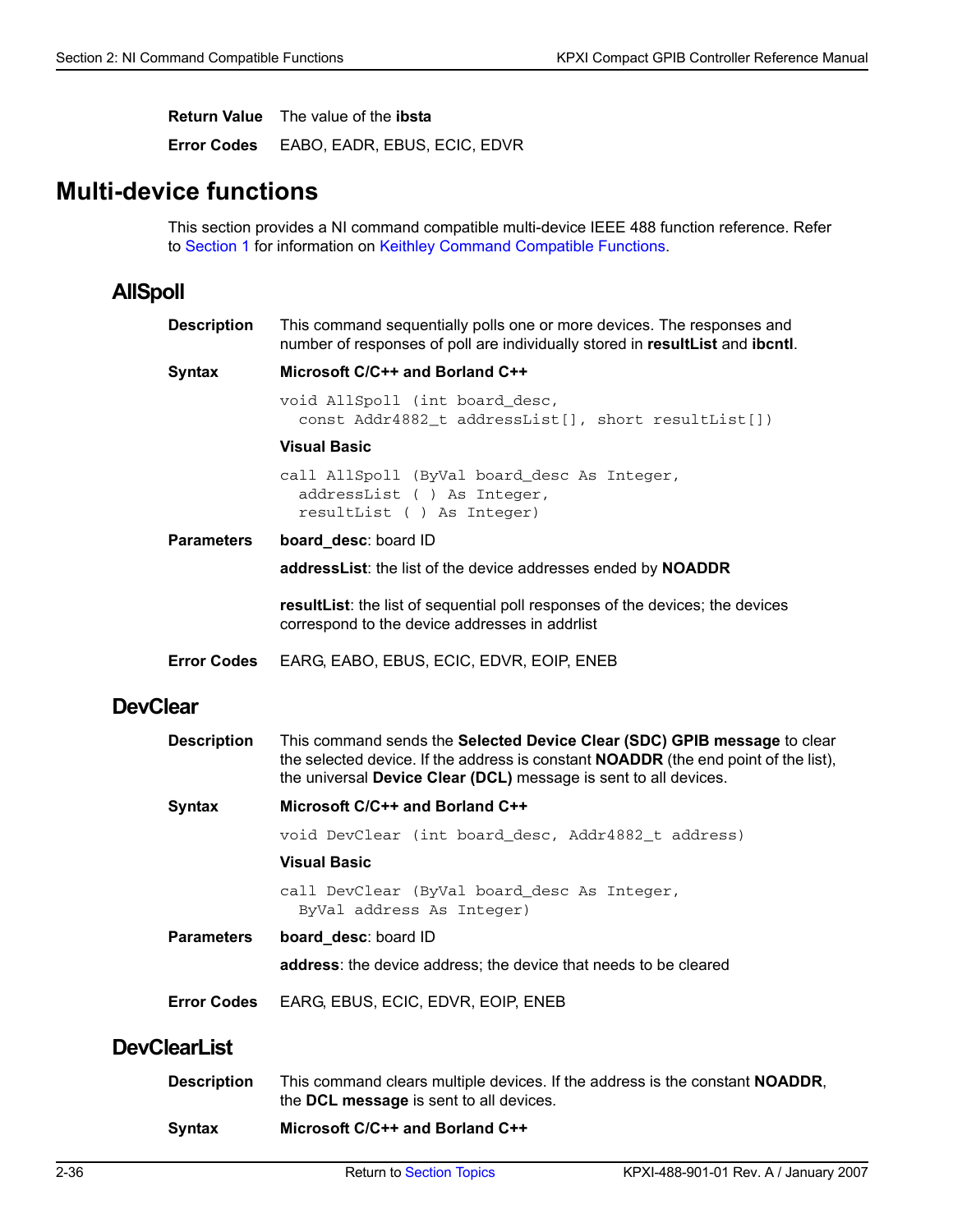| <b>Syntax</b>     | Microsoft C/C++ and Borland C++                                                    |  |  |
|-------------------|------------------------------------------------------------------------------------|--|--|
|                   | int ibwrta (int ud, const void *buf, long cnt)                                     |  |  |
|                   | <b>Visual Basic</b>                                                                |  |  |
|                   | ibwrta (ByVal ud As Integer, ByVal buf As String,<br>ByVal cnt As Long) As Integer |  |  |
|                   | - or -                                                                             |  |  |
|                   | call ibwrta (ByVal ud As Integer, ByVal buf As<br>String)                          |  |  |
| <b>Parameters</b> | ud: device unit descriptor                                                         |  |  |
|                   | <b>buf</b> : the buffer that contains the sent data bytes                          |  |  |
|                   | cnt: the number of sent data bytes                                                 |  |  |
|                   | <b>Return Value</b> The value of the ibsta                                         |  |  |
|                   | <b>Error Codes</b> EADR, EABO, EBUS, ECIC, EDVR, EOIP, ENEB, ENOL                  |  |  |
| "                 |                                                                                    |  |  |

#### **Support Level** Board / device level

#### **ibwrtf**

**Description** This command writes data from a file to a device.

When **ud** is a device descriptor, **ibwrtf** addresses the GPIB and writes all data bytes in **filename** to the GPIB device. The operation normally ends when all the data bytes have been written; if all the bytes are not written during the timeout period, the operation stops with an error. The number of bytes actually transferred is returned in the global variable **ibcntl**.

When **ud** is a board descriptor, the board-level **ibwrtf** automatically writes all data bytes in **filename** to the GPIB device. Normally, this operation ends when all the data bytes are completely written; if all data bytes are not written during the timeout period (or, if the board is not CIC and CIC sends the **Device Clear** message on the GPIB bus), the operation stops with an error. The number of bytes actually transferred is returned in the global variable, **ibcntl**.

**Support Level** Board / device level

#### **Syntax Microsoft C/C++ and Borland C++**

int ibwrtf (int ud, const char \*filename)

#### **Visual Basic**

ibwrtf (ByVal ud As Integer, ByVal filename As String) As Integer

**- or -**

call ibwrtf (ByVal ud As Integer, ByVal filename As String)

#### **Parameters ud**: device descriptor

**filename**: the file name; the file contains the data written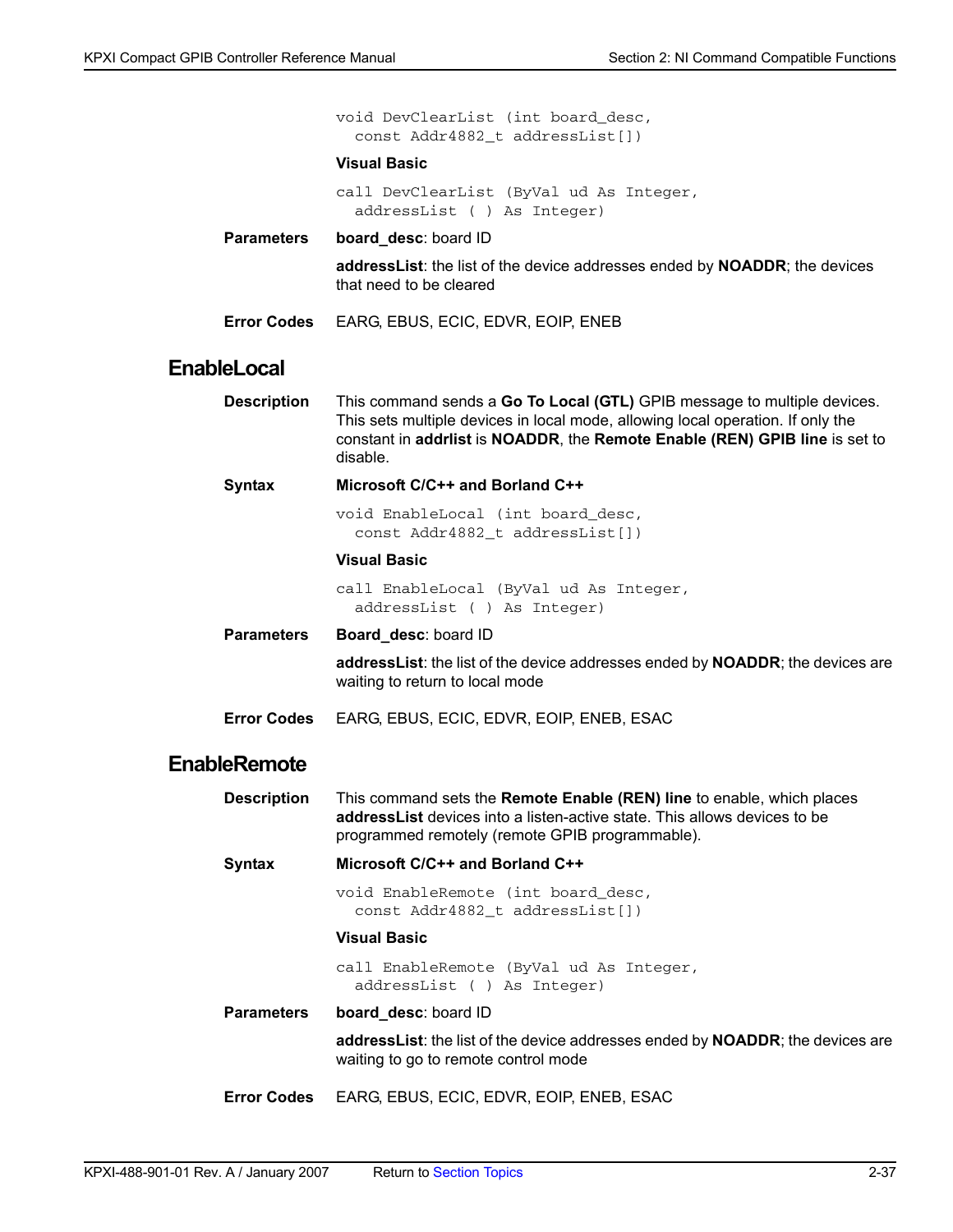|  | Return Value |  | The value of the <b>ibsta</b> |
|--|--------------|--|-------------------------------|
|--|--------------|--|-------------------------------|

**Error Codes** EABO, EADR, EBUS, ECIC, EDVR

# **Multi-device functions**

This section provides a NI command compatible multi-device IEEE 488 function reference. Refer to [Section](#page-13-0) 1 for information on [Keithley Command Compatible Functions.](#page-13-1)

## **AllSpoll**

|                   | <b>Description</b> | This command sequentially polls one or more devices. The responses and<br>number of responses of poll are individually stored in resultList and ibcntl. |  |  |
|-------------------|--------------------|---------------------------------------------------------------------------------------------------------------------------------------------------------|--|--|
|                   | <b>Syntax</b>      | Microsoft C/C++ and Borland C++                                                                                                                         |  |  |
|                   |                    | void AllSpoll (int board desc,<br>const Addr4882 t addressList[], short resultList[])                                                                   |  |  |
|                   |                    | <b>Visual Basic</b>                                                                                                                                     |  |  |
|                   |                    | call AllSpoll (ByVal board desc As Integer,<br>addressList () As Integer,<br>resultList () As Integer)                                                  |  |  |
| <b>Parameters</b> |                    | board_desc: board ID                                                                                                                                    |  |  |
|                   |                    | addressList: the list of the device addresses ended by <b>NOADDR</b>                                                                                    |  |  |
|                   |                    | resultList: the list of sequential poll responses of the devices; the devices<br>correspond to the device addresses in addrlist                         |  |  |
|                   |                    | <b>Error Codes</b> EARG, EABO, EBUS, ECIC, EDVR, EOIP, ENEB                                                                                             |  |  |
| <b>DevClear</b>   |                    |                                                                                                                                                         |  |  |
|                   | <b>Description</b> | This command sends the Selected Device Clear (SDC) GPIB message to clear                                                                                |  |  |

| <b>PUSSIBUS</b>    | <u>THIS COMMITATION SCHOOL AND OCTOCLED DEVICE OTHER TODOT OF THESSAGE TO CICAR</u><br>the selected device. If the address is constant <b>NOADDR</b> (the end point of the list),<br>the universal Device Clear (DCL) message is sent to all devices. |
|--------------------|-------------------------------------------------------------------------------------------------------------------------------------------------------------------------------------------------------------------------------------------------------|
| <b>Syntax</b>      | Microsoft C/C++ and Borland C++                                                                                                                                                                                                                       |
|                    | void DevClear (int board desc, Addr4882 t address)                                                                                                                                                                                                    |
|                    | <b>Visual Basic</b>                                                                                                                                                                                                                                   |
|                    | call DevClear (ByVal board desc As Integer,<br>ByVal address As Integer)                                                                                                                                                                              |
| <b>Parameters</b>  | board_desc: board ID                                                                                                                                                                                                                                  |
|                    | <b>address:</b> the device address; the device that needs to be cleared                                                                                                                                                                               |
| <b>Error Codes</b> | EARG, EBUS, ECIC, EDVR, EOIP, ENEB                                                                                                                                                                                                                    |
|                    |                                                                                                                                                                                                                                                       |

## **DevClearList**

| <b>Description</b> | This command clears multiple devices. If the address is the constant <b>NOADDR</b> ,<br>the DCL message is sent to all devices. |
|--------------------|---------------------------------------------------------------------------------------------------------------------------------|
| Svntax             | Microsoft C/C++ and Borland C++                                                                                                 |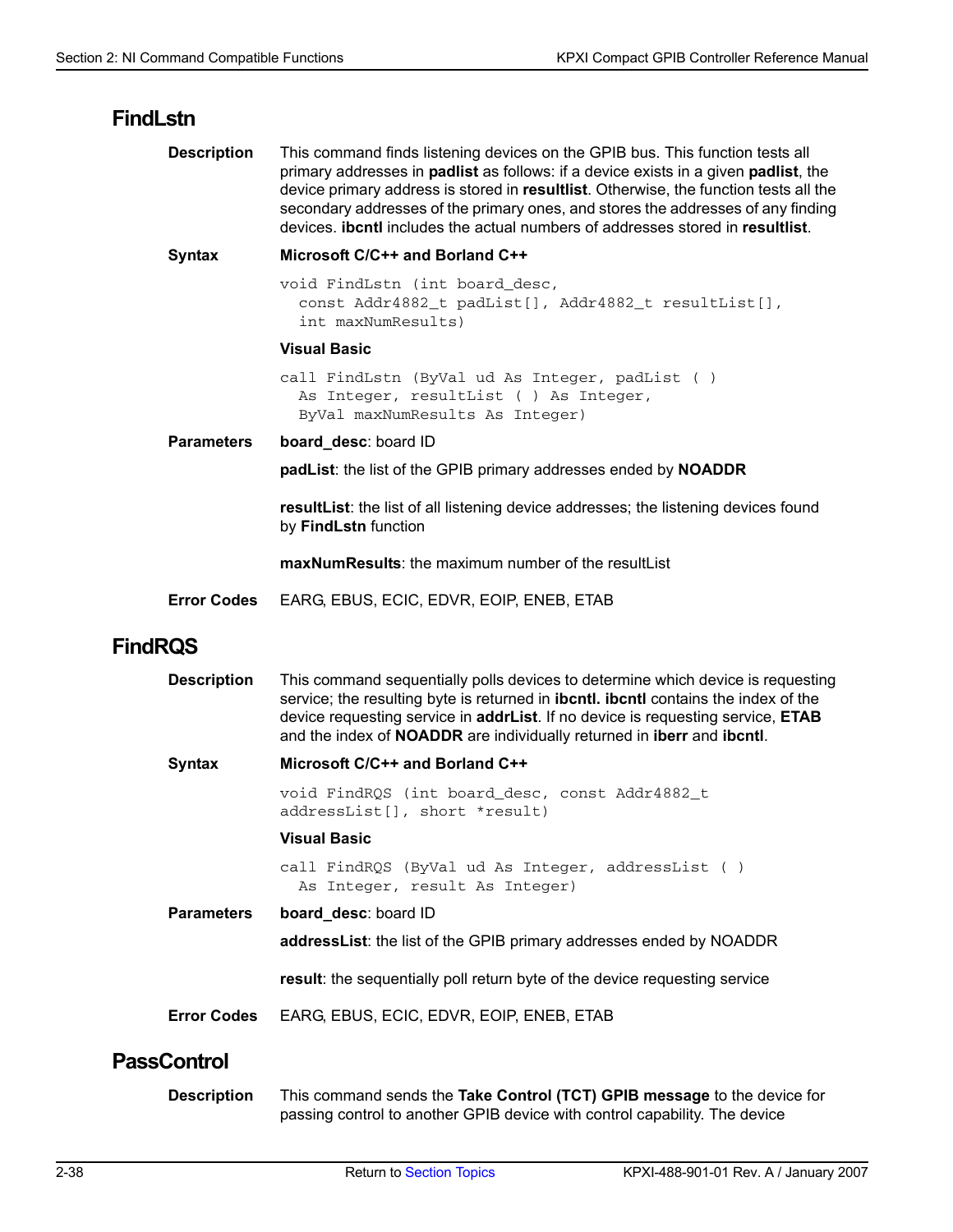|                     | void DevClearList (int board_desc,<br>const Addr4882_t addressList[])                                                                                                                                                                                  |
|---------------------|--------------------------------------------------------------------------------------------------------------------------------------------------------------------------------------------------------------------------------------------------------|
|                     | <b>Visual Basic</b>                                                                                                                                                                                                                                    |
|                     | call DevClearList (ByVal ud As Integer,<br>addressList () As Integer)                                                                                                                                                                                  |
| <b>Parameters</b>   | board_desc: board ID                                                                                                                                                                                                                                   |
|                     | addressList: the list of the device addresses ended by <b>NOADDR</b> ; the devices<br>that need to be cleared                                                                                                                                          |
| <b>Error Codes</b>  | EARG, EBUS, ECIC, EDVR, EOIP, ENEB                                                                                                                                                                                                                     |
| <b>EnableLocal</b>  |                                                                                                                                                                                                                                                        |
| <b>Description</b>  | This command sends a Go To Local (GTL) GPIB message to multiple devices.<br>This sets multiple devices in local mode, allowing local operation. If only the<br>constant in addrlist is NOADDR, the Remote Enable (REN) GPIB line is set to<br>disable. |
| <b>Syntax</b>       | Microsoft C/C++ and Borland C++                                                                                                                                                                                                                        |
|                     | void EnableLocal (int board_desc,<br>const Addr4882_t addressList[])                                                                                                                                                                                   |
|                     | <b>Visual Basic</b>                                                                                                                                                                                                                                    |
|                     | call EnableLocal (ByVal ud As Integer,<br>addressList () As Integer)                                                                                                                                                                                   |
| <b>Parameters</b>   | Board_desc: board ID                                                                                                                                                                                                                                   |
|                     | addressList: the list of the device addresses ended by <b>NOADDR</b> ; the devices are<br>waiting to return to local mode                                                                                                                              |
| <b>Error Codes</b>  | EARG, EBUS, ECIC, EDVR, EOIP, ENEB, ESAC                                                                                                                                                                                                               |
| <b>EnableRemote</b> |                                                                                                                                                                                                                                                        |
| <b>Description</b>  | This command sets the Remote Enable (REN) line to enable, which places<br>addressList devices into a listen-active state. This allows devices to be<br>programmed remotely (remote GPIB programmable).                                                 |
| <b>Syntax</b>       | Microsoft C/C++ and Borland C++                                                                                                                                                                                                                        |
|                     | void EnableRemote (int board_desc,<br>const Addr4882_t addressList[])                                                                                                                                                                                  |
|                     | <b>Visual Basic</b>                                                                                                                                                                                                                                    |
|                     | call EnableRemote (ByVal ud As Integer,<br>addressList () As Integer)                                                                                                                                                                                  |
| <b>Parameters</b>   | board_desc: board ID                                                                                                                                                                                                                                   |
|                     | addressList: the list of the device addresses ended by <b>NOADDR</b> ; the devices are<br>waiting to go to remote control mode                                                                                                                         |
| <b>Error Codes</b>  | EARG, EBUS, ECIC, EDVR, EOIP, ENEB, ESAC                                                                                                                                                                                                               |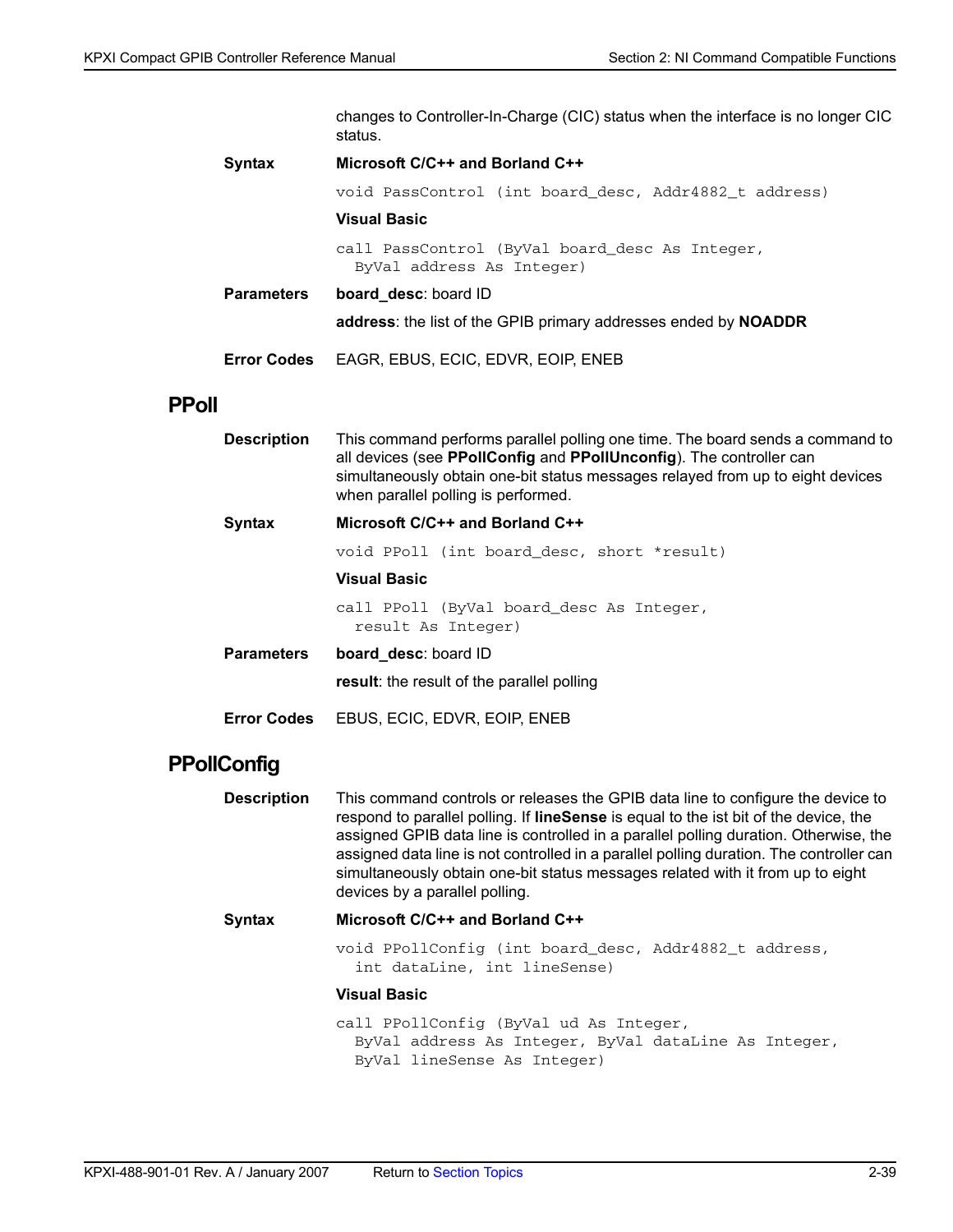| <b>FindLstn</b>    |                                                                                                                                                                                                                                                                                                                                                                                                                                                           |
|--------------------|-----------------------------------------------------------------------------------------------------------------------------------------------------------------------------------------------------------------------------------------------------------------------------------------------------------------------------------------------------------------------------------------------------------------------------------------------------------|
| <b>Description</b> | This command finds listening devices on the GPIB bus. This function tests all<br>primary addresses in <b>padlist</b> as follows: if a device exists in a given <b>padlist</b> , the<br>device primary address is stored in resultlist. Otherwise, the function tests all the<br>secondary addresses of the primary ones, and stores the addresses of any finding<br>devices, <b>ibcntl</b> includes the actual numbers of addresses stored in resultlist. |
| <b>Syntax</b>      | Microsoft C/C++ and Borland C++                                                                                                                                                                                                                                                                                                                                                                                                                           |
|                    | void FindLstn (int board_desc,<br>const Addr4882_t padList[], Addr4882_t resultList[],<br>int maxNumResults)                                                                                                                                                                                                                                                                                                                                              |
|                    | <b>Visual Basic</b>                                                                                                                                                                                                                                                                                                                                                                                                                                       |
|                    | call FindLstn (ByVal ud As Integer, padList ()<br>As Integer, resultList () As Integer,<br>ByVal maxNumResults As Integer)                                                                                                                                                                                                                                                                                                                                |
| <b>Parameters</b>  | board_desc: board ID                                                                                                                                                                                                                                                                                                                                                                                                                                      |
|                    | padList: the list of the GPIB primary addresses ended by NOADDR                                                                                                                                                                                                                                                                                                                                                                                           |
|                    | resultList: the list of all listening device addresses; the listening devices found<br>by FindLstn function                                                                                                                                                                                                                                                                                                                                               |
|                    | <b>maxNumResults:</b> the maximum number of the resultList                                                                                                                                                                                                                                                                                                                                                                                                |
| <b>Error Codes</b> | EARG, EBUS, ECIC, EDVR, EOIP, ENEB, ETAB                                                                                                                                                                                                                                                                                                                                                                                                                  |
| JBAA               |                                                                                                                                                                                                                                                                                                                                                                                                                                                           |

## **FindRQS**

| <b>Description</b>                        | This command sequentially polls devices to determine which device is requesting<br>service; the resulting byte is returned in <b>ibent. ibentl</b> contains the index of the<br>device requesting service in addrList. If no device is requesting service, ETAB<br>and the index of <b>NOADDR</b> are individually returned in <b>iberr</b> and <b>ibentl</b> . |  |
|-------------------------------------------|-----------------------------------------------------------------------------------------------------------------------------------------------------------------------------------------------------------------------------------------------------------------------------------------------------------------------------------------------------------------|--|
| <b>Syntax</b>                             | Microsoft C/C++ and Borland C++                                                                                                                                                                                                                                                                                                                                 |  |
|                                           | void FindROS (int board desc, const Addr4882 t<br>addressList[], short *result)                                                                                                                                                                                                                                                                                 |  |
|                                           | <b>Visual Basic</b>                                                                                                                                                                                                                                                                                                                                             |  |
|                                           | call FindROS (ByVal ud As Integer, addressList ()<br>As Integer, result As Integer)                                                                                                                                                                                                                                                                             |  |
| <b>Parameters</b><br>board_desc: board ID |                                                                                                                                                                                                                                                                                                                                                                 |  |
|                                           | addressList: the list of the GPIB primary addresses ended by NOADDR                                                                                                                                                                                                                                                                                             |  |
|                                           | result: the sequentially poll return byte of the device requesting service                                                                                                                                                                                                                                                                                      |  |
| <b>Error Codes</b>                        | EARG, EBUS, ECIC, EDVR, EOIP, ENEB, ETAB                                                                                                                                                                                                                                                                                                                        |  |
| <b>PassControl</b>                        |                                                                                                                                                                                                                                                                                                                                                                 |  |

**Description** This command sends the **Take Control (TCT) GPIB message** to the device for passing control to another GPIB device with control capability. The device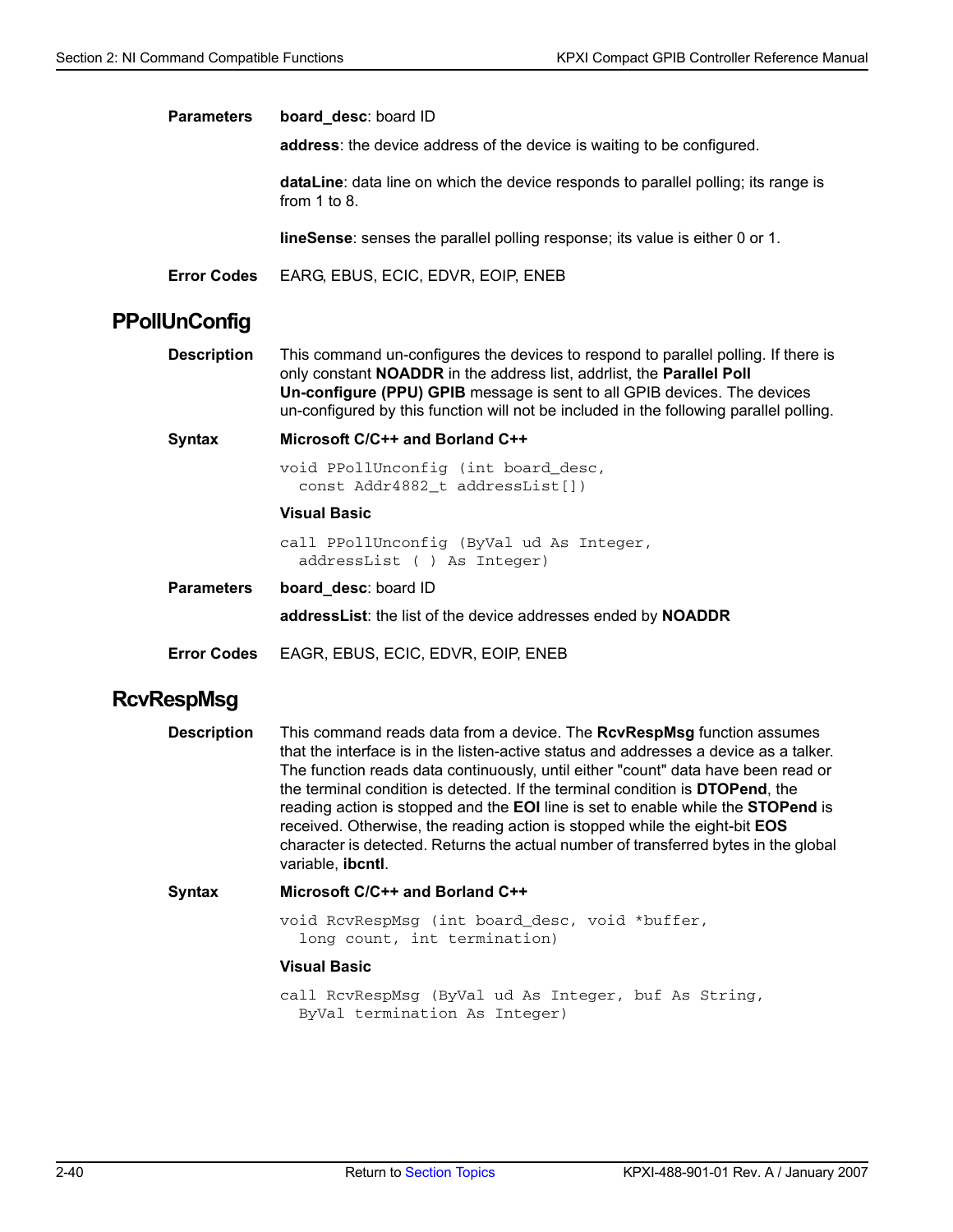changes to Controller-In-Charge (CIC) status when the interface is no longer CIC status.

| <b>Syntax</b>      | Microsoft C/C++ and Borland C++                                             |  |  |
|--------------------|-----------------------------------------------------------------------------|--|--|
|                    | void PassControl (int board desc, Addr4882 t address)                       |  |  |
|                    | Visual Basic                                                                |  |  |
|                    | call PassControl (ByVal board desc As Integer,<br>ByVal address As Integer) |  |  |
| <b>Parameters</b>  | <b>board_desc:</b> board ID                                                 |  |  |
|                    | address: the list of the GPIB primary addresses ended by NOADDR             |  |  |
| <b>Error Codes</b> | EAGR, EBUS, ECIC, EDVR, EOIP, ENEB                                          |  |  |

### **PPoll**

| <b>Description</b> | This command performs parallel polling one time. The board sends a command to<br>all devices (see PPollConfig and PPollUnconfig). The controller can<br>simultaneously obtain one-bit status messages relayed from up to eight devices<br>when parallel polling is performed. |  |  |
|--------------------|-------------------------------------------------------------------------------------------------------------------------------------------------------------------------------------------------------------------------------------------------------------------------------|--|--|
| Syntax             | Microsoft C/C++ and Borland C++                                                                                                                                                                                                                                               |  |  |
|                    | void PPoll (int board desc, short *result)                                                                                                                                                                                                                                    |  |  |
|                    | <b>Visual Basic</b>                                                                                                                                                                                                                                                           |  |  |
|                    | call PPoll (ByVal board desc As Integer,<br>result As Integer)                                                                                                                                                                                                                |  |  |
| <b>Parameters</b>  | <b>board_desc:</b> board ID                                                                                                                                                                                                                                                   |  |  |
|                    | result: the result of the parallel polling                                                                                                                                                                                                                                    |  |  |
| <b>Error Codes</b> | EBUS, ECIC, EDVR, EOIP, ENEB                                                                                                                                                                                                                                                  |  |  |

## **PPollConfig**

| <b>Description</b> | This command controls or releases the GPIB data line to configure the device to         |
|--------------------|-----------------------------------------------------------------------------------------|
|                    | respond to parallel polling. If lineSense is equal to the ist bit of the device, the    |
|                    | assigned GPIB data line is controlled in a parallel polling duration. Otherwise, the    |
|                    | assigned data line is not controlled in a parallel polling duration. The controller can |
|                    | simultaneously obtain one-bit status messages related with it from up to eight          |
|                    | devices by a parallel polling.                                                          |
|                    |                                                                                         |

### **Syntax Microsoft C/C++ and Borland C++**

void PPollConfig (int board\_desc, Addr4882\_t address, int dataLine, int lineSense)

#### **Visual Basic**

call PPollConfig (ByVal ud As Integer, ByVal address As Integer, ByVal dataLine As Integer, ByVal lineSense As Integer)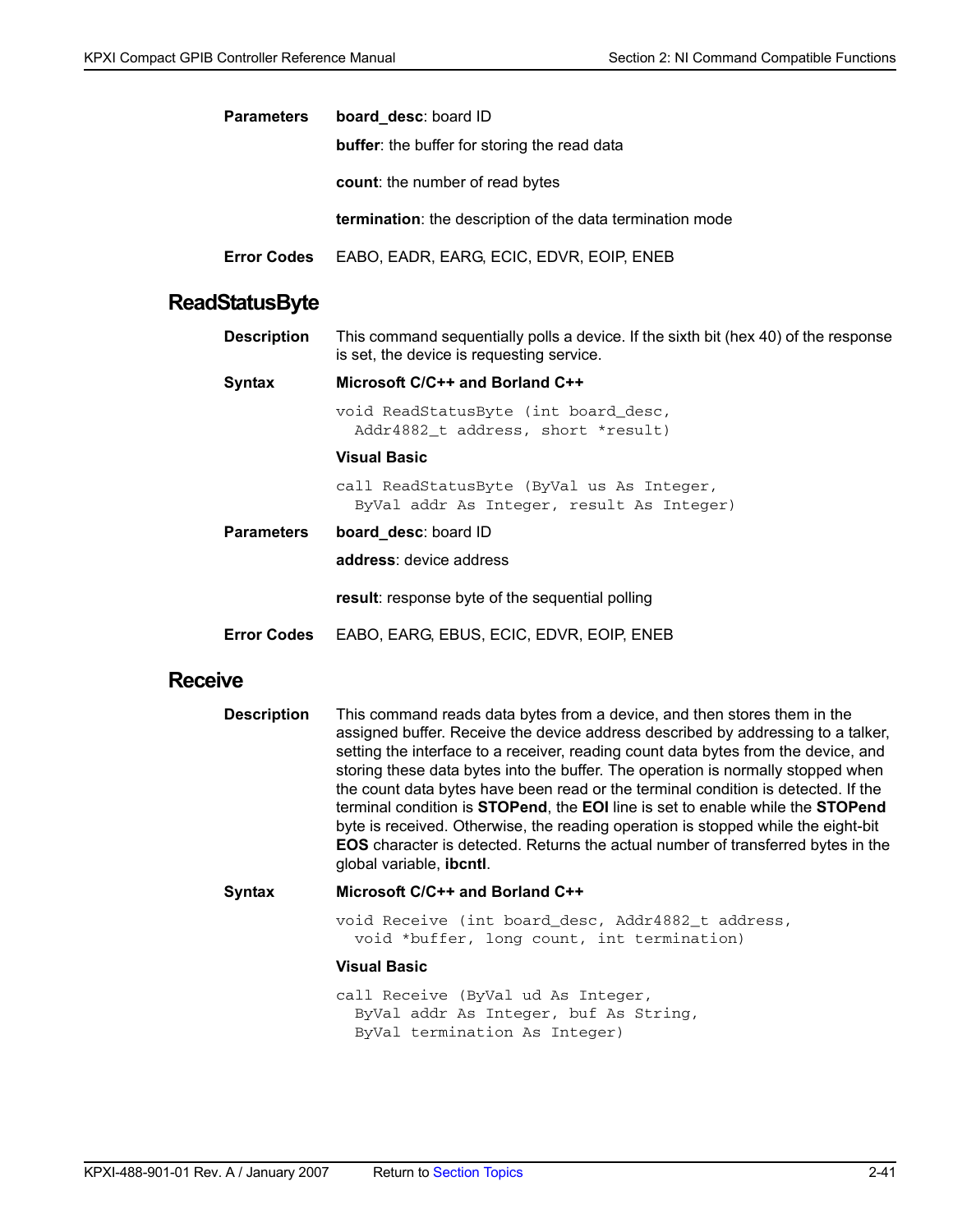| <b>Parameters</b>  | <b>board desc: board ID</b>                                                                                |  |  |
|--------------------|------------------------------------------------------------------------------------------------------------|--|--|
|                    | address: the device address of the device is waiting to be configured.                                     |  |  |
|                    | <b>dataLine</b> : data line on which the device responds to parallel polling; its range is<br>from 1 to 8. |  |  |
|                    | <b>lineSense:</b> senses the parallel polling response; its value is either 0 or 1.                        |  |  |
| <b>Error Codes</b> | EARG, EBUS, ECIC, EDVR, EOIP, ENEB                                                                         |  |  |

## **PPollUnConfig**

**Description** This command un-configures the devices to respond to parallel polling. If there is only constant **NOADDR** in the address list, addrlist, the **Parallel Poll Un-configure (PPU) GPIB** message is sent to all GPIB devices. The devices un-configured by this function will not be included in the following parallel polling.

| Syntax | Microsoft C/C++ and Borland C++ |  |
|--------|---------------------------------|--|
|        |                                 |  |

void PPollUnconfig (int board\_desc, const Addr4882\_t addressList[])

### **Visual Basic**

call PPollUnconfig (ByVal ud As Integer, addressList ( ) As Integer)

**Parameters board\_desc**: board ID

**addressList**: the list of the device addresses ended by **NOADDR**

**Error Codes** EAGR, EBUS, ECIC, EDVR, EOIP, ENEB

## **RcvRespMsg**

**Description** This command reads data from a device. The **RcvRespMsg** function assumes that the interface is in the listen-active status and addresses a device as a talker. The function reads data continuously, until either "count" data have been read or the terminal condition is detected. If the terminal condition is **DTOPend**, the reading action is stopped and the **EOI** line is set to enable while the **STOPend** is received. Otherwise, the reading action is stopped while the eight-bit **EOS** character is detected. Returns the actual number of transferred bytes in the global variable, **ibcntl**.

**Syntax Microsoft C/C++ and Borland C++** void RcvRespMsg (int board\_desc, void \*buffer, long count, int termination)

### **Visual Basic**

call RcvRespMsg (ByVal ud As Integer, buf As String, ByVal termination As Integer)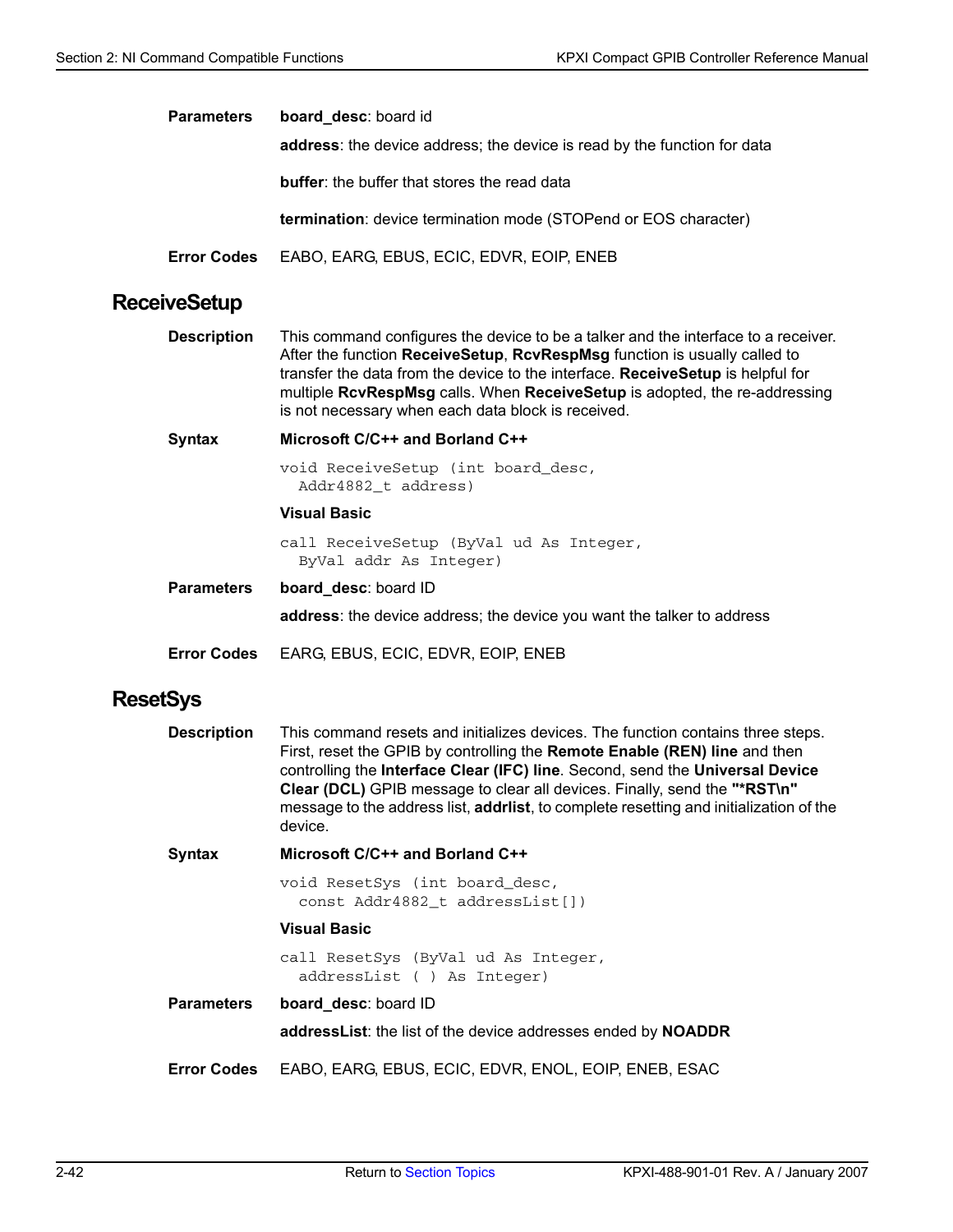| <b>board desc:</b> board ID                                      |
|------------------------------------------------------------------|
| <b>buffer:</b> the buffer for storing the read data              |
| <b>count:</b> the number of read bytes                           |
| <b>termination:</b> the description of the data termination mode |
| EABO, EADR, EARG, ECIC, EDVR, EOIP, ENEB                         |
|                                                                  |

## **ReadStatusByte**

| <b>Description</b> | This command sequentially polls a device. If the sixth bit (hex 40) of the response<br>is set, the device is requesting service. |
|--------------------|----------------------------------------------------------------------------------------------------------------------------------|
| <b>Syntax</b>      | Microsoft C/C++ and Borland C++                                                                                                  |
|                    | void ReadStatusByte (int board desc,<br>Addr4882 t address, short *result)                                                       |
|                    | <b>Visual Basic</b>                                                                                                              |
|                    | call ReadStatusByte (ByVal us As Integer,<br>ByVal addr As Integer, result As Integer)                                           |
| <b>Parameters</b>  | board desc: board ID                                                                                                             |
|                    | address: device address                                                                                                          |
|                    | <b>result:</b> response byte of the sequential polling                                                                           |
| <b>Error Codes</b> | EABO, EARG, EBUS, ECIC, EDVR, EOIP, ENEB                                                                                         |

## **Receive**

| <b>Description</b><br>global variable, <b>ibcntl</b> . | This command reads data bytes from a device, and then stores them in the<br>assigned buffer. Receive the device address described by addressing to a talker,<br>setting the interface to a receiver, reading count data bytes from the device, and<br>storing these data bytes into the buffer. The operation is normally stopped when<br>the count data bytes have been read or the terminal condition is detected. If the<br>terminal condition is STOPend, the EOI line is set to enable while the STOPend<br>byte is received. Otherwise, the reading operation is stopped while the eight-bit<br><b>EOS</b> character is detected. Returns the actual number of transferred bytes in the |
|--------------------------------------------------------|-----------------------------------------------------------------------------------------------------------------------------------------------------------------------------------------------------------------------------------------------------------------------------------------------------------------------------------------------------------------------------------------------------------------------------------------------------------------------------------------------------------------------------------------------------------------------------------------------------------------------------------------------------------------------------------------------|
|--------------------------------------------------------|-----------------------------------------------------------------------------------------------------------------------------------------------------------------------------------------------------------------------------------------------------------------------------------------------------------------------------------------------------------------------------------------------------------------------------------------------------------------------------------------------------------------------------------------------------------------------------------------------------------------------------------------------------------------------------------------------|

# **Syntax Microsoft C/C++ and Borland C++**

void Receive (int board\_desc, Addr4882\_t address, void \*buffer, long count, int termination)

### **Visual Basic**

call Receive (ByVal ud As Integer, ByVal addr As Integer, buf As String, ByVal termination As Integer)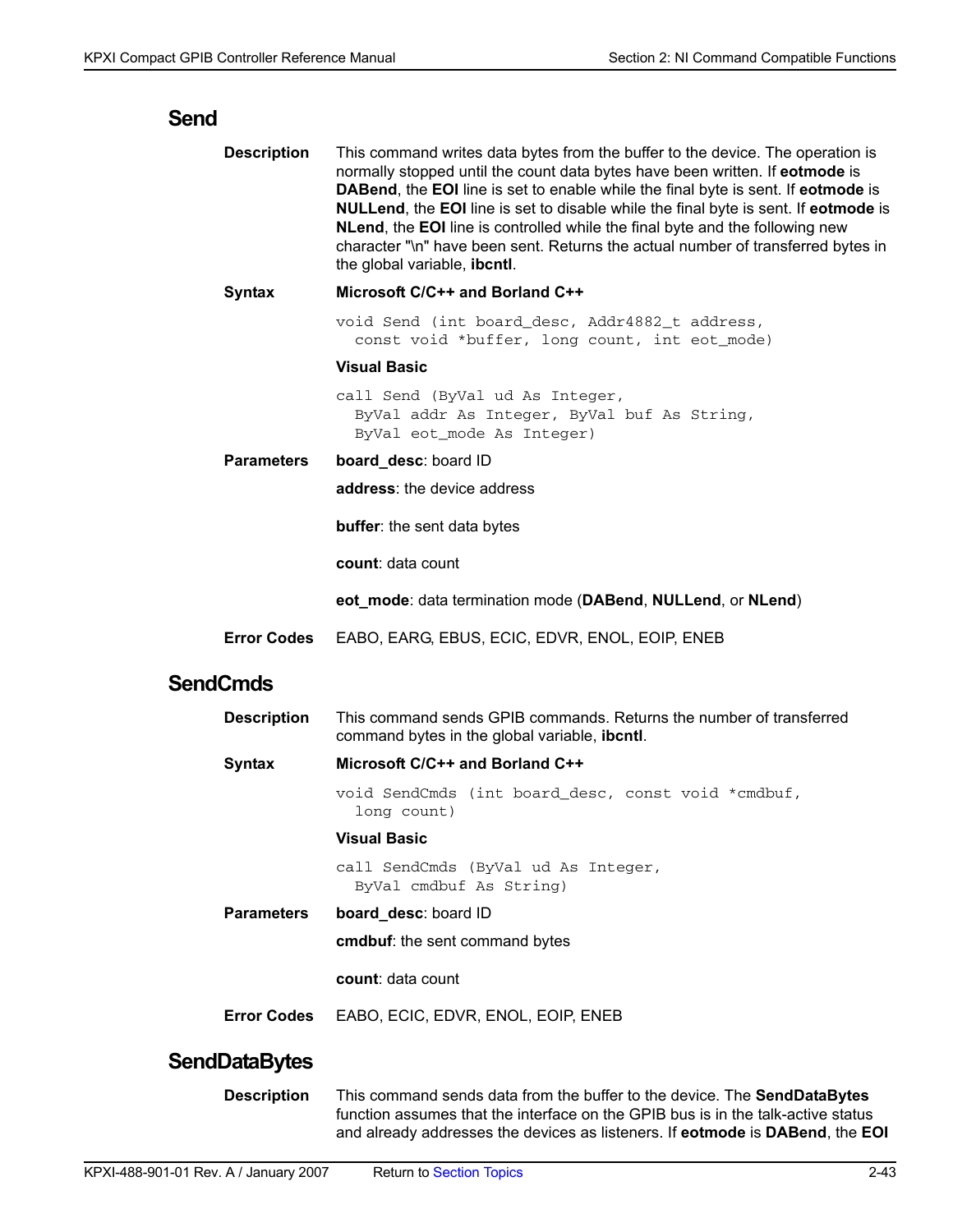| <b>Parameters</b>  | board_desc: board id                                                     |
|--------------------|--------------------------------------------------------------------------|
|                    | address: the device address; the device is read by the function for data |
|                    | <b>buffer:</b> the buffer that stores the read data                      |
|                    | <b>termination</b> : device termination mode (STOPend or EOS character)  |
| <b>Error Codes</b> | EABO, EARG, EBUS, ECIC, EDVR, EOIP, ENEB                                 |

## **ReceiveSetup**

| <b>Description</b> | This command configures the device to be a talker and the interface to a receiver. |
|--------------------|------------------------------------------------------------------------------------|
|                    | After the function <b>ReceiveSetup, RcvRespMsg</b> function is usually called to   |
|                    | transfer the data from the device to the interface. ReceiveSetup is helpful for    |
|                    | multiple RcvRespMsg calls. When ReceiveSetup is adopted, the re-addressing         |
|                    | is not necessary when each data block is received.                                 |

**Syntax Microsoft C/C++ and Borland C++**

void ReceiveSetup (int board\_desc, Addr4882\_t address)

#### **Visual Basic**

call ReceiveSetup (ByVal ud As Integer, ByVal addr As Integer)

**Parameters board\_desc**: board ID

**address**: the device address; the device you want the talker to address

**Error Codes** EARG, EBUS, ECIC, EDVR, EOIP, ENEB

## **ResetSys**

| Description | This command resets and initializes devices. The function contains three steps.<br>First, reset the GPIB by controlling the <b>Remote Enable (REN) line</b> and then<br>controlling the Interface Clear (IFC) line. Second, send the Universal Device<br>Clear (DCL) GPIB message to clear all devices. Finally, send the "*RST\n"<br>message to the address list, <b>addrlist</b> , to complete resetting and initialization of the<br>device. |
|-------------|-------------------------------------------------------------------------------------------------------------------------------------------------------------------------------------------------------------------------------------------------------------------------------------------------------------------------------------------------------------------------------------------------------------------------------------------------|
| Syntax      | Microsoft C/C++ and Borland C++                                                                                                                                                                                                                                                                                                                                                                                                                 |
|             | void ResetSys (int board desc,<br>const Addr4882 t addressList[])                                                                                                                                                                                                                                                                                                                                                                               |
|             | <b>Visual Basic</b>                                                                                                                                                                                                                                                                                                                                                                                                                             |

call ResetSys (ByVal ud As Integer, addressList ( ) As Integer)

**Parameters board\_desc**: board ID

**addressList**: the list of the device addresses ended by **NOADDR**

**Error Codes** EABO, EARG, EBUS, ECIC, EDVR, ENOL, EOIP, ENEB, ESAC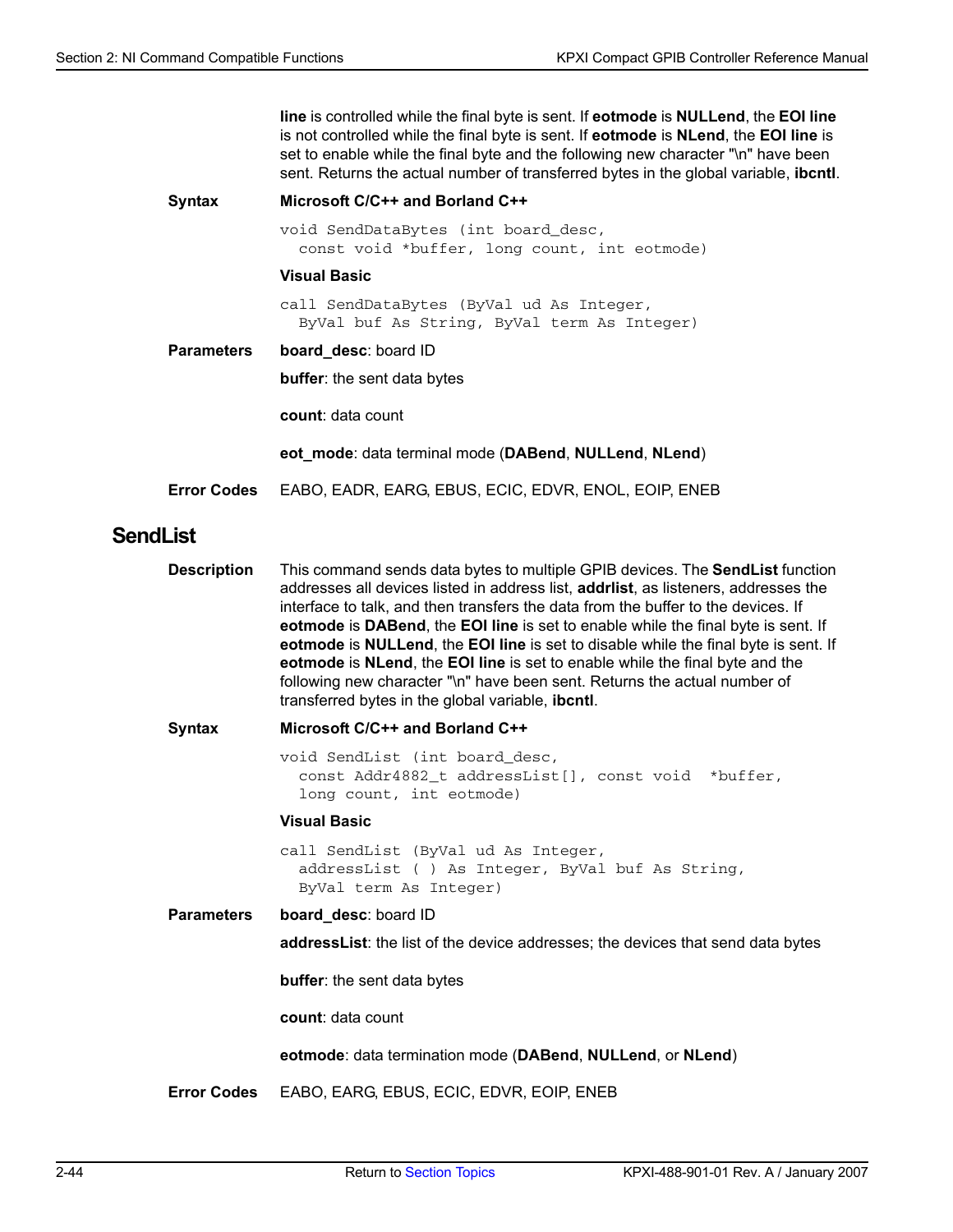| Send |                      |                                                                                                                                                                                                                                                                                                                                                                                                                                                                                                                                                |
|------|----------------------|------------------------------------------------------------------------------------------------------------------------------------------------------------------------------------------------------------------------------------------------------------------------------------------------------------------------------------------------------------------------------------------------------------------------------------------------------------------------------------------------------------------------------------------------|
|      | <b>Description</b>   | This command writes data bytes from the buffer to the device. The operation is<br>normally stopped until the count data bytes have been written. If eotmode is<br>DABend, the EOI line is set to enable while the final byte is sent. If eotmode is<br>NULLend, the EOI line is set to disable while the final byte is sent. If eotmode is<br>NLend, the EOI line is controlled while the final byte and the following new<br>character "\n" have been sent. Returns the actual number of transferred bytes in<br>the global variable, ibcntl. |
|      | <b>Syntax</b>        | Microsoft C/C++ and Borland C++                                                                                                                                                                                                                                                                                                                                                                                                                                                                                                                |
|      |                      | void Send (int board_desc, Addr4882_t address,<br>const void *buffer, long count, int eot_mode)                                                                                                                                                                                                                                                                                                                                                                                                                                                |
|      |                      | <b>Visual Basic</b>                                                                                                                                                                                                                                                                                                                                                                                                                                                                                                                            |
|      |                      | call Send (ByVal ud As Integer,<br>ByVal addr As Integer, ByVal buf As String,<br>ByVal eot_mode As Integer)                                                                                                                                                                                                                                                                                                                                                                                                                                   |
|      | <b>Parameters</b>    | board_desc: board ID                                                                                                                                                                                                                                                                                                                                                                                                                                                                                                                           |
|      |                      | address: the device address                                                                                                                                                                                                                                                                                                                                                                                                                                                                                                                    |
|      |                      | buffer: the sent data bytes                                                                                                                                                                                                                                                                                                                                                                                                                                                                                                                    |
|      |                      | count: data count                                                                                                                                                                                                                                                                                                                                                                                                                                                                                                                              |
|      |                      | eot_mode: data termination mode (DABend, NULLend, or NLend)                                                                                                                                                                                                                                                                                                                                                                                                                                                                                    |
|      | <b>Error Codes</b>   | EABO, EARG, EBUS, ECIC, EDVR, ENOL, EOIP, ENEB                                                                                                                                                                                                                                                                                                                                                                                                                                                                                                 |
|      | <b>SendCmds</b>      |                                                                                                                                                                                                                                                                                                                                                                                                                                                                                                                                                |
|      | <b>Description</b>   | This command sends GPIB commands. Returns the number of transferred<br>command bytes in the global variable, ibcntl.                                                                                                                                                                                                                                                                                                                                                                                                                           |
|      | <b>Syntax</b>        | Microsoft C/C++ and Borland C++                                                                                                                                                                                                                                                                                                                                                                                                                                                                                                                |
|      |                      | void SendCmds (int board_desc, const void *cmdbuf,<br>long count)                                                                                                                                                                                                                                                                                                                                                                                                                                                                              |
|      |                      | <b>Visual Basic</b>                                                                                                                                                                                                                                                                                                                                                                                                                                                                                                                            |
|      |                      | call SendCmds (ByVal ud As Integer,<br>ByVal cmdbuf As String)                                                                                                                                                                                                                                                                                                                                                                                                                                                                                 |
|      | <b>Parameters</b>    | board_desc: board ID                                                                                                                                                                                                                                                                                                                                                                                                                                                                                                                           |
|      |                      | cmdbuf: the sent command bytes                                                                                                                                                                                                                                                                                                                                                                                                                                                                                                                 |
|      |                      | count: data count                                                                                                                                                                                                                                                                                                                                                                                                                                                                                                                              |
|      | <b>Error Codes</b>   | EABO, ECIC, EDVR, ENOL, EOIP, ENEB                                                                                                                                                                                                                                                                                                                                                                                                                                                                                                             |
|      | <b>SendDataBytes</b> |                                                                                                                                                                                                                                                                                                                                                                                                                                                                                                                                                |

### **Description** This command sends data from the buffer to the device. The **SendDataBytes** function assumes that the interface on the GPIB bus is in the talk-active status and already addresses the devices as listeners. If **eotmode** is **DABend**, the **EOI**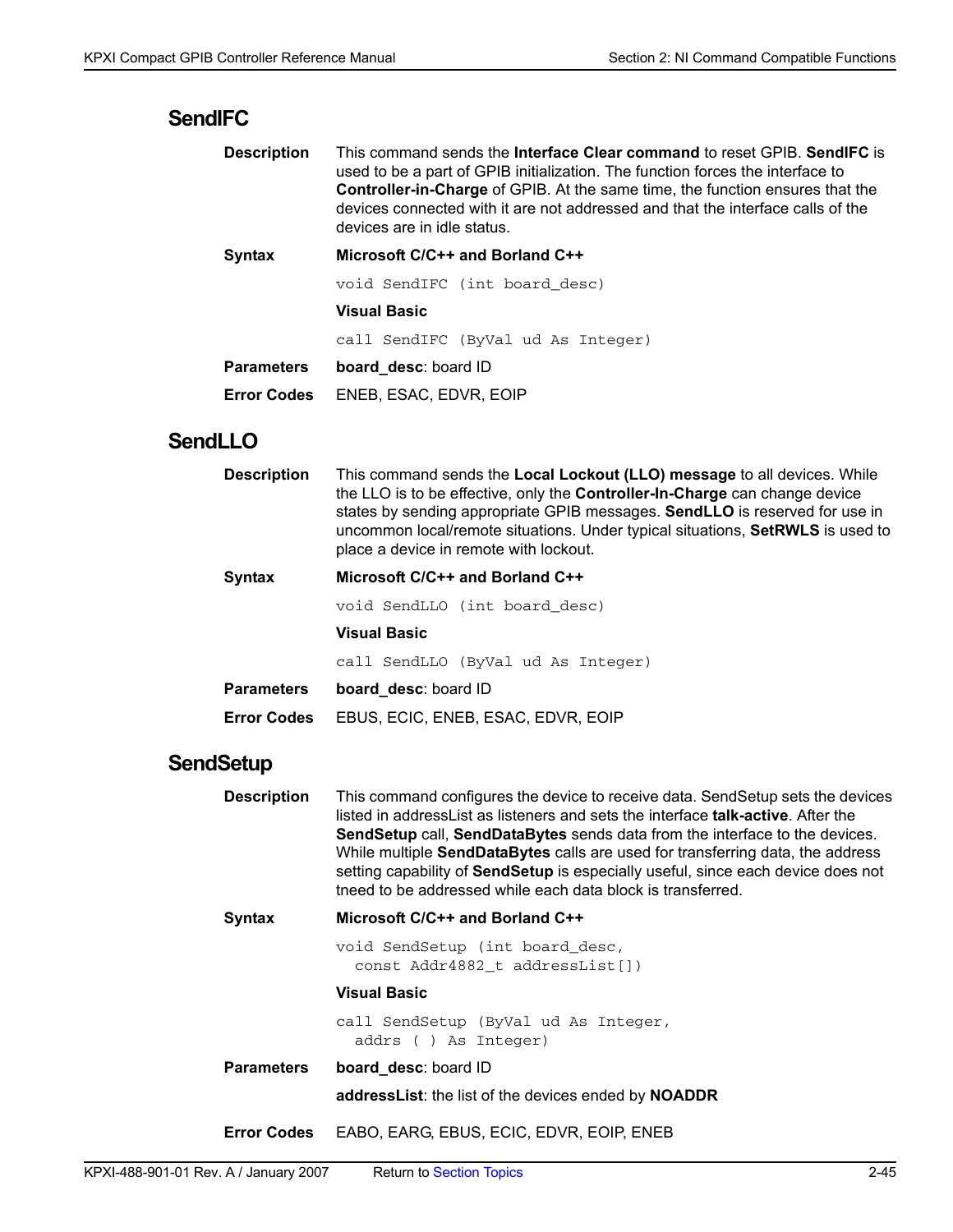**line** is controlled while the final byte is sent. If **eotmode** is **NULLend**, the **EOI line** is not controlled while the final byte is sent. If **eotmode** is **NLend**, the **EOI line** is set to enable while the final byte and the following new character "\n" have been sent. Returns the actual number of transferred bytes in the global variable, **ibcntl**.

| Syntax             | Microsoft C/C++ and Borland C++                                                         |
|--------------------|-----------------------------------------------------------------------------------------|
|                    | void SendDataBytes (int board desc,<br>const void *buffer, long count, int eotmode)     |
|                    | <b>Visual Basic</b>                                                                     |
|                    | call SendDataBytes (ByVal ud As Integer,<br>ByVal buf As String, ByVal term As Integer) |
| <b>Parameters</b>  | board_desc: board ID                                                                    |
|                    | <b>buffer:</b> the sent data bytes                                                      |
|                    | count: data count                                                                       |
|                    | eot_mode: data terminal mode (DABend, NULLend, NLend)                                   |
| <b>Error Codes</b> | EABO, EADR, EARG, EBUS, ECIC, EDVR, ENOL, EOIP, ENEB                                    |
| <b>SendList</b>    |                                                                                         |

| <b>Description</b> | This command sends data bytes to multiple GPIB devices. The SendList function<br>addresses all devices listed in address list, addrlist, as listeners, addresses the<br>interface to talk, and then transfers the data from the buffer to the devices. If<br>eotmode is DABend, the EOI line is set to enable while the final byte is sent. If<br>eotmode is NULLend, the EOI line is set to disable while the final byte is sent. If<br>eotmode is NLend, the EOI line is set to enable while the final byte and the<br>following new character "\n" have been sent. Returns the actual number of<br>transferred bytes in the global variable, ibentl. |
|--------------------|---------------------------------------------------------------------------------------------------------------------------------------------------------------------------------------------------------------------------------------------------------------------------------------------------------------------------------------------------------------------------------------------------------------------------------------------------------------------------------------------------------------------------------------------------------------------------------------------------------------------------------------------------------|
| <b>Syntax</b>      | Microsoft C/C++ and Borland C++                                                                                                                                                                                                                                                                                                                                                                                                                                                                                                                                                                                                                         |
|                    | void SendList (int board_desc,<br>const Addr4882_t addressList[], const void *buffer,<br>long count, int eotmode)                                                                                                                                                                                                                                                                                                                                                                                                                                                                                                                                       |
|                    | <b>Visual Basic</b>                                                                                                                                                                                                                                                                                                                                                                                                                                                                                                                                                                                                                                     |
|                    | call SendList (ByVal ud As Integer,<br>addressList () As Integer, ByVal buf As String,<br>ByVal term As Integer)                                                                                                                                                                                                                                                                                                                                                                                                                                                                                                                                        |
| <b>Parameters</b>  | board_desc: board ID                                                                                                                                                                                                                                                                                                                                                                                                                                                                                                                                                                                                                                    |
|                    | addressList: the list of the device addresses; the devices that send data bytes                                                                                                                                                                                                                                                                                                                                                                                                                                                                                                                                                                         |
|                    | buffer: the sent data bytes                                                                                                                                                                                                                                                                                                                                                                                                                                                                                                                                                                                                                             |
|                    | count: data count                                                                                                                                                                                                                                                                                                                                                                                                                                                                                                                                                                                                                                       |
|                    | eotmode: data termination mode (DABend, NULLend, or NLend)                                                                                                                                                                                                                                                                                                                                                                                                                                                                                                                                                                                              |
| <b>Error Codes</b> | EABO, EARG, EBUS, ECIC, EDVR, EOIP, ENEB                                                                                                                                                                                                                                                                                                                                                                                                                                                                                                                                                                                                                |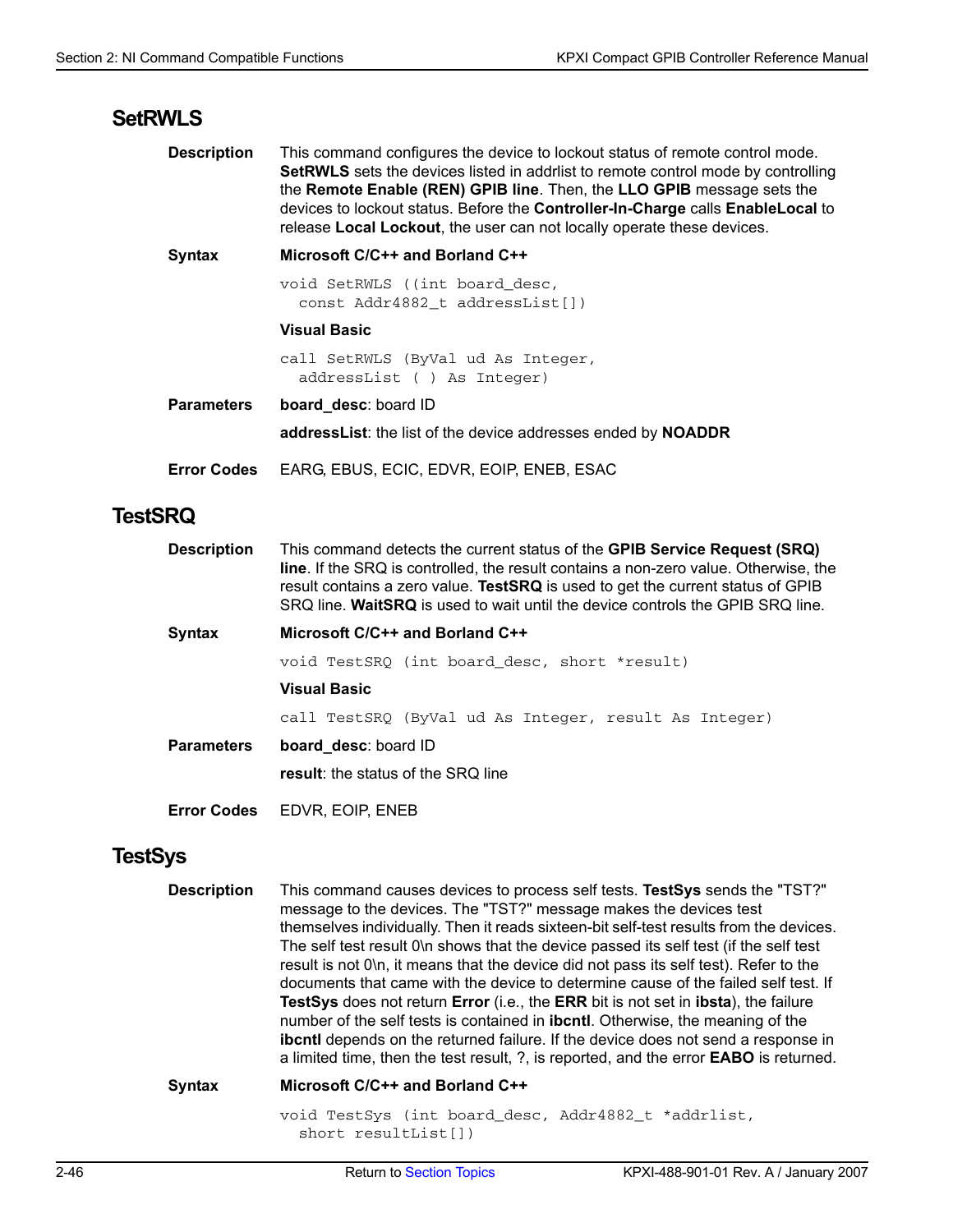| <b>SendIFC</b>     |                                                                                                                                                                                                                                                                                                                                                                             |
|--------------------|-----------------------------------------------------------------------------------------------------------------------------------------------------------------------------------------------------------------------------------------------------------------------------------------------------------------------------------------------------------------------------|
| <b>Description</b> | This command sends the <b>Interface Clear command</b> to reset GPIB. <b>SendIFC</b> is<br>used to be a part of GPIB initialization. The function forces the interface to<br>Controller-in-Charge of GPIB. At the same time, the function ensures that the<br>devices connected with it are not addressed and that the interface calls of the<br>devices are in idle status. |
| <b>Syntax</b>      | Microsoft C/C++ and Borland C++                                                                                                                                                                                                                                                                                                                                             |
|                    | void SendIFC (int board desc)                                                                                                                                                                                                                                                                                                                                               |
|                    | <b>Visual Basic</b>                                                                                                                                                                                                                                                                                                                                                         |
|                    | call SendIFC (ByVal ud As Integer)                                                                                                                                                                                                                                                                                                                                          |
| <b>Parameters</b>  | board_desc: board ID                                                                                                                                                                                                                                                                                                                                                        |
| <b>Error Codes</b> | ENEB, ESAC, EDVR, EOIP                                                                                                                                                                                                                                                                                                                                                      |
| <b>SendLLO</b>     |                                                                                                                                                                                                                                                                                                                                                                             |
| <b>Description</b> | This command sends the Local Lockout (LLO) message to all devices. While<br>the LLO is to be effective, only the <b>Controller-In-Charge</b> can change device                                                                                                                                                                                                              |

states by sending appropriate GPIB messages. **SendLLO** is reserved for use in uncommon local/remote situations. Under typical situations, **SetRWLS** is used to place a device in remote with lockout.

```
Syntax Microsoft C/C++ and Borland C++
```
void SendLLO (int board\_desc)

### **Visual Basic**

call SendLLO (ByVal ud As Integer)

**Parameters board\_desc**: board ID

**Error Codes** EBUS, ECIC, ENEB, ESAC, EDVR, EOIP

### **SendSetup**

| Description | This command configures the device to receive data. Send Setup sets the devices<br>listed in addressList as listeners and sets the interface talk-active. After the |
|-------------|---------------------------------------------------------------------------------------------------------------------------------------------------------------------|
|             |                                                                                                                                                                     |
|             | <b>SendSetup call, SendDataBytes sends data from the interface to the devices.</b>                                                                                  |
|             | While multiple SendDataBytes calls are used for transferring data, the address                                                                                      |
|             | setting capability of <b>SendSetup</b> is especially useful, since each device does not                                                                             |
|             | theed to be addressed while each data block is transferred.                                                                                                         |
|             |                                                                                                                                                                     |

### **Syntax Microsoft C/C++ and Borland C++**

void SendSetup (int board\_desc, const Addr4882\_t addressList[])

#### **Visual Basic**

call SendSetup (ByVal ud As Integer, addrs ( ) As Integer)

**Parameters board\_desc**: board ID **addressList**: the list of the devices ended by **NOADDR**

**Error Codes** EABO, EARG, EBUS, ECIC, EDVR, EOIP, ENEB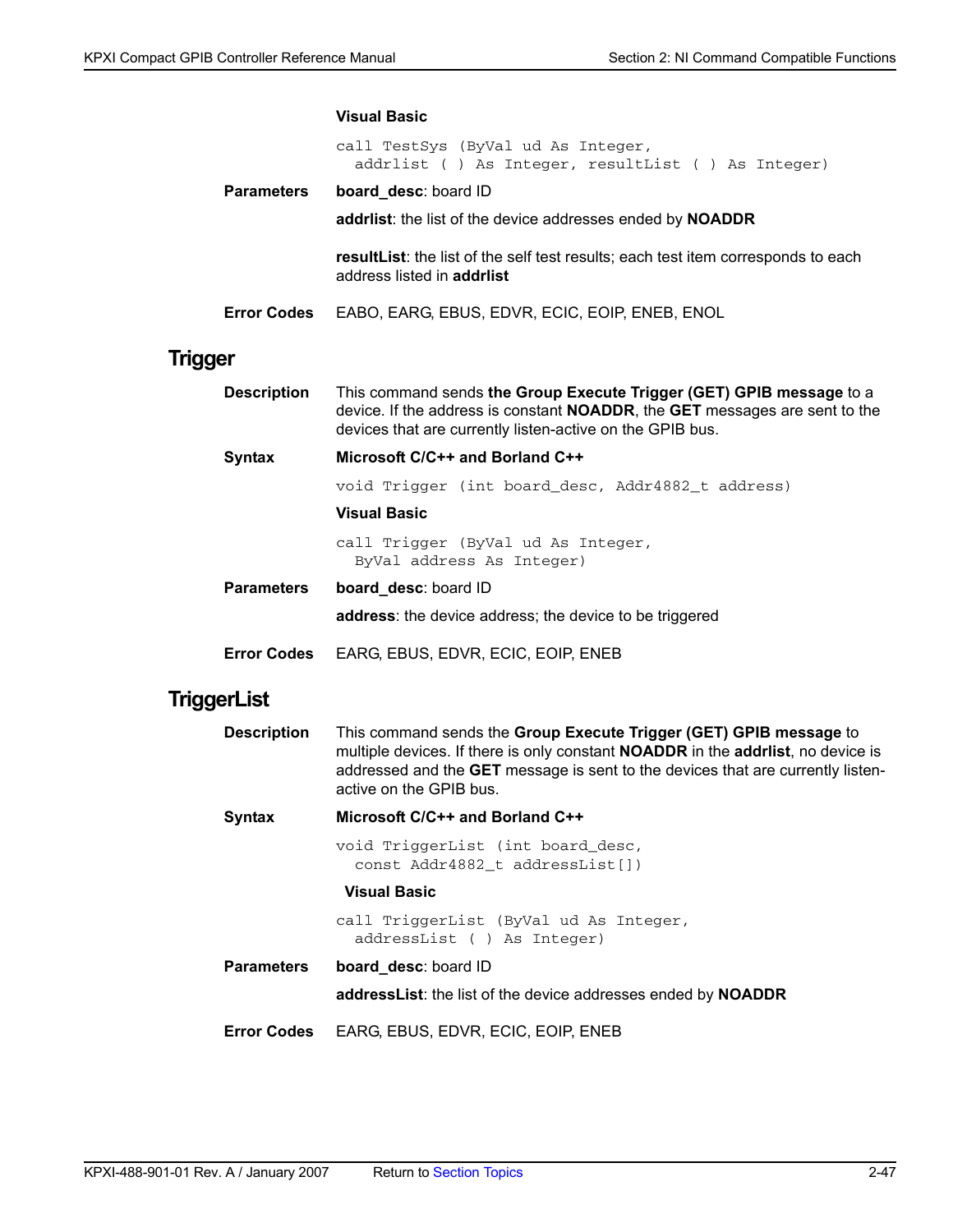| <b>SetRWLS</b>     |                                                                                                                                                                                                                                                                                                                                                                                                                  |
|--------------------|------------------------------------------------------------------------------------------------------------------------------------------------------------------------------------------------------------------------------------------------------------------------------------------------------------------------------------------------------------------------------------------------------------------|
| <b>Description</b> | This command configures the device to lockout status of remote control mode.<br><b>SetRWLS</b> sets the devices listed in addrilist to remote control mode by controlling<br>the Remote Enable (REN) GPIB line. Then, the LLO GPIB message sets the<br>devices to lockout status. Before the Controller-In-Charge calls EnableLocal to<br>release Local Lockout, the user can not locally operate these devices. |
| <b>Syntax</b>      | Microsoft C/C++ and Borland C++                                                                                                                                                                                                                                                                                                                                                                                  |
|                    | void SetRWLS ((int board desc,<br>const Addr4882 t addressList[])                                                                                                                                                                                                                                                                                                                                                |
|                    | <b>Visual Basic</b>                                                                                                                                                                                                                                                                                                                                                                                              |
|                    | call SetRWLS (ByVal ud As Integer,<br>addressList () As Integer)                                                                                                                                                                                                                                                                                                                                                 |
| <b>Parameters</b>  | board_desc: board ID                                                                                                                                                                                                                                                                                                                                                                                             |
|                    | addressList: the list of the device addresses ended by <b>NOADDR</b>                                                                                                                                                                                                                                                                                                                                             |
| <b>Error Codes</b> | EARG, EBUS, ECIC, EDVR, EOIP, ENEB, ESAC                                                                                                                                                                                                                                                                                                                                                                         |

## **TestSRQ**

| <b>Description</b> | This command detects the current status of the GPIB Service Request (SRQ)<br>line. If the SRQ is controlled, the result contains a non-zero value. Otherwise, the<br>result contains a zero value. TestSRQ is used to get the current status of GPIB<br>SRQ line. <b>WaitSRQ</b> is used to wait until the device controls the GPIB SRQ line. |
|--------------------|-----------------------------------------------------------------------------------------------------------------------------------------------------------------------------------------------------------------------------------------------------------------------------------------------------------------------------------------------|
| <b>Syntax</b>      | Microsoft C/C++ and Borland C++                                                                                                                                                                                                                                                                                                               |
|                    | void TestSRQ (int board desc, short *result)                                                                                                                                                                                                                                                                                                  |
|                    | <b>Visual Basic</b>                                                                                                                                                                                                                                                                                                                           |
|                    | call TestSRO (ByVal ud As Integer, result As Integer)                                                                                                                                                                                                                                                                                         |
| <b>Parameters</b>  | board desc: board ID                                                                                                                                                                                                                                                                                                                          |
|                    | result: the status of the SRQ line                                                                                                                                                                                                                                                                                                            |
| <b>Error Codes</b> | EDVR. EOIP. ENEB                                                                                                                                                                                                                                                                                                                              |

## **TestSys**

| <b>Description</b> | This command causes devices to process self tests. TestSys sends the "TST?"<br>message to the devices. The "TST?" message makes the devices test<br>themselves individually. Then it reads sixteen-bit self-test results from the devices.<br>The self test result 0\n shows that the device passed its self test (if the self test<br>result is not 0\n, it means that the device did not pass its self test). Refer to the<br>documents that came with the device to determine cause of the failed self test. If<br>TestSys does not return Error (i.e., the ERR bit is not set in ibsta), the failure<br>number of the self tests is contained in <b>ibentl</b> . Otherwise, the meaning of the<br>ibcntl depends on the returned failure. If the device does not send a response in<br>a limited time, then the test result, ?, is reported, and the error <b>EABO</b> is returned. |
|--------------------|-----------------------------------------------------------------------------------------------------------------------------------------------------------------------------------------------------------------------------------------------------------------------------------------------------------------------------------------------------------------------------------------------------------------------------------------------------------------------------------------------------------------------------------------------------------------------------------------------------------------------------------------------------------------------------------------------------------------------------------------------------------------------------------------------------------------------------------------------------------------------------------------|
|--------------------|-----------------------------------------------------------------------------------------------------------------------------------------------------------------------------------------------------------------------------------------------------------------------------------------------------------------------------------------------------------------------------------------------------------------------------------------------------------------------------------------------------------------------------------------------------------------------------------------------------------------------------------------------------------------------------------------------------------------------------------------------------------------------------------------------------------------------------------------------------------------------------------------|

### **Syntax Microsoft C/C++ and Borland C++**

void TestSys (int board\_desc, Addr4882\_t \*addrlist, short resultList[])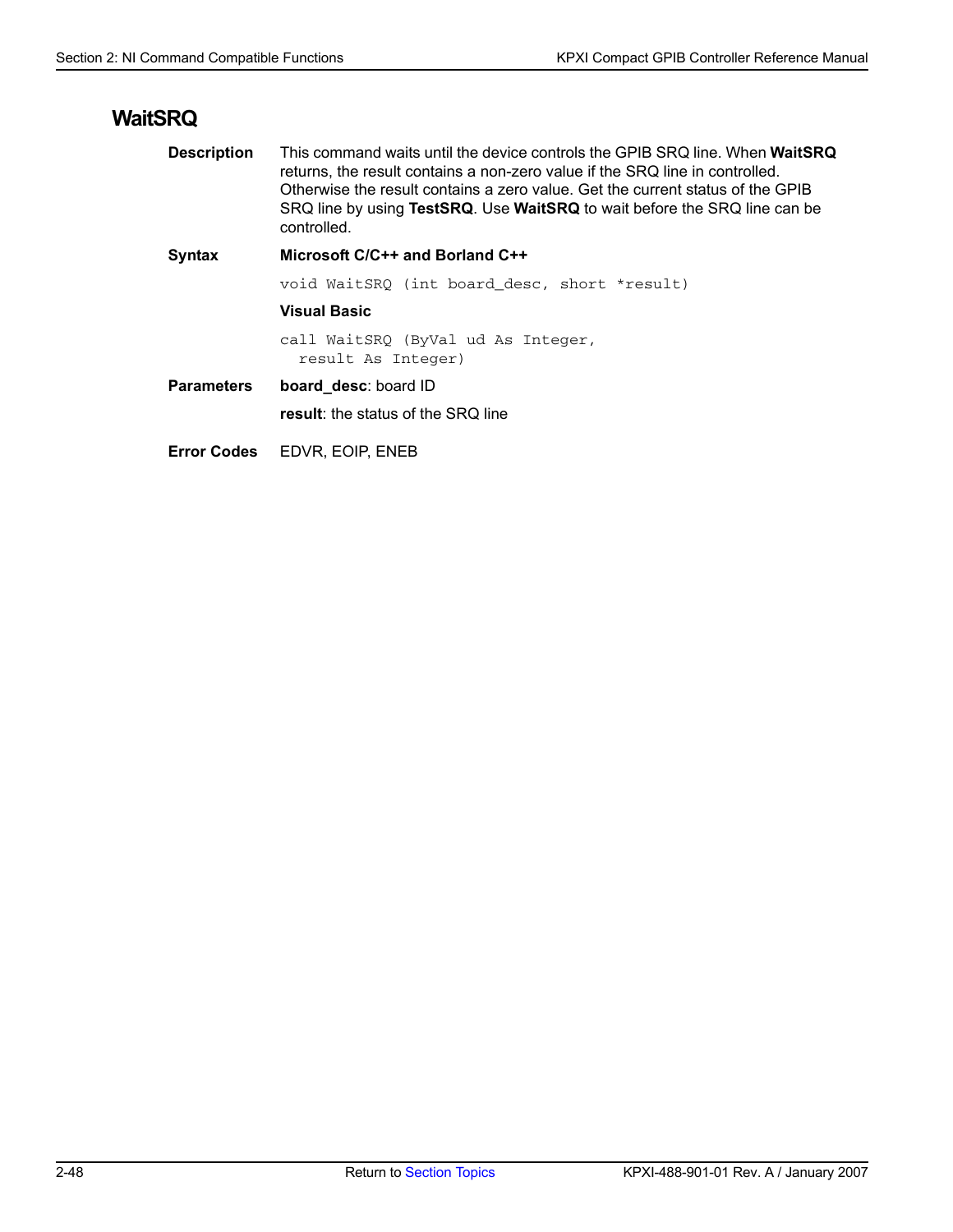|         |                    | <b>Visual Basic</b>                                                                                                                                                                                                                                                                 |
|---------|--------------------|-------------------------------------------------------------------------------------------------------------------------------------------------------------------------------------------------------------------------------------------------------------------------------------|
|         |                    | call TestSys (ByVal ud As Integer,<br>addrlist () As Integer, resultList () As Integer)                                                                                                                                                                                             |
|         | <b>Parameters</b>  | board_desc: board ID                                                                                                                                                                                                                                                                |
|         |                    | addrlist: the list of the device addresses ended by <b>NOADDR</b>                                                                                                                                                                                                                   |
|         |                    | resultList: the list of the self test results; each test item corresponds to each<br>address listed in addrlist                                                                                                                                                                     |
|         | <b>Error Codes</b> | EABO, EARG, EBUS, EDVR, ECIC, EOIP, ENEB, ENOL                                                                                                                                                                                                                                      |
| Trigger |                    |                                                                                                                                                                                                                                                                                     |
|         | <b>Description</b> | This command sends the Group Execute Trigger (GET) GPIB message to a<br>device. If the address is constant <b>NOADDR</b> , the GET messages are sent to the<br>devices that are currently listen-active on the GPIB bus.                                                            |
|         | <b>Syntax</b>      | Microsoft C/C++ and Borland C++                                                                                                                                                                                                                                                     |
|         |                    | void Trigger (int board_desc, Addr4882_t address)                                                                                                                                                                                                                                   |
|         |                    | <b>Visual Basic</b>                                                                                                                                                                                                                                                                 |
|         |                    | call Trigger (ByVal ud As Integer,<br>ByVal address As Integer)                                                                                                                                                                                                                     |
|         |                    |                                                                                                                                                                                                                                                                                     |
|         | <b>Parameters</b>  | board_desc: board ID                                                                                                                                                                                                                                                                |
|         |                    | address: the device address; the device to be triggered                                                                                                                                                                                                                             |
|         | <b>Error Codes</b> | EARG, EBUS, EDVR, ECIC, EOIP, ENEB                                                                                                                                                                                                                                                  |
|         | TriggerList        |                                                                                                                                                                                                                                                                                     |
|         | <b>Description</b> | This command sends the Group Execute Trigger (GET) GPIB message to<br>multiple devices. If there is only constant <b>NOADDR</b> in the <b>addrlist</b> , no device is<br>addressed and the GET message is sent to the devices that are currently listen-<br>active on the GPIB bus. |
|         | <b>Syntax</b>      | Microsoft C/C++ and Borland C++                                                                                                                                                                                                                                                     |
|         |                    | void TriggerList (int board_desc,<br>const Addr4882_t addressList[])                                                                                                                                                                                                                |
|         |                    | <b>Visual Basic</b>                                                                                                                                                                                                                                                                 |
|         |                    | call TriggerList (ByVal ud As Integer,<br>addressList () As Integer)                                                                                                                                                                                                                |
|         | <b>Parameters</b>  | board_desc: board ID                                                                                                                                                                                                                                                                |
|         |                    | addressList: the list of the device addresses ended by NOADDR                                                                                                                                                                                                                       |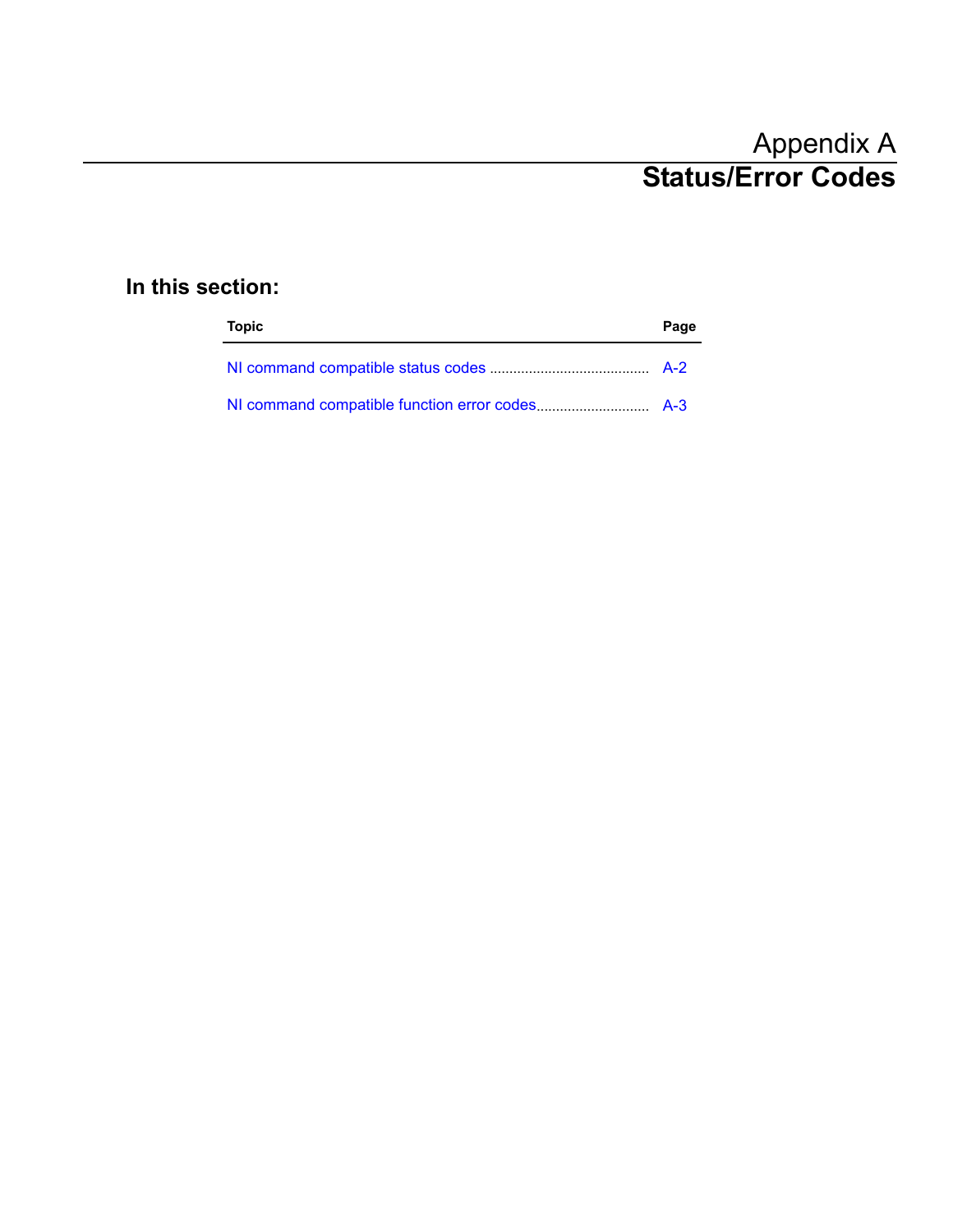| <b>Description</b> | This command waits until the device controls the GPIB SRQ line. When <b>WaitSRQ</b><br>returns, the result contains a non-zero value if the SRQ line in controlled.<br>Otherwise the result contains a zero value. Get the current status of the GPIB<br>SRQ line by using <b>TestSRQ</b> . Use <b>WaitSRQ</b> to wait before the SRQ line can be<br>controlled. |  |  |  |
|--------------------|------------------------------------------------------------------------------------------------------------------------------------------------------------------------------------------------------------------------------------------------------------------------------------------------------------------------------------------------------------------|--|--|--|
| <b>Syntax</b>      | Microsoft C/C++ and Borland C++                                                                                                                                                                                                                                                                                                                                  |  |  |  |
|                    | void WaitSRQ (int board desc, short *result)                                                                                                                                                                                                                                                                                                                     |  |  |  |
|                    | <b>Visual Basic</b>                                                                                                                                                                                                                                                                                                                                              |  |  |  |
|                    | call WaitSRQ (ByVal ud As Integer,<br>result As Integer)                                                                                                                                                                                                                                                                                                         |  |  |  |
| <b>Parameters</b>  | <b>board_desc:</b> board ID                                                                                                                                                                                                                                                                                                                                      |  |  |  |
|                    | result: the status of the SRQ line                                                                                                                                                                                                                                                                                                                               |  |  |  |
| <b>Error Codes</b> | EDVR, EOIP, ENEB                                                                                                                                                                                                                                                                                                                                                 |  |  |  |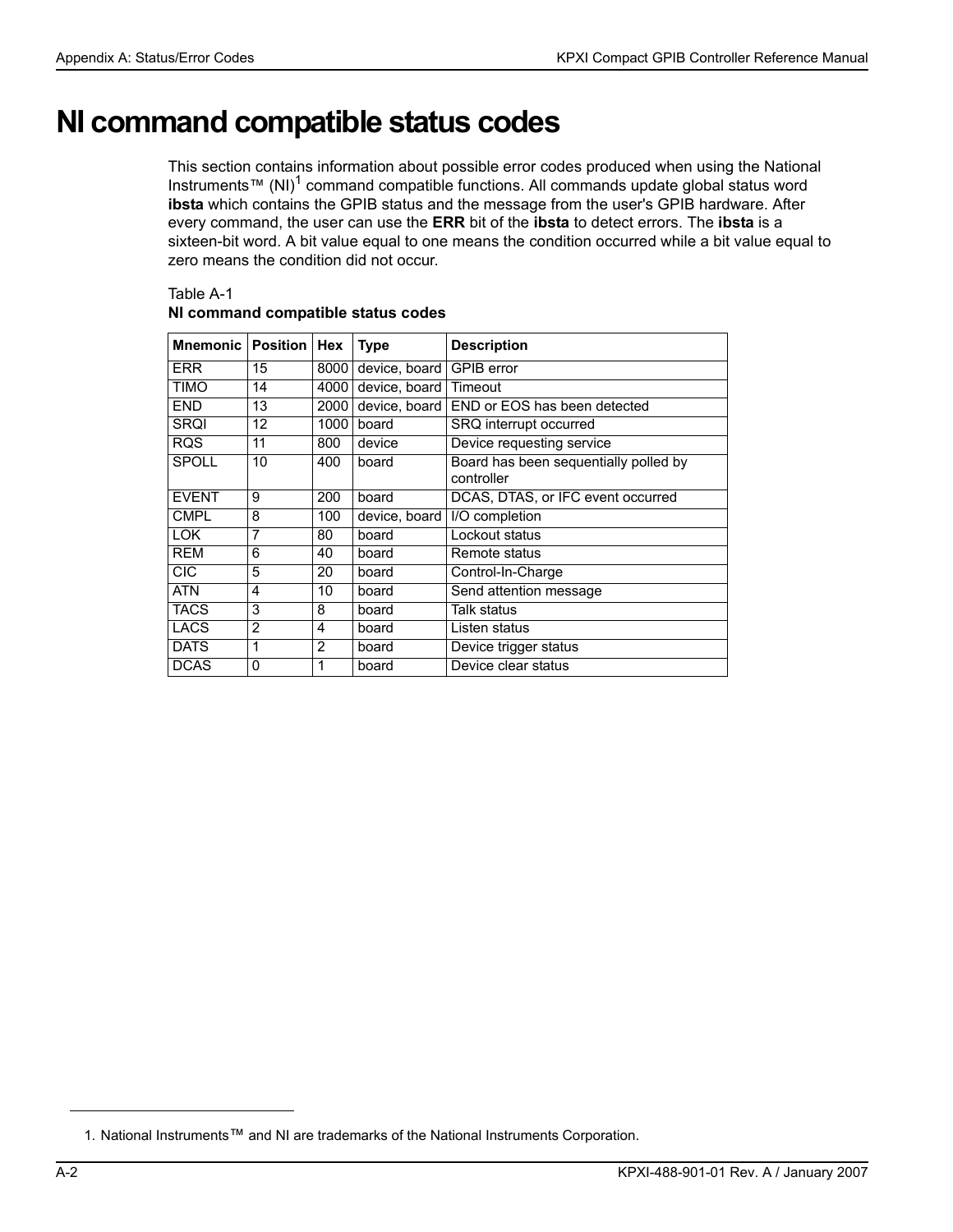### Appendix A **Status/Error Codes**

### **In this section:**

| <b>Topic</b> | Page |
|--------------|------|
|              |      |
|              |      |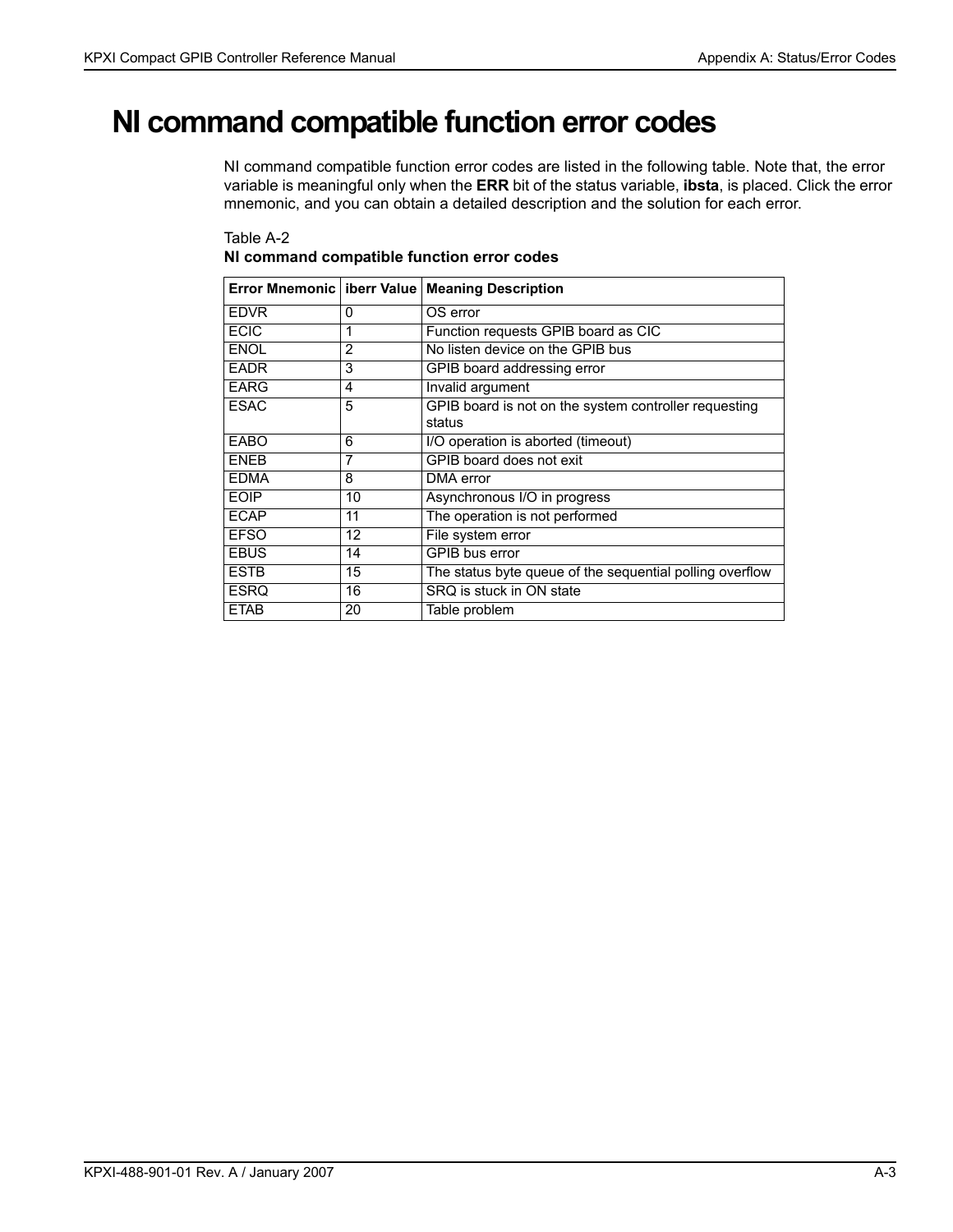### <span id="page-74-0"></span>**NI command compatible status codes**

This section contains information about possible error codes produced when using the National Instruments™ (NI)1 command compatible functions. All commands update global status word **ibsta** which contains the GPIB status and the message from the user's GPIB hardware. After every command, the user can use the **ERR** bit of the **ibsta** to detect errors. The **ibsta** is a sixteen-bit word. A bit value equal to one means the condition occurred while a bit value equal to zero means the condition did not occur.

| <b>Mnemonic</b> | <b>Position</b> | Hex            | <b>Type</b>   | <b>Description</b>                                  |
|-----------------|-----------------|----------------|---------------|-----------------------------------------------------|
| <b>ERR</b>      | 15              | 8000           | device, board | <b>GPIB</b> error                                   |
| TIMO            | 14              | 4000           | device, board | Timeout                                             |
| <b>END</b>      | 13              | 2000           | device, board | END or EOS has been detected                        |
| <b>SRQI</b>     | 12              | 1000           | board         | SRQ interrupt occurred                              |
| <b>RQS</b>      | 11              | 800            | device        | Device requesting service                           |
| <b>SPOLL</b>    | 10              | 400            | board         | Board has been sequentially polled by<br>controller |
| <b>EVENT</b>    | 9               | 200            | board         | DCAS, DTAS, or IFC event occurred                   |
| <b>CMPL</b>     | 8               | 100            | device, board | I/O completion                                      |
| <b>LOK</b>      | 7               | 80             | board         | Lockout status                                      |
| <b>REM</b>      | 6               | 40             | board         | Remote status                                       |
| <b>CIC</b>      | 5               | 20             | board         | Control-In-Charge                                   |
| <b>ATN</b>      | 4               | 10             | board         | Send attention message                              |
| <b>TACS</b>     | 3               | 8              | board         | Talk status                                         |
| LACS            | $\overline{2}$  | 4              | board         | Listen status                                       |
| <b>DATS</b>     | 1               | $\overline{2}$ | board         | Device trigger status                               |
| <b>DCAS</b>     | $\Omega$        | 1              | board         | Device clear status                                 |

#### Table A-1 **NI command compatible status codes**

<sup>1.</sup> National Instruments™ and NI are trademarks of the National Instruments Corporation.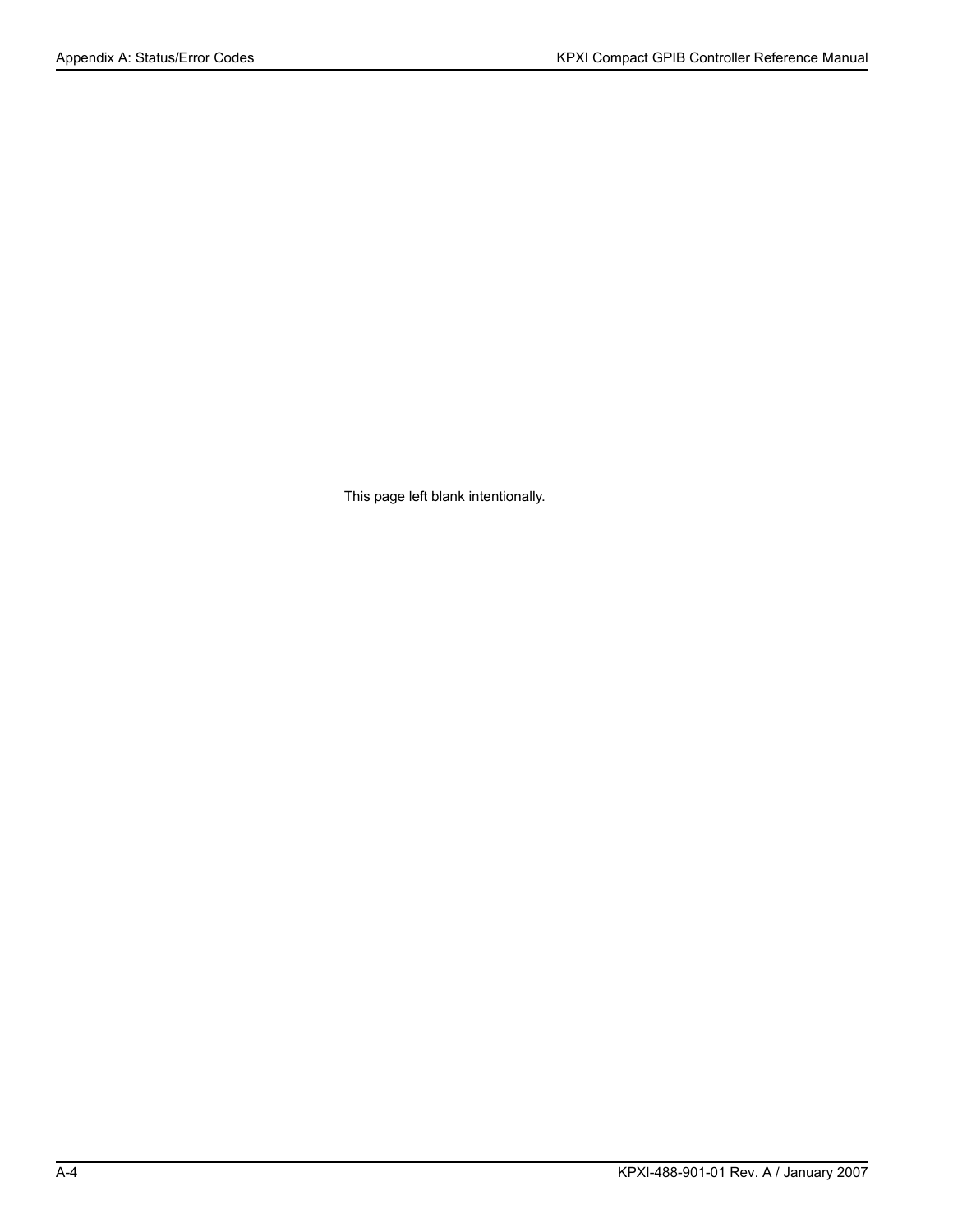## <span id="page-75-0"></span>**NI command compatible function error codes**

NI command compatible function error codes are listed in the following table. Note that, the error variable is meaningful only when the **ERR** bit of the status variable, **ibsta**, is placed. Click the error mnemonic, and you can obtain a detailed description and the solution for each error.

Table A-2 **NI command compatible function error codes**

| <b>Error Mnemonic liberr Value</b> |                | <b>Meaning Description</b>                               |
|------------------------------------|----------------|----------------------------------------------------------|
| <b>EDVR</b>                        | $\Omega$       | OS error                                                 |
| <b>ECIC</b>                        | 1              | Function requests GPIB board as CIC                      |
| <b>ENOL</b>                        | $\overline{2}$ | No listen device on the GPIB bus                         |
| <b>EADR</b>                        | 3              | GPIB board addressing error                              |
| <b>EARG</b>                        | 4              | Invalid argument                                         |
| <b>ESAC</b>                        | 5              | GPIB board is not on the system controller requesting    |
|                                    |                | status                                                   |
| <b>EABO</b>                        | 6              | I/O operation is aborted (timeout)                       |
| <b>ENEB</b>                        | 7              | GPIB board does not exit                                 |
| <b>EDMA</b>                        | 8              | DMA error                                                |
| <b>EOIP</b>                        | 10             | Asynchronous I/O in progress                             |
| <b>ECAP</b>                        | 11             | The operation is not performed                           |
| <b>EFSO</b>                        | 12             | File system error                                        |
| <b>EBUS</b>                        | 14             | <b>GPIB bus error</b>                                    |
| <b>ESTB</b>                        | 15             | The status byte queue of the sequential polling overflow |
| <b>ESRO</b>                        | 16             | SRQ is stuck in ON state                                 |
| <b>ETAB</b>                        | 20             | Table problem                                            |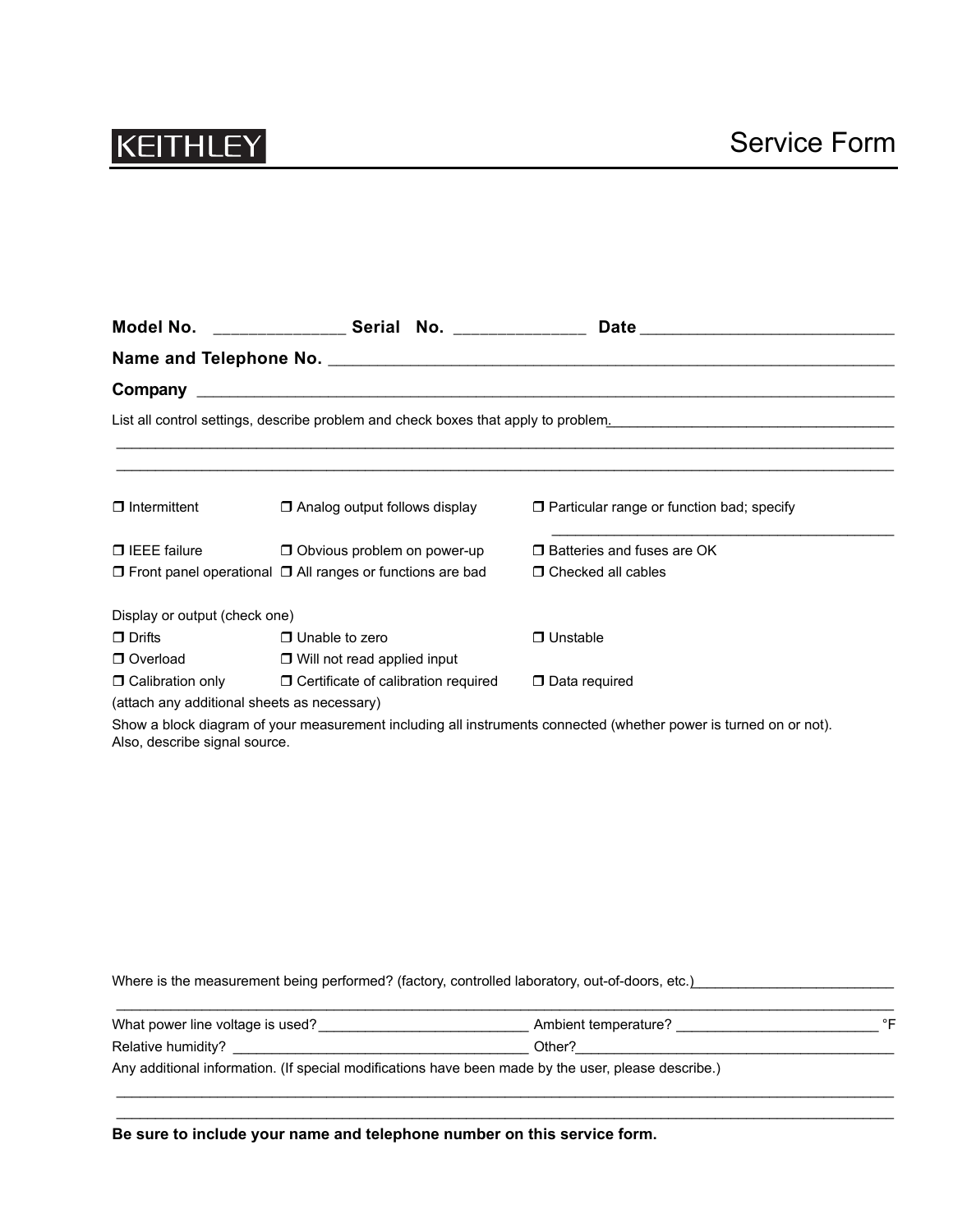This page left blank intentionally.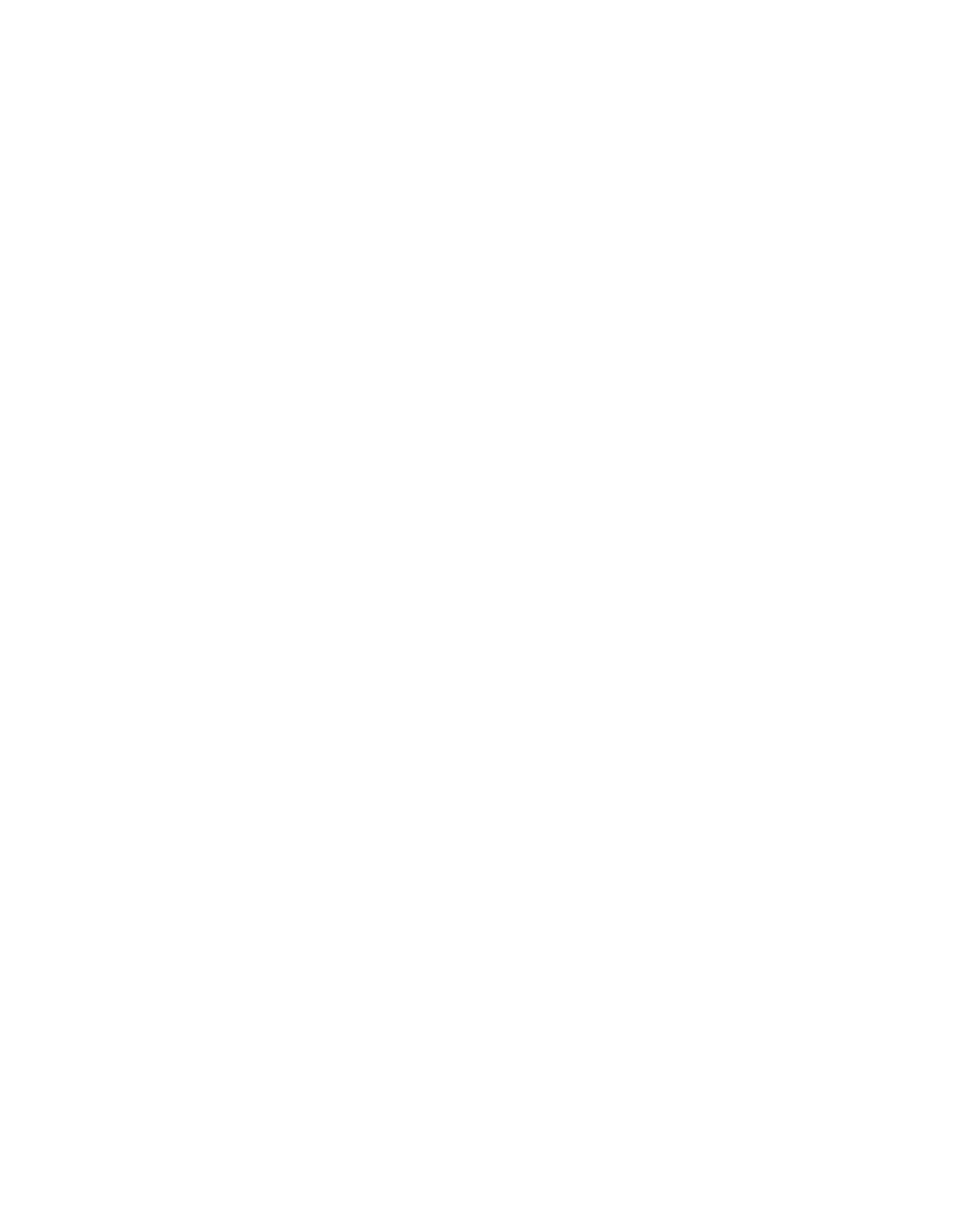# **KEITHLEY**

|                                             | Model No. _________________ Serial No. ______________                 |                                                                                                                   |
|---------------------------------------------|-----------------------------------------------------------------------|-------------------------------------------------------------------------------------------------------------------|
|                                             |                                                                       |                                                                                                                   |
|                                             |                                                                       |                                                                                                                   |
|                                             |                                                                       | List all control settings, describe problem and check boxes that apply to problem.                                |
|                                             |                                                                       |                                                                                                                   |
| $\Box$ Intermittent                         | $\Box$ Analog output follows display                                  | $\Box$ Particular range or function bad; specify                                                                  |
| $\Box$ IEEE failure                         | $\Box$ Obvious problem on power-up                                    | $\Box$ Batteries and fuses are OK                                                                                 |
|                                             | $\Box$ Front panel operational $\Box$ All ranges or functions are bad | □ Checked all cables                                                                                              |
| Display or output (check one)               |                                                                       |                                                                                                                   |
| $\Box$ Drifts                               | $\Box$ Unable to zero                                                 | $\Box$ Unstable                                                                                                   |
| $\Box$ Overload                             | □ Will not read applied input                                         |                                                                                                                   |
|                                             | $\Box$ Calibration only $\Box$ Certificate of calibration required    | Data required                                                                                                     |
| (attach any additional sheets as necessary) |                                                                       |                                                                                                                   |
| Also, describe signal source.               |                                                                       | Show a block diagram of your measurement including all instruments connected (whether power is turned on or not). |

Where is the measurement being performed? (factory, controlled laboratory, out-of-doors, etc.)

| What power line voltage is used?                                                                    | Ambient temperature? |  |
|-----------------------------------------------------------------------------------------------------|----------------------|--|
| Relative humidity?                                                                                  | Other?               |  |
| Any additional information. (If special modifications have been made by the user, please describe.) |                      |  |

 $\_$  , and the state of the state of the state of the state of the state of the state of the state of the state of the state of the state of the state of the state of the state of the state of the state of the state of the  $\_$  , and the state of the state of the state of the state of the state of the state of the state of the state of the state of the state of the state of the state of the state of the state of the state of the state of the

**Be sure to include your name and telephone number on this service form.**